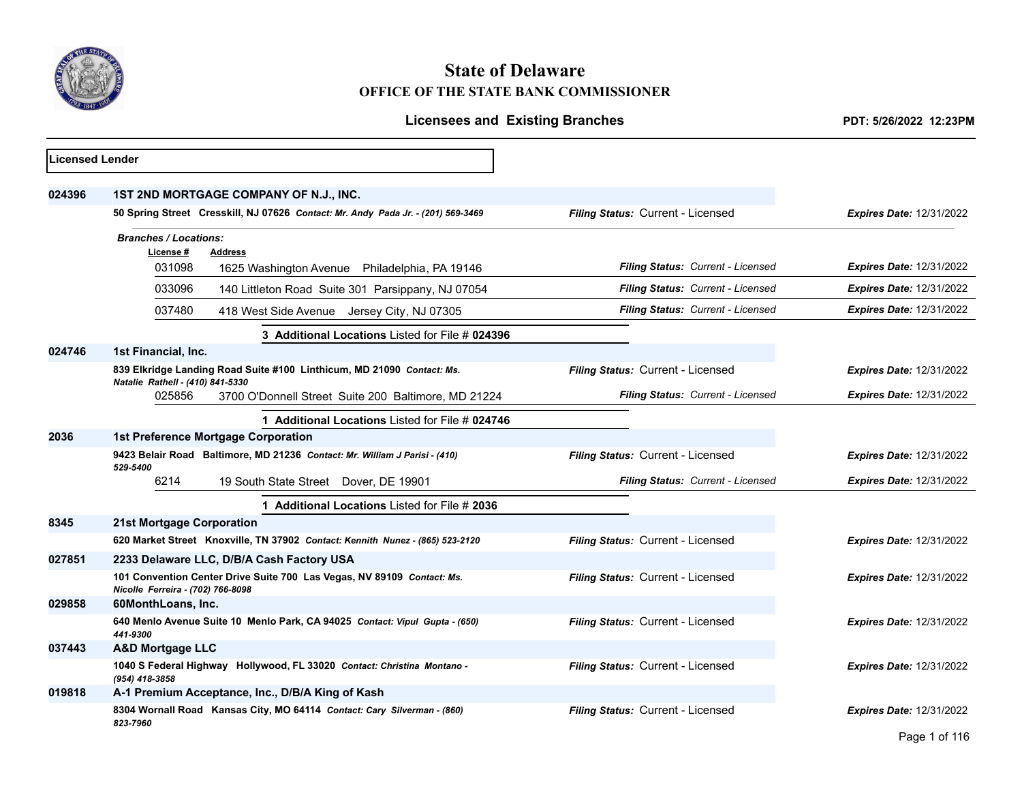

# **State of Delaware OFFICE OF THE STATE BANK COMMISSIONER**

|                        |                                                                                                             | <b>Licensees and Existing Branches</b> | PDT: 5/26/2022 12:23PM          |
|------------------------|-------------------------------------------------------------------------------------------------------------|----------------------------------------|---------------------------------|
| <b>Licensed Lender</b> |                                                                                                             |                                        |                                 |
| 024396                 | 1ST 2ND MORTGAGE COMPANY OF N.J., INC.                                                                      |                                        |                                 |
|                        | 50 Spring Street Cresskill, NJ 07626 Contact: Mr. Andy Pada Jr. - (201) 569-3469                            | Filing Status: Current - Licensed      | <b>Expires Date: 12/31/2022</b> |
|                        | <b>Branches / Locations:</b><br>License#<br><b>Address</b>                                                  |                                        |                                 |
|                        | 031098<br>1625 Washington Avenue Philadelphia, PA 19146                                                     | Filing Status: Current - Licensed      | <b>Expires Date: 12/31/2022</b> |
|                        | 033096<br>140 Littleton Road Suite 301 Parsippany, NJ 07054                                                 | Filing Status: Current - Licensed      | <b>Expires Date: 12/31/2022</b> |
|                        | 037480<br>418 West Side Avenue Jersey City, NJ 07305                                                        | Filing Status: Current - Licensed      | <b>Expires Date: 12/31/2022</b> |
|                        | 3 Additional Locations Listed for File # 024396                                                             |                                        |                                 |
| 024746                 | 1st Financial, Inc.                                                                                         |                                        |                                 |
|                        | 839 Elkridge Landing Road Suite #100 Linthicum, MD 21090 Contact: Ms.                                       | Filing Status: Current - Licensed      | <b>Expires Date: 12/31/2022</b> |
|                        | Natalie Rathell - (410) 841-5330<br>025856<br>3700 O'Donnell Street Suite 200 Baltimore, MD 21224           | Filing Status: Current - Licensed      | <b>Expires Date: 12/31/2022</b> |
|                        | 1 Additional Locations Listed for File # 024746                                                             |                                        |                                 |
| 2036                   | <b>1st Preference Mortgage Corporation</b>                                                                  |                                        |                                 |
|                        | 9423 Belair Road Baltimore, MD 21236 Contact: Mr. William J Parisi - (410)<br>529-5400                      | Filing Status: Current - Licensed      | <b>Expires Date: 12/31/2022</b> |
|                        | 6214<br>19 South State Street Dover, DE 19901                                                               | Filing Status: Current - Licensed      | <b>Expires Date: 12/31/2022</b> |
|                        | 1 Additional Locations Listed for File # 2036                                                               |                                        |                                 |
| 8345                   | 21st Mortgage Corporation                                                                                   |                                        |                                 |
|                        | 620 Market Street Knoxville, TN 37902 Contact: Kennith Nunez - (865) 523-2120                               | Filing Status: Current - Licensed      | <b>Expires Date: 12/31/2022</b> |
| 027851                 | 2233 Delaware LLC, D/B/A Cash Factory USA                                                                   |                                        |                                 |
|                        | 101 Convention Center Drive Suite 700 Las Vegas, NV 89109 Contact: Ms.<br>Nicolle Ferreira - (702) 766-8098 | Filing Status: Current - Licensed      | <b>Expires Date: 12/31/2022</b> |
| 029858                 | 60MonthLoans, Inc.                                                                                          |                                        |                                 |
|                        | 640 Menlo Avenue Suite 10 Menlo Park, CA 94025 Contact: Vipul Gupta - (650)<br>441-9300                     | Filing Status: Current - Licensed      | Expires Date: 12/31/2022        |
| 037443                 | <b>A&amp;D Mortgage LLC</b>                                                                                 |                                        |                                 |
|                        | 1040 S Federal Highway Hollywood, FL 33020 Contact: Christina Montano -<br>(954) 418-3858                   | Filing Status: Current - Licensed      | <b>Expires Date: 12/31/2022</b> |
| 019818                 | A-1 Premium Acceptance, Inc., D/B/A King of Kash                                                            |                                        |                                 |
|                        | 8304 Wornall Road Kansas City, MO 64114 Contact: Cary Silverman - (860)<br>823-7960                         | Filing Status: Current - Licensed      | <b>Expires Date: 12/31/2022</b> |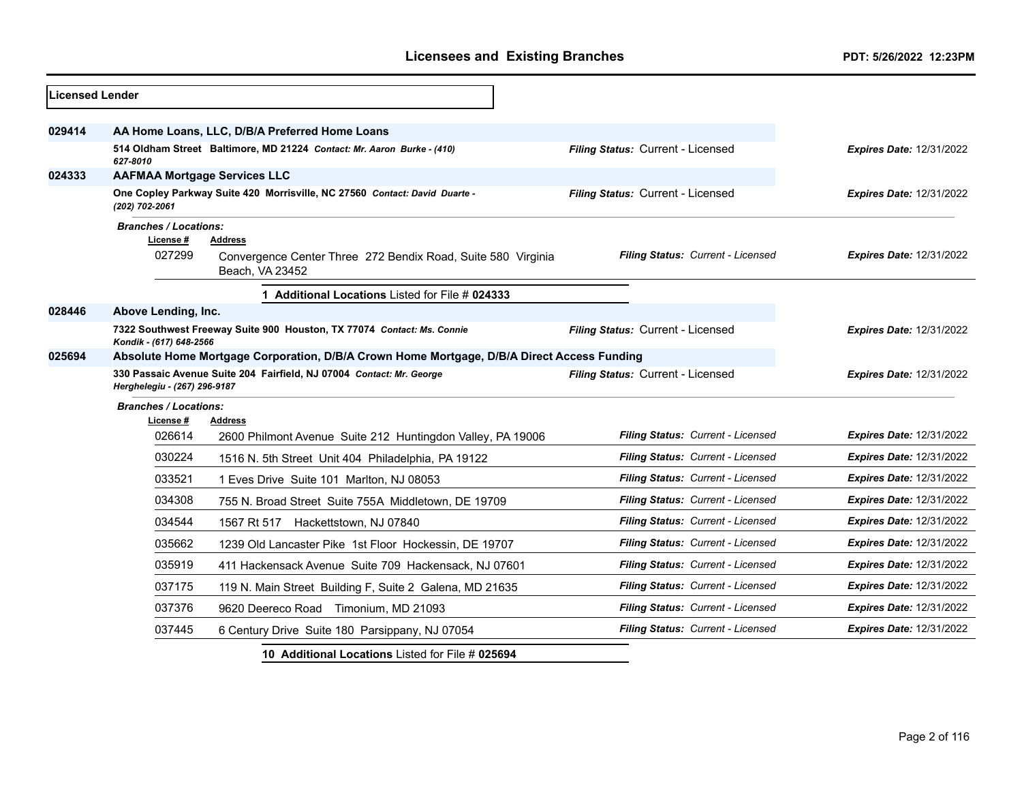| <b>Licensed Lender</b> |                                                                                                      |                                                                                 |                                   |                                 |  |  |
|------------------------|------------------------------------------------------------------------------------------------------|---------------------------------------------------------------------------------|-----------------------------------|---------------------------------|--|--|
| 029414                 |                                                                                                      | AA Home Loans, LLC, D/B/A Preferred Home Loans                                  |                                   |                                 |  |  |
|                        | 627-8010                                                                                             | 514 Oldham Street Baltimore, MD 21224 Contact: Mr. Aaron Burke - (410)          | Filing Status: Current - Licensed | <b>Expires Date: 12/31/2022</b> |  |  |
| 024333                 | <b>AAFMAA Mortgage Services LLC</b>                                                                  |                                                                                 |                                   |                                 |  |  |
|                        | (202) 702-2061                                                                                       | One Copley Parkway Suite 420 Morrisville, NC 27560 Contact: David Duarte -      | Filing Status: Current - Licensed | <b>Expires Date: 12/31/2022</b> |  |  |
|                        | <b>Branches / Locations:</b>                                                                         |                                                                                 |                                   |                                 |  |  |
|                        | License#                                                                                             | <b>Address</b>                                                                  |                                   |                                 |  |  |
|                        | 027299                                                                                               | Convergence Center Three 272 Bendix Road, Suite 580 Virginia<br>Beach, VA 23452 | Filing Status: Current - Licensed | <b>Expires Date: 12/31/2022</b> |  |  |
|                        |                                                                                                      | 1 Additional Locations Listed for File # 024333                                 |                                   |                                 |  |  |
| 028446                 | Above Lending, Inc.                                                                                  |                                                                                 |                                   |                                 |  |  |
|                        | Kondik - (617) 648-2566                                                                              | 7322 Southwest Freeway Suite 900 Houston, TX 77074 Contact: Ms. Connie          | Filing Status: Current - Licensed | <b>Expires Date: 12/31/2022</b> |  |  |
| 025694                 | Absolute Home Mortgage Corporation, D/B/A Crown Home Mortgage, D/B/A Direct Access Funding           |                                                                                 |                                   |                                 |  |  |
|                        | 330 Passaic Avenue Suite 204 Fairfield, NJ 07004 Contact: Mr. George<br>Herghelegiu - (267) 296-9187 |                                                                                 | Filing Status: Current - Licensed | <b>Expires Date: 12/31/2022</b> |  |  |
|                        | <b>Branches / Locations:</b>                                                                         |                                                                                 |                                   |                                 |  |  |
|                        | License #                                                                                            | <b>Address</b>                                                                  |                                   |                                 |  |  |
|                        | 026614                                                                                               | 2600 Philmont Avenue Suite 212 Huntingdon Valley, PA 19006                      | Filing Status: Current - Licensed | <b>Expires Date: 12/31/2022</b> |  |  |
|                        | 030224                                                                                               | 1516 N. 5th Street Unit 404 Philadelphia, PA 19122                              | Filing Status: Current - Licensed | <b>Expires Date: 12/31/2022</b> |  |  |
|                        | 033521                                                                                               | 1 Eves Drive Suite 101 Marlton, NJ 08053                                        | Filing Status: Current - Licensed | <b>Expires Date: 12/31/2022</b> |  |  |
|                        | 034308                                                                                               | 755 N. Broad Street Suite 755A Middletown, DE 19709                             | Filing Status: Current - Licensed | <b>Expires Date: 12/31/2022</b> |  |  |
|                        | 034544                                                                                               | 1567 Rt 517 Hackettstown, NJ 07840                                              | Filing Status: Current - Licensed | <b>Expires Date: 12/31/2022</b> |  |  |
|                        | 035662                                                                                               | 1239 Old Lancaster Pike 1st Floor Hockessin, DE 19707                           | Filing Status: Current - Licensed | <b>Expires Date: 12/31/2022</b> |  |  |
|                        | 035919                                                                                               | 411 Hackensack Avenue Suite 709 Hackensack, NJ 07601                            | Filing Status: Current - Licensed | Expires Date: 12/31/2022        |  |  |
|                        | 037175                                                                                               | 119 N. Main Street Building F, Suite 2 Galena, MD 21635                         | Filing Status: Current - Licensed | <b>Expires Date: 12/31/2022</b> |  |  |
|                        | 037376                                                                                               | 9620 Deereco Road Timonium, MD 21093                                            | Filing Status: Current - Licensed | Expires Date: 12/31/2022        |  |  |
|                        | 037445                                                                                               | 6 Century Drive Suite 180 Parsippany, NJ 07054                                  | Filing Status: Current - Licensed | <b>Expires Date: 12/31/2022</b> |  |  |
|                        |                                                                                                      | 10 Additional Locations Listed for File # 025694                                |                                   |                                 |  |  |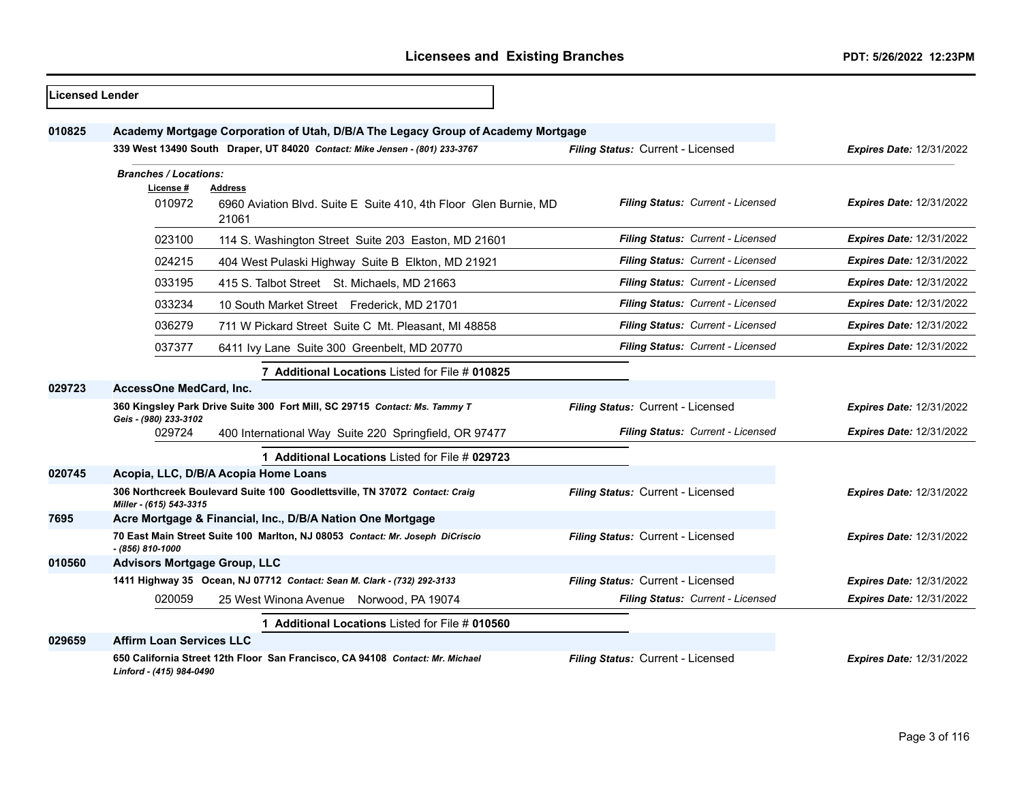| <b>Licensed Lender</b> |                                     |                                                                                  |                                   |                                 |
|------------------------|-------------------------------------|----------------------------------------------------------------------------------|-----------------------------------|---------------------------------|
| 010825                 |                                     | Academy Mortgage Corporation of Utah, D/B/A The Legacy Group of Academy Mortgage |                                   |                                 |
|                        |                                     | 339 West 13490 South Draper, UT 84020 Contact: Mike Jensen - (801) 233-3767      | Filing Status: Current - Licensed | <b>Expires Date: 12/31/2022</b> |
|                        | <b>Branches / Locations:</b>        |                                                                                  |                                   |                                 |
|                        | License #                           | Address                                                                          | Filing Status: Current - Licensed |                                 |
|                        | 010972                              | 6960 Aviation Blvd. Suite E Suite 410, 4th Floor Glen Burnie, MD<br>21061        |                                   | <b>Expires Date: 12/31/2022</b> |
|                        | 023100                              | 114 S. Washington Street Suite 203 Easton, MD 21601                              | Filing Status: Current - Licensed | Expires Date: 12/31/2022        |
|                        | 024215                              | 404 West Pulaski Highway Suite B Elkton, MD 21921                                | Filing Status: Current - Licensed | <b>Expires Date: 12/31/2022</b> |
|                        | 033195                              | 415 S. Talbot Street St. Michaels, MD 21663                                      | Filing Status: Current - Licensed | <b>Expires Date: 12/31/2022</b> |
|                        | 033234                              | 10 South Market Street Frederick, MD 21701                                       | Filing Status: Current - Licensed | Expires Date: 12/31/2022        |
|                        | 036279                              | 711 W Pickard Street Suite C Mt. Pleasant, MI 48858                              | Filing Status: Current - Licensed | <b>Expires Date: 12/31/2022</b> |
|                        | 037377                              | 6411 Ivy Lane Suite 300 Greenbelt, MD 20770                                      | Filing Status: Current - Licensed | <b>Expires Date: 12/31/2022</b> |
|                        |                                     | 7 Additional Locations Listed for File # 010825                                  |                                   |                                 |
| 029723                 | AccessOne MedCard, Inc.             |                                                                                  |                                   |                                 |
|                        | Geis - (980) 233-3102               | 360 Kingsley Park Drive Suite 300 Fort Mill, SC 29715 Contact: Ms. Tammy T       | Filing Status: Current - Licensed | <b>Expires Date: 12/31/2022</b> |
|                        | 029724                              | 400 International Way Suite 220 Springfield, OR 97477                            | Filing Status: Current - Licensed | Expires Date: 12/31/2022        |
|                        |                                     | 1 Additional Locations Listed for File # 029723                                  |                                   |                                 |
| 020745                 |                                     | Acopia, LLC, D/B/A Acopia Home Loans                                             |                                   |                                 |
|                        | Miller - (615) 543-3315             | 306 Northcreek Boulevard Suite 100 Goodlettsville, TN 37072 Contact: Craig       | Filing Status: Current - Licensed | Expires Date: 12/31/2022        |
| 7695                   |                                     | Acre Mortgage & Financial, Inc., D/B/A Nation One Mortgage                       |                                   |                                 |
|                        | $-$ (856) 810-1000                  | 70 East Main Street Suite 100 Marlton, NJ 08053 Contact: Mr. Joseph DiCriscio    | Filing Status: Current - Licensed | <b>Expires Date: 12/31/2022</b> |
| 010560                 | <b>Advisors Mortgage Group, LLC</b> |                                                                                  |                                   |                                 |
|                        |                                     | 1411 Highway 35 Ocean, NJ 07712 Contact: Sean M. Clark - (732) 292-3133          | Filing Status: Current - Licensed | Expires Date: 12/31/2022        |
|                        | 020059                              | 25 West Winona Avenue Norwood, PA 19074                                          | Filing Status: Current - Licensed | <b>Expires Date: 12/31/2022</b> |
|                        |                                     | 1 Additional Locations Listed for File # 010560                                  |                                   |                                 |
| 029659                 | <b>Affirm Loan Services LLC</b>     |                                                                                  |                                   |                                 |
|                        | Linford - (415) 984-0490            | 650 California Street 12th Floor San Francisco, CA 94108 Contact: Mr. Michael    | Filing Status: Current - Licensed | <b>Expires Date: 12/31/2022</b> |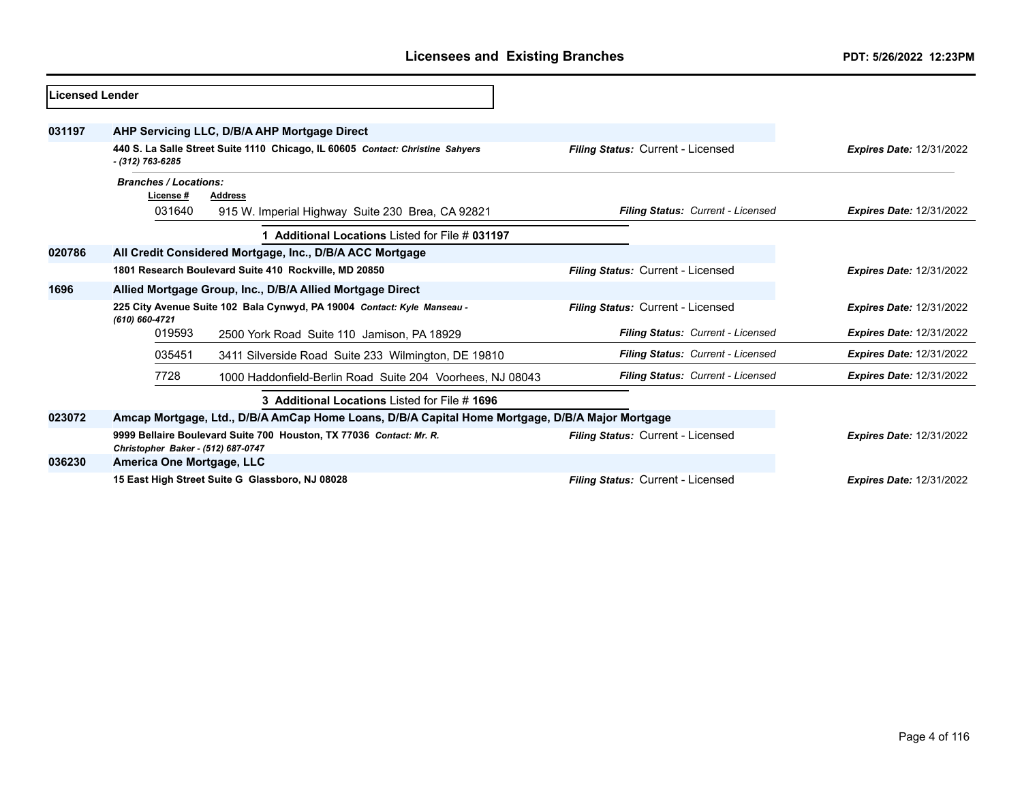| Licensed Lender |                                                                                                 |                                                                                |                                          |                                 |
|-----------------|-------------------------------------------------------------------------------------------------|--------------------------------------------------------------------------------|------------------------------------------|---------------------------------|
| 031197          |                                                                                                 | AHP Servicing LLC, D/B/A AHP Mortgage Direct                                   |                                          |                                 |
|                 | - (312) 763-6285                                                                                | 440 S. La Salle Street Suite 1110 Chicago, IL 60605 Contact: Christine Sahyers | <b>Filing Status: Current - Licensed</b> | <b>Expires Date: 12/31/2022</b> |
|                 | <b>Branches / Locations:</b><br>License#<br>031640                                              | Address                                                                        | Filing Status: Current - Licensed        | <b>Expires Date: 12/31/2022</b> |
|                 |                                                                                                 | 915 W. Imperial Highway Suite 230 Brea, CA 92821                               |                                          |                                 |
|                 |                                                                                                 | Additional Locations Listed for File # 031197                                  |                                          |                                 |
| 020786          |                                                                                                 | All Credit Considered Mortgage, Inc., D/B/A ACC Mortgage                       |                                          |                                 |
|                 | 1801 Research Boulevard Suite 410 Rockville, MD 20850                                           |                                                                                | Filing Status: Current - Licensed        | <b>Expires Date: 12/31/2022</b> |
| 1696            |                                                                                                 | Allied Mortgage Group, Inc., D/B/A Allied Mortgage Direct                      |                                          |                                 |
|                 | 225 City Avenue Suite 102 Bala Cynwyd, PA 19004 Contact: Kyle Manseau -<br>(610) 660-4721       |                                                                                | Filing Status: Current - Licensed        | <b>Expires Date: 12/31/2022</b> |
|                 | 019593                                                                                          | 2500 York Road Suite 110 Jamison, PA 18929                                     | Filing Status: Current - Licensed        | <b>Expires Date: 12/31/2022</b> |
|                 | 035451                                                                                          | 3411 Silverside Road Suite 233 Wilmington, DE 19810                            | Filing Status: Current - Licensed        | <b>Expires Date: 12/31/2022</b> |
|                 | 7728                                                                                            | 1000 Haddonfield-Berlin Road Suite 204 Voorhees, NJ 08043                      | Filing Status: Current - Licensed        | <b>Expires Date: 12/31/2022</b> |
|                 |                                                                                                 | 3 Additional Locations Listed for File #1696                                   |                                          |                                 |
| 023072          | Amcap Mortgage, Ltd., D/B/A AmCap Home Loans, D/B/A Capital Home Mortgage, D/B/A Major Mortgage |                                                                                |                                          |                                 |
|                 | Christopher Baker - (512) 687-0747                                                              | 9999 Bellaire Boulevard Suite 700 Houston, TX 77036 Contact: Mr. R.            | Filing Status: Current - Licensed        | <b>Expires Date: 12/31/2022</b> |
| 036230          | America One Mortgage, LLC                                                                       |                                                                                |                                          |                                 |
|                 |                                                                                                 | 15 East High Street Suite G Glassboro, NJ 08028                                | Filing Status: Current - Licensed        | <b>Expires Date: 12/31/2022</b> |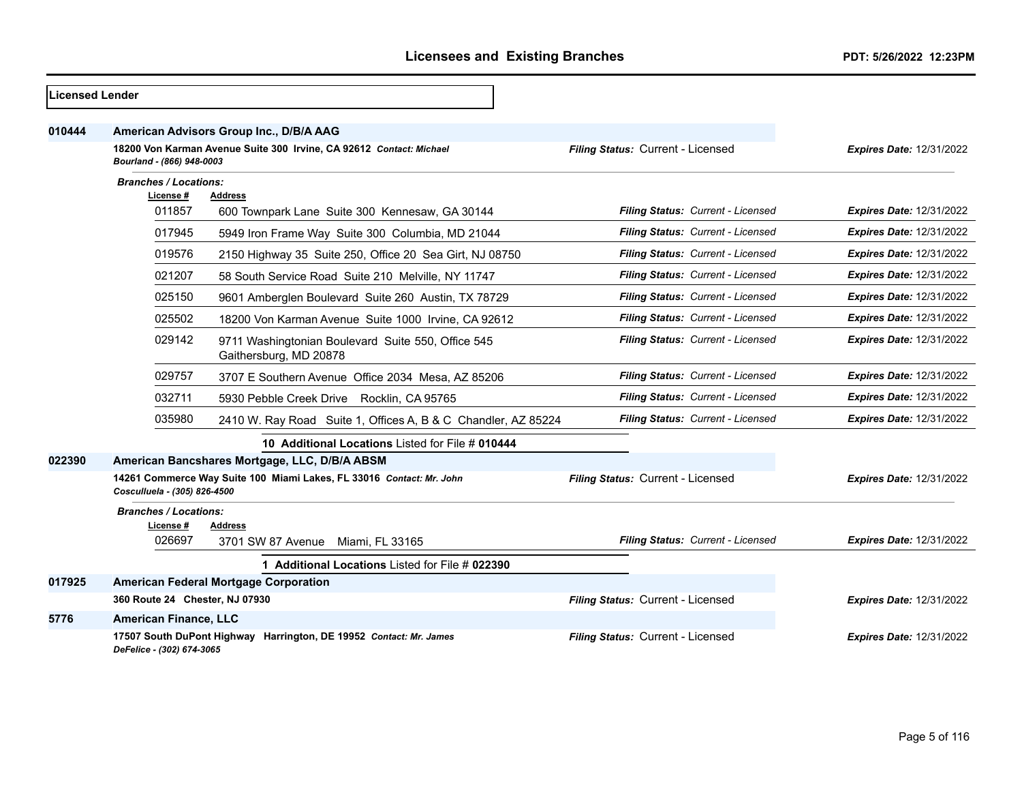| <b>Licensed Lender</b> |                                         |                                                                              |                                   |                                 |
|------------------------|-----------------------------------------|------------------------------------------------------------------------------|-----------------------------------|---------------------------------|
| 010444                 | American Advisors Group Inc., D/B/A AAG |                                                                              |                                   |                                 |
|                        | Bourland - (866) 948-0003               | 18200 Von Karman Avenue Suite 300 Irvine, CA 92612 Contact: Michael          | Filing Status: Current - Licensed | <b>Expires Date: 12/31/2022</b> |
|                        | <b>Branches / Locations:</b>            |                                                                              |                                   |                                 |
|                        | License #<br>011857                     | <b>Address</b><br>600 Townpark Lane Suite 300 Kennesaw, GA 30144             | Filing Status: Current - Licensed | Expires Date: 12/31/2022        |
|                        | 017945                                  | 5949 Iron Frame Way Suite 300 Columbia, MD 21044                             | Filing Status: Current - Licensed | <b>Expires Date: 12/31/2022</b> |
|                        | 019576                                  | 2150 Highway 35 Suite 250, Office 20 Sea Girt, NJ 08750                      | Filing Status: Current - Licensed | <b>Expires Date: 12/31/2022</b> |
|                        | 021207                                  | 58 South Service Road Suite 210 Melville, NY 11747                           | Filing Status: Current - Licensed | <b>Expires Date: 12/31/2022</b> |
|                        | 025150                                  | 9601 Amberglen Boulevard Suite 260 Austin, TX 78729                          | Filing Status: Current - Licensed | <b>Expires Date: 12/31/2022</b> |
|                        | 025502                                  | 18200 Von Karman Avenue Suite 1000 Irvine, CA 92612                          | Filing Status: Current - Licensed | Expires Date: 12/31/2022        |
|                        | 029142                                  | 9711 Washingtonian Boulevard Suite 550, Office 545<br>Gaithersburg, MD 20878 | Filing Status: Current - Licensed | <b>Expires Date: 12/31/2022</b> |
|                        | 029757                                  | 3707 E Southern Avenue Office 2034 Mesa, AZ 85206                            | Filing Status: Current - Licensed | <b>Expires Date: 12/31/2022</b> |
|                        | 032711                                  | 5930 Pebble Creek Drive Rocklin, CA 95765                                    | Filing Status: Current - Licensed | <b>Expires Date: 12/31/2022</b> |
|                        | 035980                                  | 2410 W. Ray Road Suite 1, Offices A, B & C Chandler, AZ 85224                | Filing Status: Current - Licensed | <b>Expires Date: 12/31/2022</b> |
|                        |                                         | 10 Additional Locations Listed for File # 010444                             |                                   |                                 |
| 022390                 |                                         | American Bancshares Mortgage, LLC, D/B/A ABSM                                |                                   |                                 |
|                        | Cosculluela - (305) 826-4500            | 14261 Commerce Way Suite 100 Miami Lakes, FL 33016 Contact: Mr. John         | Filing Status: Current - Licensed | Expires Date: 12/31/2022        |
|                        | <b>Branches / Locations:</b>            |                                                                              |                                   |                                 |
|                        | License #<br>026697                     | Address<br>3701 SW 87 Avenue<br>Miami, FL 33165                              | Filing Status: Current - Licensed | Expires Date: 12/31/2022        |
|                        |                                         | 1 Additional Locations Listed for File # 022390                              |                                   |                                 |
| 017925                 |                                         | <b>American Federal Mortgage Corporation</b>                                 |                                   |                                 |
|                        | 360 Route 24 Chester, NJ 07930          |                                                                              | Filing Status: Current - Licensed | <b>Expires Date: 12/31/2022</b> |
| 5776                   | <b>American Finance, LLC</b>            |                                                                              |                                   |                                 |
|                        | DeFelice - (302) 674-3065               | 17507 South DuPont Highway Harrington, DE 19952 Contact: Mr. James           | Filing Status: Current - Licensed | Expires Date: 12/31/2022        |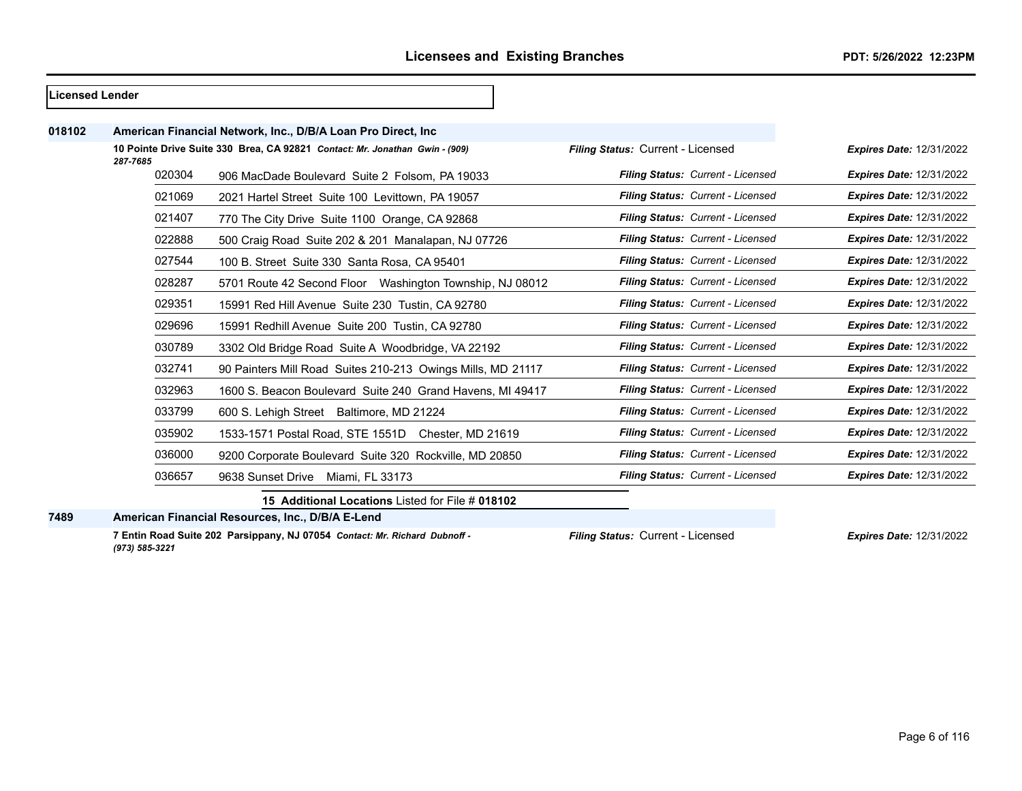| <b>Licensed Lender</b> |          |                                                                             |                                   |                                 |
|------------------------|----------|-----------------------------------------------------------------------------|-----------------------------------|---------------------------------|
| 018102                 |          | American Financial Network, Inc., D/B/A Loan Pro Direct, Inc.               |                                   |                                 |
|                        | 287-7685 | 10 Pointe Drive Suite 330 Brea, CA 92821 Contact: Mr. Jonathan Gwin - (909) | Filing Status: Current - Licensed | <b>Expires Date: 12/31/2022</b> |
|                        | 020304   | 906 MacDade Boulevard Suite 2 Folsom, PA 19033                              | Filing Status: Current - Licensed | <b>Expires Date: 12/31/2022</b> |
|                        | 021069   | 2021 Hartel Street Suite 100 Levittown, PA 19057                            | Filing Status: Current - Licensed | <b>Expires Date: 12/31/2022</b> |
|                        | 021407   | 770 The City Drive Suite 1100 Orange, CA 92868                              | Filing Status: Current - Licensed | <b>Expires Date: 12/31/2022</b> |
|                        | 022888   | 500 Craig Road Suite 202 & 201 Manalapan, NJ 07726                          | Filing Status: Current - Licensed | <b>Expires Date: 12/31/2022</b> |
|                        | 027544   | 100 B. Street Suite 330 Santa Rosa, CA 95401                                | Filing Status: Current - Licensed | <b>Expires Date: 12/31/2022</b> |
|                        | 028287   | 5701 Route 42 Second Floor Washington Township, NJ 08012                    | Filing Status: Current - Licensed | <b>Expires Date: 12/31/2022</b> |
|                        | 029351   | 15991 Red Hill Avenue Suite 230 Tustin, CA 92780                            | Filing Status: Current - Licensed | <b>Expires Date: 12/31/2022</b> |
|                        | 029696   | 15991 Redhill Avenue Suite 200 Tustin, CA 92780                             | Filing Status: Current - Licensed | <b>Expires Date: 12/31/2022</b> |
|                        | 030789   | 3302 Old Bridge Road Suite A Woodbridge, VA 22192                           | Filing Status: Current - Licensed | <b>Expires Date: 12/31/2022</b> |
|                        | 032741   | 90 Painters Mill Road Suites 210-213 Owings Mills, MD 21117                 | Filing Status: Current - Licensed | <b>Expires Date: 12/31/2022</b> |
|                        | 032963   | 1600 S. Beacon Boulevard Suite 240 Grand Havens, MI 49417                   | Filing Status: Current - Licensed | <b>Expires Date: 12/31/2022</b> |
|                        | 033799   | 600 S. Lehigh Street Baltimore, MD 21224                                    | Filing Status: Current - Licensed | <b>Expires Date: 12/31/2022</b> |
|                        | 035902   | 1533-1571 Postal Road, STE 1551D Chester, MD 21619                          | Filing Status: Current - Licensed | <b>Expires Date: 12/31/2022</b> |
|                        | 036000   | 9200 Corporate Boulevard Suite 320 Rockville, MD 20850                      | Filing Status: Current - Licensed | <b>Expires Date: 12/31/2022</b> |
|                        | 036657   | 9638 Sunset Drive<br>Miami, FL 33173                                        | Filing Status: Current - Licensed | <b>Expires Date: 12/31/2022</b> |
|                        |          | 15 Additional Locations Listed for File # 018102                            |                                   |                                 |

**American Financial Resources, Inc., D/B/A E-Lend**

**7 Entin Road Suite 202 Parsippany, NJ 07054** *Contact: Mr. Richard Dubnoff - (973) 585-3221*

*Filing Status:* Current - Licensed *Expires Date:* 12/31/2022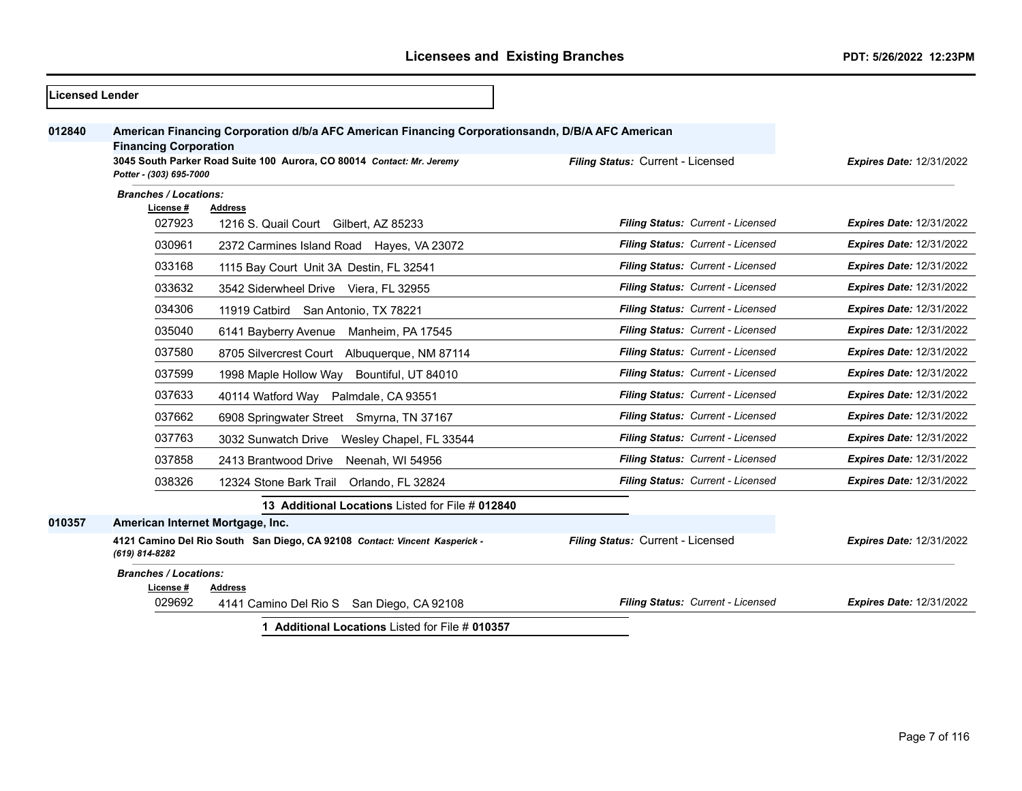| <b>Licensed Lender</b> |                                                                                                                                                                                                                                                                           |                                                                            |                                   |                                 |
|------------------------|---------------------------------------------------------------------------------------------------------------------------------------------------------------------------------------------------------------------------------------------------------------------------|----------------------------------------------------------------------------|-----------------------------------|---------------------------------|
| 012840                 | American Financing Corporation d/b/a AFC American Financing Corporationsandn, D/B/A AFC American<br><b>Financing Corporation</b><br>3045 South Parker Road Suite 100 Aurora, CO 80014 Contact: Mr. Jeremy<br>Filing Status: Current - Licensed<br>Potter - (303) 695-7000 |                                                                            |                                   | <b>Expires Date: 12/31/2022</b> |
|                        | <b>Branches / Locations:</b>                                                                                                                                                                                                                                              |                                                                            |                                   |                                 |
|                        | License #<br>027923                                                                                                                                                                                                                                                       | <b>Address</b><br>1216 S. Quail Court Gilbert, AZ 85233                    | Filing Status: Current - Licensed | <b>Expires Date: 12/31/2022</b> |
|                        | 030961                                                                                                                                                                                                                                                                    | 2372 Carmines Island Road Hayes, VA 23072                                  | Filing Status: Current - Licensed | Expires Date: 12/31/2022        |
|                        | 033168                                                                                                                                                                                                                                                                    | 1115 Bay Court Unit 3A Destin, FL 32541                                    | Filing Status: Current - Licensed | <b>Expires Date: 12/31/2022</b> |
|                        | 033632                                                                                                                                                                                                                                                                    | 3542 Siderwheel Drive Viera, FL 32955                                      | Filing Status: Current - Licensed | <b>Expires Date: 12/31/2022</b> |
|                        | 034306                                                                                                                                                                                                                                                                    | 11919 Catbird San Antonio, TX 78221                                        | Filing Status: Current - Licensed | <b>Expires Date: 12/31/2022</b> |
|                        | 035040                                                                                                                                                                                                                                                                    | 6141 Bayberry Avenue Manheim, PA 17545                                     | Filing Status: Current - Licensed | <b>Expires Date: 12/31/2022</b> |
|                        | 037580                                                                                                                                                                                                                                                                    | 8705 Silvercrest Court Albuquerque, NM 87114                               | Filing Status: Current - Licensed | <b>Expires Date: 12/31/2022</b> |
|                        | 037599                                                                                                                                                                                                                                                                    | 1998 Maple Hollow Way Bountiful, UT 84010                                  | Filing Status: Current - Licensed | <b>Expires Date: 12/31/2022</b> |
|                        | 037633                                                                                                                                                                                                                                                                    | 40114 Watford Way Palmdale, CA 93551                                       | Filing Status: Current - Licensed | <b>Expires Date: 12/31/2022</b> |
|                        | 037662                                                                                                                                                                                                                                                                    | 6908 Springwater Street Smyrna, TN 37167                                   | Filing Status: Current - Licensed | <b>Expires Date: 12/31/2022</b> |
|                        | 037763                                                                                                                                                                                                                                                                    | 3032 Sunwatch Drive<br>Wesley Chapel, FL 33544                             | Filing Status: Current - Licensed | <b>Expires Date: 12/31/2022</b> |
|                        | 037858                                                                                                                                                                                                                                                                    | 2413 Brantwood Drive<br>Neenah. WI 54956                                   | Filing Status: Current - Licensed | <b>Expires Date: 12/31/2022</b> |
|                        | 038326                                                                                                                                                                                                                                                                    | 12324 Stone Bark Trail Orlando, FL 32824                                   | Filing Status: Current - Licensed | <b>Expires Date: 12/31/2022</b> |
|                        |                                                                                                                                                                                                                                                                           | 13 Additional Locations Listed for File # 012840                           |                                   |                                 |
| 010357                 | American Internet Mortgage, Inc.                                                                                                                                                                                                                                          |                                                                            |                                   |                                 |
|                        | (619) 814-8282                                                                                                                                                                                                                                                            | 4121 Camino Del Rio South San Diego, CA 92108 Contact: Vincent Kasperick - | Filing Status: Current - Licensed | <b>Expires Date: 12/31/2022</b> |
|                        | <b>Branches / Locations:</b><br>License #                                                                                                                                                                                                                                 | <b>Address</b>                                                             |                                   |                                 |
|                        | 029692                                                                                                                                                                                                                                                                    | 4141 Camino Del Rio S San Diego, CA 92108                                  | Filing Status: Current - Licensed | <b>Expires Date: 12/31/2022</b> |
|                        |                                                                                                                                                                                                                                                                           | 1 Additional Locations Listed for File # 010357                            |                                   |                                 |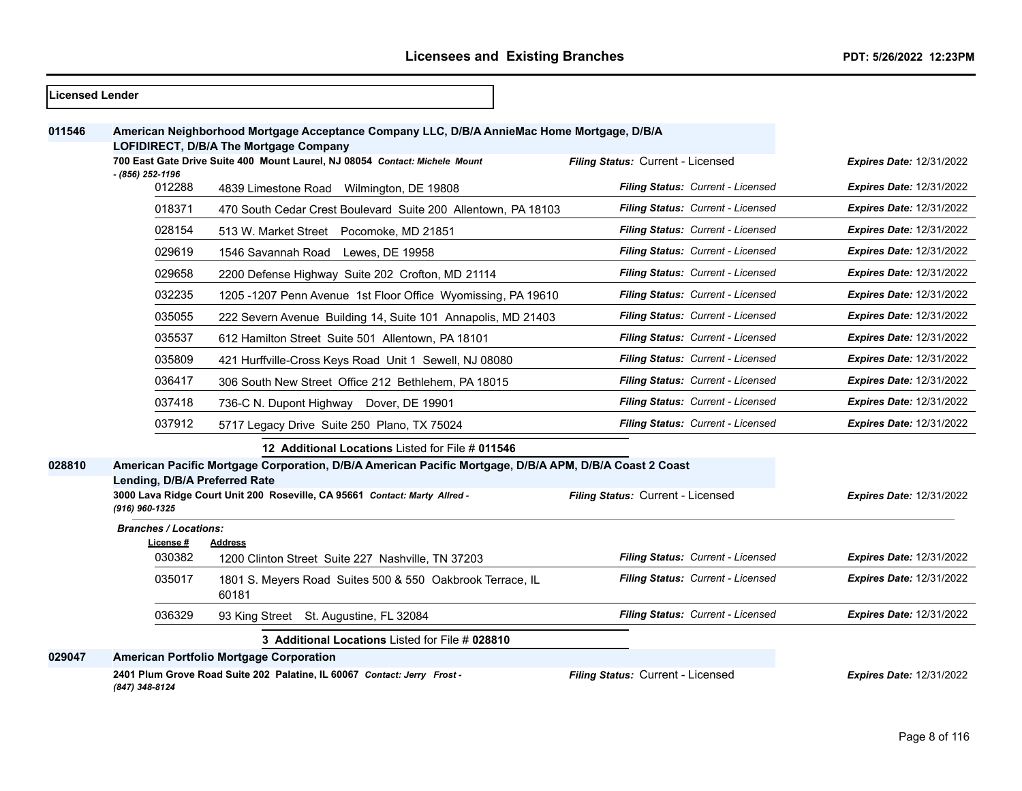**Licensed Lender**

| 011546 |                                                                                                                                           | American Neighborhood Mortgage Acceptance Company LLC, D/B/A AnnieMac Home Mortgage, D/B/A             |                                   |                                 |
|--------|-------------------------------------------------------------------------------------------------------------------------------------------|--------------------------------------------------------------------------------------------------------|-----------------------------------|---------------------------------|
|        | LOFIDIRECT, D/B/A The Mortgage Company<br>700 East Gate Drive Suite 400 Mount Laurel, NJ 08054 Contact: Michele Mount<br>- (856) 252-1196 |                                                                                                        | Filing Status: Current - Licensed | <b>Expires Date: 12/31/2022</b> |
|        | 012288                                                                                                                                    | 4839 Limestone Road Wilmington, DE 19808                                                               | Filing Status: Current - Licensed | <b>Expires Date: 12/31/2022</b> |
|        | 018371                                                                                                                                    | 470 South Cedar Crest Boulevard Suite 200 Allentown, PA 18103                                          | Filing Status: Current - Licensed | <b>Expires Date: 12/31/2022</b> |
|        | 028154                                                                                                                                    | 513 W. Market Street Pocomoke, MD 21851                                                                | Filing Status: Current - Licensed | <b>Expires Date: 12/31/2022</b> |
|        | 029619                                                                                                                                    | 1546 Savannah Road<br>Lewes, DE 19958                                                                  | Filing Status: Current - Licensed | <b>Expires Date: 12/31/2022</b> |
|        | 029658                                                                                                                                    | 2200 Defense Highway Suite 202 Crofton, MD 21114                                                       | Filing Status: Current - Licensed | Expires Date: 12/31/2022        |
|        | 032235                                                                                                                                    | 1205 -1207 Penn Avenue 1st Floor Office Wyomissing, PA 19610                                           | Filing Status: Current - Licensed | <b>Expires Date: 12/31/2022</b> |
|        | 035055                                                                                                                                    | 222 Severn Avenue Building 14, Suite 101 Annapolis, MD 21403                                           | Filing Status: Current - Licensed | <b>Expires Date: 12/31/2022</b> |
|        | 035537                                                                                                                                    | 612 Hamilton Street Suite 501 Allentown, PA 18101                                                      | Filing Status: Current - Licensed | <b>Expires Date: 12/31/2022</b> |
|        | 035809                                                                                                                                    | 421 Hurffville-Cross Keys Road Unit 1 Sewell, NJ 08080                                                 | Filing Status: Current - Licensed | <b>Expires Date: 12/31/2022</b> |
|        | 036417                                                                                                                                    | 306 South New Street Office 212 Bethlehem, PA 18015                                                    | Filing Status: Current - Licensed | <b>Expires Date: 12/31/2022</b> |
|        | 037418                                                                                                                                    | 736-C N. Dupont Highway Dover, DE 19901                                                                | Filing Status: Current - Licensed | <b>Expires Date: 12/31/2022</b> |
|        | 037912                                                                                                                                    | 5717 Legacy Drive Suite 250 Plano, TX 75024                                                            | Filing Status: Current - Licensed | <b>Expires Date: 12/31/2022</b> |
|        |                                                                                                                                           | 12 Additional Locations Listed for File # 011546                                                       |                                   |                                 |
| 028810 |                                                                                                                                           | American Pacific Mortgage Corporation, D/B/A American Pacific Mortgage, D/B/A APM, D/B/A Coast 2 Coast |                                   |                                 |
|        | Lending, D/B/A Preferred Rate<br>(916) 960-1325                                                                                           | 3000 Lava Ridge Court Unit 200 Roseville, CA 95661 Contact: Marty Allred -                             | Filing Status: Current - Licensed | <b>Expires Date: 12/31/2022</b> |
|        | <b>Branches / Locations:</b><br>License #                                                                                                 | <b>Address</b>                                                                                         |                                   |                                 |
|        | 030382                                                                                                                                    | 1200 Clinton Street Suite 227 Nashville, TN 37203                                                      | Filing Status: Current - Licensed | <b>Expires Date: 12/31/2022</b> |
|        | 035017                                                                                                                                    | 1801 S. Meyers Road Suites 500 & 550 Oakbrook Terrace, IL<br>60181                                     | Filing Status: Current - Licensed | <b>Expires Date: 12/31/2022</b> |
|        | 036329                                                                                                                                    | 93 King Street St. Augustine, FL 32084                                                                 | Filing Status: Current - Licensed | <b>Expires Date: 12/31/2022</b> |
|        |                                                                                                                                           | 3 Additional Locations Listed for File # 028810                                                        |                                   |                                 |
| 029047 |                                                                                                                                           | <b>American Portfolio Mortgage Corporation</b>                                                         |                                   |                                 |
|        | (847) 348-8124                                                                                                                            | 2401 Plum Grove Road Suite 202 Palatine, IL 60067 Contact: Jerry Frost -                               | Filing Status: Current - Licensed | <b>Expires Date: 12/31/2022</b> |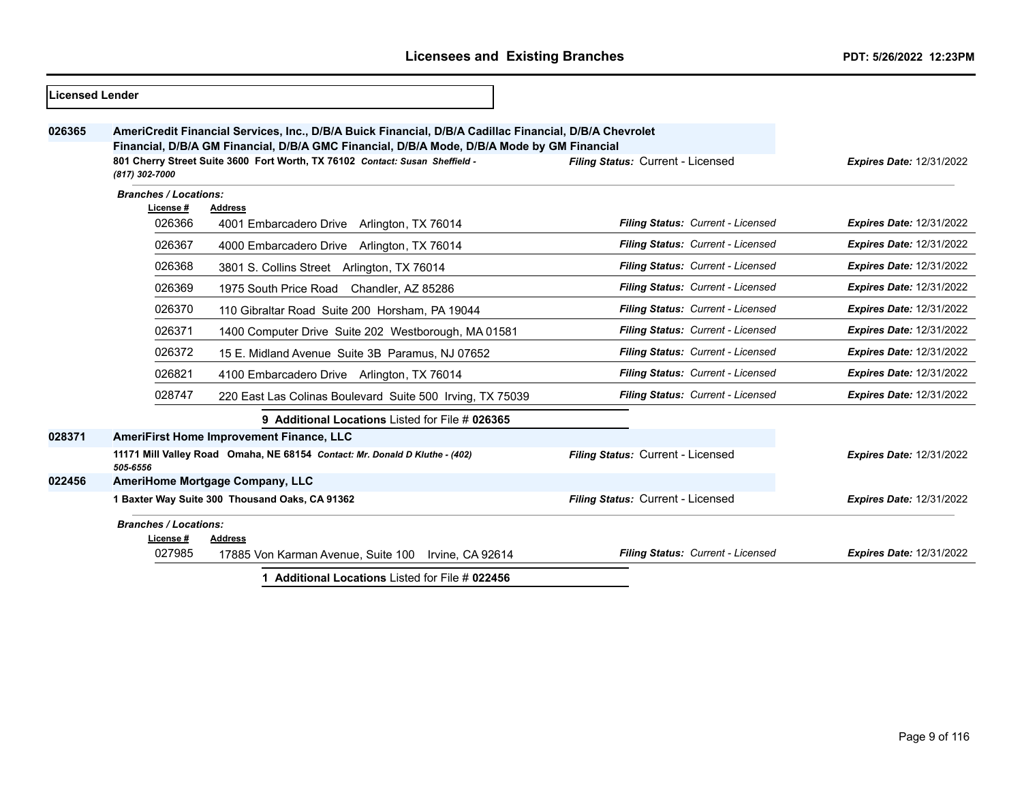| Licensed Lender |                                           |                                                                                                                                                                                                                                                                                      |                                   |                                 |
|-----------------|-------------------------------------------|--------------------------------------------------------------------------------------------------------------------------------------------------------------------------------------------------------------------------------------------------------------------------------------|-----------------------------------|---------------------------------|
| 026365          | (817) 302-7000                            | AmeriCredit Financial Services, Inc., D/B/A Buick Financial, D/B/A Cadillac Financial, D/B/A Chevrolet<br>Financial, D/B/A GM Financial, D/B/A GMC Financial, D/B/A Mode, D/B/A Mode by GM Financial<br>801 Cherry Street Suite 3600 Fort Worth, TX 76102 Contact: Susan Sheffield - | Filing Status: Current - Licensed | <b>Expires Date: 12/31/2022</b> |
|                 | <b>Branches / Locations:</b><br>License # | <b>Address</b>                                                                                                                                                                                                                                                                       |                                   |                                 |
|                 | 026366                                    | 4001 Embarcadero Drive Arlington, TX 76014                                                                                                                                                                                                                                           | Filing Status: Current - Licensed | <b>Expires Date: 12/31/2022</b> |
|                 | 026367                                    | 4000 Embarcadero Drive Arlington, TX 76014                                                                                                                                                                                                                                           | Filing Status: Current - Licensed | <b>Expires Date: 12/31/2022</b> |
|                 | 026368                                    | 3801 S. Collins Street Arlington, TX 76014                                                                                                                                                                                                                                           | Filing Status: Current - Licensed | <b>Expires Date: 12/31/2022</b> |
|                 | 026369                                    | 1975 South Price Road Chandler, AZ 85286                                                                                                                                                                                                                                             | Filing Status: Current - Licensed | <b>Expires Date: 12/31/2022</b> |
|                 | 026370                                    | 110 Gibraltar Road Suite 200 Horsham, PA 19044                                                                                                                                                                                                                                       | Filing Status: Current - Licensed | <b>Expires Date: 12/31/2022</b> |
|                 | 026371                                    | 1400 Computer Drive Suite 202 Westborough, MA 01581                                                                                                                                                                                                                                  | Filing Status: Current - Licensed | <b>Expires Date: 12/31/2022</b> |
|                 | 026372                                    | 15 E. Midland Avenue Suite 3B Paramus, NJ 07652                                                                                                                                                                                                                                      | Filing Status: Current - Licensed | <b>Expires Date: 12/31/2022</b> |
|                 | 026821                                    | 4100 Embarcadero Drive Arlington, TX 76014                                                                                                                                                                                                                                           | Filing Status: Current - Licensed | <b>Expires Date: 12/31/2022</b> |
|                 | 028747                                    | 220 East Las Colinas Boulevard Suite 500 Irving, TX 75039                                                                                                                                                                                                                            | Filing Status: Current - Licensed | <b>Expires Date: 12/31/2022</b> |
|                 |                                           | 9 Additional Locations Listed for File # 026365                                                                                                                                                                                                                                      |                                   |                                 |
| 028371          |                                           | <b>AmeriFirst Home Improvement Finance, LLC</b>                                                                                                                                                                                                                                      |                                   |                                 |
|                 | 505-6556                                  | 11171 Mill Valley Road Omaha, NE 68154 Contact: Mr. Donald D Kluthe - (402)                                                                                                                                                                                                          | Filing Status: Current - Licensed | <b>Expires Date: 12/31/2022</b> |
| 022456          |                                           | AmeriHome Mortgage Company, LLC                                                                                                                                                                                                                                                      |                                   |                                 |
|                 |                                           | 1 Baxter Way Suite 300 Thousand Oaks, CA 91362                                                                                                                                                                                                                                       | Filing Status: Current - Licensed | <b>Expires Date: 12/31/2022</b> |
|                 | <b>Branches / Locations:</b><br>License#  | <b>Address</b>                                                                                                                                                                                                                                                                       |                                   |                                 |
|                 | 027985                                    | 17885 Von Karman Avenue, Suite 100 Irvine, CA 92614                                                                                                                                                                                                                                  | Filing Status: Current - Licensed | <b>Expires Date: 12/31/2022</b> |
|                 |                                           | 1 Additional Locations Listed for File # 022456                                                                                                                                                                                                                                      |                                   |                                 |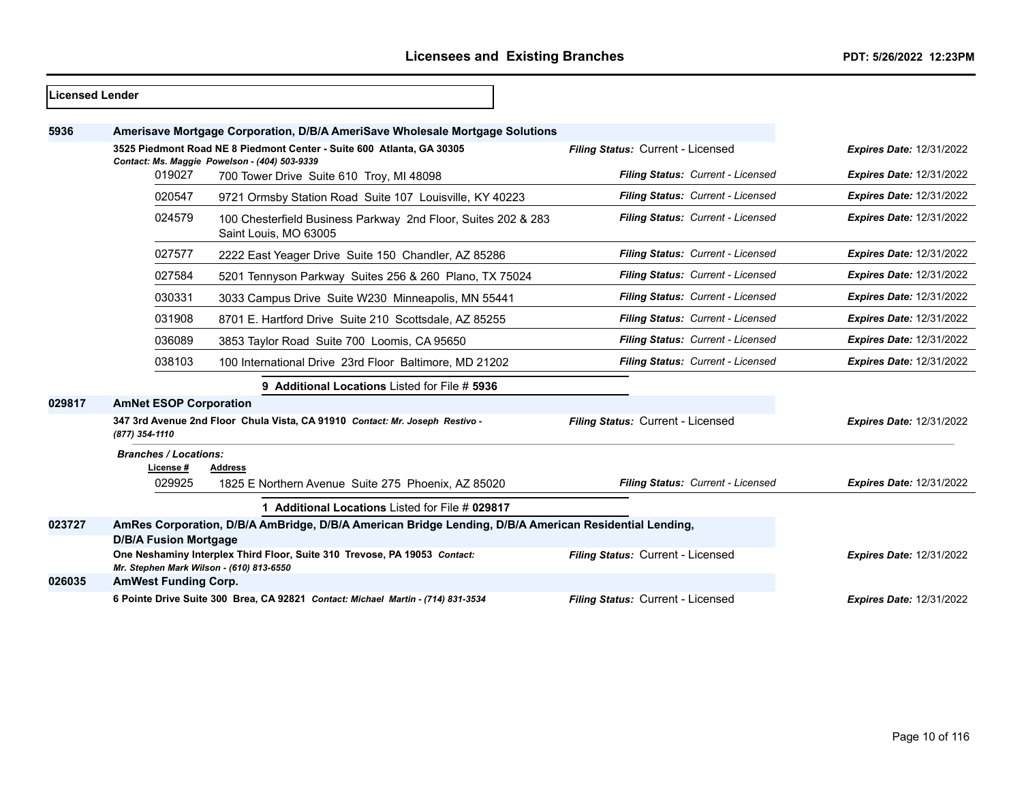| Licensed Lender |                                                                                                |                                                                                                                        |                                   |                                 |
|-----------------|------------------------------------------------------------------------------------------------|------------------------------------------------------------------------------------------------------------------------|-----------------------------------|---------------------------------|
| 5936            |                                                                                                | Amerisave Mortgage Corporation, D/B/A AmeriSave Wholesale Mortgage Solutions                                           |                                   |                                 |
|                 |                                                                                                | 3525 Piedmont Road NE 8 Piedmont Center - Suite 600 Atlanta, GA 30305<br>Contact: Ms. Maggie Powelson - (404) 503-9339 | Filing Status: Current - Licensed | <b>Expires Date: 12/31/2022</b> |
|                 | 019027                                                                                         | 700 Tower Drive Suite 610 Troy, MI 48098                                                                               | Filing Status: Current - Licensed | <b>Expires Date: 12/31/2022</b> |
|                 | 020547                                                                                         | 9721 Ormsby Station Road Suite 107 Louisville, KY 40223                                                                | Filing Status: Current - Licensed | <b>Expires Date: 12/31/2022</b> |
|                 | 024579                                                                                         | 100 Chesterfield Business Parkway 2nd Floor, Suites 202 & 283<br>Saint Louis, MO 63005                                 | Filing Status: Current - Licensed | <b>Expires Date: 12/31/2022</b> |
|                 | 027577                                                                                         | 2222 East Yeager Drive Suite 150 Chandler, AZ 85286                                                                    | Filing Status: Current - Licensed | <b>Expires Date: 12/31/2022</b> |
|                 | 027584                                                                                         | 5201 Tennyson Parkway Suites 256 & 260 Plano, TX 75024                                                                 | Filing Status: Current - Licensed | <b>Expires Date: 12/31/2022</b> |
|                 | 030331                                                                                         | 3033 Campus Drive Suite W230 Minneapolis, MN 55441                                                                     | Filing Status: Current - Licensed | <b>Expires Date: 12/31/2022</b> |
|                 | 031908                                                                                         | 8701 E. Hartford Drive Suite 210 Scottsdale, AZ 85255                                                                  | Filing Status: Current - Licensed | <b>Expires Date: 12/31/2022</b> |
|                 | 036089                                                                                         | 3853 Taylor Road Suite 700 Loomis, CA 95650                                                                            | Filing Status: Current - Licensed | <b>Expires Date: 12/31/2022</b> |
|                 | 038103                                                                                         | 100 International Drive 23rd Floor Baltimore, MD 21202                                                                 | Filing Status: Current - Licensed | <b>Expires Date: 12/31/2022</b> |
|                 |                                                                                                | 9 Additional Locations Listed for File # 5936                                                                          |                                   |                                 |
| 029817          | <b>AmNet ESOP Corporation</b>                                                                  |                                                                                                                        |                                   |                                 |
|                 | 347 3rd Avenue 2nd Floor Chula Vista, CA 91910 Contact: Mr. Joseph Restivo -<br>(877) 354-1110 |                                                                                                                        | Filing Status: Current - Licensed | <b>Expires Date: 12/31/2022</b> |
|                 | <b>Branches / Locations:</b><br>License #                                                      | <b>Address</b>                                                                                                         |                                   |                                 |
|                 | 029925                                                                                         | 1825 E Northern Avenue Suite 275 Phoenix, AZ 85020                                                                     | Filing Status: Current - Licensed | <b>Expires Date: 12/31/2022</b> |
|                 |                                                                                                | 1 Additional Locations Listed for File # 029817                                                                        |                                   |                                 |
| 023727          | <b>D/B/A Fusion Mortgage</b>                                                                   | AmRes Corporation, D/B/A AmBridge, D/B/A American Bridge Lending, D/B/A American Residential Lending,                  |                                   |                                 |
|                 | Mr. Stephen Mark Wilson - (610) 813-6550                                                       | One Neshaminy Interplex Third Floor, Suite 310 Trevose, PA 19053 Contact:                                              | Filing Status: Current - Licensed | <b>Expires Date: 12/31/2022</b> |
| 026035          | <b>AmWest Funding Corp.</b>                                                                    |                                                                                                                        |                                   |                                 |
|                 |                                                                                                | 6 Pointe Drive Suite 300 Brea, CA 92821 Contact: Michael Martin - (714) 831-3534                                       | Filing Status: Current - Licensed | <b>Expires Date: 12/31/2022</b> |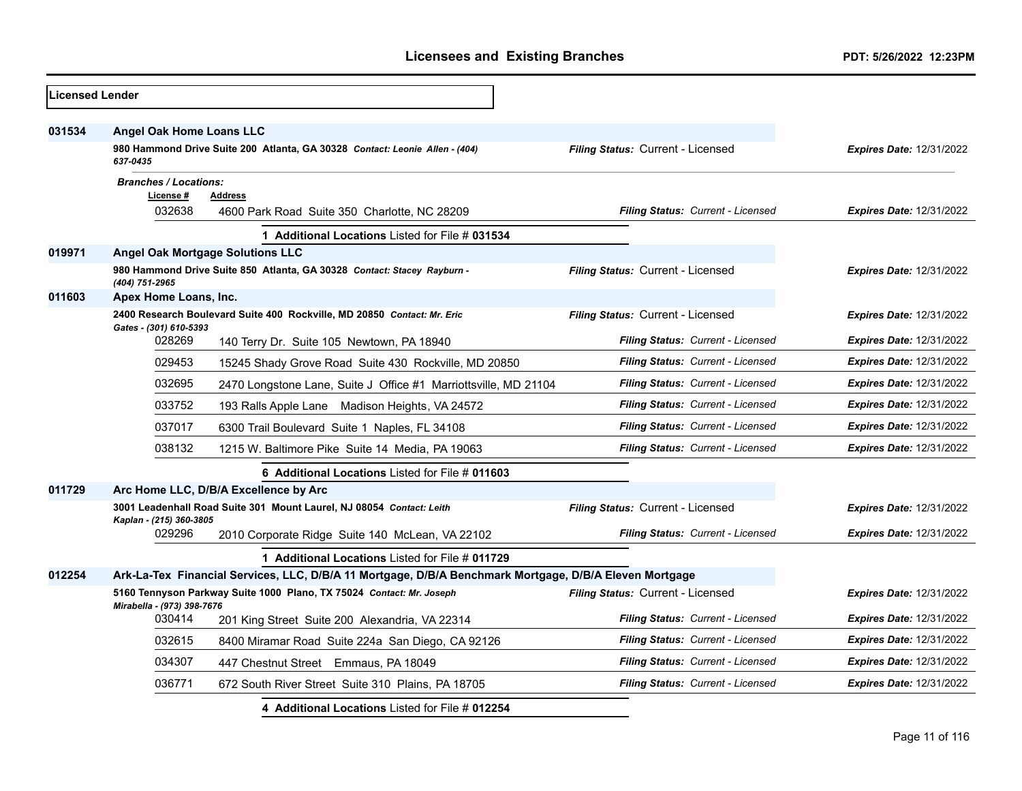| <b>Licensed Lender</b> |                                 |                                                                                                        |                                          |                                 |
|------------------------|---------------------------------|--------------------------------------------------------------------------------------------------------|------------------------------------------|---------------------------------|
| 031534                 | <b>Angel Oak Home Loans LLC</b> |                                                                                                        |                                          |                                 |
|                        | 637-0435                        | 980 Hammond Drive Suite 200 Atlanta, GA 30328 Contact: Leonie Allen - (404)                            | <b>Filing Status: Current - Licensed</b> | <b>Expires Date: 12/31/2022</b> |
|                        | <b>Branches / Locations:</b>    |                                                                                                        |                                          |                                 |
|                        | License #<br>032638             | <b>Address</b><br>4600 Park Road Suite 350 Charlotte, NC 28209                                         | Filing Status: Current - Licensed        | <b>Expires Date: 12/31/2022</b> |
|                        |                                 | 1 Additional Locations Listed for File # 031534                                                        |                                          |                                 |
| 019971                 |                                 | <b>Angel Oak Mortgage Solutions LLC</b>                                                                |                                          |                                 |
|                        | (404) 751-2965                  | 980 Hammond Drive Suite 850 Atlanta, GA 30328 Contact: Stacey Rayburn -                                | Filing Status: Current - Licensed        | <b>Expires Date: 12/31/2022</b> |
| 011603                 | Apex Home Loans, Inc.           |                                                                                                        |                                          |                                 |
|                        | Gates - (301) 610-5393          | 2400 Research Boulevard Suite 400 Rockville, MD 20850 Contact: Mr. Eric                                | Filing Status: Current - Licensed        | <b>Expires Date: 12/31/2022</b> |
|                        | 028269                          | 140 Terry Dr. Suite 105 Newtown, PA 18940                                                              | Filing Status: Current - Licensed        | <b>Expires Date: 12/31/2022</b> |
|                        | 029453                          | 15245 Shady Grove Road Suite 430 Rockville, MD 20850                                                   | Filing Status: Current - Licensed        | <b>Expires Date: 12/31/2022</b> |
|                        | 032695                          | 2470 Longstone Lane, Suite J Office #1 Marriottsville, MD 21104                                        | Filing Status: Current - Licensed        | <b>Expires Date: 12/31/2022</b> |
|                        | 033752                          | 193 Ralls Apple Lane Madison Heights, VA 24572                                                         | Filing Status: Current - Licensed        | <b>Expires Date: 12/31/2022</b> |
|                        | 037017                          | 6300 Trail Boulevard Suite 1 Naples, FL 34108                                                          | Filing Status: Current - Licensed        | <b>Expires Date: 12/31/2022</b> |
|                        | 038132                          | 1215 W. Baltimore Pike Suite 14 Media, PA 19063                                                        | Filing Status: Current - Licensed        | <b>Expires Date: 12/31/2022</b> |
|                        |                                 | 6 Additional Locations Listed for File # 011603                                                        |                                          |                                 |
| 011729                 |                                 | Arc Home LLC, D/B/A Excellence by Arc                                                                  |                                          |                                 |
|                        | Kaplan - (215) 360-3805         | 3001 Leadenhall Road Suite 301 Mount Laurel, NJ 08054 Contact: Leith                                   | Filing Status: Current - Licensed        | <b>Expires Date: 12/31/2022</b> |
|                        | 029296                          | 2010 Corporate Ridge Suite 140 McLean, VA 22102                                                        | Filing Status: Current - Licensed        | Expires Date: 12/31/2022        |
|                        |                                 | 1 Additional Locations Listed for File # 011729                                                        |                                          |                                 |
| 012254                 |                                 | Ark-La-Tex Financial Services, LLC, D/B/A 11 Mortgage, D/B/A Benchmark Mortgage, D/B/A Eleven Mortgage |                                          |                                 |
|                        | Mirabella - (973) 398-7676      | 5160 Tennyson Parkway Suite 1000 Plano, TX 75024 Contact: Mr. Joseph                                   | Filing Status: Current - Licensed        | <b>Expires Date: 12/31/2022</b> |
|                        | 030414                          | 201 King Street Suite 200 Alexandria, VA 22314                                                         | Filing Status: Current - Licensed        | <b>Expires Date: 12/31/2022</b> |
|                        | 032615                          | 8400 Miramar Road Suite 224a San Diego, CA 92126                                                       | Filing Status: Current - Licensed        | <b>Expires Date: 12/31/2022</b> |
|                        | 034307                          | 447 Chestnut Street Emmaus, PA 18049                                                                   | Filing Status: Current - Licensed        | <b>Expires Date: 12/31/2022</b> |
|                        | 036771                          | 672 South River Street Suite 310 Plains, PA 18705                                                      | Filing Status: Current - Licensed        | <b>Expires Date: 12/31/2022</b> |
|                        |                                 | 4 Additional Locations Listed for File # 012254                                                        |                                          |                                 |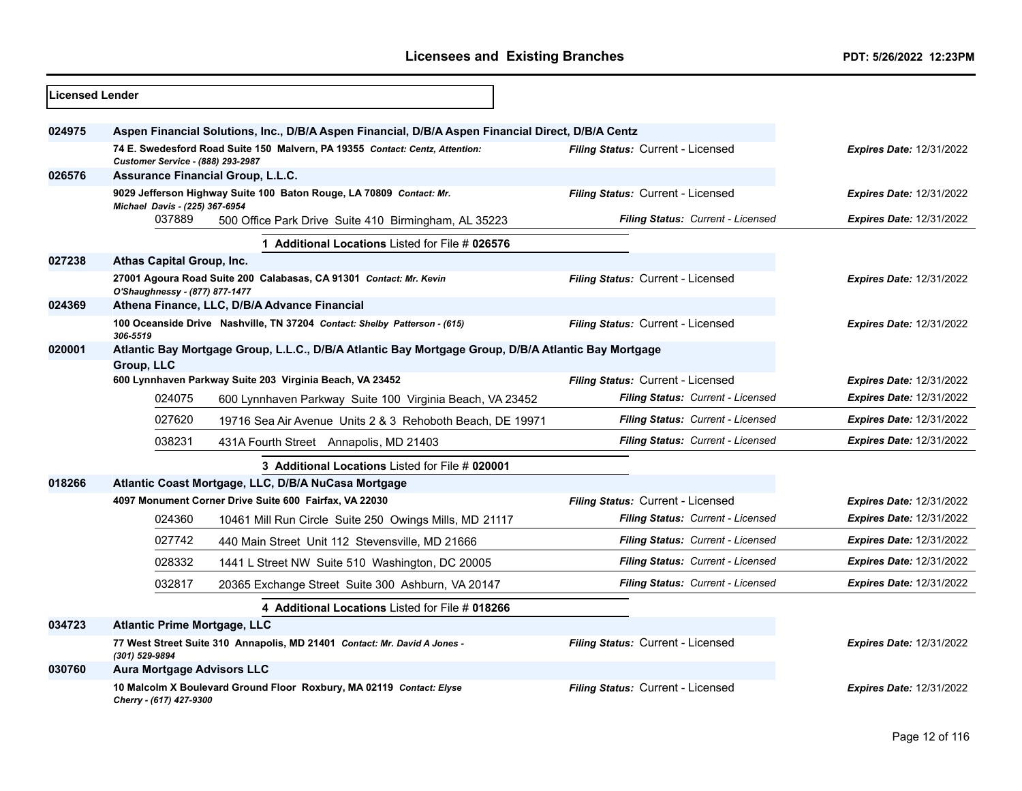| Licensed Lender |                                                                                             |                                                                                                     |                                   |                                 |
|-----------------|---------------------------------------------------------------------------------------------|-----------------------------------------------------------------------------------------------------|-----------------------------------|---------------------------------|
| 024975          |                                                                                             | Aspen Financial Solutions, Inc., D/B/A Aspen Financial, D/B/A Aspen Financial Direct, D/B/A Centz   |                                   |                                 |
|                 | Customer Service - (888) 293-2987                                                           | 74 E. Swedesford Road Suite 150 Malvern, PA 19355 Contact: Centz, Attention:                        | Filing Status: Current - Licensed | <b>Expires Date: 12/31/2022</b> |
| 026576          | <b>Assurance Financial Group, L.L.C.</b>                                                    |                                                                                                     |                                   |                                 |
|                 | Michael Davis - (225) 367-6954                                                              | 9029 Jefferson Highway Suite 100 Baton Rouge, LA 70809 Contact: Mr.                                 | Filing Status: Current - Licensed | <b>Expires Date: 12/31/2022</b> |
|                 | 037889                                                                                      | 500 Office Park Drive Suite 410 Birmingham, AL 35223                                                | Filing Status: Current - Licensed | <b>Expires Date: 12/31/2022</b> |
|                 |                                                                                             | 1 Additional Locations Listed for File # 026576                                                     |                                   |                                 |
| 027238          | Athas Capital Group, Inc.                                                                   |                                                                                                     |                                   |                                 |
|                 | O'Shaughnessy - (877) 877-1477                                                              | 27001 Agoura Road Suite 200 Calabasas, CA 91301 Contact: Mr. Kevin                                  | Filing Status: Current - Licensed | <b>Expires Date: 12/31/2022</b> |
| 024369          |                                                                                             | Athena Finance, LLC, D/B/A Advance Financial                                                        |                                   |                                 |
|                 | 306-5519                                                                                    | 100 Oceanside Drive Nashville, TN 37204 Contact: Shelby Patterson - (615)                           | Filing Status: Current - Licensed | <b>Expires Date: 12/31/2022</b> |
| 020001          | <b>Group, LLC</b>                                                                           | Atlantic Bay Mortgage Group, L.L.C., D/B/A Atlantic Bay Mortgage Group, D/B/A Atlantic Bay Mortgage |                                   |                                 |
|                 |                                                                                             | 600 Lynnhaven Parkway Suite 203 Virginia Beach, VA 23452                                            | Filing Status: Current - Licensed | <b>Expires Date: 12/31/2022</b> |
|                 | 024075                                                                                      | 600 Lynnhaven Parkway Suite 100 Virginia Beach, VA 23452                                            | Filing Status: Current - Licensed | <b>Expires Date: 12/31/2022</b> |
|                 | 027620                                                                                      | 19716 Sea Air Avenue Units 2 & 3 Rehoboth Beach, DE 19971                                           | Filing Status: Current - Licensed | <b>Expires Date: 12/31/2022</b> |
|                 | 038231                                                                                      | 431A Fourth Street Annapolis, MD 21403                                                              | Filing Status: Current - Licensed | <b>Expires Date: 12/31/2022</b> |
|                 |                                                                                             | 3 Additional Locations Listed for File # 020001                                                     |                                   |                                 |
| 018266          |                                                                                             | Atlantic Coast Mortgage, LLC, D/B/A NuCasa Mortgage                                                 |                                   |                                 |
|                 |                                                                                             | 4097 Monument Corner Drive Suite 600 Fairfax, VA 22030                                              | Filing Status: Current - Licensed | Expires Date: 12/31/2022        |
|                 | 024360                                                                                      | 10461 Mill Run Circle Suite 250 Owings Mills, MD 21117                                              | Filing Status: Current - Licensed | <b>Expires Date: 12/31/2022</b> |
|                 | 027742                                                                                      | 440 Main Street Unit 112 Stevensville, MD 21666                                                     | Filing Status: Current - Licensed | <b>Expires Date: 12/31/2022</b> |
|                 | 028332                                                                                      | 1441 L Street NW Suite 510 Washington, DC 20005                                                     | Filing Status: Current - Licensed | <b>Expires Date: 12/31/2022</b> |
|                 | 032817                                                                                      | 20365 Exchange Street Suite 300 Ashburn, VA 20147                                                   | Filing Status: Current - Licensed | <b>Expires Date: 12/31/2022</b> |
|                 |                                                                                             | 4 Additional Locations Listed for File # 018266                                                     |                                   |                                 |
| 034723          | <b>Atlantic Prime Mortgage, LLC</b>                                                         |                                                                                                     |                                   |                                 |
|                 | 77 West Street Suite 310 Annapolis, MD 21401 Contact: Mr. David A Jones -<br>(301) 529-9894 |                                                                                                     | Filing Status: Current - Licensed | <b>Expires Date: 12/31/2022</b> |
| 030760          | <b>Aura Mortgage Advisors LLC</b>                                                           |                                                                                                     |                                   |                                 |
|                 | Cherry - (617) 427-9300                                                                     | 10 Malcolm X Boulevard Ground Floor Roxbury, MA 02119 Contact: Elyse                                | Filing Status: Current - Licensed | <b>Expires Date: 12/31/2022</b> |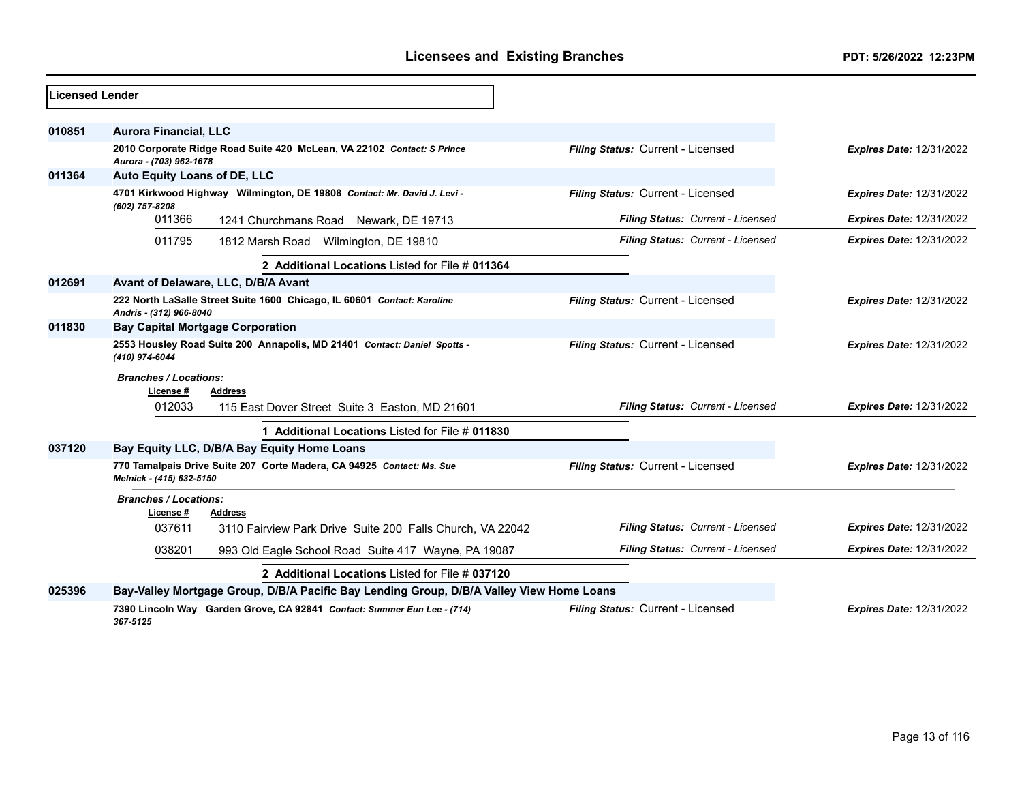| Licensed Lender |                                                                                                    |                                   |                                 |
|-----------------|----------------------------------------------------------------------------------------------------|-----------------------------------|---------------------------------|
| 010851          | <b>Aurora Financial, LLC</b>                                                                       |                                   |                                 |
|                 | 2010 Corporate Ridge Road Suite 420 McLean, VA 22102 Contact: S Prince<br>Aurora - (703) 962-1678  | Filing Status: Current - Licensed | <b>Expires Date: 12/31/2022</b> |
| 011364          | Auto Equity Loans of DE, LLC                                                                       |                                   |                                 |
|                 | 4701 Kirkwood Highway Wilmington, DE 19808 Contact: Mr. David J. Levi -<br>(602) 757-8208          | Filing Status: Current - Licensed | <b>Expires Date: 12/31/2022</b> |
|                 | 011366<br>1241 Churchmans Road Newark, DE 19713                                                    | Filing Status: Current - Licensed | <b>Expires Date: 12/31/2022</b> |
|                 | 011795<br>1812 Marsh Road<br>Wilmington, DE 19810                                                  | Filing Status: Current - Licensed | <b>Expires Date: 12/31/2022</b> |
|                 | 2 Additional Locations Listed for File # 011364                                                    |                                   |                                 |
| 012691          | Avant of Delaware, LLC, D/B/A Avant                                                                |                                   |                                 |
|                 | 222 North LaSalle Street Suite 1600 Chicago, IL 60601 Contact: Karoline<br>Andris - (312) 966-8040 | Filing Status: Current - Licensed | <b>Expires Date: 12/31/2022</b> |
| 011830          | <b>Bay Capital Mortgage Corporation</b>                                                            |                                   |                                 |
|                 | 2553 Housley Road Suite 200 Annapolis, MD 21401 Contact: Daniel Spotts -<br>(410) 974-6044         | Filing Status: Current - Licensed | <b>Expires Date: 12/31/2022</b> |
|                 | <b>Branches / Locations:</b><br>License#<br>Address                                                |                                   |                                 |
|                 | 012033<br>115 East Dover Street Suite 3 Easton, MD 21601                                           | Filing Status: Current - Licensed | <b>Expires Date: 12/31/2022</b> |
|                 | 1 Additional Locations Listed for File # 011830                                                    |                                   |                                 |
| 037120          | Bay Equity LLC, D/B/A Bay Equity Home Loans                                                        |                                   |                                 |
|                 | 770 Tamalpais Drive Suite 207 Corte Madera, CA 94925 Contact: Ms. Sue<br>Melnick - (415) 632-5150  | Filing Status: Current - Licensed | <b>Expires Date: 12/31/2022</b> |
|                 | <b>Branches / Locations:</b><br>License #<br><b>Address</b>                                        |                                   |                                 |
|                 | 037611<br>3110 Fairview Park Drive Suite 200 Falls Church, VA 22042                                | Filing Status: Current - Licensed | <b>Expires Date: 12/31/2022</b> |
|                 | 038201<br>993 Old Eagle School Road Suite 417 Wayne, PA 19087                                      | Filing Status: Current - Licensed | <b>Expires Date: 12/31/2022</b> |
|                 | 2 Additional Locations Listed for File # 037120                                                    |                                   |                                 |
| 025396          | Bay-Valley Mortgage Group, D/B/A Pacific Bay Lending Group, D/B/A Valley View Home Loans           |                                   |                                 |
|                 | 7390 Lincoln Way Garden Grove, CA 92841 Contact: Summer Eun Lee - (714)<br>367-5125                | Filing Status: Current - Licensed | <b>Expires Date: 12/31/2022</b> |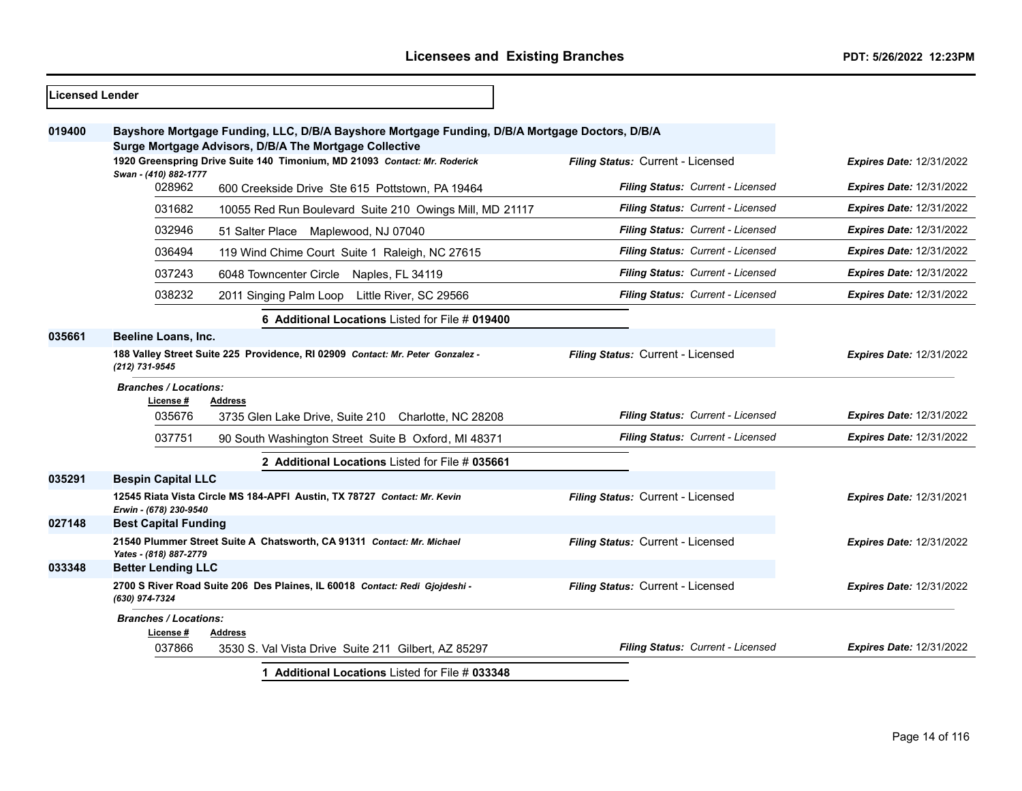| <b>Licensed Lender</b> |                                                                                                                                                          |                                   |                                 |  |
|------------------------|----------------------------------------------------------------------------------------------------------------------------------------------------------|-----------------------------------|---------------------------------|--|
| 019400                 | Bayshore Mortgage Funding, LLC, D/B/A Bayshore Mortgage Funding, D/B/A Mortgage Doctors, D/B/A<br>Surge Mortgage Advisors, D/B/A The Mortgage Collective |                                   |                                 |  |
|                        | 1920 Greenspring Drive Suite 140 Timonium, MD 21093 Contact: Mr. Roderick<br>Swan - (410) 882-1777                                                       | Filing Status: Current - Licensed | <b>Expires Date: 12/31/2022</b> |  |
|                        | 028962<br>600 Creekside Drive Ste 615 Pottstown, PA 19464                                                                                                | Filing Status: Current - Licensed | Expires Date: 12/31/2022        |  |
|                        | 031682<br>10055 Red Run Boulevard Suite 210 Owings Mill, MD 21117                                                                                        | Filing Status: Current - Licensed | <b>Expires Date: 12/31/2022</b> |  |
|                        | 032946<br>51 Salter Place Maplewood, NJ 07040                                                                                                            | Filing Status: Current - Licensed | <b>Expires Date: 12/31/2022</b> |  |
|                        | 036494<br>119 Wind Chime Court Suite 1 Raleigh, NC 27615                                                                                                 | Filing Status: Current - Licensed | <b>Expires Date: 12/31/2022</b> |  |
|                        | 037243<br>6048 Towncenter Circle Naples, FL 34119                                                                                                        | Filing Status: Current - Licensed | <b>Expires Date: 12/31/2022</b> |  |
|                        | 038232<br>2011 Singing Palm Loop Little River, SC 29566                                                                                                  | Filing Status: Current - Licensed | <b>Expires Date: 12/31/2022</b> |  |
|                        | 6 Additional Locations Listed for File # 019400                                                                                                          |                                   |                                 |  |
| 035661                 | Beeline Loans, Inc.                                                                                                                                      |                                   |                                 |  |
|                        | 188 Valley Street Suite 225 Providence, RI 02909 Contact: Mr. Peter Gonzalez -<br>(212) 731-9545                                                         | Filing Status: Current - Licensed | <b>Expires Date: 12/31/2022</b> |  |
|                        | <b>Branches / Locations:</b>                                                                                                                             |                                   |                                 |  |
|                        | License#<br><b>Address</b><br>035676<br>3735 Glen Lake Drive, Suite 210 Charlotte, NC 28208                                                              | Filing Status: Current - Licensed | <b>Expires Date: 12/31/2022</b> |  |
|                        | 037751<br>90 South Washington Street Suite B Oxford, MI 48371                                                                                            | Filing Status: Current - Licensed | <b>Expires Date: 12/31/2022</b> |  |
|                        | 2 Additional Locations Listed for File # 035661                                                                                                          |                                   |                                 |  |
| 035291                 | <b>Bespin Capital LLC</b>                                                                                                                                |                                   |                                 |  |
|                        | 12545 Riata Vista Circle MS 184-APFI Austin, TX 78727 Contact: Mr. Kevin<br>Erwin - (678) 230-9540                                                       | Filing Status: Current - Licensed | <b>Expires Date: 12/31/2021</b> |  |
| 027148                 | <b>Best Capital Funding</b>                                                                                                                              |                                   |                                 |  |
|                        | 21540 Plummer Street Suite A Chatsworth, CA 91311 Contact: Mr. Michael<br>Yates - (818) 887-2779                                                         | Filing Status: Current - Licensed | <b>Expires Date: 12/31/2022</b> |  |
| 033348                 | <b>Better Lending LLC</b>                                                                                                                                |                                   |                                 |  |
|                        | 2700 S River Road Suite 206 Des Plaines, IL 60018 Contact: Redi Gjojdeshi -<br>(630) 974-7324                                                            | Filing Status: Current - Licensed | <b>Expires Date: 12/31/2022</b> |  |
|                        | <b>Branches / Locations:</b>                                                                                                                             |                                   |                                 |  |
|                        | License #<br><b>Address</b><br>037866<br>3530 S. Val Vista Drive Suite 211 Gilbert, AZ 85297                                                             | Filing Status: Current - Licensed | <b>Expires Date: 12/31/2022</b> |  |
|                        |                                                                                                                                                          |                                   |                                 |  |
|                        | 1 Additional Locations Listed for File # 033348                                                                                                          |                                   |                                 |  |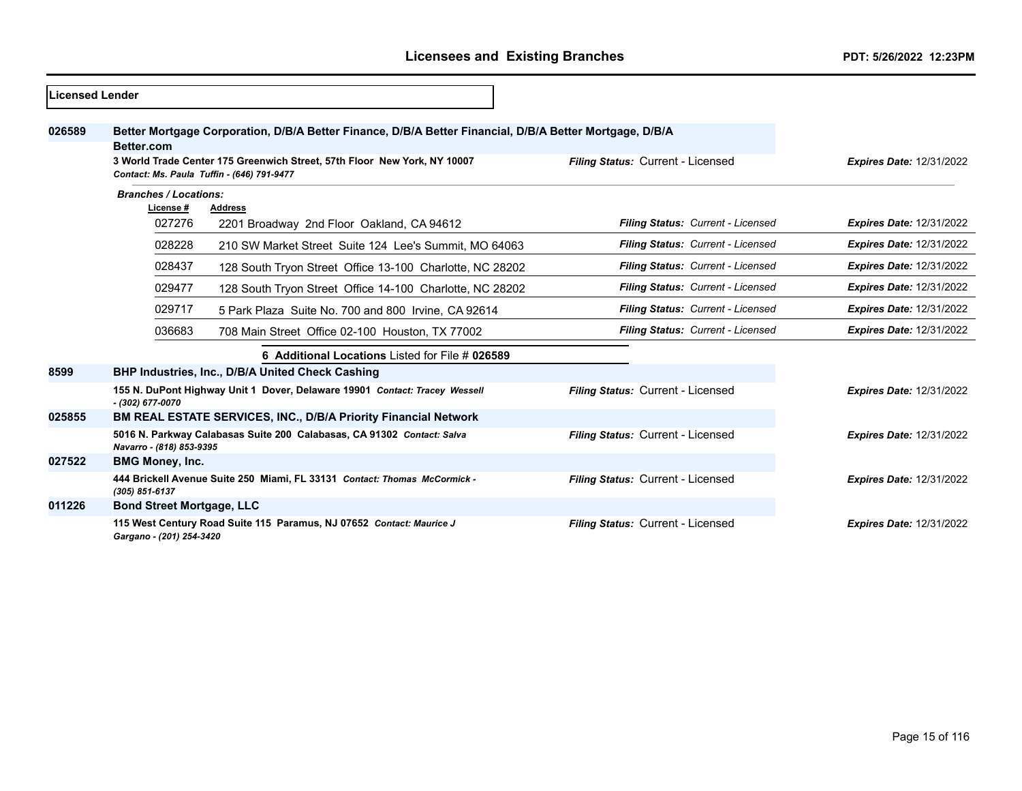| <b>Licensed Lender</b> |                                  |                                                                                                                                                                                     |                                   |                                 |
|------------------------|----------------------------------|-------------------------------------------------------------------------------------------------------------------------------------------------------------------------------------|-----------------------------------|---------------------------------|
| 026589                 | Better.com                       | Better Mortgage Corporation, D/B/A Better Finance, D/B/A Better Financial, D/B/A Better Mortgage, D/B/A<br>3 World Trade Center 175 Greenwich Street, 57th Floor New York, NY 10007 | Filing Status: Current - Licensed | <b>Expires Date: 12/31/2022</b> |
|                        |                                  | Contact: Ms. Paula Tuffin - (646) 791-9477                                                                                                                                          |                                   |                                 |
|                        | <b>Branches / Locations:</b>     |                                                                                                                                                                                     |                                   |                                 |
|                        | License #                        | <b>Address</b>                                                                                                                                                                      |                                   |                                 |
|                        | 027276                           | 2201 Broadway 2nd Floor Oakland, CA 94612                                                                                                                                           | Filing Status: Current - Licensed | <b>Expires Date: 12/31/2022</b> |
|                        | 028228                           | 210 SW Market Street Suite 124 Lee's Summit, MO 64063                                                                                                                               | Filing Status: Current - Licensed | <b>Expires Date: 12/31/2022</b> |
|                        | 028437                           | 128 South Tryon Street Office 13-100 Charlotte, NC 28202                                                                                                                            | Filing Status: Current - Licensed | <b>Expires Date: 12/31/2022</b> |
|                        | 029477                           | 128 South Tryon Street Office 14-100 Charlotte, NC 28202                                                                                                                            | Filing Status: Current - Licensed | <b>Expires Date: 12/31/2022</b> |
|                        | 029717                           | 5 Park Plaza Suite No. 700 and 800 Irvine, CA 92614                                                                                                                                 | Filing Status: Current - Licensed | <b>Expires Date: 12/31/2022</b> |
|                        | 036683                           | 708 Main Street Office 02-100 Houston, TX 77002                                                                                                                                     | Filing Status: Current - Licensed | <b>Expires Date: 12/31/2022</b> |
|                        |                                  | 6 Additional Locations Listed for File # 026589                                                                                                                                     |                                   |                                 |
| 8599                   |                                  | BHP Industries, Inc., D/B/A United Check Cashing                                                                                                                                    |                                   |                                 |
|                        | $-$ (302) 677-0070               | 155 N. DuPont Highway Unit 1 Dover, Delaware 19901 Contact: Tracey Wessell                                                                                                          | Filing Status: Current - Licensed | <b>Expires Date: 12/31/2022</b> |
| 025855                 |                                  | <b>BM REAL ESTATE SERVICES, INC., D/B/A Priority Financial Network</b>                                                                                                              |                                   |                                 |
|                        | Navarro - (818) 853-9395         | 5016 N. Parkway Calabasas Suite 200 Calabasas, CA 91302 Contact: Salva                                                                                                              | Filing Status: Current - Licensed | <b>Expires Date: 12/31/2022</b> |
| 027522                 | <b>BMG Money, Inc.</b>           |                                                                                                                                                                                     |                                   |                                 |
|                        | (305) 851-6137                   | 444 Brickell Avenue Suite 250 Miami, FL 33131 Contact: Thomas McCormick -                                                                                                           | Filing Status: Current - Licensed | <b>Expires Date: 12/31/2022</b> |
| 011226                 | <b>Bond Street Mortgage, LLC</b> |                                                                                                                                                                                     |                                   |                                 |
|                        | Gargano - (201) 254-3420         | 115 West Century Road Suite 115 Paramus, NJ 07652 Contact: Maurice J                                                                                                                | Filing Status: Current - Licensed | <b>Expires Date: 12/31/2022</b> |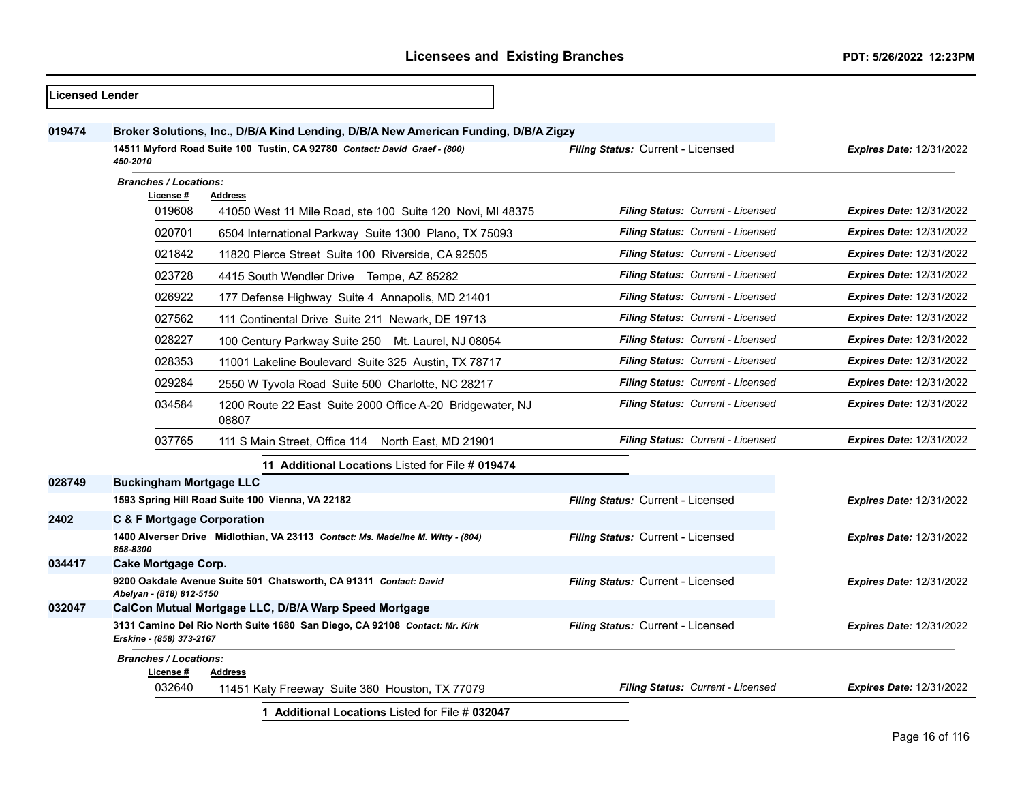| <b>Licensed Lender</b> |                                                                                       |                                                                                     |                                   |                                 |
|------------------------|---------------------------------------------------------------------------------------|-------------------------------------------------------------------------------------|-----------------------------------|---------------------------------|
| 019474                 |                                                                                       | Broker Solutions, Inc., D/B/A Kind Lending, D/B/A New American Funding, D/B/A Zigzy |                                   |                                 |
|                        | 14511 Myford Road Suite 100 Tustin, CA 92780 Contact: David Graef - (800)<br>450-2010 |                                                                                     | Filing Status: Current - Licensed | <b>Expires Date: 12/31/2022</b> |
|                        | <b>Branches / Locations:</b>                                                          |                                                                                     |                                   |                                 |
|                        | License #<br>019608                                                                   | Address                                                                             | Filing Status: Current - Licensed |                                 |
|                        |                                                                                       | 41050 West 11 Mile Road, ste 100 Suite 120 Novi, MI 48375                           |                                   | <b>Expires Date: 12/31/2022</b> |
|                        | 020701                                                                                | 6504 International Parkway Suite 1300 Plano, TX 75093                               | Filing Status: Current - Licensed | <b>Expires Date: 12/31/2022</b> |
|                        | 021842                                                                                | 11820 Pierce Street Suite 100 Riverside, CA 92505                                   | Filing Status: Current - Licensed | <b>Expires Date: 12/31/2022</b> |
|                        | 023728                                                                                | 4415 South Wendler Drive Tempe, AZ 85282                                            | Filing Status: Current - Licensed | <b>Expires Date: 12/31/2022</b> |
|                        | 026922                                                                                | 177 Defense Highway Suite 4 Annapolis, MD 21401                                     | Filing Status: Current - Licensed | <b>Expires Date: 12/31/2022</b> |
|                        | 027562                                                                                | 111 Continental Drive Suite 211 Newark, DE 19713                                    | Filing Status: Current - Licensed | <b>Expires Date: 12/31/2022</b> |
|                        | 028227                                                                                | 100 Century Parkway Suite 250 Mt. Laurel, NJ 08054                                  | Filing Status: Current - Licensed | <b>Expires Date: 12/31/2022</b> |
|                        | 028353                                                                                | 11001 Lakeline Boulevard Suite 325 Austin, TX 78717                                 | Filing Status: Current - Licensed | <b>Expires Date: 12/31/2022</b> |
|                        | 029284                                                                                | 2550 W Tyvola Road Suite 500 Charlotte, NC 28217                                    | Filing Status: Current - Licensed | <b>Expires Date: 12/31/2022</b> |
|                        | 034584                                                                                | 1200 Route 22 East Suite 2000 Office A-20 Bridgewater, NJ<br>08807                  | Filing Status: Current - Licensed | <b>Expires Date: 12/31/2022</b> |
|                        | 037765                                                                                | 111 S Main Street, Office 114 North East, MD 21901                                  | Filing Status: Current - Licensed | <b>Expires Date: 12/31/2022</b> |
|                        |                                                                                       | 11 Additional Locations Listed for File # 019474                                    |                                   |                                 |
| 028749                 | <b>Buckingham Mortgage LLC</b>                                                        |                                                                                     |                                   |                                 |
|                        |                                                                                       | 1593 Spring Hill Road Suite 100 Vienna, VA 22182                                    | Filing Status: Current - Licensed | <b>Expires Date: 12/31/2022</b> |
| 2402                   | C & F Mortgage Corporation                                                            |                                                                                     |                                   |                                 |
|                        | 858-8300                                                                              | 1400 Alverser Drive Midlothian, VA 23113 Contact: Ms. Madeline M. Witty - (804)     | Filing Status: Current - Licensed | Expires Date: 12/31/2022        |
| 034417                 | <b>Cake Mortgage Corp.</b>                                                            |                                                                                     |                                   |                                 |
|                        | Abelyan - (818) 812-5150                                                              | 9200 Oakdale Avenue Suite 501 Chatsworth, CA 91311 Contact: David                   | Filing Status: Current - Licensed | Expires Date: 12/31/2022        |
| 032047                 |                                                                                       | CalCon Mutual Mortgage LLC, D/B/A Warp Speed Mortgage                               |                                   |                                 |
|                        | Erskine - (858) 373-2167                                                              | 3131 Camino Del Rio North Suite 1680 San Diego, CA 92108 Contact: Mr. Kirk          | Filing Status: Current - Licensed | Expires Date: 12/31/2022        |
|                        | <b>Branches / Locations:</b><br>License #                                             | <b>Address</b>                                                                      |                                   |                                 |
|                        | 032640                                                                                | 11451 Katy Freeway Suite 360 Houston, TX 77079                                      | Filing Status: Current - Licensed | <b>Expires Date: 12/31/2022</b> |
|                        |                                                                                       | 1 Additional Locations Listed for File # 032047                                     |                                   |                                 |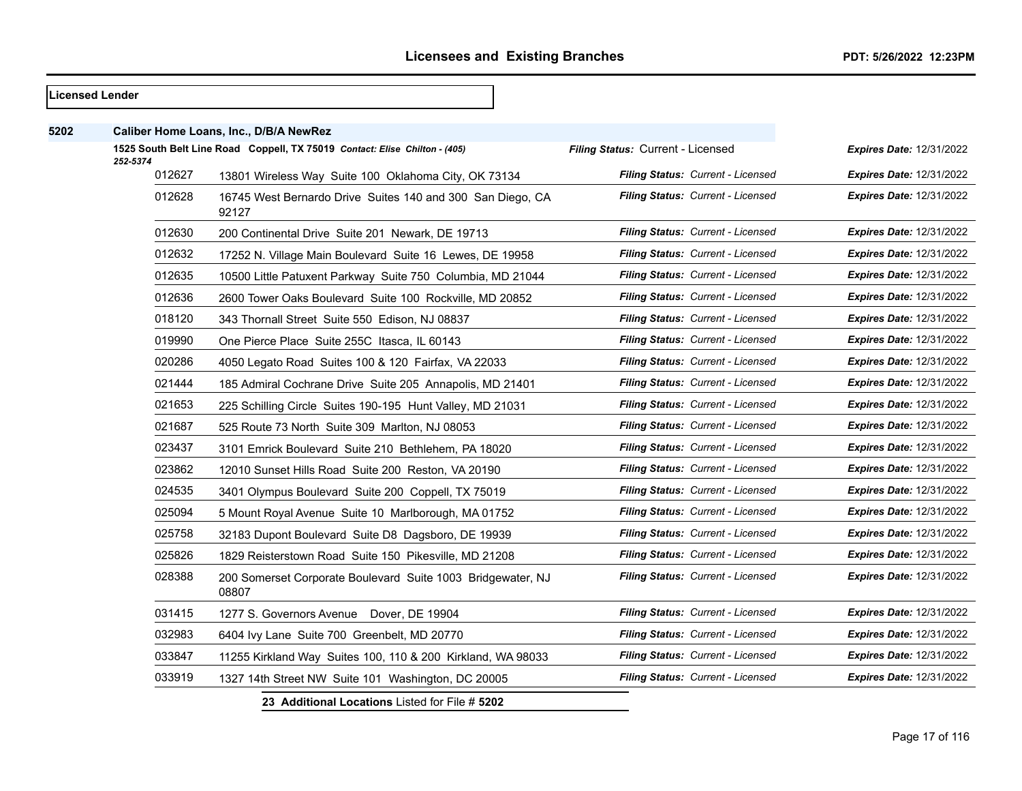| <b>Licensed Lender</b> |                                        |                                                                            |                                          |                                 |
|------------------------|----------------------------------------|----------------------------------------------------------------------------|------------------------------------------|---------------------------------|
| 5202                   | Caliber Home Loans, Inc., D/B/A NewRez |                                                                            |                                          |                                 |
|                        | 252-5374                               | 1525 South Belt Line Road Coppell, TX 75019 Contact: Elise Chilton - (405) | Filing Status: Current - Licensed        | <b>Expires Date: 12/31/2022</b> |
|                        | 012627                                 | 13801 Wireless Way Suite 100 Oklahoma City, OK 73134                       | Filing Status: Current - Licensed        | Expires Date: 12/31/2022        |
|                        | 012628                                 | 16745 West Bernardo Drive Suites 140 and 300 San Diego, CA<br>92127        | Filing Status: Current - Licensed        | <b>Expires Date: 12/31/2022</b> |
|                        | 012630                                 | 200 Continental Drive Suite 201 Newark, DE 19713                           | <b>Filing Status: Current - Licensed</b> | <b>Expires Date: 12/31/2022</b> |
|                        | 012632                                 | 17252 N. Village Main Boulevard Suite 16 Lewes, DE 19958                   | Filing Status: Current - Licensed        | <b>Expires Date: 12/31/2022</b> |
|                        | 012635                                 | 10500 Little Patuxent Parkway Suite 750 Columbia, MD 21044                 | Filing Status: Current - Licensed        | <b>Expires Date: 12/31/2022</b> |
|                        | 012636                                 | 2600 Tower Oaks Boulevard Suite 100 Rockville, MD 20852                    | Filing Status: Current - Licensed        | <b>Expires Date: 12/31/2022</b> |
|                        | 018120                                 | 343 Thornall Street Suite 550 Edison, NJ 08837                             | Filing Status: Current - Licensed        | <b>Expires Date: 12/31/2022</b> |
|                        | 019990                                 | One Pierce Place Suite 255C Itasca, IL 60143                               | Filing Status: Current - Licensed        | <b>Expires Date: 12/31/2022</b> |
|                        | 020286                                 | 4050 Legato Road Suites 100 & 120 Fairfax, VA 22033                        | Filing Status: Current - Licensed        | <b>Expires Date: 12/31/2022</b> |
|                        | 021444                                 | 185 Admiral Cochrane Drive Suite 205 Annapolis, MD 21401                   | Filing Status: Current - Licensed        | <b>Expires Date: 12/31/2022</b> |
|                        | 021653                                 | 225 Schilling Circle Suites 190-195 Hunt Valley, MD 21031                  | Filing Status: Current - Licensed        | <b>Expires Date: 12/31/2022</b> |
|                        | 021687                                 | 525 Route 73 North Suite 309 Marlton, NJ 08053                             | Filing Status: Current - Licensed        | <b>Expires Date: 12/31/2022</b> |
|                        | 023437                                 | 3101 Emrick Boulevard Suite 210 Bethlehem, PA 18020                        | Filing Status: Current - Licensed        | <b>Expires Date: 12/31/2022</b> |
|                        | 023862                                 | 12010 Sunset Hills Road Suite 200 Reston, VA 20190                         | Filing Status: Current - Licensed        | <b>Expires Date: 12/31/2022</b> |
|                        | 024535                                 | 3401 Olympus Boulevard Suite 200 Coppell, TX 75019                         | Filing Status: Current - Licensed        | <b>Expires Date: 12/31/2022</b> |
|                        | 025094                                 | 5 Mount Royal Avenue Suite 10 Marlborough, MA 01752                        | Filing Status: Current - Licensed        | Expires Date: 12/31/2022        |
|                        | 025758                                 | 32183 Dupont Boulevard Suite D8 Dagsboro, DE 19939                         | Filing Status: Current - Licensed        | <b>Expires Date: 12/31/2022</b> |
|                        | 025826                                 | 1829 Reisterstown Road Suite 150 Pikesville, MD 21208                      | Filing Status: Current - Licensed        | <b>Expires Date: 12/31/2022</b> |
|                        | 028388                                 | 200 Somerset Corporate Boulevard Suite 1003 Bridgewater, NJ<br>08807       | Filing Status: Current - Licensed        | <b>Expires Date: 12/31/2022</b> |
|                        | 031415                                 | 1277 S. Governors Avenue Dover, DE 19904                                   | Filing Status: Current - Licensed        | <b>Expires Date: 12/31/2022</b> |
|                        | 032983                                 | 6404 Ivy Lane Suite 700 Greenbelt, MD 20770                                | Filing Status: Current - Licensed        | Expires Date: 12/31/2022        |
|                        | 033847                                 | 11255 Kirkland Way Suites 100, 110 & 200 Kirkland, WA 98033                | Filing Status: Current - Licensed        | <b>Expires Date: 12/31/2022</b> |
|                        | 033919                                 | 1327 14th Street NW Suite 101 Washington, DC 20005                         | Filing Status: Current - Licensed        | Expires Date: 12/31/2022        |

**23 Additional Locations** Listed for File # **5202**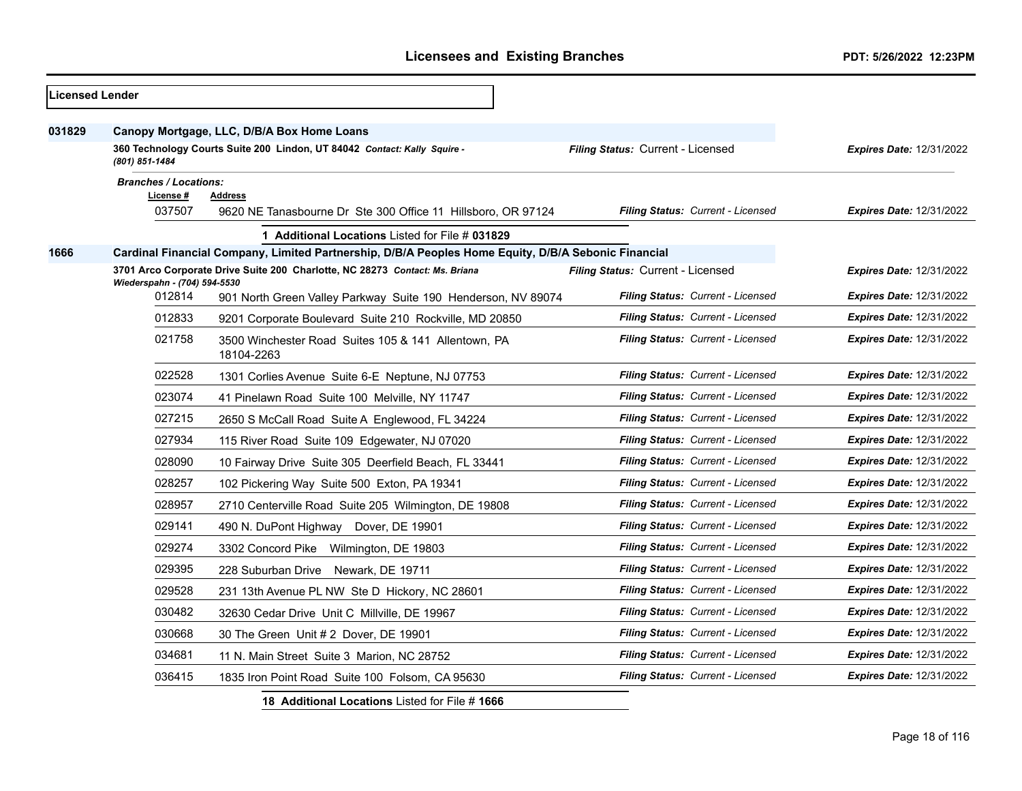| <b>Licensed Lender</b> |                                                     |                                                                                                                        |                                          |                                 |
|------------------------|-----------------------------------------------------|------------------------------------------------------------------------------------------------------------------------|------------------------------------------|---------------------------------|
| 031829                 | (801) 851-1484                                      | Canopy Mortgage, LLC, D/B/A Box Home Loans<br>360 Technology Courts Suite 200 Lindon, UT 84042 Contact: Kally Squire - | Filing Status: Current - Licensed        | <b>Expires Date: 12/31/2022</b> |
|                        | <b>Branches / Locations:</b><br>License #<br>037507 | <b>Address</b><br>9620 NE Tanasbourne Dr Ste 300 Office 11 Hillsboro, OR 97124                                         | Filing Status: Current - Licensed        | <b>Expires Date: 12/31/2022</b> |
|                        |                                                     | 1 Additional Locations Listed for File # 031829                                                                        |                                          |                                 |
| 1666                   |                                                     | Cardinal Financial Company, Limited Partnership, D/B/A Peoples Home Equity, D/B/A Sebonic Financial                    |                                          |                                 |
|                        | Wiederspahn - (704) 594-5530                        | 3701 Arco Corporate Drive Suite 200 Charlotte, NC 28273 Contact: Ms. Briana                                            | Filing Status: Current - Licensed        | <b>Expires Date: 12/31/2022</b> |
|                        | 012814                                              | 901 North Green Valley Parkway Suite 190 Henderson, NV 89074                                                           | Filing Status: Current - Licensed        | <b>Expires Date: 12/31/2022</b> |
|                        | 012833                                              | 9201 Corporate Boulevard Suite 210 Rockville, MD 20850                                                                 | Filing Status: Current - Licensed        | <b>Expires Date: 12/31/2022</b> |
|                        | 021758                                              | 3500 Winchester Road Suites 105 & 141 Allentown, PA<br>18104-2263                                                      | Filing Status: Current - Licensed        | <b>Expires Date: 12/31/2022</b> |
|                        | 022528                                              | 1301 Corlies Avenue Suite 6-E Neptune, NJ 07753                                                                        | Filing Status: Current - Licensed        | <b>Expires Date: 12/31/2022</b> |
|                        | 023074                                              | 41 Pinelawn Road Suite 100 Melville, NY 11747                                                                          | Filing Status: Current - Licensed        | <b>Expires Date: 12/31/2022</b> |
|                        | 027215                                              | 2650 S McCall Road Suite A Englewood, FL 34224                                                                         | <b>Filing Status: Current - Licensed</b> | <b>Expires Date: 12/31/2022</b> |
|                        | 027934                                              | 115 River Road Suite 109 Edgewater, NJ 07020                                                                           | Filing Status: Current - Licensed        | <b>Expires Date: 12/31/2022</b> |
|                        | 028090                                              | 10 Fairway Drive Suite 305 Deerfield Beach, FL 33441                                                                   | Filing Status: Current - Licensed        | <b>Expires Date: 12/31/2022</b> |
|                        | 028257                                              | 102 Pickering Way Suite 500 Exton, PA 19341                                                                            | Filing Status: Current - Licensed        | <b>Expires Date: 12/31/2022</b> |
|                        | 028957                                              | 2710 Centerville Road Suite 205 Wilmington, DE 19808                                                                   | Filing Status: Current - Licensed        | <b>Expires Date: 12/31/2022</b> |
|                        | 029141                                              | 490 N. DuPont Highway Dover, DE 19901                                                                                  | Filing Status: Current - Licensed        | <b>Expires Date: 12/31/2022</b> |
|                        | 029274                                              | 3302 Concord Pike Wilmington, DE 19803                                                                                 | Filing Status: Current - Licensed        | <b>Expires Date: 12/31/2022</b> |
|                        | 029395                                              | 228 Suburban Drive Newark, DE 19711                                                                                    | <b>Filing Status: Current - Licensed</b> | <b>Expires Date: 12/31/2022</b> |
|                        | 029528                                              | 231 13th Avenue PL NW Ste D Hickory, NC 28601                                                                          | Filing Status: Current - Licensed        | <b>Expires Date: 12/31/2022</b> |
|                        | 030482                                              | 32630 Cedar Drive Unit C Millville, DE 19967                                                                           | <b>Filing Status: Current - Licensed</b> | <b>Expires Date: 12/31/2022</b> |
|                        | 030668                                              | 30 The Green Unit #2 Dover, DE 19901                                                                                   | Filing Status: Current - Licensed        | <b>Expires Date: 12/31/2022</b> |
|                        | 034681                                              | 11 N. Main Street Suite 3 Marion, NC 28752                                                                             | Filing Status: Current - Licensed        | <b>Expires Date: 12/31/2022</b> |
|                        | 036415                                              | 1835 Iron Point Road Suite 100 Folsom, CA 95630                                                                        | Filing Status: Current - Licensed        | <b>Expires Date: 12/31/2022</b> |
|                        |                                                     | 18 Additional Locations Listed for File #1666                                                                          |                                          |                                 |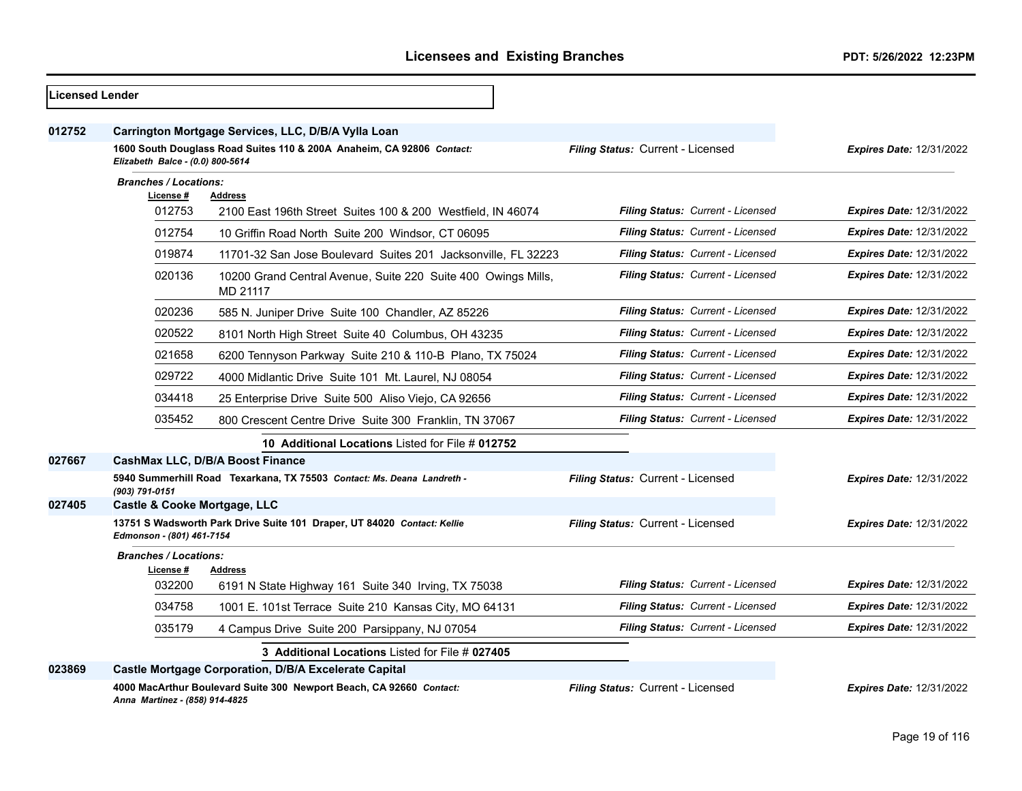| <b>Licensed Lender</b> |                                                                                                           |                                                                               |                                          |                                 |
|------------------------|-----------------------------------------------------------------------------------------------------------|-------------------------------------------------------------------------------|------------------------------------------|---------------------------------|
| 012752                 |                                                                                                           | Carrington Mortgage Services, LLC, D/B/A Vylla Loan                           |                                          |                                 |
|                        | 1600 South Douglass Road Suites 110 & 200A Anaheim, CA 92806 Contact:<br>Elizabeth Balce - (0.0) 800-5614 |                                                                               | Filing Status: Current - Licensed        | <b>Expires Date: 12/31/2022</b> |
|                        | <b>Branches / Locations:</b>                                                                              |                                                                               |                                          |                                 |
|                        | License #<br>012753                                                                                       | <b>Address</b><br>2100 East 196th Street Suites 100 & 200 Westfield. IN 46074 | Filing Status: Current - Licensed        | <b>Expires Date: 12/31/2022</b> |
|                        | 012754                                                                                                    | 10 Griffin Road North Suite 200 Windsor, CT 06095                             | Filing Status: Current - Licensed        | <b>Expires Date: 12/31/2022</b> |
|                        | 019874                                                                                                    | 11701-32 San Jose Boulevard Suites 201 Jacksonville, FL 32223                 | <b>Filing Status: Current - Licensed</b> | <b>Expires Date: 12/31/2022</b> |
|                        | 020136                                                                                                    | 10200 Grand Central Avenue, Suite 220 Suite 400 Owings Mills,<br>MD 21117     | Filing Status: Current - Licensed        | <b>Expires Date: 12/31/2022</b> |
|                        | 020236                                                                                                    | 585 N. Juniper Drive Suite 100 Chandler, AZ 85226                             | Filing Status: Current - Licensed        | <b>Expires Date: 12/31/2022</b> |
|                        | 020522                                                                                                    | 8101 North High Street Suite 40 Columbus, OH 43235                            | Filing Status: Current - Licensed        | <b>Expires Date: 12/31/2022</b> |
|                        | 021658                                                                                                    | 6200 Tennyson Parkway Suite 210 & 110-B Plano, TX 75024                       | Filing Status: Current - Licensed        | <b>Expires Date: 12/31/2022</b> |
|                        | 029722                                                                                                    | 4000 Midlantic Drive Suite 101 Mt. Laurel, NJ 08054                           | Filing Status: Current - Licensed        | <b>Expires Date: 12/31/2022</b> |
|                        | 034418                                                                                                    | 25 Enterprise Drive Suite 500 Aliso Viejo, CA 92656                           | Filing Status: Current - Licensed        | <b>Expires Date: 12/31/2022</b> |
|                        | 035452                                                                                                    | 800 Crescent Centre Drive Suite 300 Franklin, TN 37067                        | <b>Filing Status: Current - Licensed</b> | <b>Expires Date: 12/31/2022</b> |
|                        |                                                                                                           | 10 Additional Locations Listed for File # 012752                              |                                          |                                 |
| 027667                 |                                                                                                           | CashMax LLC, D/B/A Boost Finance                                              |                                          |                                 |
|                        | (903) 791-0151                                                                                            | 5940 Summerhill Road Texarkana, TX 75503 Contact: Ms. Deana Landreth -        | Filing Status: Current - Licensed        | <b>Expires Date: 12/31/2022</b> |
| 027405                 | Castle & Cooke Mortgage, LLC                                                                              |                                                                               |                                          |                                 |
|                        | Edmonson - (801) 461-7154                                                                                 | 13751 S Wadsworth Park Drive Suite 101 Draper, UT 84020 Contact: Kellie       | Filing Status: Current - Licensed        | <b>Expires Date: 12/31/2022</b> |
|                        | <b>Branches / Locations:</b>                                                                              |                                                                               |                                          |                                 |
|                        | License #<br>032200                                                                                       | Address<br>6191 N State Highway 161 Suite 340 Irving, TX 75038                | Filing Status: Current - Licensed        | <b>Expires Date: 12/31/2022</b> |
|                        | 034758                                                                                                    | 1001 E. 101st Terrace Suite 210 Kansas City, MO 64131                         | Filing Status: Current - Licensed        | <b>Expires Date: 12/31/2022</b> |
|                        | 035179                                                                                                    | 4 Campus Drive Suite 200 Parsippany, NJ 07054                                 | Filing Status: Current - Licensed        | <b>Expires Date: 12/31/2022</b> |
|                        |                                                                                                           | 3 Additional Locations Listed for File # 027405                               |                                          |                                 |
| 023869                 |                                                                                                           | Castle Mortgage Corporation, D/B/A Excelerate Capital                         |                                          |                                 |
|                        | Anna Martinez - (858) 914-4825                                                                            | 4000 MacArthur Boulevard Suite 300 Newport Beach, CA 92660 Contact:           | Filing Status: Current - Licensed        | <b>Expires Date: 12/31/2022</b> |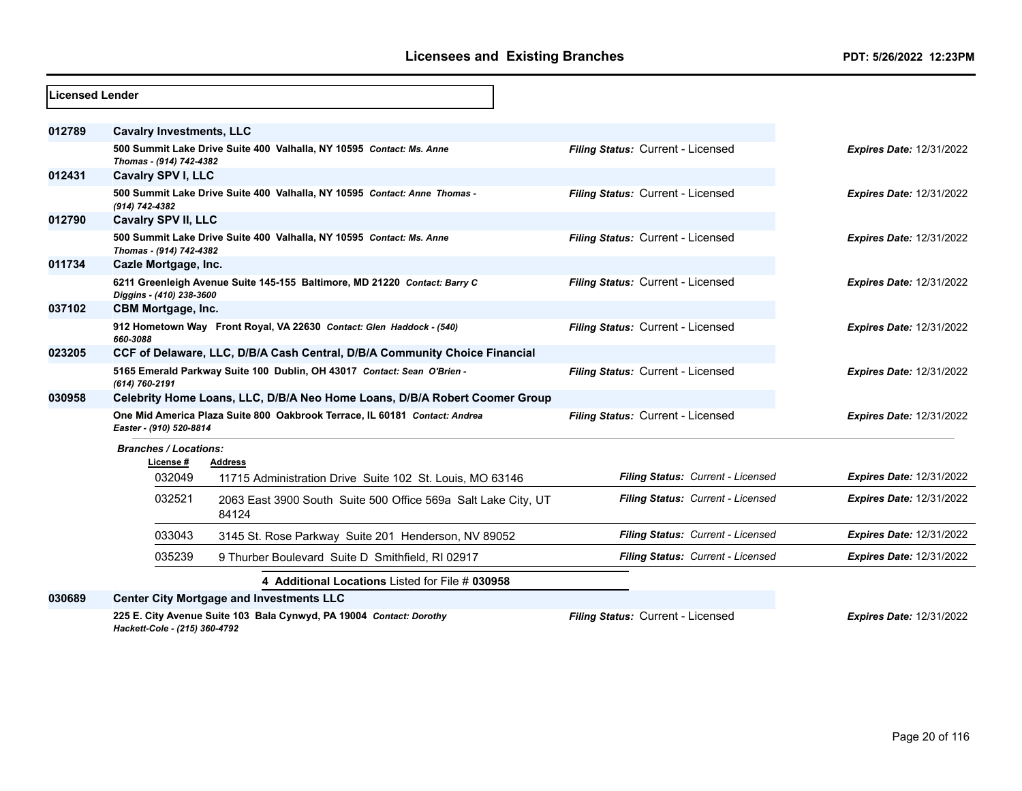| Licensed Lender |                                          |                                                                            |                                   |                                 |
|-----------------|------------------------------------------|----------------------------------------------------------------------------|-----------------------------------|---------------------------------|
| 012789          | <b>Cavalry Investments, LLC</b>          |                                                                            |                                   |                                 |
|                 | Thomas - (914) 742-4382                  | 500 Summit Lake Drive Suite 400 Valhalla, NY 10595 Contact: Ms. Anne       | Filing Status: Current - Licensed | <b>Expires Date: 12/31/2022</b> |
| 012431          | Cavalry SPV I, LLC                       |                                                                            |                                   |                                 |
|                 | (914) 742-4382                           | 500 Summit Lake Drive Suite 400 Valhalla, NY 10595 Contact: Anne Thomas -  | Filing Status: Current - Licensed | <b>Expires Date: 12/31/2022</b> |
| 012790          | <b>Cavalry SPV II, LLC</b>               |                                                                            |                                   |                                 |
|                 | Thomas - (914) 742-4382                  | 500 Summit Lake Drive Suite 400 Valhalla, NY 10595 Contact: Ms. Anne       | Filing Status: Current - Licensed | <b>Expires Date: 12/31/2022</b> |
| 011734          | Cazle Mortgage, Inc.                     |                                                                            |                                   |                                 |
|                 | Diggins - (410) 238-3600                 | 6211 Greenleigh Avenue Suite 145-155 Baltimore, MD 21220 Contact: Barry C  | Filing Status: Current - Licensed | <b>Expires Date: 12/31/2022</b> |
| 037102          | <b>CBM Mortgage, Inc.</b>                |                                                                            |                                   |                                 |
|                 | 660-3088                                 | 912 Hometown Way Front Royal, VA 22630 Contact: Glen Haddock - (540)       | Filing Status: Current - Licensed | <b>Expires Date: 12/31/2022</b> |
| 023205          |                                          | CCF of Delaware, LLC, D/B/A Cash Central, D/B/A Community Choice Financial |                                   |                                 |
|                 | (614) 760-2191                           | 5165 Emerald Parkway Suite 100 Dublin, OH 43017 Contact: Sean O'Brien -    | Filing Status: Current - Licensed | <b>Expires Date: 12/31/2022</b> |
| 030958          |                                          | Celebrity Home Loans, LLC, D/B/A Neo Home Loans, D/B/A Robert Coomer Group |                                   |                                 |
|                 | Easter - (910) 520-8814                  | One Mid America Plaza Suite 800 Oakbrook Terrace, IL 60181 Contact: Andrea | Filing Status: Current - Licensed | <b>Expires Date: 12/31/2022</b> |
|                 | <b>Branches / Locations:</b><br>License# | <b>Address</b>                                                             |                                   |                                 |
|                 | 032049                                   | 11715 Administration Drive Suite 102 St. Louis, MO 63146                   | Filing Status: Current - Licensed | <b>Expires Date: 12/31/2022</b> |
|                 | 032521                                   | 2063 East 3900 South Suite 500 Office 569a Salt Lake City, UT<br>84124     | Filing Status: Current - Licensed | <b>Expires Date: 12/31/2022</b> |
|                 | 033043                                   | 3145 St. Rose Parkway Suite 201 Henderson, NV 89052                        | Filing Status: Current - Licensed | <b>Expires Date: 12/31/2022</b> |
|                 | 035239                                   | 9 Thurber Boulevard Suite D Smithfield, RI 02917                           | Filing Status: Current - Licensed | <b>Expires Date: 12/31/2022</b> |
|                 |                                          | 4 Additional Locations Listed for File # 030958                            |                                   |                                 |
| 030689          |                                          | <b>Center City Mortgage and Investments LLC</b>                            |                                   |                                 |
|                 | Hackett-Cole - (215) 360-4792            | 225 E. City Avenue Suite 103 Bala Cynwyd, PA 19004 Contact: Dorothy        | Filing Status: Current - Licensed | <b>Expires Date: 12/31/2022</b> |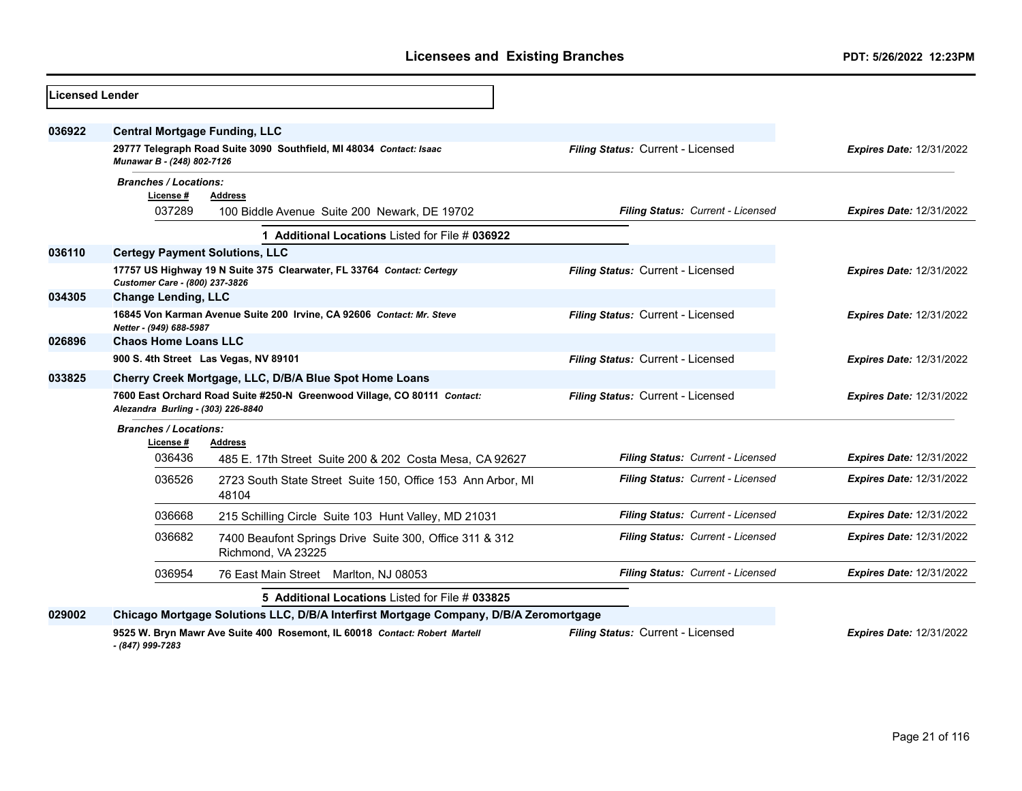| <b>Licensed Lender</b> |                                                                                                                |                                                                                       |                                   |                                 |
|------------------------|----------------------------------------------------------------------------------------------------------------|---------------------------------------------------------------------------------------|-----------------------------------|---------------------------------|
| 036922                 | <b>Central Mortgage Funding, LLC</b>                                                                           |                                                                                       |                                   |                                 |
|                        | Munawar B - (248) 802-7126                                                                                     | 29777 Telegraph Road Suite 3090 Southfield, MI 48034 Contact: Isaac                   | Filing Status: Current - Licensed | <b>Expires Date: 12/31/2022</b> |
|                        | <b>Branches / Locations:</b><br>License #<br>037289                                                            | <b>Address</b><br>100 Biddle Avenue Suite 200 Newark, DE 19702                        | Filing Status: Current - Licensed | <b>Expires Date: 12/31/2022</b> |
|                        |                                                                                                                |                                                                                       |                                   |                                 |
| 036110                 | <b>Certegy Payment Solutions, LLC</b>                                                                          | 1 Additional Locations Listed for File # 036922                                       |                                   |                                 |
|                        | Customer Care - (800) 237-3826                                                                                 | 17757 US Highway 19 N Suite 375 Clearwater, FL 33764 Contact: Certegy                 | Filing Status: Current - Licensed | <b>Expires Date: 12/31/2022</b> |
| 034305                 | <b>Change Lending, LLC</b>                                                                                     |                                                                                       |                                   |                                 |
|                        | Netter - (949) 688-5987                                                                                        | 16845 Von Karman Avenue Suite 200 Irvine, CA 92606 Contact: Mr. Steve                 | Filing Status: Current - Licensed | <b>Expires Date: 12/31/2022</b> |
| 026896                 | <b>Chaos Home Loans LLC</b>                                                                                    |                                                                                       |                                   |                                 |
|                        |                                                                                                                | 900 S. 4th Street Las Vegas, NV 89101                                                 | Filing Status: Current - Licensed | <b>Expires Date: 12/31/2022</b> |
| 033825                 | Cherry Creek Mortgage, LLC, D/B/A Blue Spot Home Loans                                                         |                                                                                       |                                   |                                 |
|                        | 7600 East Orchard Road Suite #250-N Greenwood Village, CO 80111 Contact:<br>Alezandra Burling - (303) 226-8840 |                                                                                       | Filing Status: Current - Licensed | <b>Expires Date: 12/31/2022</b> |
|                        | <b>Branches / Locations:</b><br>License #                                                                      | <b>Address</b>                                                                        |                                   |                                 |
|                        | 036436                                                                                                         | 485 E. 17th Street Suite 200 & 202 Costa Mesa, CA 92627                               | Filing Status: Current - Licensed | <b>Expires Date: 12/31/2022</b> |
|                        | 036526                                                                                                         | 2723 South State Street Suite 150, Office 153 Ann Arbor, MI<br>48104                  | Filing Status: Current - Licensed | <b>Expires Date: 12/31/2022</b> |
|                        | 036668                                                                                                         | 215 Schilling Circle Suite 103 Hunt Valley, MD 21031                                  | Filing Status: Current - Licensed | <b>Expires Date: 12/31/2022</b> |
|                        | 036682                                                                                                         | 7400 Beaufont Springs Drive Suite 300, Office 311 & 312<br>Richmond, VA 23225         | Filing Status: Current - Licensed | <b>Expires Date: 12/31/2022</b> |
|                        | 036954                                                                                                         | 76 East Main Street Marlton, NJ 08053                                                 | Filing Status: Current - Licensed | <b>Expires Date: 12/31/2022</b> |
|                        |                                                                                                                | 5 Additional Locations Listed for File # 033825                                       |                                   |                                 |
| 029002                 |                                                                                                                | Chicago Mortgage Solutions LLC, D/B/A Interfirst Mortgage Company, D/B/A Zeromortgage |                                   |                                 |
|                        | - (847) 999-7283                                                                                               | 9525 W. Bryn Mawr Ave Suite 400 Rosemont, IL 60018 Contact: Robert Martell            | Filing Status: Current - Licensed | <b>Expires Date: 12/31/2022</b> |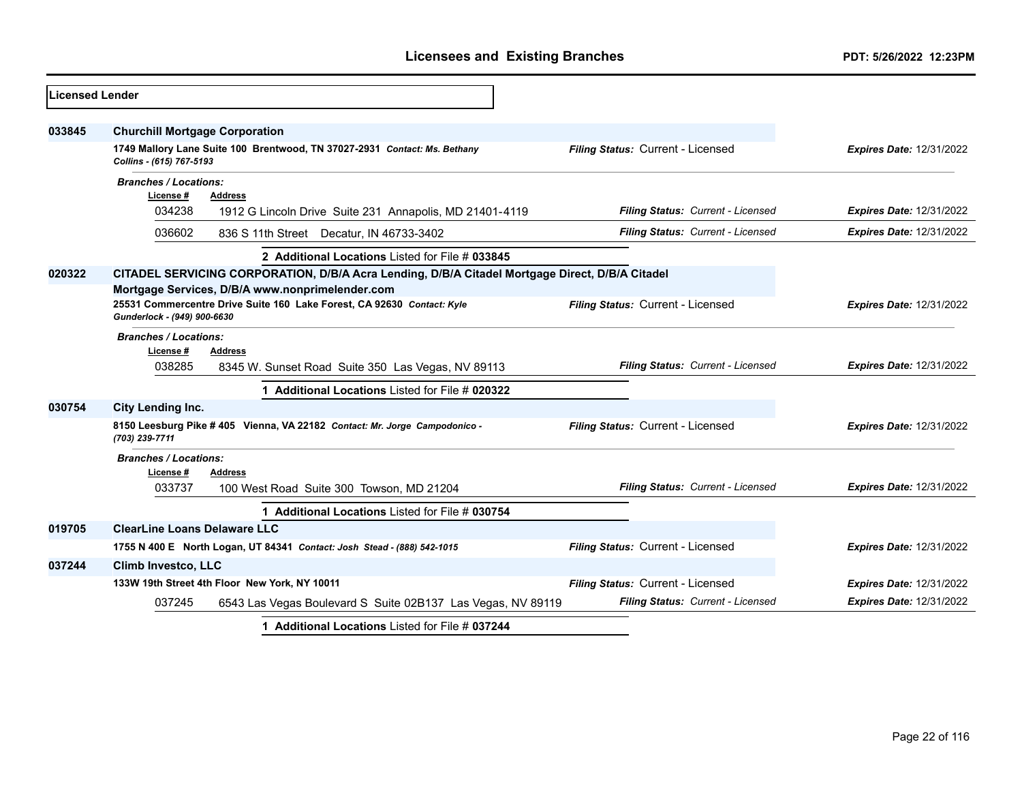| <b>Licensed Lender</b> |                                                                                                                                                          |                                   |                                 |
|------------------------|----------------------------------------------------------------------------------------------------------------------------------------------------------|-----------------------------------|---------------------------------|
| 033845                 | <b>Churchill Mortgage Corporation</b>                                                                                                                    |                                   |                                 |
|                        | 1749 Mallory Lane Suite 100 Brentwood, TN 37027-2931 Contact: Ms. Bethany<br>Collins - (615) 767-5193                                                    | Filing Status: Current - Licensed | <b>Expires Date: 12/31/2022</b> |
|                        | <b>Branches / Locations:</b><br>License #<br><b>Address</b>                                                                                              |                                   |                                 |
|                        | 034238<br>1912 G Lincoln Drive Suite 231 Annapolis, MD 21401-4119                                                                                        | Filing Status: Current - Licensed | <b>Expires Date: 12/31/2022</b> |
|                        | 036602<br>836 S 11th Street Decatur, IN 46733-3402                                                                                                       | Filing Status: Current - Licensed | <b>Expires Date: 12/31/2022</b> |
|                        | 2 Additional Locations Listed for File # 033845                                                                                                          |                                   |                                 |
| 020322                 | CITADEL SERVICING CORPORATION, D/B/A Acra Lending, D/B/A Citadel Mortgage Direct, D/B/A Citadel                                                          |                                   |                                 |
|                        | Mortgage Services, D/B/A www.nonprimelender.com<br>25531 Commercentre Drive Suite 160 Lake Forest, CA 92630 Contact: Kyle<br>Gunderlock - (949) 900-6630 | Filing Status: Current - Licensed | <b>Expires Date: 12/31/2022</b> |
|                        | <b>Branches / Locations:</b><br>License #<br><b>Address</b><br>038285<br>8345 W. Sunset Road Suite 350 Las Vegas, NV 89113                               | Filing Status: Current - Licensed | <b>Expires Date: 12/31/2022</b> |
|                        | Additional Locations Listed for File # 020322                                                                                                            |                                   |                                 |
| 030754                 | <b>City Lending Inc.</b>                                                                                                                                 |                                   |                                 |
|                        | 8150 Leesburg Pike #405 Vienna, VA 22182 Contact: Mr. Jorge Campodonico -<br>(703) 239-7711                                                              | Filing Status: Current - Licensed | <b>Expires Date: 12/31/2022</b> |
|                        | <b>Branches / Locations:</b><br>License #<br><b>Address</b>                                                                                              |                                   |                                 |
|                        | 033737<br>100 West Road Suite 300 Towson, MD 21204                                                                                                       | Filing Status: Current - Licensed | <b>Expires Date: 12/31/2022</b> |
|                        | 1 Additional Locations Listed for File # 030754                                                                                                          |                                   |                                 |
| 019705                 | <b>ClearLine Loans Delaware LLC</b>                                                                                                                      |                                   |                                 |
|                        | 1755 N 400 E North Logan, UT 84341 Contact: Josh Stead - (888) 542-1015                                                                                  | Filing Status: Current - Licensed | <b>Expires Date: 12/31/2022</b> |
| 037244                 | <b>Climb Investco, LLC</b>                                                                                                                               |                                   |                                 |
|                        | 133W 19th Street 4th Floor New York, NY 10011                                                                                                            | Filing Status: Current - Licensed | <b>Expires Date: 12/31/2022</b> |
|                        | 037245<br>6543 Las Vegas Boulevard S Suite 02B137 Las Vegas, NV 89119                                                                                    | Filing Status: Current - Licensed | <b>Expires Date: 12/31/2022</b> |
|                        | 1 Additional Locations Listed for File # 037244                                                                                                          |                                   |                                 |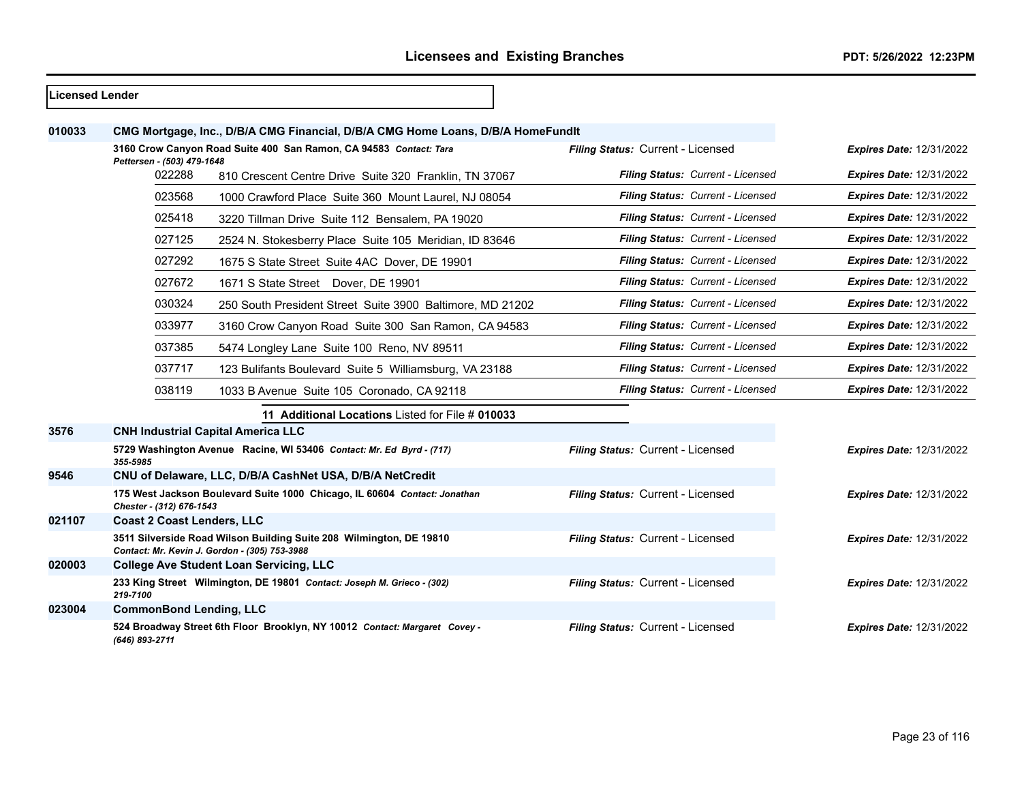| Licensed Lender |                                      |                                                                                                                      |                                   |                                 |
|-----------------|--------------------------------------|----------------------------------------------------------------------------------------------------------------------|-----------------------------------|---------------------------------|
| 010033          |                                      | CMG Mortgage, Inc., D/B/A CMG Financial, D/B/A CMG Home Loans, D/B/A HomeFundIt                                      |                                   |                                 |
|                 |                                      | 3160 Crow Canyon Road Suite 400 San Ramon, CA 94583 Contact: Tara                                                    | Filing Status: Current - Licensed | <b>Expires Date: 12/31/2022</b> |
|                 | Pettersen - (503) 479-1648<br>022288 | 810 Crescent Centre Drive Suite 320 Franklin, TN 37067                                                               | Filing Status: Current - Licensed | <b>Expires Date: 12/31/2022</b> |
|                 | 023568                               | 1000 Crawford Place Suite 360 Mount Laurel, NJ 08054                                                                 | Filing Status: Current - Licensed | <b>Expires Date: 12/31/2022</b> |
|                 | 025418                               | 3220 Tillman Drive Suite 112 Bensalem, PA 19020                                                                      | Filing Status: Current - Licensed | <b>Expires Date: 12/31/2022</b> |
|                 | 027125                               | 2524 N. Stokesberry Place Suite 105 Meridian, ID 83646                                                               | Filing Status: Current - Licensed | <b>Expires Date: 12/31/2022</b> |
|                 | 027292                               | 1675 S State Street Suite 4AC Dover, DE 19901                                                                        | Filing Status: Current - Licensed | <b>Expires Date: 12/31/2022</b> |
|                 | 027672                               | 1671 S State Street Dover, DE 19901                                                                                  | Filing Status: Current - Licensed | <b>Expires Date: 12/31/2022</b> |
|                 | 030324                               | 250 South President Street Suite 3900 Baltimore, MD 21202                                                            | Filing Status: Current - Licensed | <b>Expires Date: 12/31/2022</b> |
|                 | 033977                               | 3160 Crow Canyon Road Suite 300 San Ramon, CA 94583                                                                  | Filing Status: Current - Licensed | <b>Expires Date: 12/31/2022</b> |
|                 | 037385                               | 5474 Longley Lane Suite 100 Reno, NV 89511                                                                           | Filing Status: Current - Licensed | <b>Expires Date: 12/31/2022</b> |
|                 | 037717                               | 123 Bulifants Boulevard Suite 5 Williamsburg, VA 23188                                                               | Filing Status: Current - Licensed | <b>Expires Date: 12/31/2022</b> |
|                 | 038119                               | 1033 B Avenue Suite 105 Coronado, CA 92118                                                                           | Filing Status: Current - Licensed | <b>Expires Date: 12/31/2022</b> |
|                 |                                      | 11 Additional Locations Listed for File # 010033                                                                     |                                   |                                 |
| 3576            |                                      | <b>CNH Industrial Capital America LLC</b>                                                                            |                                   |                                 |
|                 | 355-5985                             | 5729 Washington Avenue Racine, WI 53406 Contact: Mr. Ed Byrd - (717)                                                 | Filing Status: Current - Licensed | <b>Expires Date: 12/31/2022</b> |
| 9546            |                                      | CNU of Delaware, LLC, D/B/A CashNet USA, D/B/A NetCredit                                                             |                                   |                                 |
|                 | Chester - (312) 676-1543             | 175 West Jackson Boulevard Suite 1000 Chicago, IL 60604 Contact: Jonathan                                            | Filing Status: Current - Licensed | <b>Expires Date: 12/31/2022</b> |
| 021107          | <b>Coast 2 Coast Lenders, LLC</b>    |                                                                                                                      |                                   |                                 |
|                 |                                      | 3511 Silverside Road Wilson Building Suite 208 Wilmington, DE 19810<br>Contact: Mr. Kevin J. Gordon - (305) 753-3988 | Filing Status: Current - Licensed | <b>Expires Date: 12/31/2022</b> |
| 020003          |                                      | <b>College Ave Student Loan Servicing, LLC</b>                                                                       |                                   |                                 |
|                 | 219-7100                             | 233 King Street Wilmington, DE 19801 Contact: Joseph M. Grieco - (302)                                               | Filing Status: Current - Licensed | <b>Expires Date: 12/31/2022</b> |
| 023004          | <b>CommonBond Lending, LLC</b>       |                                                                                                                      |                                   |                                 |
|                 | (646) 893-2711                       | 524 Broadway Street 6th Floor Brooklyn, NY 10012 Contact: Margaret Covey -                                           | Filing Status: Current - Licensed | <b>Expires Date: 12/31/2022</b> |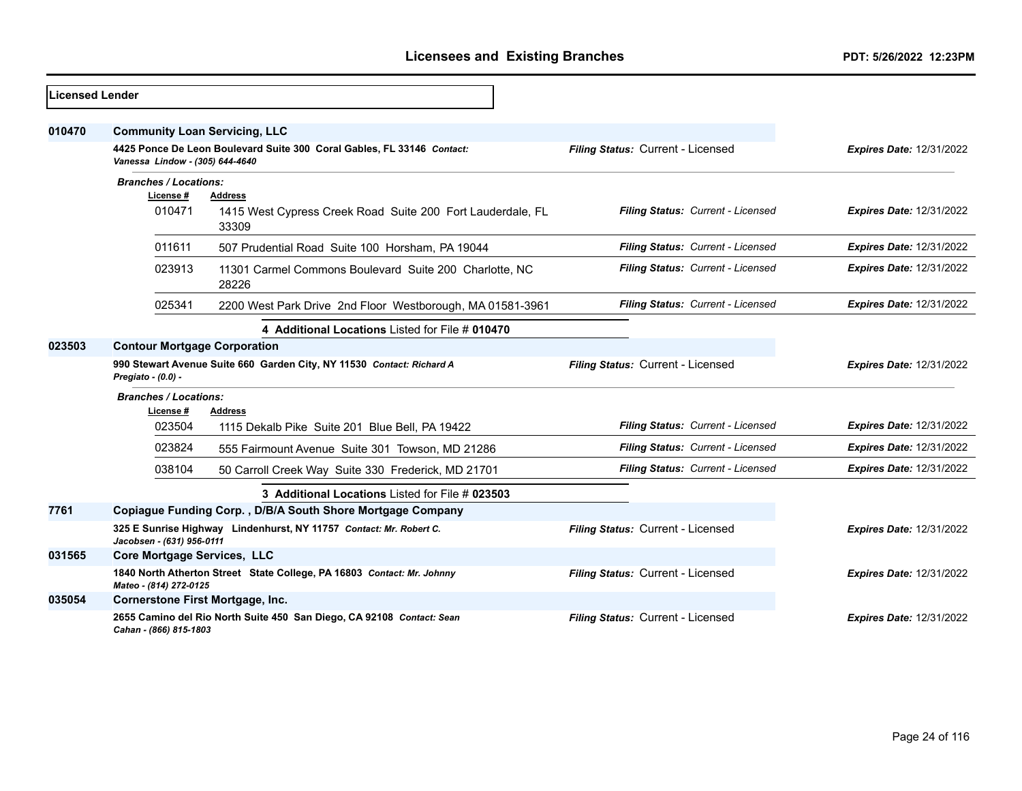| <b>Licensed Lender</b> |                                         |                                                                        |                                   |                                 |
|------------------------|-----------------------------------------|------------------------------------------------------------------------|-----------------------------------|---------------------------------|
| 010470                 | <b>Community Loan Servicing, LLC</b>    |                                                                        |                                   |                                 |
|                        | Vanessa Lindow - (305) 644-4640         | 4425 Ponce De Leon Boulevard Suite 300 Coral Gables, FL 33146 Contact: | Filing Status: Current - Licensed | <b>Expires Date: 12/31/2022</b> |
|                        | <b>Branches / Locations:</b>            |                                                                        |                                   |                                 |
|                        | License #                               | <b>Address</b>                                                         |                                   |                                 |
|                        | 010471                                  | 1415 West Cypress Creek Road Suite 200 Fort Lauderdale, FL<br>33309    | Filing Status: Current - Licensed | <b>Expires Date: 12/31/2022</b> |
|                        | 011611                                  | 507 Prudential Road Suite 100 Horsham, PA 19044                        | Filing Status: Current - Licensed | <b>Expires Date: 12/31/2022</b> |
|                        | 023913                                  | 11301 Carmel Commons Boulevard Suite 200 Charlotte, NC<br>28226        | Filing Status: Current - Licensed | <b>Expires Date: 12/31/2022</b> |
|                        | 025341                                  | 2200 West Park Drive 2nd Floor Westborough, MA 01581-3961              | Filing Status: Current - Licensed | <b>Expires Date: 12/31/2022</b> |
|                        |                                         | 4 Additional Locations Listed for File # 010470                        |                                   |                                 |
| 023503                 | <b>Contour Mortgage Corporation</b>     |                                                                        |                                   |                                 |
|                        | Pregiato - (0.0) -                      | 990 Stewart Avenue Suite 660 Garden City, NY 11530 Contact: Richard A  | Filing Status: Current - Licensed | <b>Expires Date: 12/31/2022</b> |
|                        | <b>Branches / Locations:</b>            |                                                                        |                                   |                                 |
|                        | License#                                | <b>Address</b>                                                         |                                   |                                 |
|                        | 023504                                  | 1115 Dekalb Pike Suite 201 Blue Bell, PA 19422                         | Filing Status: Current - Licensed | <b>Expires Date: 12/31/2022</b> |
|                        | 023824                                  | 555 Fairmount Avenue Suite 301 Towson, MD 21286                        | Filing Status: Current - Licensed | <b>Expires Date: 12/31/2022</b> |
|                        | 038104                                  | 50 Carroll Creek Way Suite 330 Frederick, MD 21701                     | Filing Status: Current - Licensed | Expires Date: 12/31/2022        |
|                        |                                         | 3 Additional Locations Listed for File # 023503                        |                                   |                                 |
| 7761                   |                                         | Copiague Funding Corp., D/B/A South Shore Mortgage Company             |                                   |                                 |
|                        | Jacobsen - (631) 956-0111               | 325 E Sunrise Highway Lindenhurst, NY 11757 Contact: Mr. Robert C.     | Filing Status: Current - Licensed | <b>Expires Date: 12/31/2022</b> |
| 031565                 | <b>Core Mortgage Services, LLC</b>      |                                                                        |                                   |                                 |
|                        | Mateo - (814) 272-0125                  | 1840 North Atherton Street State College, PA 16803 Contact: Mr. Johnny | Filing Status: Current - Licensed | <b>Expires Date: 12/31/2022</b> |
| 035054                 | <b>Cornerstone First Mortgage, Inc.</b> |                                                                        |                                   |                                 |
|                        | Cahan - (866) 815-1803                  | 2655 Camino del Rio North Suite 450 San Diego, CA 92108 Contact: Sean  | Filing Status: Current - Licensed | <b>Expires Date: 12/31/2022</b> |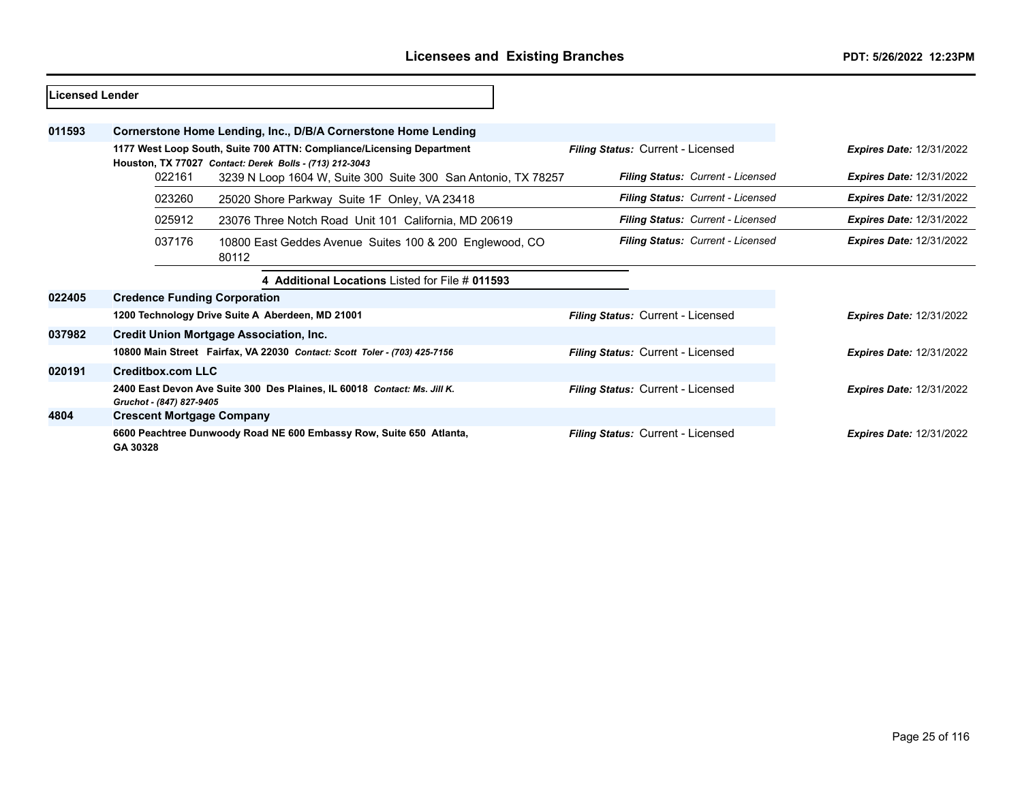| lLicensed Lender |          |                          |                                                                                                                                  |                                          |                                 |
|------------------|----------|--------------------------|----------------------------------------------------------------------------------------------------------------------------------|------------------------------------------|---------------------------------|
| 011593           |          |                          | Cornerstone Home Lending, Inc., D/B/A Cornerstone Home Lending                                                                   |                                          |                                 |
|                  |          |                          | 1177 West Loop South, Suite 700 ATTN: Compliance/Licensing Department<br>Houston, TX 77027 Contact: Derek Bolls - (713) 212-3043 | <b>Filing Status: Current - Licensed</b> | <b>Expires Date: 12/31/2022</b> |
|                  |          | 022161                   | 3239 N Loop 1604 W, Suite 300 Suite 300 San Antonio, TX 78257                                                                    | Filing Status: Current - Licensed        | <b>Expires Date: 12/31/2022</b> |
|                  |          | 023260                   | 25020 Shore Parkway Suite 1F Onley, VA 23418                                                                                     | <b>Filing Status: Current - Licensed</b> | <b>Expires Date: 12/31/2022</b> |
|                  |          | 025912                   | 23076 Three Notch Road Unit 101 California, MD 20619                                                                             | Filing Status: Current - Licensed        | <b>Expires Date: 12/31/2022</b> |
|                  |          | 037176                   | 10800 East Geddes Avenue Suites 100 & 200 Englewood, CO<br>80112                                                                 | Filing Status: Current - Licensed        | <b>Expires Date: 12/31/2022</b> |
|                  |          |                          | 4 Additional Locations Listed for File # 011593                                                                                  |                                          |                                 |
| 022405           |          |                          | <b>Credence Funding Corporation</b>                                                                                              |                                          |                                 |
|                  |          |                          | 1200 Technology Drive Suite A Aberdeen, MD 21001                                                                                 | Filing Status: Current - Licensed        | <b>Expires Date: 12/31/2022</b> |
| 037982           |          |                          | <b>Credit Union Mortgage Association, Inc.</b>                                                                                   |                                          |                                 |
|                  |          |                          | 10800 Main Street Fairfax, VA 22030 Contact: Scott Toler - (703) 425-7156                                                        | Filing Status: Current - Licensed        | <b>Expires Date: 12/31/2022</b> |
| 020191           |          | <b>Creditbox.com LLC</b> |                                                                                                                                  |                                          |                                 |
|                  |          | Gruchot - (847) 827-9405 | 2400 East Devon Ave Suite 300 Des Plaines, IL 60018 Contact: Ms. Jill K.                                                         | Filing Status: Current - Licensed        | <b>Expires Date: 12/31/2022</b> |
| 4804             |          |                          | <b>Crescent Mortgage Company</b>                                                                                                 |                                          |                                 |
|                  | GA 30328 |                          | 6600 Peachtree Dunwoody Road NE 600 Embassy Row, Suite 650 Atlanta,                                                              | <b>Filing Status: Current - Licensed</b> | <b>Expires Date: 12/31/2022</b> |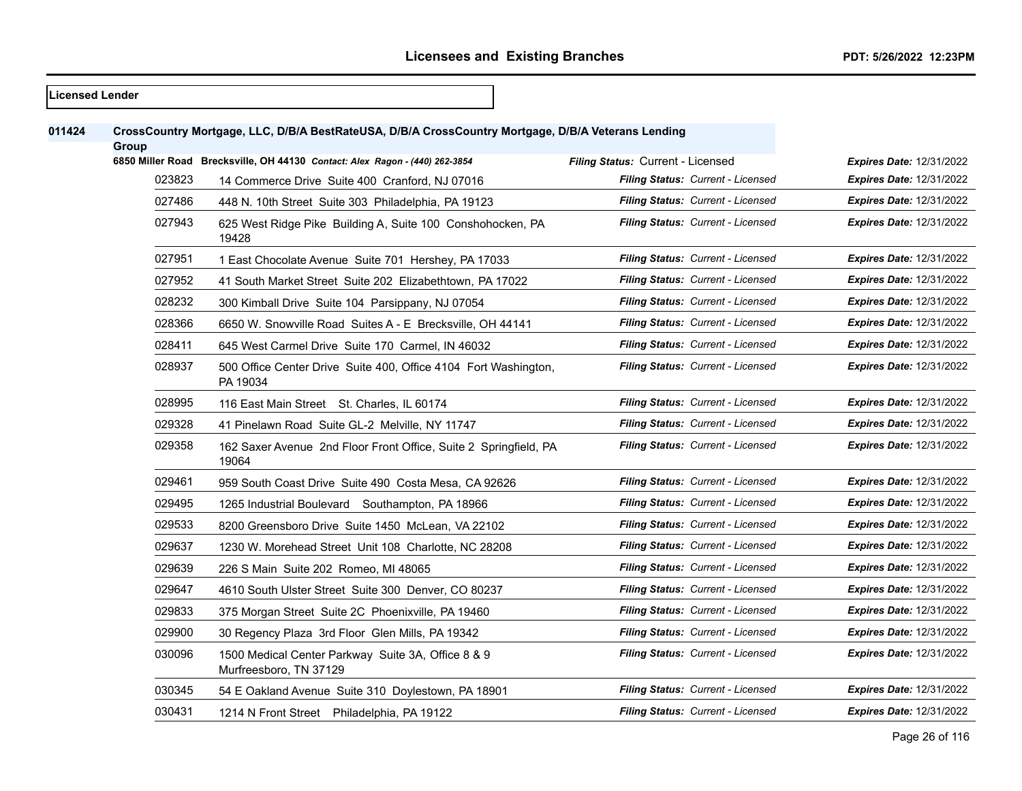**Licensed Lender**

## **CrossCountry Mortgage, LLC, D/B/A BestRateUSA, D/B/A CrossCountry Mortgage, D/B/A Veterans Lending Group 6850 Miller Road Brecksville, OH 44130** *Contact: Alex Ragon - (440) 262-3854 Filing Status:* Current - Licensed *Expires Date:* 12/31/2022 14 Commerce Drive Suite 400 Cranford, NJ 07016 *Filing Status: Current - Licensed Expires Date:* 12/31/2022 448 N. 10th Street Suite 303 Philadelphia, PA 19123 *Filing Status: Current - Licensed Expires Date:* 12/31/2022 625 West Ridge Pike Building A, Suite 100 Conshohocken, PA *Filing Status: Current - Licensed Expires Date:* 12/31/2022 1 East Chocolate Avenue Suite 701 Hershey, PA 17033 *Filing Status: Current - Licensed Expires Date:* 12/31/2022 41 South Market Street Suite 202 Elizabethtown, PA 17022 *Filing Status: Current - Licensed Expires Date:* 12/31/2022 300 Kimball Drive Suite 104 Parsippany, NJ 07054 *Filing Status: Current - Licensed Expires Date:* 12/31/2022 6650 W. Snowville Road Suites A - E Brecksville, OH 44141 *Filing Status: Current - Licensed Expires Date:* 12/31/2022 645 West Carmel Drive Suite 170 Carmel, IN 46032 *Filing Status: Current - Licensed Expires Date:* 12/31/2022 500 Office Center Drive Suite 400, Office 4104 Fort Washington, PA 19034 *Filing Status: Current - Licensed Expires Date:* 12/31/2022 116 East Main Street St. Charles, IL 60174 *Filing Status: Current - Licensed Expires Date:* 12/31/2022 41 Pinelawn Road Suite GL-2 Melville, NY 11747 *Filing Status: Current - Licensed Expires Date:* 12/31/2022 162 Saxer Avenue 2nd Floor Front Office, Suite 2 Springfield, PA *Filing Status: Current - Licensed Expires Date:* 12/31/2022 959 South Coast Drive Suite 490 Costa Mesa, CA 92626 *Filing Status: Current - Licensed Expires Date:* 12/31/2022 1265 Industrial Boulevard Southampton, PA 18966 *Filing Status: Current - Licensed Expires Date:* 12/31/2022 8200 Greensboro Drive Suite 1450 McLean, VA 22102 *Filing Status: Current - Licensed Expires Date:* 12/31/2022 1230 W. Morehead Street Unit 108 Charlotte, NC 28208 *Filing Status: Current - Licensed Expires Date:* 12/31/2022 226 S Main Suite 202 Romeo, MI 48065 *Filing Status: Current - Licensed Expires Date:* 12/31/2022 4610 South Ulster Street Suite 300 Denver, CO 80237 *Filing Status: Current - Licensed Expires Date:* 12/31/2022 375 Morgan Street Suite 2C Phoenixville, PA 19460 *Filing Status: Current - Licensed Expires Date:* 12/31/2022 30 Regency Plaza 3rd Floor Glen Mills, PA 19342 *Filing Status: Current - Licensed Expires Date:* 12/31/2022 1500 Medical Center Parkway Suite 3A, Office 8 & 9 Murfreesboro, TN 37129 *Filing Status: Current - Licensed Expires Date:* 12/31/2022 54 E Oakland Avenue Suite 310 Doylestown, PA 18901 *Filing Status: Current - Licensed Expires Date:* 12/31/2022 1214 N Front Street Philadelphia, PA 19122 *Filing Status: Current - Licensed Expires Date:* 12/31/2022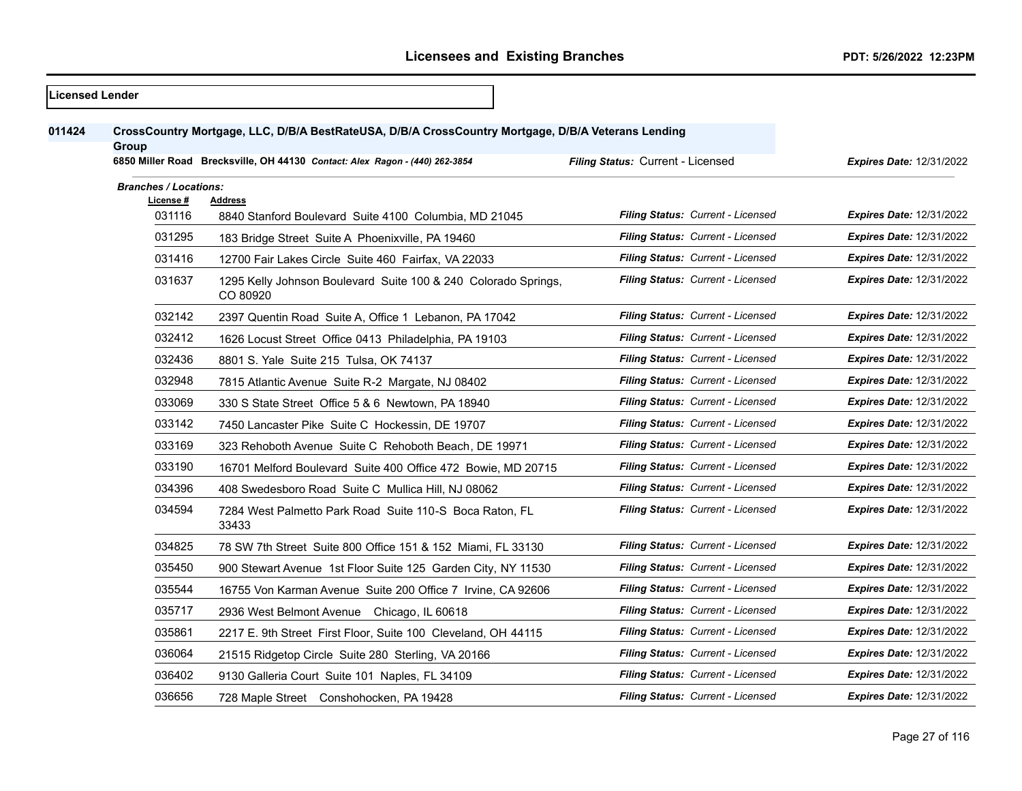| <b>Licensed Lender</b> |                              |                                                                                                                                                                                   |                                          |                                 |
|------------------------|------------------------------|-----------------------------------------------------------------------------------------------------------------------------------------------------------------------------------|------------------------------------------|---------------------------------|
| 011424                 | Group                        | CrossCountry Mortgage, LLC, D/B/A BestRateUSA, D/B/A CrossCountry Mortgage, D/B/A Veterans Lending<br>6850 Miller Road Brecksville, OH 44130 Contact: Alex Ragon - (440) 262-3854 | Filing Status: Current - Licensed        | <b>Expires Date: 12/31/2022</b> |
|                        | <b>Branches / Locations:</b> |                                                                                                                                                                                   |                                          |                                 |
|                        | License #                    | <b>Address</b>                                                                                                                                                                    |                                          |                                 |
|                        | 031116                       | 8840 Stanford Boulevard Suite 4100 Columbia, MD 21045                                                                                                                             | Filing Status: Current - Licensed        | Expires Date: 12/31/2022        |
|                        | 031295                       | 183 Bridge Street Suite A Phoenixville, PA 19460                                                                                                                                  | Filing Status: Current - Licensed        | <b>Expires Date: 12/31/2022</b> |
|                        | 031416                       | 12700 Fair Lakes Circle Suite 460 Fairfax, VA 22033                                                                                                                               | Filing Status: Current - Licensed        | <b>Expires Date: 12/31/2022</b> |
|                        | 031637                       | 1295 Kelly Johnson Boulevard Suite 100 & 240 Colorado Springs,<br>CO 80920                                                                                                        | Filing Status: Current - Licensed        | <b>Expires Date: 12/31/2022</b> |
|                        | 032142                       | 2397 Quentin Road Suite A, Office 1 Lebanon, PA 17042                                                                                                                             | Filing Status: Current - Licensed        | Expires Date: 12/31/2022        |
|                        | 032412                       | 1626 Locust Street Office 0413 Philadelphia, PA 19103                                                                                                                             | Filing Status: Current - Licensed        | <b>Expires Date: 12/31/2022</b> |
|                        | 032436                       | 8801 S. Yale Suite 215 Tulsa, OK 74137                                                                                                                                            | Filing Status: Current - Licensed        | <b>Expires Date: 12/31/2022</b> |
|                        | 032948                       | 7815 Atlantic Avenue Suite R-2 Margate, NJ 08402                                                                                                                                  | Filing Status: Current - Licensed        | <b>Expires Date: 12/31/2022</b> |
|                        | 033069                       | 330 S State Street Office 5 & 6 Newtown, PA 18940                                                                                                                                 | <b>Filing Status: Current - Licensed</b> | <b>Expires Date: 12/31/2022</b> |
|                        | 033142                       | 7450 Lancaster Pike Suite C Hockessin, DE 19707                                                                                                                                   | <b>Filing Status: Current - Licensed</b> | <b>Expires Date: 12/31/2022</b> |
|                        | 033169                       | 323 Rehoboth Avenue Suite C Rehoboth Beach, DE 19971                                                                                                                              | Filing Status: Current - Licensed        | <b>Expires Date: 12/31/2022</b> |
|                        | 033190                       | 16701 Melford Boulevard Suite 400 Office 472 Bowie, MD 20715                                                                                                                      | Filing Status: Current - Licensed        | <b>Expires Date: 12/31/2022</b> |
|                        | 034396                       | 408 Swedesboro Road Suite C Mullica Hill, NJ 08062                                                                                                                                | Filing Status: Current - Licensed        | Expires Date: 12/31/2022        |
|                        | 034594                       | 7284 West Palmetto Park Road Suite 110-S Boca Raton, FL<br>33433                                                                                                                  | Filing Status: Current - Licensed        | <b>Expires Date: 12/31/2022</b> |
|                        | 034825                       | 78 SW 7th Street Suite 800 Office 151 & 152 Miami, FL 33130                                                                                                                       | Filing Status: Current - Licensed        | Expires Date: 12/31/2022        |
|                        | 035450                       | 900 Stewart Avenue 1st Floor Suite 125 Garden City, NY 11530                                                                                                                      | Filing Status: Current - Licensed        | <b>Expires Date: 12/31/2022</b> |
|                        | 035544                       | 16755 Von Karman Avenue Suite 200 Office 7 Irvine, CA 92606                                                                                                                       | Filing Status: Current - Licensed        | <b>Expires Date: 12/31/2022</b> |
|                        | 035717                       | 2936 West Belmont Avenue Chicago, IL 60618                                                                                                                                        | <b>Filing Status: Current - Licensed</b> | <b>Expires Date: 12/31/2022</b> |
|                        | 035861                       | 2217 E. 9th Street First Floor, Suite 100 Cleveland, OH 44115                                                                                                                     | Filing Status: Current - Licensed        | <b>Expires Date: 12/31/2022</b> |
|                        | 036064                       | 21515 Ridgetop Circle Suite 280 Sterling, VA 20166                                                                                                                                | Filing Status: Current - Licensed        | <b>Expires Date: 12/31/2022</b> |
|                        | 036402                       | 9130 Galleria Court Suite 101 Naples, FL 34109                                                                                                                                    | Filing Status: Current - Licensed        | <b>Expires Date: 12/31/2022</b> |
|                        | 036656                       | 728 Maple Street Conshohocken, PA 19428                                                                                                                                           | Filing Status: Current - Licensed        | <b>Expires Date: 12/31/2022</b> |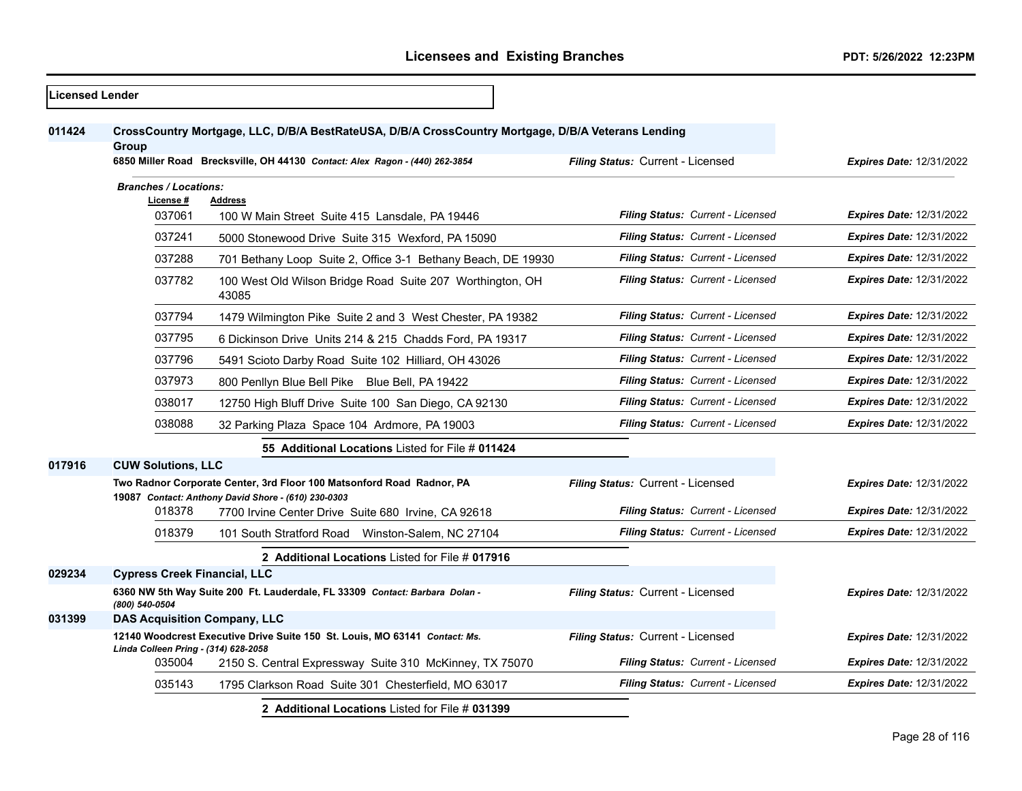| <b>Licensed Lender</b> |                                      |                                                                                                                                                                                   |                                          |                                 |
|------------------------|--------------------------------------|-----------------------------------------------------------------------------------------------------------------------------------------------------------------------------------|------------------------------------------|---------------------------------|
| 011424                 | Group                                | CrossCountry Mortgage, LLC, D/B/A BestRateUSA, D/B/A CrossCountry Mortgage, D/B/A Veterans Lending<br>6850 Miller Road Brecksville, OH 44130 Contact: Alex Ragon - (440) 262-3854 | Filing Status: Current - Licensed        | <b>Expires Date: 12/31/2022</b> |
|                        | <b>Branches / Locations:</b>         |                                                                                                                                                                                   |                                          |                                 |
|                        | License #<br>037061                  | Address                                                                                                                                                                           |                                          |                                 |
|                        |                                      | 100 W Main Street Suite 415 Lansdale, PA 19446                                                                                                                                    | <b>Filing Status: Current - Licensed</b> | <b>Expires Date: 12/31/2022</b> |
|                        | 037241                               | 5000 Stonewood Drive Suite 315 Wexford, PA 15090                                                                                                                                  | Filing Status: Current - Licensed        | <b>Expires Date: 12/31/2022</b> |
|                        | 037288                               | 701 Bethany Loop Suite 2, Office 3-1 Bethany Beach, DE 19930                                                                                                                      | Filing Status: Current - Licensed        | <b>Expires Date: 12/31/2022</b> |
|                        | 037782                               | 100 West Old Wilson Bridge Road Suite 207 Worthington, OH<br>43085                                                                                                                | <b>Filing Status: Current - Licensed</b> | <b>Expires Date: 12/31/2022</b> |
|                        | 037794                               | 1479 Wilmington Pike Suite 2 and 3 West Chester, PA 19382                                                                                                                         | <b>Filing Status: Current - Licensed</b> | <b>Expires Date: 12/31/2022</b> |
|                        | 037795                               | 6 Dickinson Drive Units 214 & 215 Chadds Ford, PA 19317                                                                                                                           | Filing Status: Current - Licensed        | <b>Expires Date: 12/31/2022</b> |
|                        | 037796                               | 5491 Scioto Darby Road Suite 102 Hilliard, OH 43026                                                                                                                               | Filing Status: Current - Licensed        | Expires Date: 12/31/2022        |
|                        | 037973                               | 800 Penllyn Blue Bell Pike Blue Bell, PA 19422                                                                                                                                    | Filing Status: Current - Licensed        | <b>Expires Date: 12/31/2022</b> |
|                        | 038017                               | 12750 High Bluff Drive Suite 100 San Diego, CA 92130                                                                                                                              | Filing Status: Current - Licensed        | <b>Expires Date: 12/31/2022</b> |
|                        | 038088                               | 32 Parking Plaza Space 104 Ardmore, PA 19003                                                                                                                                      | Filing Status: Current - Licensed        | Expires Date: 12/31/2022        |
|                        |                                      | 55 Additional Locations Listed for File # 011424                                                                                                                                  |                                          |                                 |
| 017916                 | <b>CUW Solutions, LLC</b>            |                                                                                                                                                                                   |                                          |                                 |
|                        |                                      | Two Radnor Corporate Center, 3rd Floor 100 Matsonford Road Radnor, PA                                                                                                             | Filing Status: Current - Licensed        | <b>Expires Date: 12/31/2022</b> |
|                        | 018378                               | 19087 Contact: Anthony David Shore - (610) 230-0303<br>7700 Irvine Center Drive Suite 680 Irvine, CA 92618                                                                        | Filing Status: Current - Licensed        | Expires Date: 12/31/2022        |
|                        | 018379                               | 101 South Stratford Road Winston-Salem, NC 27104                                                                                                                                  | Filing Status: Current - Licensed        | <b>Expires Date: 12/31/2022</b> |
|                        |                                      | 2 Additional Locations Listed for File # 017916                                                                                                                                   |                                          |                                 |
| 029234                 | <b>Cypress Creek Financial, LLC</b>  |                                                                                                                                                                                   |                                          |                                 |
|                        | (800) 540-0504                       | 6360 NW 5th Way Suite 200 Ft. Lauderdale, FL 33309 Contact: Barbara Dolan -                                                                                                       | Filing Status: Current - Licensed        | <b>Expires Date: 12/31/2022</b> |
| 031399                 | <b>DAS Acquisition Company, LLC</b>  |                                                                                                                                                                                   |                                          |                                 |
|                        | Linda Colleen Pring - (314) 628-2058 | 12140 Woodcrest Executive Drive Suite 150 St. Louis, MO 63141 Contact: Ms.                                                                                                        | Filing Status: Current - Licensed        | <b>Expires Date: 12/31/2022</b> |
|                        | 035004                               | 2150 S. Central Expressway Suite 310 McKinney, TX 75070                                                                                                                           | Filing Status: Current - Licensed        | Expires Date: 12/31/2022        |
|                        | 035143                               | 1795 Clarkson Road Suite 301 Chesterfield, MO 63017                                                                                                                               | Filing Status: Current - Licensed        | <b>Expires Date: 12/31/2022</b> |
|                        |                                      | 2 Additional Locations Listed for File # 031399                                                                                                                                   |                                          |                                 |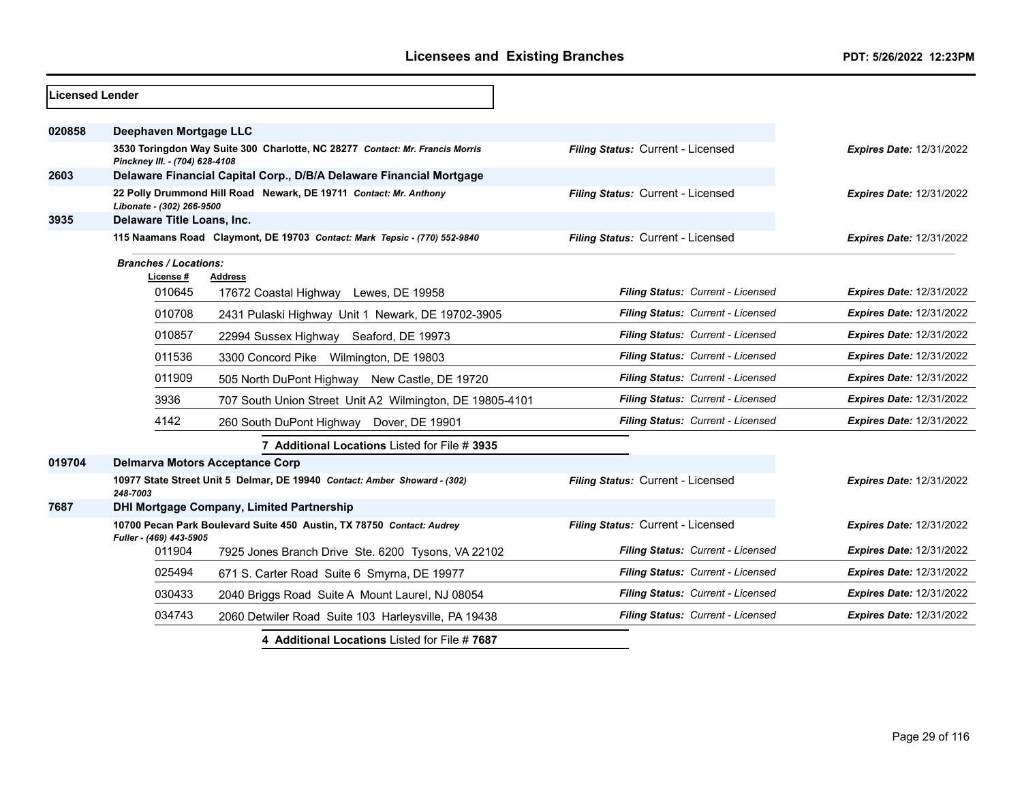| <b>Licensed Lender</b> |                                           |                                                                              |                                   |                                 |
|------------------------|-------------------------------------------|------------------------------------------------------------------------------|-----------------------------------|---------------------------------|
| 020858                 | Deephaven Mortgage LLC                    |                                                                              |                                   |                                 |
|                        | Pinckney III. - (704) 628-4108            | 3530 Toringdon Way Suite 300 Charlotte, NC 28277 Contact: Mr. Francis Morris | Filing Status: Current - Licensed | <b>Expires Date: 12/31/2022</b> |
| 2603                   |                                           | Delaware Financial Capital Corp., D/B/A Delaware Financial Mortgage          |                                   |                                 |
|                        | Libonate - (302) 266-9500                 | 22 Polly Drummond Hill Road Newark, DE 19711 Contact: Mr. Anthony            | Filing Status: Current - Licensed | <b>Expires Date: 12/31/2022</b> |
| 3935                   | Delaware Title Loans, Inc.                |                                                                              |                                   |                                 |
|                        |                                           | 115 Naamans Road Claymont, DE 19703 Contact: Mark Tepsic - (770) 552-9840    | Filing Status: Current - Licensed | <b>Expires Date: 12/31/2022</b> |
|                        | <b>Branches / Locations:</b><br>License # | <b>Address</b>                                                               |                                   |                                 |
|                        | 010645                                    | 17672 Coastal Highway Lewes, DE 19958                                        | Filing Status: Current - Licensed | <b>Expires Date: 12/31/2022</b> |
|                        | 010708                                    | 2431 Pulaski Highway Unit 1 Newark, DE 19702-3905                            | Filing Status: Current - Licensed | <b>Expires Date: 12/31/2022</b> |
|                        | 010857                                    | 22994 Sussex Highway Seaford, DE 19973                                       | Filing Status: Current - Licensed | <b>Expires Date: 12/31/2022</b> |
|                        | 011536                                    | 3300 Concord Pike Wilmington, DE 19803                                       | Filing Status: Current - Licensed | Expires Date: 12/31/2022        |
|                        | 011909                                    | 505 North DuPont Highway New Castle, DE 19720                                | Filing Status: Current - Licensed | Expires Date: 12/31/2022        |
|                        | 3936                                      | 707 South Union Street Unit A2 Wilmington, DE 19805-4101                     | Filing Status: Current - Licensed | Expires Date: 12/31/2022        |
|                        | 4142                                      | Dover, DE 19901<br>260 South DuPont Highway                                  | Filing Status: Current - Licensed | <b>Expires Date: 12/31/2022</b> |
|                        |                                           | 7 Additional Locations Listed for File # 3935                                |                                   |                                 |
| 019704                 |                                           | <b>Delmarva Motors Acceptance Corp</b>                                       |                                   |                                 |
|                        | 248-7003                                  | 10977 State Street Unit 5 Delmar, DE 19940 Contact: Amber Showard - (302)    | Filing Status: Current - Licensed | <b>Expires Date: 12/31/2022</b> |
| 7687                   |                                           | <b>DHI Mortgage Company, Limited Partnership</b>                             |                                   |                                 |
|                        | Fuller - (469) 443-5905                   | 10700 Pecan Park Boulevard Suite 450 Austin, TX 78750 Contact: Audrey        | Filing Status: Current - Licensed | <b>Expires Date: 12/31/2022</b> |
|                        | 011904                                    | 7925 Jones Branch Drive Ste. 6200 Tysons, VA 22102                           | Filing Status: Current - Licensed | <b>Expires Date: 12/31/2022</b> |
|                        | 025494                                    | 671 S. Carter Road Suite 6 Smyrna, DE 19977                                  | Filing Status: Current - Licensed | <b>Expires Date: 12/31/2022</b> |
|                        | 030433                                    | 2040 Briggs Road Suite A Mount Laurel, NJ 08054                              | Filing Status: Current - Licensed | <b>Expires Date: 12/31/2022</b> |
|                        | 034743                                    | 2060 Detwiler Road Suite 103 Harleysville, PA 19438                          | Filing Status: Current - Licensed | Expires Date: 12/31/2022        |
|                        |                                           | 4 Additional Locations Listed for File #7687                                 |                                   |                                 |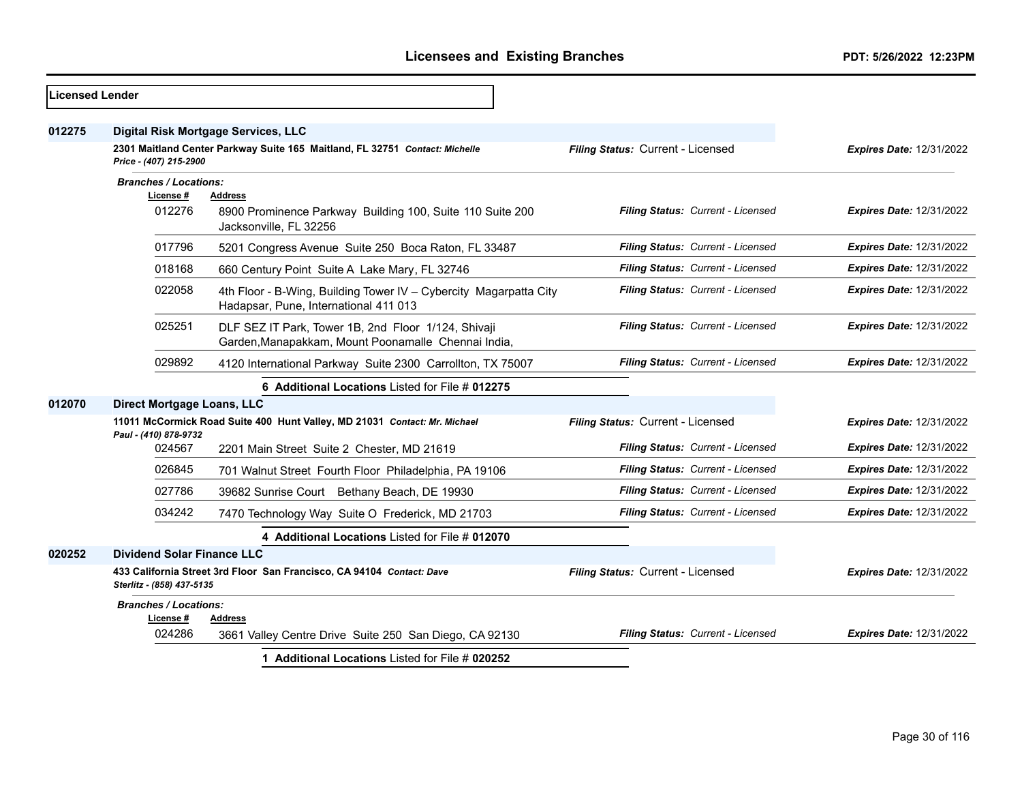| <b>Licensed Lender</b> |                                                                                                       |                                                                                                            |                                   |                                 |
|------------------------|-------------------------------------------------------------------------------------------------------|------------------------------------------------------------------------------------------------------------|-----------------------------------|---------------------------------|
| 012275                 |                                                                                                       | Digital Risk Mortgage Services, LLC                                                                        |                                   |                                 |
|                        | 2301 Maitland Center Parkway Suite 165 Maitland, FL 32751 Contact: Michelle<br>Price - (407) 215-2900 |                                                                                                            | Filing Status: Current - Licensed | <b>Expires Date: 12/31/2022</b> |
|                        | <b>Branches / Locations:</b><br>License #                                                             | <b>Address</b>                                                                                             |                                   |                                 |
|                        | 012276                                                                                                | 8900 Prominence Parkway Building 100, Suite 110 Suite 200<br>Jacksonville, FL 32256                        | Filing Status: Current - Licensed | <b>Expires Date: 12/31/2022</b> |
|                        | 017796                                                                                                | 5201 Congress Avenue Suite 250 Boca Raton, FL 33487                                                        | Filing Status: Current - Licensed | <b>Expires Date: 12/31/2022</b> |
|                        | 018168                                                                                                | 660 Century Point Suite A Lake Mary, FL 32746                                                              | Filing Status: Current - Licensed | <b>Expires Date: 12/31/2022</b> |
|                        | 022058                                                                                                | 4th Floor - B-Wing, Building Tower IV - Cybercity Magarpatta City<br>Hadapsar, Pune, International 411 013 | Filing Status: Current - Licensed | <b>Expires Date: 12/31/2022</b> |
|                        | 025251                                                                                                | DLF SEZ IT Park, Tower 1B, 2nd Floor 1/124, Shivaji<br>Garden, Manapakkam, Mount Poonamalle Chennai India, | Filing Status: Current - Licensed | <b>Expires Date: 12/31/2022</b> |
|                        | 029892                                                                                                | 4120 International Parkway Suite 2300 Carrollton, TX 75007                                                 | Filing Status: Current - Licensed | <b>Expires Date: 12/31/2022</b> |
|                        |                                                                                                       | 6 Additional Locations Listed for File # 012275                                                            |                                   |                                 |
| 012070                 | Direct Mortgage Loans, LLC                                                                            |                                                                                                            |                                   |                                 |
|                        | Paul - (410) 878-9732                                                                                 | 11011 McCormick Road Suite 400 Hunt Valley, MD 21031 Contact: Mr. Michael                                  | Filing Status: Current - Licensed | <b>Expires Date: 12/31/2022</b> |
|                        | 024567                                                                                                | 2201 Main Street Suite 2 Chester, MD 21619                                                                 | Filing Status: Current - Licensed | <b>Expires Date: 12/31/2022</b> |
|                        | 026845                                                                                                | 701 Walnut Street Fourth Floor Philadelphia, PA 19106                                                      | Filing Status: Current - Licensed | <b>Expires Date: 12/31/2022</b> |
|                        | 027786                                                                                                | 39682 Sunrise Court Bethany Beach, DE 19930                                                                | Filing Status: Current - Licensed | Expires Date: 12/31/2022        |
|                        | 034242                                                                                                | 7470 Technology Way Suite O Frederick, MD 21703                                                            | Filing Status: Current - Licensed | <b>Expires Date: 12/31/2022</b> |
|                        |                                                                                                       | 4 Additional Locations Listed for File # 012070                                                            |                                   |                                 |
| 020252                 | <b>Dividend Solar Finance LLC</b>                                                                     |                                                                                                            |                                   |                                 |
|                        | Sterlitz - (858) 437-5135                                                                             | 433 California Street 3rd Floor San Francisco, CA 94104 Contact: Dave                                      | Filing Status: Current - Licensed | <b>Expires Date: 12/31/2022</b> |
|                        | <b>Branches / Locations:</b><br>License #                                                             | Address                                                                                                    |                                   |                                 |
|                        | 024286                                                                                                | 3661 Valley Centre Drive Suite 250 San Diego, CA 92130                                                     | Filing Status: Current - Licensed | <b>Expires Date: 12/31/2022</b> |
|                        |                                                                                                       | 1 Additional Locations Listed for File # 020252                                                            |                                   |                                 |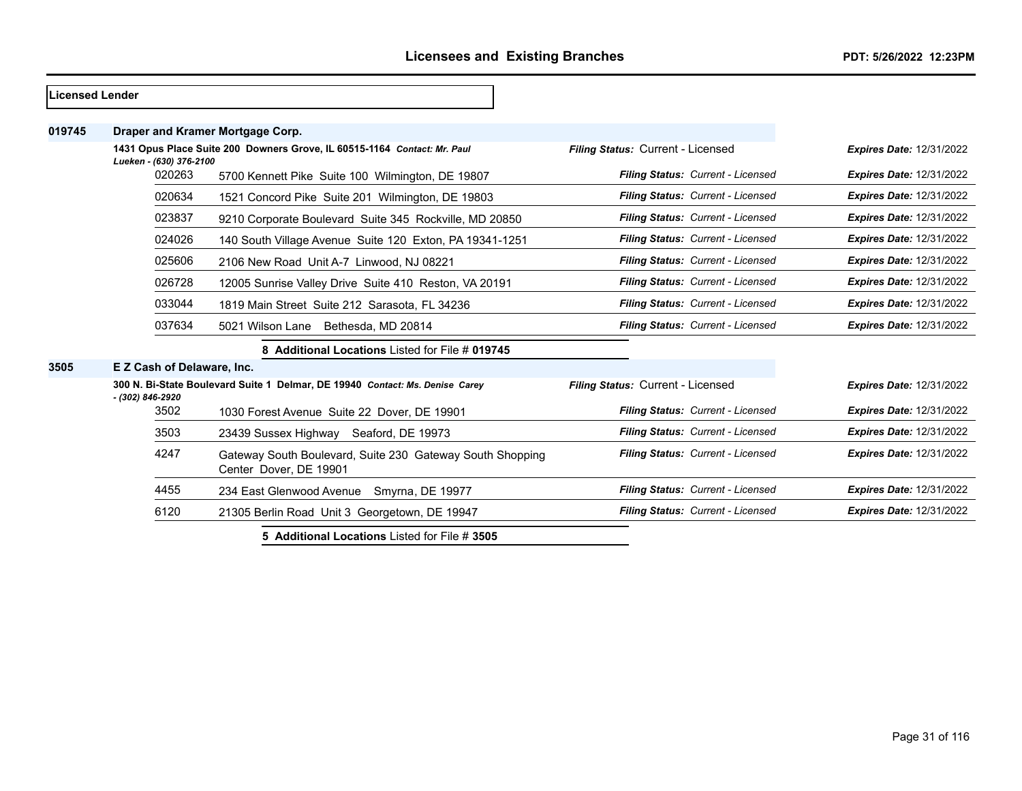| lLicensed Lender |                                                                                                     |                                                                                     |                                   |                                 |
|------------------|-----------------------------------------------------------------------------------------------------|-------------------------------------------------------------------------------------|-----------------------------------|---------------------------------|
| 019745           |                                                                                                     | Draper and Kramer Mortgage Corp.                                                    |                                   |                                 |
|                  | 1431 Opus Place Suite 200 Downers Grove, IL 60515-1164 Contact: Mr. Paul<br>Lueken - (630) 376-2100 |                                                                                     | Filing Status: Current - Licensed | <b>Expires Date: 12/31/2022</b> |
|                  | 020263                                                                                              | 5700 Kennett Pike Suite 100 Wilmington, DE 19807                                    | Filing Status: Current - Licensed | <b>Expires Date: 12/31/2022</b> |
|                  | 020634                                                                                              | 1521 Concord Pike Suite 201 Wilmington, DE 19803                                    | Filing Status: Current - Licensed | <b>Expires Date: 12/31/2022</b> |
|                  | 023837                                                                                              | 9210 Corporate Boulevard Suite 345 Rockville, MD 20850                              | Filing Status: Current - Licensed | <b>Expires Date: 12/31/2022</b> |
|                  | 024026                                                                                              | 140 South Village Avenue Suite 120 Exton, PA 19341-1251                             | Filing Status: Current - Licensed | <b>Expires Date: 12/31/2022</b> |
|                  | 025606                                                                                              | 2106 New Road Unit A-7 Linwood, NJ 08221                                            | Filing Status: Current - Licensed | <b>Expires Date: 12/31/2022</b> |
|                  | 026728                                                                                              | 12005 Sunrise Valley Drive Suite 410 Reston, VA 20191                               | Filing Status: Current - Licensed | <b>Expires Date: 12/31/2022</b> |
|                  | 033044                                                                                              | 1819 Main Street Suite 212 Sarasota, FL 34236                                       | Filing Status: Current - Licensed | <b>Expires Date: 12/31/2022</b> |
|                  | 037634                                                                                              | 5021 Wilson Lane Bethesda, MD 20814                                                 | Filing Status: Current - Licensed | <b>Expires Date: 12/31/2022</b> |
|                  |                                                                                                     | 8 Additional Locations Listed for File # 019745                                     |                                   |                                 |
| 3505             | E Z Cash of Delaware, Inc.                                                                          |                                                                                     |                                   |                                 |
|                  | - (302) 846-2920                                                                                    | 300 N. Bi-State Boulevard Suite 1 Delmar, DE 19940 Contact: Ms. Denise Carey        | Filing Status: Current - Licensed | <b>Expires Date: 12/31/2022</b> |
|                  | 3502                                                                                                | 1030 Forest Avenue Suite 22 Dover, DE 19901                                         | Filing Status: Current - Licensed | <b>Expires Date: 12/31/2022</b> |
|                  | 3503                                                                                                | 23439 Sussex Highway Seaford, DE 19973                                              | Filing Status: Current - Licensed | <b>Expires Date: 12/31/2022</b> |
|                  | 4247                                                                                                | Gateway South Boulevard, Suite 230 Gateway South Shopping<br>Center Dover, DE 19901 | Filing Status: Current - Licensed | <b>Expires Date: 12/31/2022</b> |
|                  | 4455                                                                                                | 234 East Glenwood Avenue Smyrna, DE 19977                                           | Filing Status: Current - Licensed | <b>Expires Date: 12/31/2022</b> |
|                  | 6120                                                                                                | 21305 Berlin Road Unit 3 Georgetown, DE 19947                                       | Filing Status: Current - Licensed | <b>Expires Date: 12/31/2022</b> |
|                  |                                                                                                     | 5 Additional Locations Listed for File # 3505                                       |                                   |                                 |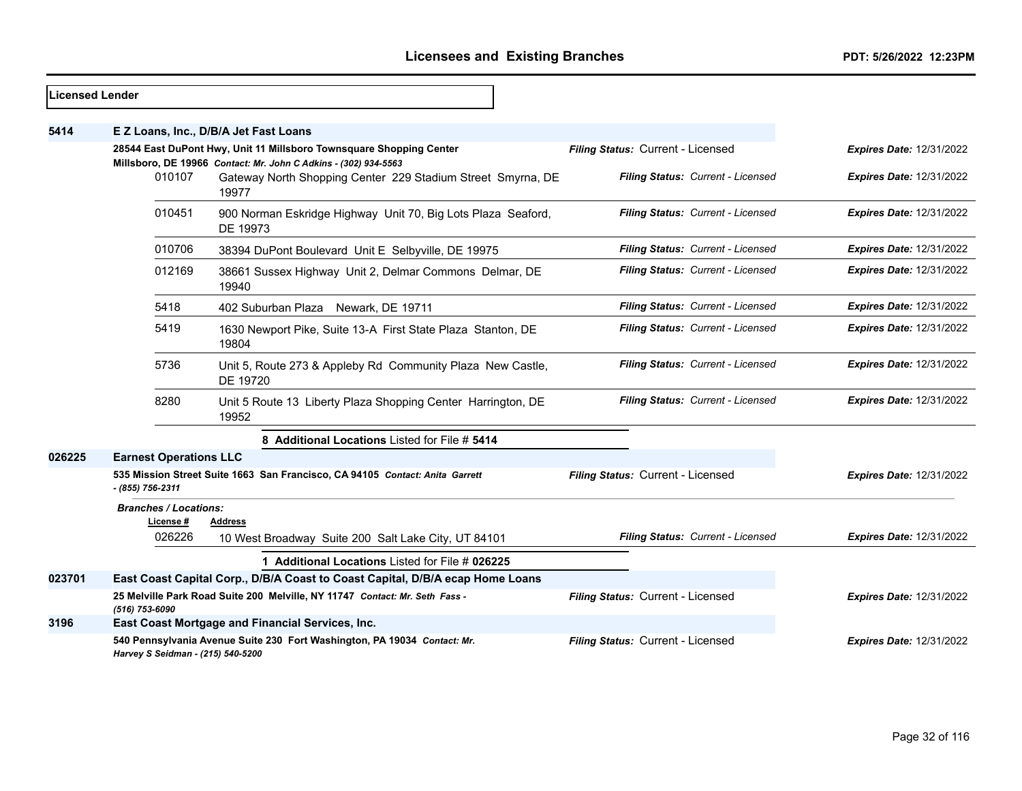| <b>Licensed Lender</b> |                                           |                                                                                                                                        |                                   |                                 |
|------------------------|-------------------------------------------|----------------------------------------------------------------------------------------------------------------------------------------|-----------------------------------|---------------------------------|
| 5414                   |                                           | E Z Loans, Inc., D/B/A Jet Fast Loans                                                                                                  |                                   |                                 |
|                        |                                           | 28544 East DuPont Hwy, Unit 11 Millsboro Townsquare Shopping Center<br>Millsboro, DE 19966 Contact: Mr. John C Adkins - (302) 934-5563 | Filing Status: Current - Licensed | <b>Expires Date: 12/31/2022</b> |
|                        | 010107                                    | Gateway North Shopping Center 229 Stadium Street Smyrna, DE<br>19977                                                                   | Filing Status: Current - Licensed | <b>Expires Date: 12/31/2022</b> |
|                        | 010451                                    | 900 Norman Eskridge Highway Unit 70, Big Lots Plaza Seaford,<br>DE 19973                                                               | Filing Status: Current - Licensed | <b>Expires Date: 12/31/2022</b> |
|                        | 010706                                    | 38394 DuPont Boulevard Unit E Selbyville, DE 19975                                                                                     | Filing Status: Current - Licensed | <b>Expires Date: 12/31/2022</b> |
|                        | 012169                                    | 38661 Sussex Highway Unit 2, Delmar Commons Delmar, DE<br>19940                                                                        | Filing Status: Current - Licensed | <b>Expires Date: 12/31/2022</b> |
|                        | 5418                                      | 402 Suburban Plaza Newark, DE 19711                                                                                                    | Filing Status: Current - Licensed | <b>Expires Date: 12/31/2022</b> |
|                        | 5419                                      | 1630 Newport Pike, Suite 13-A First State Plaza Stanton, DE<br>19804                                                                   | Filing Status: Current - Licensed | <b>Expires Date: 12/31/2022</b> |
|                        | 5736                                      | Unit 5, Route 273 & Appleby Rd Community Plaza New Castle,<br>DE 19720                                                                 | Filing Status: Current - Licensed | <b>Expires Date: 12/31/2022</b> |
|                        | 8280                                      | Unit 5 Route 13 Liberty Plaza Shopping Center Harrington, DE<br>19952                                                                  | Filing Status: Current - Licensed | <b>Expires Date: 12/31/2022</b> |
|                        |                                           | 8 Additional Locations Listed for File # 5414                                                                                          |                                   |                                 |
| 026225                 | <b>Earnest Operations LLC</b>             |                                                                                                                                        |                                   |                                 |
|                        | - (855) 756-2311                          | 535 Mission Street Suite 1663 San Francisco, CA 94105 Contact: Anita Garrett                                                           | Filing Status: Current - Licensed | <b>Expires Date: 12/31/2022</b> |
|                        | <b>Branches / Locations:</b><br>License # | <b>Address</b>                                                                                                                         |                                   |                                 |
|                        | 026226                                    | 10 West Broadway Suite 200 Salt Lake City, UT 84101                                                                                    | Filing Status: Current - Licensed | <b>Expires Date: 12/31/2022</b> |
|                        |                                           | 1 Additional Locations Listed for File # 026225                                                                                        |                                   |                                 |
| 023701                 |                                           | East Coast Capital Corp., D/B/A Coast to Coast Capital, D/B/A ecap Home Loans                                                          |                                   |                                 |
|                        | (516) 753-6090                            | 25 Melville Park Road Suite 200 Melville, NY 11747 Contact: Mr. Seth Fass -                                                            | Filing Status: Current - Licensed | <b>Expires Date: 12/31/2022</b> |
| 3196                   |                                           | East Coast Mortgage and Financial Services, Inc.                                                                                       |                                   |                                 |
|                        | Harvey S Seidman - (215) 540-5200         | 540 Pennsylvania Avenue Suite 230 Fort Washington, PA 19034 Contact: Mr.                                                               | Filing Status: Current - Licensed | <b>Expires Date: 12/31/2022</b> |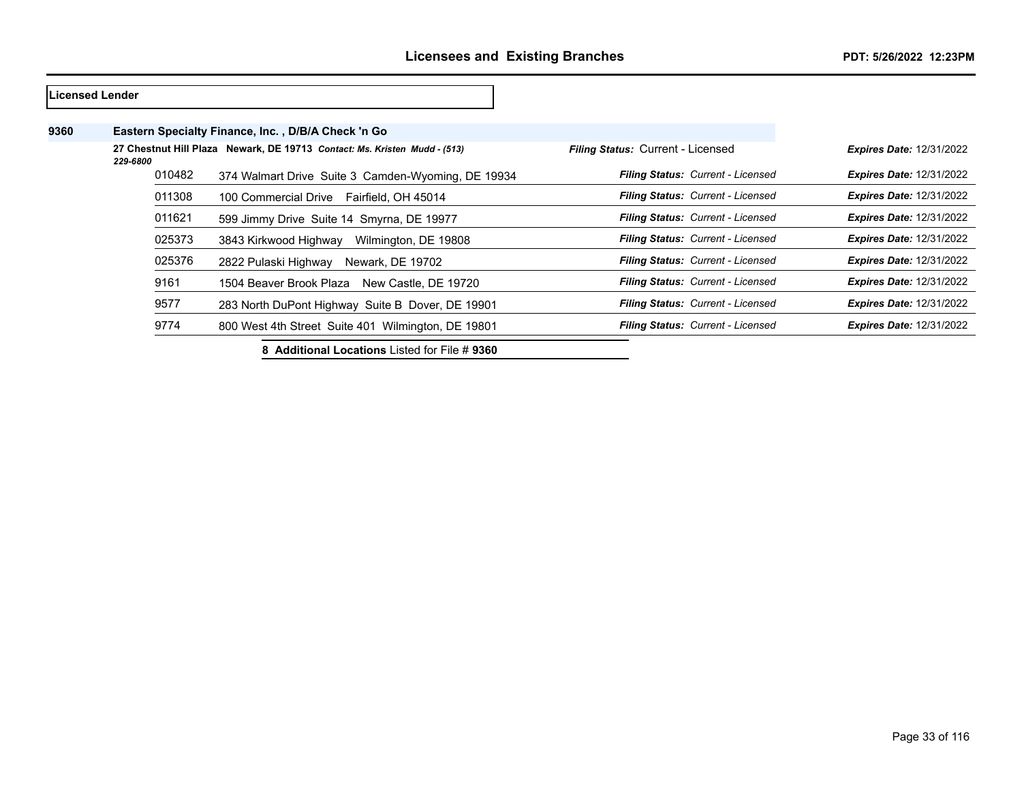|      | <b>ILicensed Lender</b> |                                                                           |                                          |                                 |
|------|-------------------------|---------------------------------------------------------------------------|------------------------------------------|---------------------------------|
| 9360 |                         | Eastern Specialty Finance, Inc., D/B/A Check 'n Go                        |                                          |                                 |
|      | 229-6800                | 27 Chestnut Hill Plaza Newark, DE 19713 Contact: Ms. Kristen Mudd - (513) | Filing Status: Current - Licensed        | <b>Expires Date: 12/31/2022</b> |
|      | 010482                  | 374 Walmart Drive Suite 3 Camden-Wyoming, DE 19934                        | Filing Status: Current - Licensed        | <b>Expires Date: 12/31/2022</b> |
|      | 011308                  | 100 Commercial Drive Fairfield, OH 45014                                  | Filing Status: Current - Licensed        | <b>Expires Date: 12/31/2022</b> |
|      | 011621                  | 599 Jimmy Drive Suite 14 Smyrna, DE 19977                                 | <b>Filing Status: Current - Licensed</b> | <b>Expires Date: 12/31/2022</b> |
|      | 025373                  | 3843 Kirkwood Highway<br>Wilmington, DE 19808                             | <b>Filing Status: Current - Licensed</b> | <b>Expires Date: 12/31/2022</b> |
|      | 025376                  | 2822 Pulaski Highway<br>Newark, DE 19702                                  | <b>Filing Status: Current - Licensed</b> | <b>Expires Date: 12/31/2022</b> |
|      | 9161                    | 1504 Beaver Brook Plaza<br>New Castle, DE 19720                           | <b>Filing Status: Current - Licensed</b> | <b>Expires Date: 12/31/2022</b> |
|      | 9577                    | 283 North DuPont Highway Suite B Dover, DE 19901                          | Filing Status: Current - Licensed        | <b>Expires Date: 12/31/2022</b> |
|      | 9774                    | 800 West 4th Street Suite 401 Wilmington, DE 19801                        | Filing Status: Current - Licensed        | <b>Expires Date: 12/31/2022</b> |

**8 Additional Locations** Listed for File # **9360**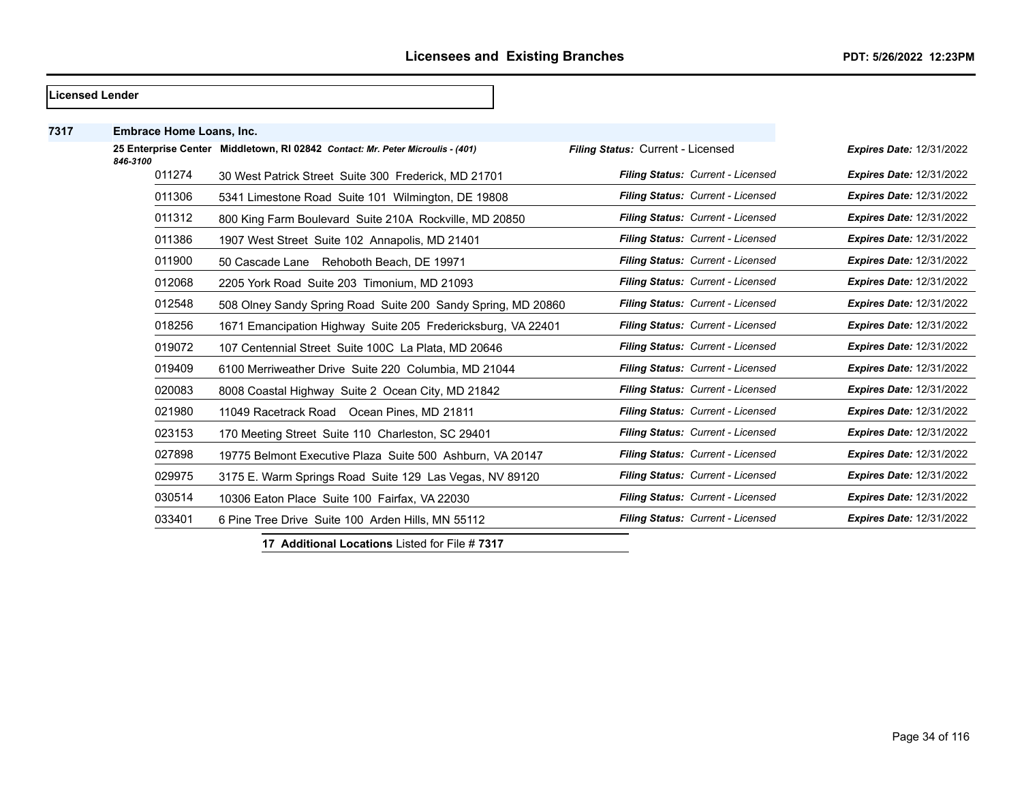|      | <b>Licensed Lender</b>          |                                                                                |                                   |                          |  |
|------|---------------------------------|--------------------------------------------------------------------------------|-----------------------------------|--------------------------|--|
| 7317 | <b>Embrace Home Loans, Inc.</b> |                                                                                |                                   |                          |  |
|      | 846-3100                        | 25 Enterprise Center Middletown, RI 02842 Contact: Mr. Peter Microulis - (401) | Filing Status: Current - Licensed | Expires Date: 12/31/2022 |  |
|      | 011274                          | 30 West Patrick Street Suite 300 Frederick, MD 21701                           | Filing Status: Current - Licensed | Expires Date: 12/31/2022 |  |
|      | 011306                          | 5341 Limestone Road Suite 101 Wilmington, DE 19808                             | Filing Status: Current - Licensed | Expires Date: 12/31/2022 |  |
|      | 011312                          | 800 King Farm Boulevard Suite 210A Rockville, MD 20850                         | Filing Status: Current - Licensed | Expires Date: 12/31/2022 |  |
|      | 011386                          | 1907 West Street Suite 102 Annapolis, MD 21401                                 | Filing Status: Current - Licensed | Expires Date: 12/31/2022 |  |
|      | 011900                          | 50 Cascade Lane Rehoboth Beach, DE 19971                                       | Filing Status: Current - Licensed | Expires Date: 12/31/2022 |  |
|      | 012068                          | 2205 York Road Suite 203 Timonium, MD 21093                                    | Filing Status: Current - Licensed | Expires Date: 12/31/2022 |  |
|      | 012548                          | 508 Olney Sandy Spring Road Suite 200 Sandy Spring, MD 20860                   | Filing Status: Current - Licensed | Expires Date: 12/31/2022 |  |
|      | 018256                          | 1671 Emancipation Highway Suite 205 Fredericksburg, VA 22401                   | Filing Status: Current - Licensed | Expires Date: 12/31/2022 |  |
|      | 019072                          | 107 Centennial Street Suite 100C La Plata, MD 20646                            | Filing Status: Current - Licensed | Expires Date: 12/31/2022 |  |
|      | 019409                          | 6100 Merriweather Drive Suite 220 Columbia, MD 21044                           | Filing Status: Current - Licensed | Expires Date: 12/31/2022 |  |
|      | 020083                          | 8008 Coastal Highway Suite 2 Ocean City, MD 21842                              | Filing Status: Current - Licensed | Expires Date: 12/31/2022 |  |
|      | 021980                          | 11049 Racetrack Road Ocean Pines, MD 21811                                     | Filing Status: Current - Licensed | Expires Date: 12/31/2022 |  |
|      | 023153                          | 170 Meeting Street Suite 110 Charleston, SC 29401                              | Filing Status: Current - Licensed | Expires Date: 12/31/2022 |  |
|      | 027898                          | 19775 Belmont Executive Plaza Suite 500 Ashburn, VA 20147                      | Filing Status: Current - Licensed | Expires Date: 12/31/2022 |  |
|      | 029975                          | 3175 E. Warm Springs Road Suite 129 Las Vegas, NV 89120                        | Filing Status: Current - Licensed | Expires Date: 12/31/2022 |  |
|      | 030514                          | 10306 Eaton Place Suite 100 Fairfax, VA 22030                                  | Filing Status: Current - Licensed | Expires Date: 12/31/2022 |  |
|      | 033401                          | 6 Pine Tree Drive Suite 100 Arden Hills, MN 55112                              | Filing Status: Current - Licensed | Expires Date: 12/31/2022 |  |

**17 Additional Locations** Listed for File # **7317**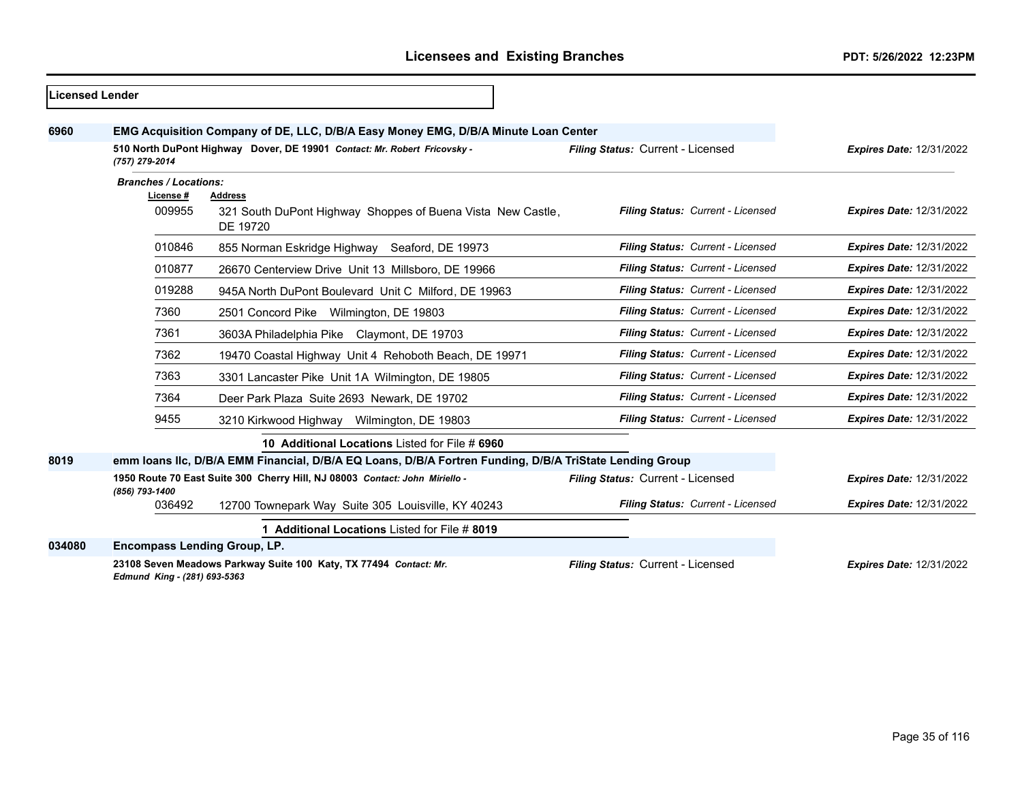| <b>Licensed Lender</b> |                                          |                                                                                                         |                                   |                                 |
|------------------------|------------------------------------------|---------------------------------------------------------------------------------------------------------|-----------------------------------|---------------------------------|
| 6960                   |                                          | EMG Acquisition Company of DE, LLC, D/B/A Easy Money EMG, D/B/A Minute Loan Center                      |                                   |                                 |
|                        | (757) 279-2014                           | 510 North DuPont Highway Dover, DE 19901 Contact: Mr. Robert Fricovsky -                                | Filing Status: Current - Licensed | <b>Expires Date: 12/31/2022</b> |
|                        | <b>Branches / Locations:</b><br>License# | Address                                                                                                 |                                   |                                 |
|                        | 009955                                   | 321 South DuPont Highway Shoppes of Buena Vista New Castle,<br>DE 19720                                 | Filing Status: Current - Licensed | <b>Expires Date: 12/31/2022</b> |
|                        | 010846                                   | 855 Norman Eskridge Highway Seaford, DE 19973                                                           | Filing Status: Current - Licensed | <b>Expires Date: 12/31/2022</b> |
|                        | 010877                                   | 26670 Centerview Drive Unit 13 Millsboro, DE 19966                                                      | Filing Status: Current - Licensed | <b>Expires Date: 12/31/2022</b> |
|                        | 019288                                   | 945A North DuPont Boulevard Unit C Milford, DE 19963                                                    | Filing Status: Current - Licensed | Expires Date: 12/31/2022        |
|                        | 7360                                     | 2501 Concord Pike Wilmington, DE 19803                                                                  | Filing Status: Current - Licensed | <b>Expires Date: 12/31/2022</b> |
|                        | 7361                                     | 3603A Philadelphia Pike Claymont, DE 19703                                                              | Filing Status: Current - Licensed | <b>Expires Date: 12/31/2022</b> |
|                        | 7362                                     | 19470 Coastal Highway Unit 4 Rehoboth Beach, DE 19971                                                   | Filing Status: Current - Licensed | <b>Expires Date: 12/31/2022</b> |
|                        | 7363                                     | 3301 Lancaster Pike Unit 1A Wilmington, DE 19805                                                        | Filing Status: Current - Licensed | <b>Expires Date: 12/31/2022</b> |
|                        | 7364                                     | Deer Park Plaza Suite 2693 Newark, DE 19702                                                             | Filing Status: Current - Licensed | <b>Expires Date: 12/31/2022</b> |
|                        | 9455                                     | 3210 Kirkwood Highway Wilmington, DE 19803                                                              | Filing Status: Current - Licensed | <b>Expires Date: 12/31/2022</b> |
|                        |                                          | 10 Additional Locations Listed for File # 6960                                                          |                                   |                                 |
| 8019                   |                                          | emm Ioans IIc, D/B/A EMM Financial, D/B/A EQ Loans, D/B/A Fortren Funding, D/B/A TriState Lending Group |                                   |                                 |
|                        | (856) 793-1400                           | 1950 Route 70 East Suite 300 Cherry Hill, NJ 08003 Contact: John Miriello -                             | Filing Status: Current - Licensed | <b>Expires Date: 12/31/2022</b> |
|                        | 036492                                   | 12700 Townepark Way Suite 305 Louisville, KY 40243                                                      | Filing Status: Current - Licensed | <b>Expires Date: 12/31/2022</b> |
|                        |                                          | 1 Additional Locations Listed for File # 8019                                                           |                                   |                                 |
| 034080                 | <b>Encompass Lending Group, LP.</b>      |                                                                                                         |                                   |                                 |
|                        | Edmund King - (281) 693-5363             | 23108 Seven Meadows Parkway Suite 100 Katy, TX 77494 Contact: Mr.                                       | Filing Status: Current - Licensed | <b>Expires Date: 12/31/2022</b> |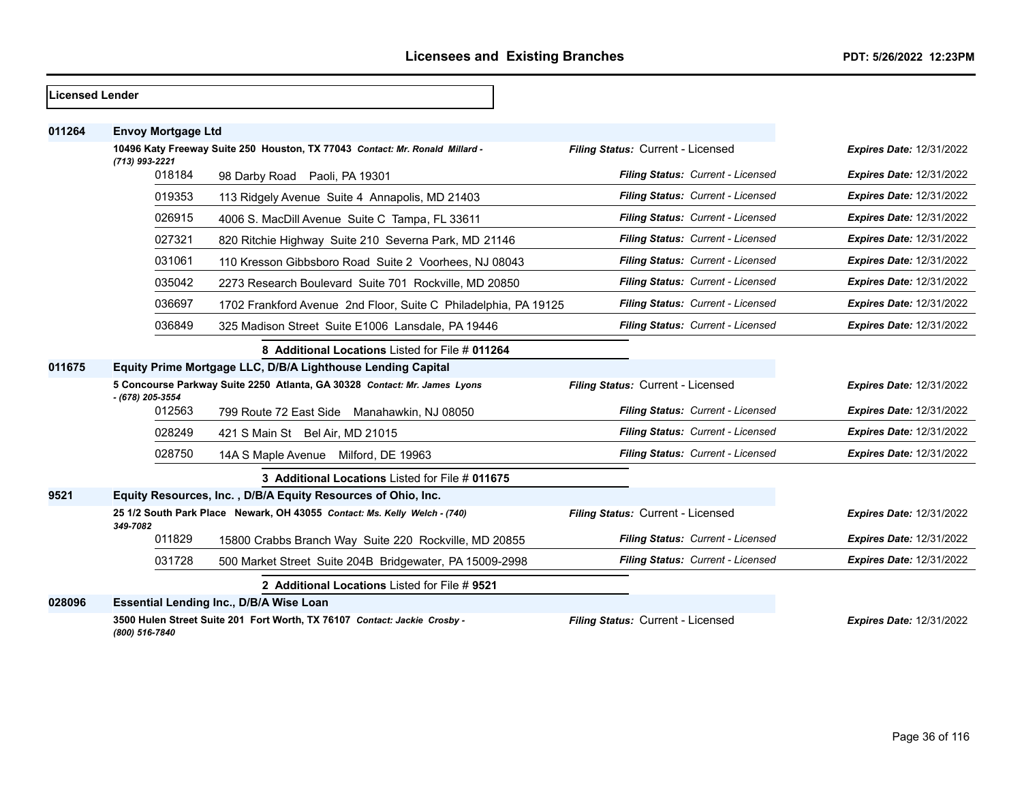| <b>Licensed Lender</b> |                                                                                                |                                                                           |                                   |                                 |
|------------------------|------------------------------------------------------------------------------------------------|---------------------------------------------------------------------------|-----------------------------------|---------------------------------|
| 011264                 | <b>Envoy Mortgage Ltd</b>                                                                      |                                                                           |                                   |                                 |
|                        | 10496 Katy Freeway Suite 250 Houston, TX 77043 Contact: Mr. Ronald Millard -<br>(713) 993-2221 |                                                                           | Filing Status: Current - Licensed | <b>Expires Date: 12/31/2022</b> |
|                        | 018184                                                                                         | 98 Darby Road Paoli, PA 19301                                             | Filing Status: Current - Licensed | <b>Expires Date: 12/31/2022</b> |
|                        | 019353                                                                                         | 113 Ridgely Avenue Suite 4 Annapolis, MD 21403                            | Filing Status: Current - Licensed | <b>Expires Date: 12/31/2022</b> |
|                        | 026915                                                                                         | 4006 S. MacDill Avenue Suite C Tampa, FL 33611                            | Filing Status: Current - Licensed | <b>Expires Date: 12/31/2022</b> |
|                        | 027321                                                                                         | 820 Ritchie Highway Suite 210 Severna Park, MD 21146                      | Filing Status: Current - Licensed | <b>Expires Date: 12/31/2022</b> |
|                        | 031061                                                                                         | 110 Kresson Gibbsboro Road Suite 2 Voorhees, NJ 08043                     | Filing Status: Current - Licensed | <b>Expires Date: 12/31/2022</b> |
|                        | 035042                                                                                         | 2273 Research Boulevard Suite 701 Rockville, MD 20850                     | Filing Status: Current - Licensed | <b>Expires Date: 12/31/2022</b> |
|                        | 036697                                                                                         | 1702 Frankford Avenue 2nd Floor, Suite C Philadelphia, PA 19125           | Filing Status: Current - Licensed | <b>Expires Date: 12/31/2022</b> |
|                        | 036849                                                                                         | 325 Madison Street Suite E1006 Lansdale, PA 19446                         | Filing Status: Current - Licensed | <b>Expires Date: 12/31/2022</b> |
|                        |                                                                                                | 8 Additional Locations Listed for File # 011264                           |                                   |                                 |
| 011675                 |                                                                                                | Equity Prime Mortgage LLC, D/B/A Lighthouse Lending Capital               |                                   |                                 |
|                        | - (678) 205-3554                                                                               | 5 Concourse Parkway Suite 2250 Atlanta, GA 30328 Contact: Mr. James Lyons | Filing Status: Current - Licensed | <b>Expires Date: 12/31/2022</b> |
|                        | 012563                                                                                         | 799 Route 72 East Side Manahawkin, NJ 08050                               | Filing Status: Current - Licensed | <b>Expires Date: 12/31/2022</b> |
|                        | 028249                                                                                         | 421 S Main St Bel Air, MD 21015                                           | Filing Status: Current - Licensed | <b>Expires Date: 12/31/2022</b> |
|                        | 028750                                                                                         | 14A S Maple Avenue Milford, DE 19963                                      | Filing Status: Current - Licensed | <b>Expires Date: 12/31/2022</b> |
|                        |                                                                                                | 3 Additional Locations Listed for File # 011675                           |                                   |                                 |
| 9521                   |                                                                                                | Equity Resources, Inc., D/B/A Equity Resources of Ohio, Inc.              |                                   |                                 |
|                        | 349-7082                                                                                       | 25 1/2 South Park Place Newark, OH 43055 Contact: Ms. Kelly Welch - (740) | Filing Status: Current - Licensed | <b>Expires Date: 12/31/2022</b> |
|                        | 011829                                                                                         | 15800 Crabbs Branch Way Suite 220 Rockville, MD 20855                     | Filing Status: Current - Licensed | <b>Expires Date: 12/31/2022</b> |
|                        | 031728                                                                                         | 500 Market Street Suite 204B Bridgewater, PA 15009-2998                   | Filing Status: Current - Licensed | <b>Expires Date: 12/31/2022</b> |
|                        |                                                                                                | 2 Additional Locations Listed for File # 9521                             |                                   |                                 |
| 028096                 |                                                                                                | <b>Essential Lending Inc., D/B/A Wise Loan</b>                            |                                   |                                 |
|                        | (800) 516-7840                                                                                 | 3500 Hulen Street Suite 201 Fort Worth, TX 76107 Contact: Jackie Crosby - | Filing Status: Current - Licensed | <b>Expires Date: 12/31/2022</b> |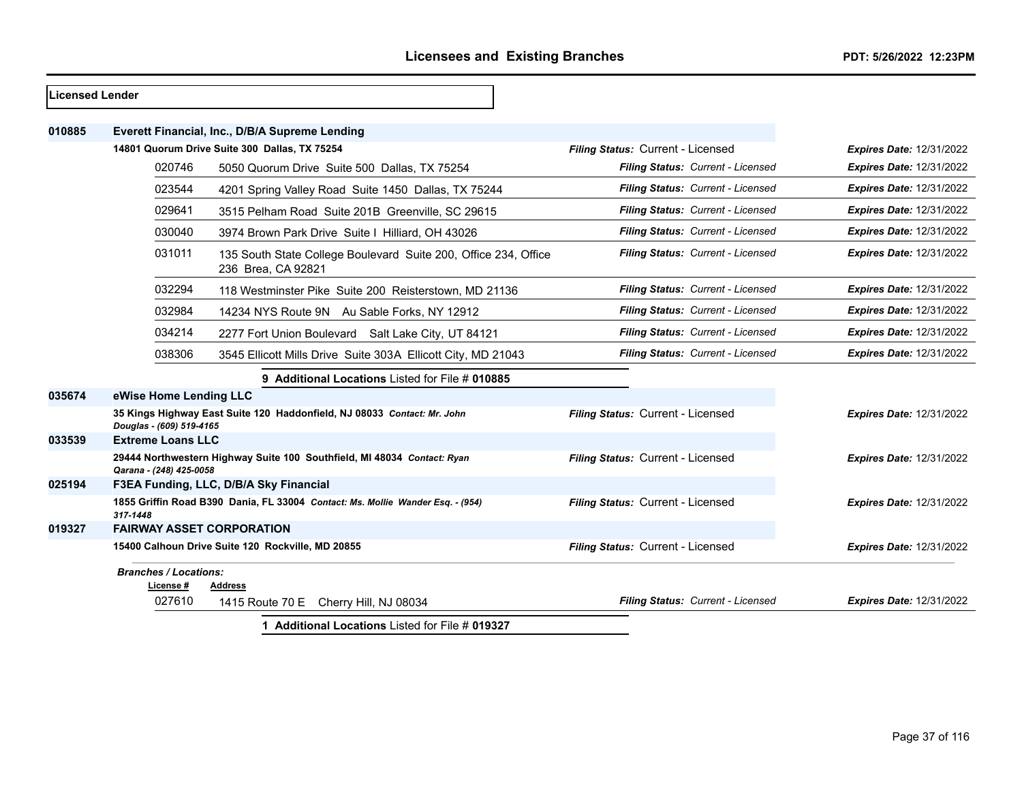| Licensed Lender |                                           |                                                                                       |                                   |                                 |
|-----------------|-------------------------------------------|---------------------------------------------------------------------------------------|-----------------------------------|---------------------------------|
| 010885          |                                           | Everett Financial, Inc., D/B/A Supreme Lending                                        |                                   |                                 |
|                 |                                           | 14801 Quorum Drive Suite 300 Dallas, TX 75254                                         | Filing Status: Current - Licensed | <b>Expires Date: 12/31/2022</b> |
|                 | 020746                                    | 5050 Quorum Drive Suite 500 Dallas, TX 75254                                          | Filing Status: Current - Licensed | Expires Date: 12/31/2022        |
|                 | 023544                                    | 4201 Spring Valley Road Suite 1450 Dallas, TX 75244                                   | Filing Status: Current - Licensed | <b>Expires Date: 12/31/2022</b> |
|                 | 029641                                    | 3515 Pelham Road Suite 201B Greenville, SC 29615                                      | Filing Status: Current - Licensed | <b>Expires Date: 12/31/2022</b> |
|                 | 030040                                    | 3974 Brown Park Drive Suite I Hilliard, OH 43026                                      | Filing Status: Current - Licensed | <b>Expires Date: 12/31/2022</b> |
|                 | 031011                                    | 135 South State College Boulevard Suite 200, Office 234, Office<br>236 Brea, CA 92821 | Filing Status: Current - Licensed | <b>Expires Date: 12/31/2022</b> |
|                 | 032294                                    | 118 Westminster Pike Suite 200 Reisterstown, MD 21136                                 | Filing Status: Current - Licensed | <b>Expires Date: 12/31/2022</b> |
|                 | 032984                                    | 14234 NYS Route 9N Au Sable Forks, NY 12912                                           | Filing Status: Current - Licensed | <b>Expires Date: 12/31/2022</b> |
|                 | 034214                                    | 2277 Fort Union Boulevard Salt Lake City, UT 84121                                    | Filing Status: Current - Licensed | <b>Expires Date: 12/31/2022</b> |
|                 | 038306                                    | 3545 Ellicott Mills Drive Suite 303A Ellicott City, MD 21043                          | Filing Status: Current - Licensed | <b>Expires Date: 12/31/2022</b> |
|                 |                                           | 9 Additional Locations Listed for File # 010885                                       |                                   |                                 |
| 035674          | eWise Home Lending LLC                    |                                                                                       |                                   |                                 |
|                 | Douglas - (609) 519-4165                  | 35 Kings Highway East Suite 120 Haddonfield, NJ 08033 Contact: Mr. John               | Filing Status: Current - Licensed | <b>Expires Date: 12/31/2022</b> |
| 033539          | <b>Extreme Loans LLC</b>                  |                                                                                       |                                   |                                 |
|                 | Qarana - (248) 425-0058                   | 29444 Northwestern Highway Suite 100 Southfield, MI 48034 Contact: Ryan               | Filing Status: Current - Licensed | <b>Expires Date: 12/31/2022</b> |
| 025194          |                                           | F3EA Funding, LLC, D/B/A Sky Financial                                                |                                   |                                 |
|                 | 317-1448                                  | 1855 Griffin Road B390 Dania, FL 33004 Contact: Ms. Mollie Wander Esq. - (954)        | Filing Status: Current - Licensed | <b>Expires Date: 12/31/2022</b> |
| 019327          | <b>FAIRWAY ASSET CORPORATION</b>          |                                                                                       |                                   |                                 |
|                 |                                           | 15400 Calhoun Drive Suite 120 Rockville, MD 20855                                     | Filing Status: Current - Licensed | <b>Expires Date: 12/31/2022</b> |
|                 | <b>Branches / Locations:</b><br>License # | <b>Address</b>                                                                        |                                   |                                 |
|                 | 027610                                    | 1415 Route 70 E Cherry Hill, NJ 08034                                                 | Filing Status: Current - Licensed | <b>Expires Date: 12/31/2022</b> |
|                 |                                           | 1 Additional Locations Listed for File # 019327                                       |                                   |                                 |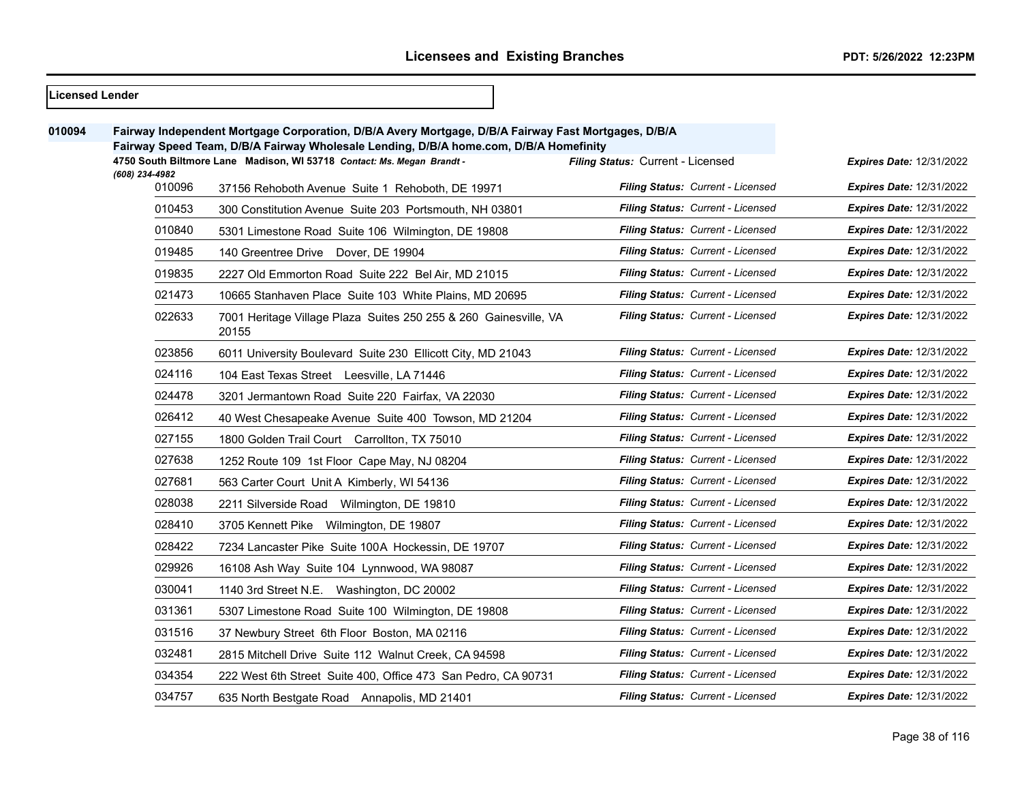| <b>Licensed Lender</b> |                          |                                                                                                                                                                                              |                                          |                                 |
|------------------------|--------------------------|----------------------------------------------------------------------------------------------------------------------------------------------------------------------------------------------|------------------------------------------|---------------------------------|
| 010094                 |                          | Fairway Independent Mortgage Corporation, D/B/A Avery Mortgage, D/B/A Fairway Fast Mortgages, D/B/A<br>Fairway Speed Team, D/B/A Fairway Wholesale Lending, D/B/A home.com, D/B/A Homefinity |                                          |                                 |
|                        |                          | 4750 South Biltmore Lane Madison, WI 53718 Contact: Ms. Megan Brandt -                                                                                                                       | Filing Status: Current - Licensed        | <b>Expires Date: 12/31/2022</b> |
|                        | (608) 234-4982<br>010096 | 37156 Rehoboth Avenue Suite 1 Rehoboth, DE 19971                                                                                                                                             | Filing Status: Current - Licensed        | <b>Expires Date: 12/31/2022</b> |
|                        | 010453                   | 300 Constitution Avenue Suite 203 Portsmouth, NH 03801                                                                                                                                       | Filing Status: Current - Licensed        | <b>Expires Date: 12/31/2022</b> |
|                        | 010840                   | 5301 Limestone Road Suite 106 Wilmington, DE 19808                                                                                                                                           | Filing Status: Current - Licensed        | <b>Expires Date: 12/31/2022</b> |
|                        | 019485                   | 140 Greentree Drive Dover, DE 19904                                                                                                                                                          | Filing Status: Current - Licensed        | <b>Expires Date: 12/31/2022</b> |
|                        | 019835                   | 2227 Old Emmorton Road Suite 222 Bel Air, MD 21015                                                                                                                                           | Filing Status: Current - Licensed        | <b>Expires Date: 12/31/2022</b> |
|                        | 021473                   | 10665 Stanhaven Place Suite 103 White Plains, MD 20695                                                                                                                                       | Filing Status: Current - Licensed        | <b>Expires Date: 12/31/2022</b> |
|                        | 022633                   | 7001 Heritage Village Plaza Suites 250 255 & 260 Gainesville, VA<br>20155                                                                                                                    | <b>Filing Status: Current - Licensed</b> | <b>Expires Date: 12/31/2022</b> |
|                        | 023856                   | 6011 University Boulevard Suite 230 Ellicott City, MD 21043                                                                                                                                  | Filing Status: Current - Licensed        | <b>Expires Date: 12/31/2022</b> |
|                        | 024116                   | 104 East Texas Street Leesville, LA 71446                                                                                                                                                    | Filing Status: Current - Licensed        | <b>Expires Date: 12/31/2022</b> |
|                        | 024478                   | 3201 Jermantown Road Suite 220 Fairfax, VA 22030                                                                                                                                             | Filing Status: Current - Licensed        | <b>Expires Date: 12/31/2022</b> |
|                        | 026412                   | 40 West Chesapeake Avenue Suite 400 Towson, MD 21204                                                                                                                                         | <b>Filing Status: Current - Licensed</b> | <b>Expires Date: 12/31/2022</b> |
|                        | 027155                   | 1800 Golden Trail Court Carrollton, TX 75010                                                                                                                                                 | Filing Status: Current - Licensed        | <b>Expires Date: 12/31/2022</b> |
|                        | 027638                   | 1252 Route 109 1st Floor Cape May, NJ 08204                                                                                                                                                  | <b>Filing Status: Current - Licensed</b> | <b>Expires Date: 12/31/2022</b> |
|                        | 027681                   | 563 Carter Court Unit A Kimberly, WI 54136                                                                                                                                                   | Filing Status: Current - Licensed        | <b>Expires Date: 12/31/2022</b> |
|                        | 028038                   | 2211 Silverside Road Wilmington, DE 19810                                                                                                                                                    | Filing Status: Current - Licensed        | Expires Date: 12/31/2022        |
|                        | 028410                   | 3705 Kennett Pike Wilmington, DE 19807                                                                                                                                                       | Filing Status: Current - Licensed        | <b>Expires Date: 12/31/2022</b> |
|                        | 028422                   | 7234 Lancaster Pike Suite 100A Hockessin, DE 19707                                                                                                                                           | Filing Status: Current - Licensed        | <b>Expires Date: 12/31/2022</b> |
|                        | 029926                   | 16108 Ash Way Suite 104 Lynnwood, WA 98087                                                                                                                                                   | Filing Status: Current - Licensed        | <b>Expires Date: 12/31/2022</b> |
|                        | 030041                   | 1140 3rd Street N.E. Washington, DC 20002                                                                                                                                                    | Filing Status: Current - Licensed        | <b>Expires Date: 12/31/2022</b> |
|                        | 031361                   | 5307 Limestone Road Suite 100 Wilmington, DE 19808                                                                                                                                           | Filing Status: Current - Licensed        | <b>Expires Date: 12/31/2022</b> |
|                        | 031516                   | 37 Newbury Street 6th Floor Boston, MA 02116                                                                                                                                                 | <b>Filing Status: Current - Licensed</b> | <b>Expires Date: 12/31/2022</b> |
|                        | 032481                   | 2815 Mitchell Drive Suite 112 Walnut Creek, CA 94598                                                                                                                                         | Filing Status: Current - Licensed        | <b>Expires Date: 12/31/2022</b> |
|                        | 034354                   | 222 West 6th Street Suite 400, Office 473 San Pedro, CA 90731                                                                                                                                | Filing Status: Current - Licensed        | <b>Expires Date: 12/31/2022</b> |
|                        | 034757                   | 635 North Bestgate Road Annapolis, MD 21401                                                                                                                                                  | Filing Status: Current - Licensed        | <b>Expires Date: 12/31/2022</b> |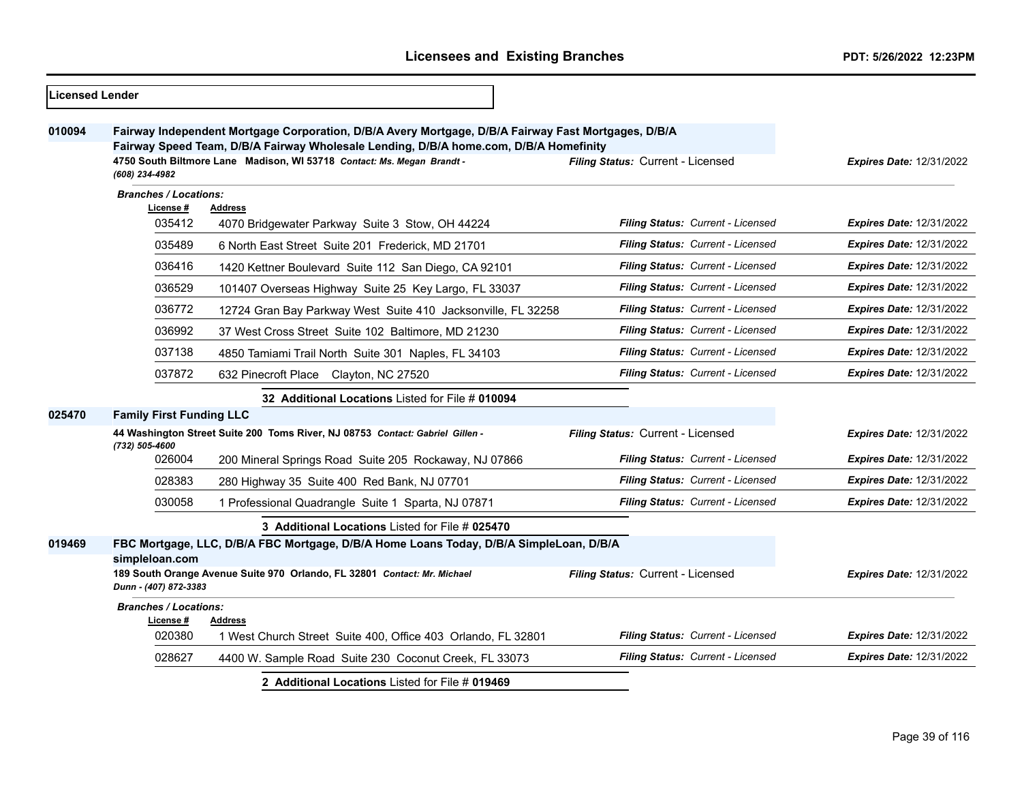| <b>Licensed Lender</b> |                                 |                                                                                                                                                                                                                                                                        |                                          |                                 |
|------------------------|---------------------------------|------------------------------------------------------------------------------------------------------------------------------------------------------------------------------------------------------------------------------------------------------------------------|------------------------------------------|---------------------------------|
| 010094                 | (608) 234-4982                  | Fairway Independent Mortgage Corporation, D/B/A Avery Mortgage, D/B/A Fairway Fast Mortgages, D/B/A<br>Fairway Speed Team, D/B/A Fairway Wholesale Lending, D/B/A home.com, D/B/A Homefinity<br>4750 South Biltmore Lane Madison, WI 53718 Contact: Ms. Megan Brandt - | Filing Status: Current - Licensed        | <b>Expires Date: 12/31/2022</b> |
|                        | <b>Branches / Locations:</b>    |                                                                                                                                                                                                                                                                        |                                          |                                 |
|                        | License #<br>035412             | <b>Address</b><br>4070 Bridgewater Parkway Suite 3 Stow, OH 44224                                                                                                                                                                                                      | Filing Status: Current - Licensed        | <b>Expires Date: 12/31/2022</b> |
|                        | 035489                          | 6 North East Street Suite 201 Frederick, MD 21701                                                                                                                                                                                                                      | <b>Filing Status: Current - Licensed</b> | <b>Expires Date: 12/31/2022</b> |
|                        | 036416                          | 1420 Kettner Boulevard Suite 112 San Diego, CA 92101                                                                                                                                                                                                                   | Filing Status: Current - Licensed        | <b>Expires Date: 12/31/2022</b> |
|                        | 036529                          | 101407 Overseas Highway Suite 25 Key Largo, FL 33037                                                                                                                                                                                                                   | Filing Status: Current - Licensed        | <b>Expires Date: 12/31/2022</b> |
|                        | 036772                          | 12724 Gran Bay Parkway West Suite 410 Jacksonville, FL 32258                                                                                                                                                                                                           | Filing Status: Current - Licensed        | <b>Expires Date: 12/31/2022</b> |
|                        | 036992                          | 37 West Cross Street Suite 102 Baltimore, MD 21230                                                                                                                                                                                                                     | Filing Status: Current - Licensed        | <b>Expires Date: 12/31/2022</b> |
|                        | 037138                          | 4850 Tamiami Trail North Suite 301 Naples, FL 34103                                                                                                                                                                                                                    | Filing Status: Current - Licensed        | <b>Expires Date: 12/31/2022</b> |
|                        | 037872                          | 632 Pinecroft Place Clayton, NC 27520                                                                                                                                                                                                                                  | Filing Status: Current - Licensed        | <b>Expires Date: 12/31/2022</b> |
|                        |                                 | 32 Additional Locations Listed for File # 010094                                                                                                                                                                                                                       |                                          |                                 |
| 025470                 | <b>Family First Funding LLC</b> |                                                                                                                                                                                                                                                                        |                                          |                                 |
|                        | (732) 505-4600                  | 44 Washington Street Suite 200 Toms River, NJ 08753 Contact: Gabriel Gillen -                                                                                                                                                                                          | Filing Status: Current - Licensed        | <b>Expires Date: 12/31/2022</b> |
|                        | 026004                          | 200 Mineral Springs Road Suite 205 Rockaway, NJ 07866                                                                                                                                                                                                                  | Filing Status: Current - Licensed        | <b>Expires Date: 12/31/2022</b> |
|                        | 028383                          | 280 Highway 35 Suite 400 Red Bank, NJ 07701                                                                                                                                                                                                                            | Filing Status: Current - Licensed        | <b>Expires Date: 12/31/2022</b> |
|                        | 030058                          | 1 Professional Quadrangle Suite 1 Sparta, NJ 07871                                                                                                                                                                                                                     | Filing Status: Current - Licensed        | <b>Expires Date: 12/31/2022</b> |
|                        |                                 | 3 Additional Locations Listed for File # 025470                                                                                                                                                                                                                        |                                          |                                 |
| 019469                 | simpleloan.com                  | FBC Mortgage, LLC, D/B/A FBC Mortgage, D/B/A Home Loans Today, D/B/A SimpleLoan, D/B/A                                                                                                                                                                                 |                                          |                                 |
|                        | Dunn - (407) 872-3383           | 189 South Orange Avenue Suite 970 Orlando, FL 32801 Contact: Mr. Michael                                                                                                                                                                                               | Filing Status: Current - Licensed        | <b>Expires Date: 12/31/2022</b> |
|                        | <b>Branches / Locations:</b>    |                                                                                                                                                                                                                                                                        |                                          |                                 |
|                        | License#<br>020380              | <b>Address</b><br>1 West Church Street Suite 400, Office 403 Orlando, FL 32801                                                                                                                                                                                         | Filing Status: Current - Licensed        | <b>Expires Date: 12/31/2022</b> |
|                        | 028627                          | 4400 W. Sample Road Suite 230 Coconut Creek, FL 33073                                                                                                                                                                                                                  | Filing Status: Current - Licensed        | <b>Expires Date: 12/31/2022</b> |
|                        |                                 | 2 Additional Locations Listed for File # 019469                                                                                                                                                                                                                        |                                          |                                 |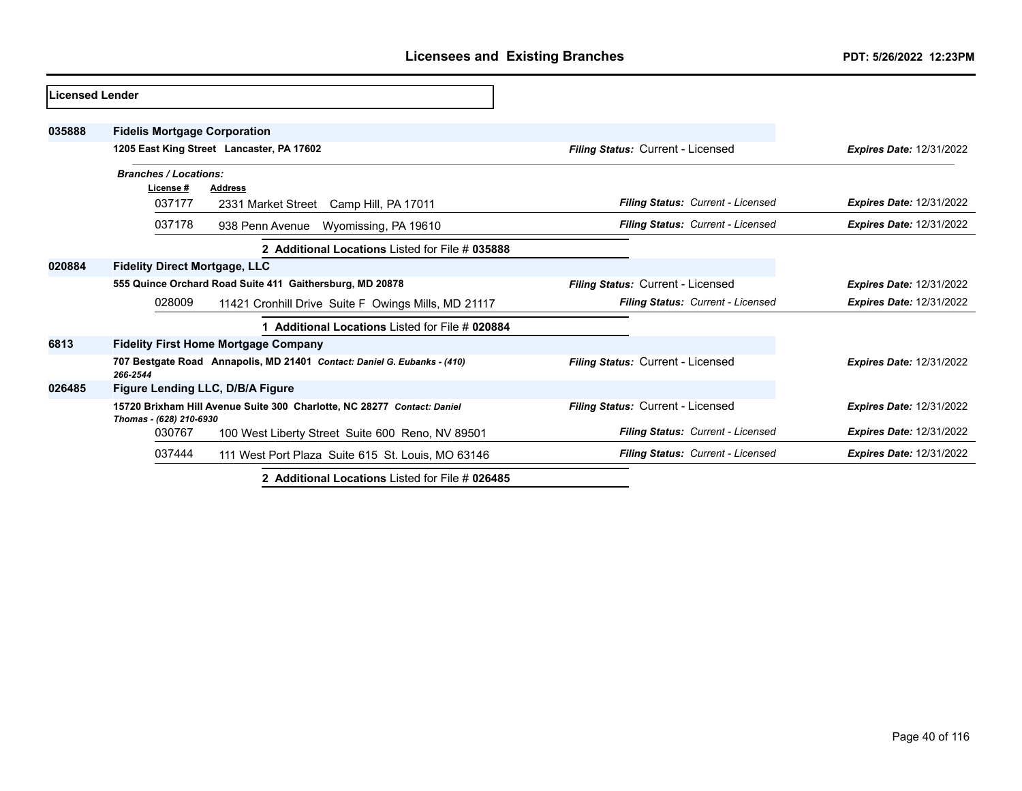| <b>Licensed Lender</b> |                                                                                                    |                                   |                                 |
|------------------------|----------------------------------------------------------------------------------------------------|-----------------------------------|---------------------------------|
| 035888                 | <b>Fidelis Mortgage Corporation</b>                                                                |                                   |                                 |
|                        | 1205 East King Street Lancaster, PA 17602                                                          | Filing Status: Current - Licensed | <b>Expires Date: 12/31/2022</b> |
|                        | <b>Branches / Locations:</b><br>License#<br><b>Address</b>                                         |                                   |                                 |
|                        | 037177<br>2331 Market Street Camp Hill, PA 17011                                                   | Filing Status: Current - Licensed | <b>Expires Date: 12/31/2022</b> |
|                        | 037178<br>Wyomissing, PA 19610<br>938 Penn Avenue                                                  | Filing Status: Current - Licensed | <b>Expires Date: 12/31/2022</b> |
|                        | 2 Additional Locations Listed for File # 035888                                                    |                                   |                                 |
| 020884                 | <b>Fidelity Direct Mortgage, LLC</b>                                                               |                                   |                                 |
|                        | 555 Quince Orchard Road Suite 411 Gaithersburg, MD 20878                                           | Filing Status: Current - Licensed | <b>Expires Date: 12/31/2022</b> |
|                        | 028009<br>11421 Cronhill Drive Suite F Owings Mills, MD 21117                                      | Filing Status: Current - Licensed | <b>Expires Date: 12/31/2022</b> |
|                        | Additional Locations Listed for File # 020884                                                      |                                   |                                 |
| 6813                   | <b>Fidelity First Home Mortgage Company</b>                                                        |                                   |                                 |
|                        | 707 Bestgate Road Annapolis, MD 21401 Contact: Daniel G. Eubanks - (410)<br>266-2544               | Filing Status: Current - Licensed | <b>Expires Date: 12/31/2022</b> |
| 026485                 | Figure Lending LLC, D/B/A Figure                                                                   |                                   |                                 |
|                        | 15720 Brixham Hill Avenue Suite 300 Charlotte, NC 28277 Contact: Daniel<br>Thomas - (628) 210-6930 | Filing Status: Current - Licensed | <b>Expires Date: 12/31/2022</b> |
|                        | 030767<br>100 West Liberty Street Suite 600 Reno, NV 89501                                         | Filing Status: Current - Licensed | <b>Expires Date: 12/31/2022</b> |
|                        | 037444<br>111 West Port Plaza Suite 615 St. Louis, MO 63146                                        | Filing Status: Current - Licensed | <b>Expires Date: 12/31/2022</b> |
|                        | 2 Additional Locations Listed for File # 026485                                                    |                                   |                                 |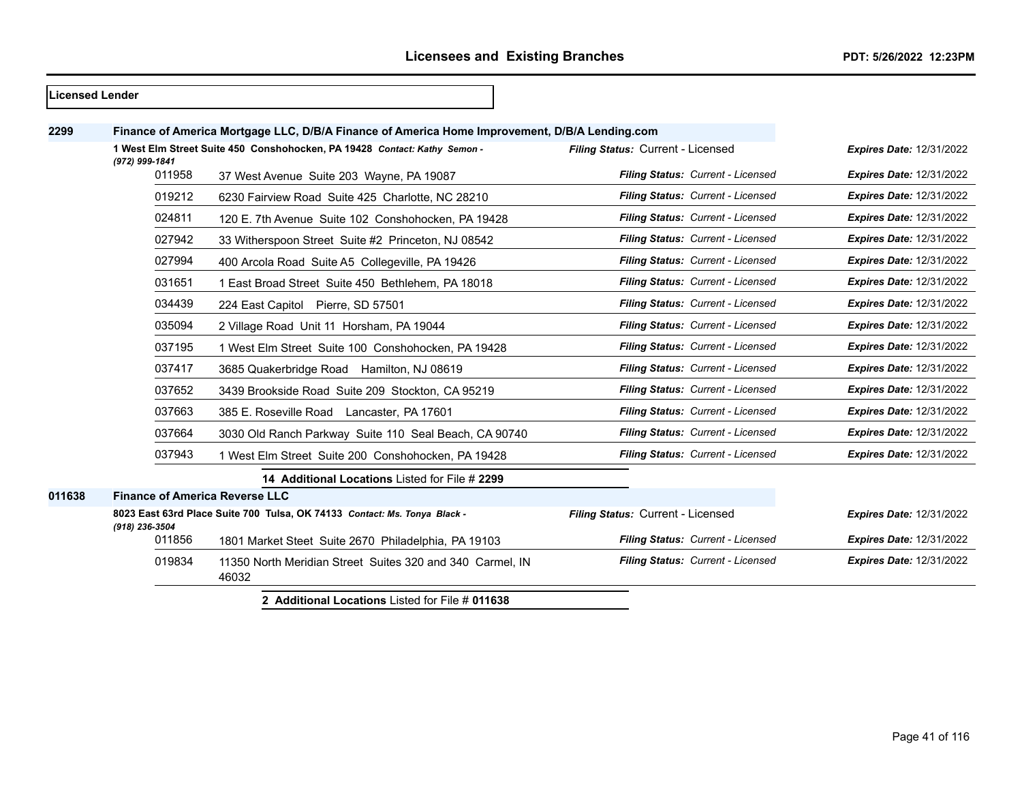# **Finance of America Mortgage LLC, D/B/A Finance of America Home Improvement, D/B/A Lending.com 1 West Elm Street Suite 450 Conshohocken, PA 19428** *Contact: Kathy Semon - (972) 999-1841 Filing Status:* Current - Licensed *Expires Date:* 12/31/2022 37 West Avenue Suite 203 Wayne, PA 19087 *Filing Status: Current - Licensed Expires Date:* 12/31/2022 6230 Fairview Road Suite 425 Charlotte, NC 28210 *Filing Status: Current - Licensed Expires Date:* 12/31/2022 120 E. 7th Avenue Suite 102 Conshohocken, PA 19428 *Filing Status: Current - Licensed Expires Date:* 12/31/2022 33 Witherspoon Street Suite #2 Princeton, NJ 08542 *Filing Status: Current - Licensed Expires Date:* 12/31/2022 400 Arcola Road Suite A5 Collegeville, PA 19426 *Filing Status: Current - Licensed Expires Date:* 12/31/2022 1 East Broad Street Suite 450 Bethlehem, PA 18018 *Filing Status: Current - Licensed Expires Date:* 12/31/2022 224 East Capitol Pierre, SD 57501 *Filing Status: Current - Licensed Expires Date:* 12/31/2022 2 Village Road Unit 11 Horsham, PA 19044 *Filing Status: Current - Licensed Expires Date:* 12/31/2022 1 West Elm Street Suite 100 Conshohocken, PA 19428 *Filing Status: Current - Licensed Expires Date:* 12/31/2022 3685 Quakerbridge Road Hamilton, NJ 08619 *Filing Status: Current - Licensed Expires Date:* 12/31/2022 3439 Brookside Road Suite 209 Stockton, CA 95219 *Filing Status: Current - Licensed Expires Date:* 12/31/2022 385 E. Roseville Road Lancaster, PA 17601 *Filing Status: Current - Licensed Expires Date:* 12/31/2022 3030 Old Ranch Parkway Suite 110 Seal Beach, CA 90740 *Filing Status: Current - Licensed Expires Date:* 12/31/2022 1 West Elm Street Suite 200 Conshohocken, PA 19428 *Filing Status: Current - Licensed Expires Date:* 12/31/2022 **14 Additional Locations** Listed for File # **2299 Finance of America Reverse LLC 8023 East 63rd Place Suite 700 Tulsa, OK 74133** *Contact: Ms. Tonya Black - (918) 236-3504 Filing Status:* Current - Licensed *Expires Date:* 12/31/2022 1801 Market Steet Suite 2670 Philadelphia, PA 19103 *Filing Status: Current - Licensed Expires Date:* 12/31/2022 11350 North Meridian Street Suites 320 and 340 Carmel, IN *Filing Status: Current - Licensed Expires Date:* 12/31/2022

**2 Additional Locations** Listed for File # **011638**

**Licensed Lender**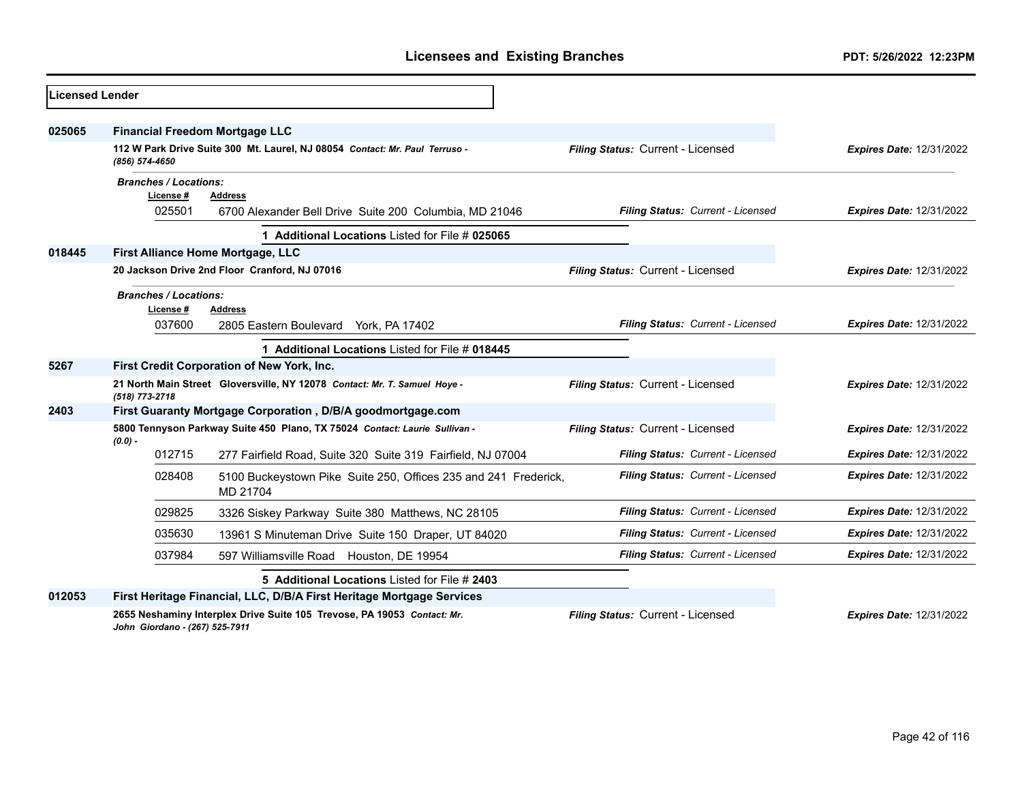| <b>ILicensed Lender</b> |                                                    |                                                                             |                                   |                                 |
|-------------------------|----------------------------------------------------|-----------------------------------------------------------------------------|-----------------------------------|---------------------------------|
| 025065                  | <b>Financial Freedom Mortgage LLC</b>              |                                                                             |                                   |                                 |
|                         | (856) 574-4650                                     | 112 W Park Drive Suite 300 Mt. Laurel, NJ 08054 Contact: Mr. Paul Terruso - | Filing Status: Current - Licensed | <b>Expires Date: 12/31/2022</b> |
|                         | <b>Branches / Locations:</b><br>License#<br>025501 | <b>Address</b><br>6700 Alexander Bell Drive Suite 200 Columbia, MD 21046    | Filing Status: Current - Licensed | Expires Date: 12/31/2022        |
|                         |                                                    | 1 Additional Locations Listed for File # 025065                             |                                   |                                 |
| 018445                  |                                                    | First Alliance Home Mortgage, LLC                                           |                                   |                                 |
|                         |                                                    | 20 Jackson Drive 2nd Floor Cranford, NJ 07016                               | Filing Status: Current - Licensed | <b>Expires Date: 12/31/2022</b> |
|                         | <b>Branches / Locations:</b>                       |                                                                             |                                   |                                 |
|                         | License #<br>037600                                | <b>Address</b><br>2805 Eastern Boulevard York, PA 17402                     | Filing Status: Current - Licensed | <b>Expires Date: 12/31/2022</b> |
|                         |                                                    |                                                                             |                                   |                                 |
|                         |                                                    | 1 Additional Locations Listed for File # 018445                             |                                   |                                 |
| 5267                    |                                                    | First Credit Corporation of New York, Inc.                                  |                                   |                                 |
|                         | (518) 773-2718                                     | 21 North Main Street Gloversville, NY 12078 Contact: Mr. T. Samuel Hoye -   | Filing Status: Current - Licensed | <b>Expires Date: 12/31/2022</b> |
| 2403                    |                                                    | First Guaranty Mortgage Corporation, D/B/A goodmortgage.com                 |                                   |                                 |
|                         | $(0.0)$ -                                          | 5800 Tennyson Parkway Suite 450 Plano, TX 75024 Contact: Laurie Sullivan -  | Filing Status: Current - Licensed | <b>Expires Date: 12/31/2022</b> |
|                         | 012715                                             | 277 Fairfield Road, Suite 320 Suite 319 Fairfield, NJ 07004                 | Filing Status: Current - Licensed | <b>Expires Date: 12/31/2022</b> |
|                         | 028408                                             | 5100 Buckeystown Pike Suite 250, Offices 235 and 241 Frederick,<br>MD 21704 | Filing Status: Current - Licensed | <b>Expires Date: 12/31/2022</b> |
|                         | 029825                                             | 3326 Siskey Parkway Suite 380 Matthews, NC 28105                            | Filing Status: Current - Licensed | <b>Expires Date: 12/31/2022</b> |
|                         | 035630                                             | 13961 S Minuteman Drive Suite 150 Draper, UT 84020                          | Filing Status: Current - Licensed | <b>Expires Date: 12/31/2022</b> |
|                         | 037984                                             | 597 Williamsville Road Houston, DE 19954                                    | Filing Status: Current - Licensed | <b>Expires Date: 12/31/2022</b> |
|                         |                                                    | 5 Additional Locations Listed for File # 2403                               |                                   |                                 |
| 012053                  |                                                    | First Heritage Financial, LLC, D/B/A First Heritage Mortgage Services       |                                   |                                 |
|                         | John Giordano - (267) 525-7911                     | 2655 Neshaminy Interplex Drive Suite 105 Trevose, PA 19053 Contact: Mr.     | Filing Status: Current - Licensed | <b>Expires Date: 12/31/2022</b> |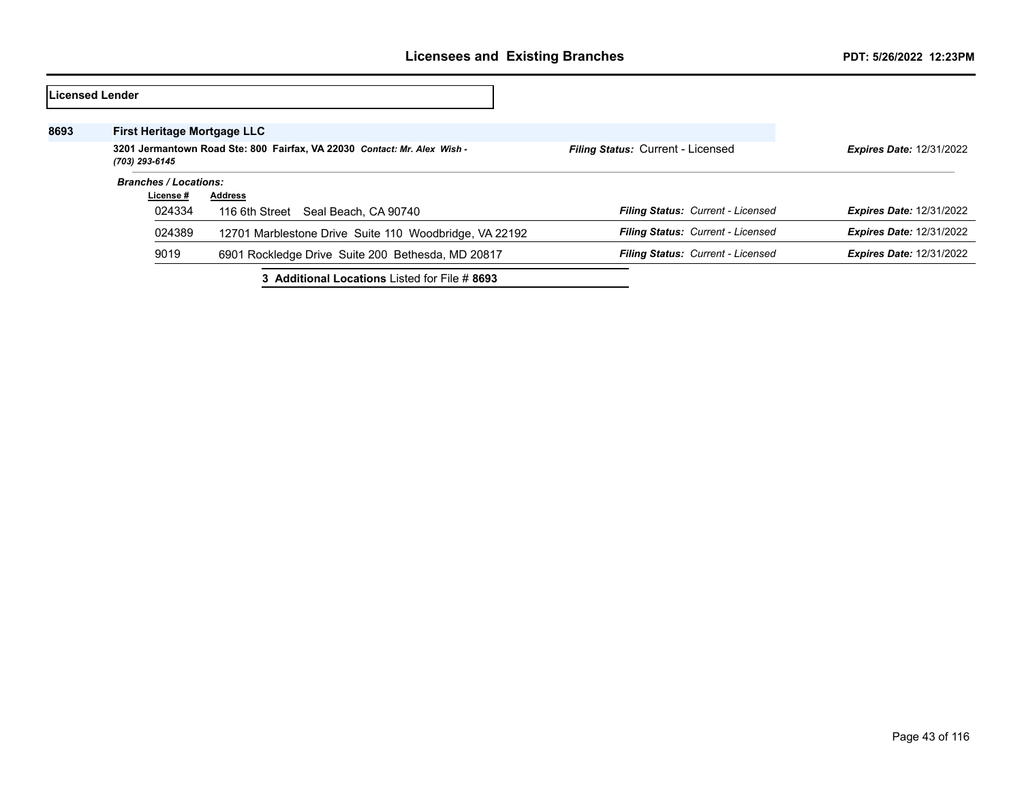|      | Licensed Lender                    |                                                                          |                                          |                                 |
|------|------------------------------------|--------------------------------------------------------------------------|------------------------------------------|---------------------------------|
| 8693 | <b>First Heritage Mortgage LLC</b> |                                                                          |                                          |                                 |
|      | (703) 293-6145                     | 3201 Jermantown Road Ste: 800 Fairfax, VA 22030 Contact: Mr. Alex Wish - | <b>Filing Status: Current - Licensed</b> | <b>Expires Date: 12/31/2022</b> |
|      | <b>Branches / Locations:</b>       |                                                                          |                                          |                                 |
|      | License #                          | <b>Address</b>                                                           |                                          |                                 |
|      | 024334                             | 116 6th Street Seal Beach, CA 90740                                      | Filing Status: Current - Licensed        | <b>Expires Date: 12/31/2022</b> |
|      | 024389                             | 12701 Marblestone Drive Suite 110 Woodbridge, VA 22192                   | Filing Status: Current - Licensed        | <b>Expires Date: 12/31/2022</b> |
|      | 9019                               | 6901 Rockledge Drive Suite 200 Bethesda, MD 20817                        | Filing Status: Current - Licensed        | <b>Expires Date: 12/31/2022</b> |
|      |                                    | 3 Additional Locations Listed for File # 8693                            |                                          |                                 |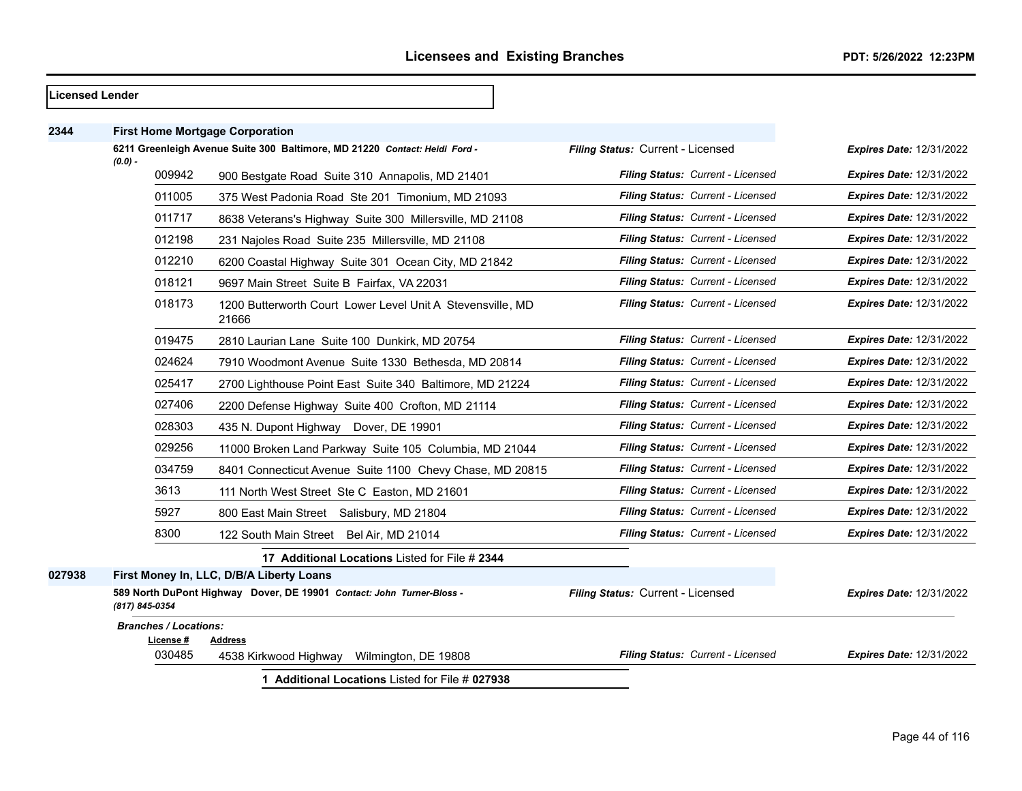| Licensed Lender |                                                                            |                              |                                                                       |                                   |                                 |
|-----------------|----------------------------------------------------------------------------|------------------------------|-----------------------------------------------------------------------|-----------------------------------|---------------------------------|
| 2344            |                                                                            |                              | <b>First Home Mortgage Corporation</b>                                |                                   |                                 |
|                 | 6211 Greenleigh Avenue Suite 300 Baltimore, MD 21220 Contact: Heidi Ford - |                              |                                                                       | Filing Status: Current - Licensed | <b>Expires Date: 12/31/2022</b> |
|                 | $(0.0) -$                                                                  | 009942                       | 900 Bestgate Road Suite 310 Annapolis, MD 21401                       | Filing Status: Current - Licensed | <b>Expires Date: 12/31/2022</b> |
|                 |                                                                            | 011005                       | 375 West Padonia Road Ste 201 Timonium, MD 21093                      | Filing Status: Current - Licensed | <b>Expires Date: 12/31/2022</b> |
|                 |                                                                            | 011717                       | 8638 Veterans's Highway Suite 300 Millersville, MD 21108              | Filing Status: Current - Licensed | <b>Expires Date: 12/31/2022</b> |
|                 |                                                                            | 012198                       | 231 Najoles Road Suite 235 Millersville, MD 21108                     | Filing Status: Current - Licensed | Expires Date: 12/31/2022        |
|                 |                                                                            | 012210                       | 6200 Coastal Highway Suite 301 Ocean City, MD 21842                   | Filing Status: Current - Licensed | <b>Expires Date: 12/31/2022</b> |
|                 |                                                                            | 018121                       | 9697 Main Street Suite B Fairfax, VA 22031                            | Filing Status: Current - Licensed | <b>Expires Date: 12/31/2022</b> |
|                 |                                                                            | 018173                       | 1200 Butterworth Court Lower Level Unit A Stevensville, MD<br>21666   | Filing Status: Current - Licensed | <b>Expires Date: 12/31/2022</b> |
|                 |                                                                            | 019475                       | 2810 Laurian Lane Suite 100 Dunkirk, MD 20754                         | Filing Status: Current - Licensed | <b>Expires Date: 12/31/2022</b> |
|                 |                                                                            | 024624                       | 7910 Woodmont Avenue Suite 1330 Bethesda, MD 20814                    | Filing Status: Current - Licensed | <b>Expires Date: 12/31/2022</b> |
|                 |                                                                            | 025417                       | 2700 Lighthouse Point East Suite 340 Baltimore, MD 21224              | Filing Status: Current - Licensed | <b>Expires Date: 12/31/2022</b> |
|                 |                                                                            | 027406                       | 2200 Defense Highway Suite 400 Crofton, MD 21114                      | Filing Status: Current - Licensed | <b>Expires Date: 12/31/2022</b> |
|                 |                                                                            | 028303                       | 435 N. Dupont Highway Dover, DE 19901                                 | Filing Status: Current - Licensed | Expires Date: 12/31/2022        |
|                 |                                                                            | 029256                       | 11000 Broken Land Parkway Suite 105 Columbia, MD 21044                | Filing Status: Current - Licensed | <b>Expires Date: 12/31/2022</b> |
|                 |                                                                            | 034759                       | 8401 Connecticut Avenue Suite 1100 Chevy Chase, MD 20815              | Filing Status: Current - Licensed | <b>Expires Date: 12/31/2022</b> |
|                 |                                                                            | 3613                         | 111 North West Street Ste C Easton, MD 21601                          | Filing Status: Current - Licensed | Expires Date: 12/31/2022        |
|                 |                                                                            | 5927                         | 800 East Main Street Salisbury, MD 21804                              | Filing Status: Current - Licensed | <b>Expires Date: 12/31/2022</b> |
|                 |                                                                            | 8300                         | 122 South Main Street Bel Air, MD 21014                               | Filing Status: Current - Licensed | <b>Expires Date: 12/31/2022</b> |
|                 |                                                                            |                              | 17 Additional Locations Listed for File # 2344                        |                                   |                                 |
| 027938          |                                                                            |                              | First Money In, LLC, D/B/A Liberty Loans                              |                                   |                                 |
|                 | (817) 845-0354                                                             |                              | 589 North DuPont Highway Dover, DE 19901 Contact: John Turner-Bloss - | Filing Status: Current - Licensed | <b>Expires Date: 12/31/2022</b> |
|                 |                                                                            | <b>Branches / Locations:</b> |                                                                       |                                   |                                 |
|                 |                                                                            | License #<br>030485          | <b>Address</b><br>Wilmington, DE 19808<br>4538 Kirkwood Highway       | Filing Status: Current - Licensed | <b>Expires Date: 12/31/2022</b> |

**1 Additional Locations** Listed for File # **027938**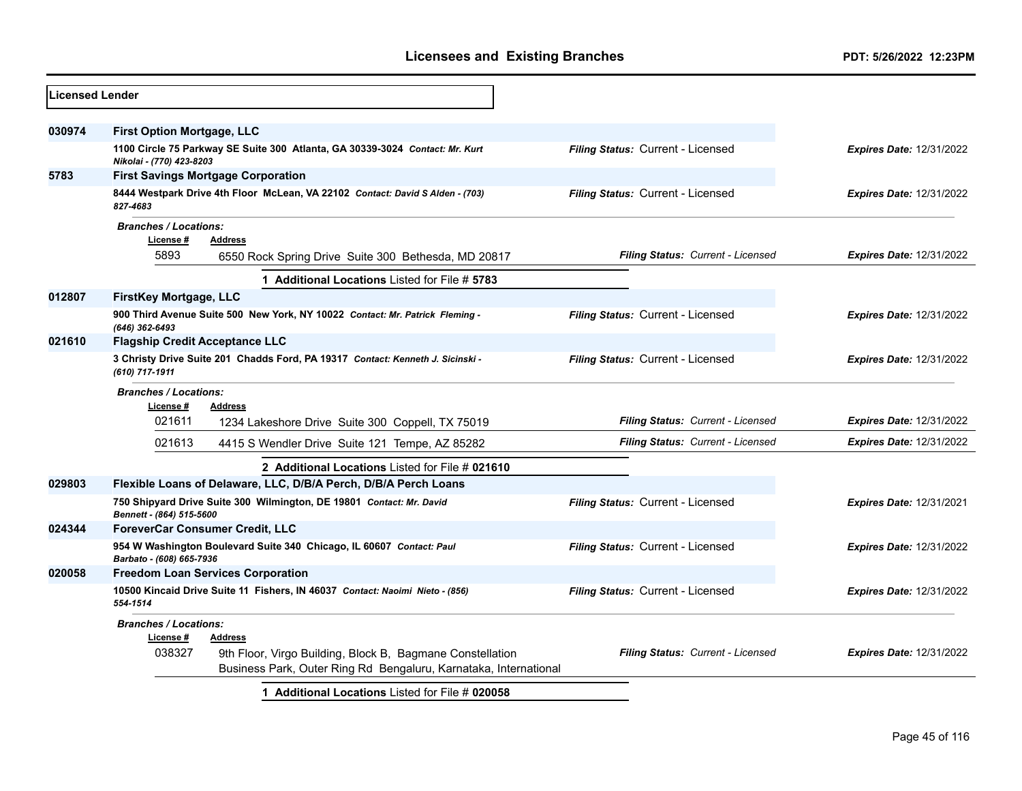| <b>Licensed Lender</b> |                                                                                                                                         |                                          |                                 |
|------------------------|-----------------------------------------------------------------------------------------------------------------------------------------|------------------------------------------|---------------------------------|
| 030974                 | <b>First Option Mortgage, LLC</b>                                                                                                       |                                          |                                 |
|                        | 1100 Circle 75 Parkway SE Suite 300 Atlanta, GA 30339-3024 Contact: Mr. Kurt<br>Nikolai - (770) 423-8203                                | Filing Status: Current - Licensed        | <b>Expires Date: 12/31/2022</b> |
| 5783                   | <b>First Savings Mortgage Corporation</b>                                                                                               |                                          |                                 |
|                        | 8444 Westpark Drive 4th Floor McLean, VA 22102 Contact: David S Alden - (703)<br>827-4683                                               | Filing Status: Current - Licensed        | <b>Expires Date: 12/31/2022</b> |
|                        | <b>Branches / Locations:</b><br>License#<br><b>Address</b><br>5893<br>6550 Rock Spring Drive Suite 300 Bethesda, MD 20817               | Filing Status: Current - Licensed        | <b>Expires Date: 12/31/2022</b> |
|                        | 1 Additional Locations Listed for File # 5783                                                                                           |                                          |                                 |
| 012807                 | <b>FirstKey Mortgage, LLC</b>                                                                                                           |                                          |                                 |
|                        | 900 Third Avenue Suite 500 New York, NY 10022 Contact: Mr. Patrick Fleming -<br>(646) 362-6493                                          | Filing Status: Current - Licensed        | <b>Expires Date: 12/31/2022</b> |
| 021610                 | <b>Flagship Credit Acceptance LLC</b>                                                                                                   |                                          |                                 |
|                        | 3 Christy Drive Suite 201 Chadds Ford, PA 19317 Contact: Kenneth J. Sicinski -<br>(610) 717-1911                                        | Filing Status: Current - Licensed        | <b>Expires Date: 12/31/2022</b> |
|                        | <b>Branches / Locations:</b><br>License #<br>Address                                                                                    |                                          |                                 |
|                        | 021611<br>1234 Lakeshore Drive Suite 300 Coppell, TX 75019                                                                              | Filing Status: Current - Licensed        | <b>Expires Date: 12/31/2022</b> |
|                        | 021613<br>4415 S Wendler Drive Suite 121 Tempe, AZ 85282                                                                                | Filing Status: Current - Licensed        | <b>Expires Date: 12/31/2022</b> |
|                        | 2 Additional Locations Listed for File # 021610                                                                                         |                                          |                                 |
| 029803                 | Flexible Loans of Delaware, LLC, D/B/A Perch, D/B/A Perch Loans                                                                         |                                          |                                 |
|                        | 750 Shipyard Drive Suite 300 Wilmington, DE 19801 Contact: Mr. David<br>Bennett - (864) 515-5600                                        | Filing Status: Current - Licensed        | <b>Expires Date: 12/31/2021</b> |
| 024344                 | ForeverCar Consumer Credit, LLC                                                                                                         |                                          |                                 |
|                        | 954 W Washington Boulevard Suite 340 Chicago, IL 60607 Contact: Paul<br>Barbato - (608) 665-7936                                        | Filing Status: Current - Licensed        | <b>Expires Date: 12/31/2022</b> |
| 020058                 | <b>Freedom Loan Services Corporation</b>                                                                                                |                                          |                                 |
|                        | 10500 Kincaid Drive Suite 11 Fishers, IN 46037 Contact: Naoimi Nieto - (856)<br>554-1514                                                | Filing Status: Current - Licensed        | <b>Expires Date: 12/31/2022</b> |
|                        | <b>Branches / Locations:</b><br>License #<br>Address                                                                                    |                                          |                                 |
|                        | 038327<br>9th Floor, Virgo Building, Block B, Bagmane Constellation<br>Business Park, Outer Ring Rd Bengaluru, Karnataka, International | <b>Filing Status: Current - Licensed</b> | <b>Expires Date: 12/31/2022</b> |
|                        | 1 Additional Locations Listed for File # 020058                                                                                         |                                          |                                 |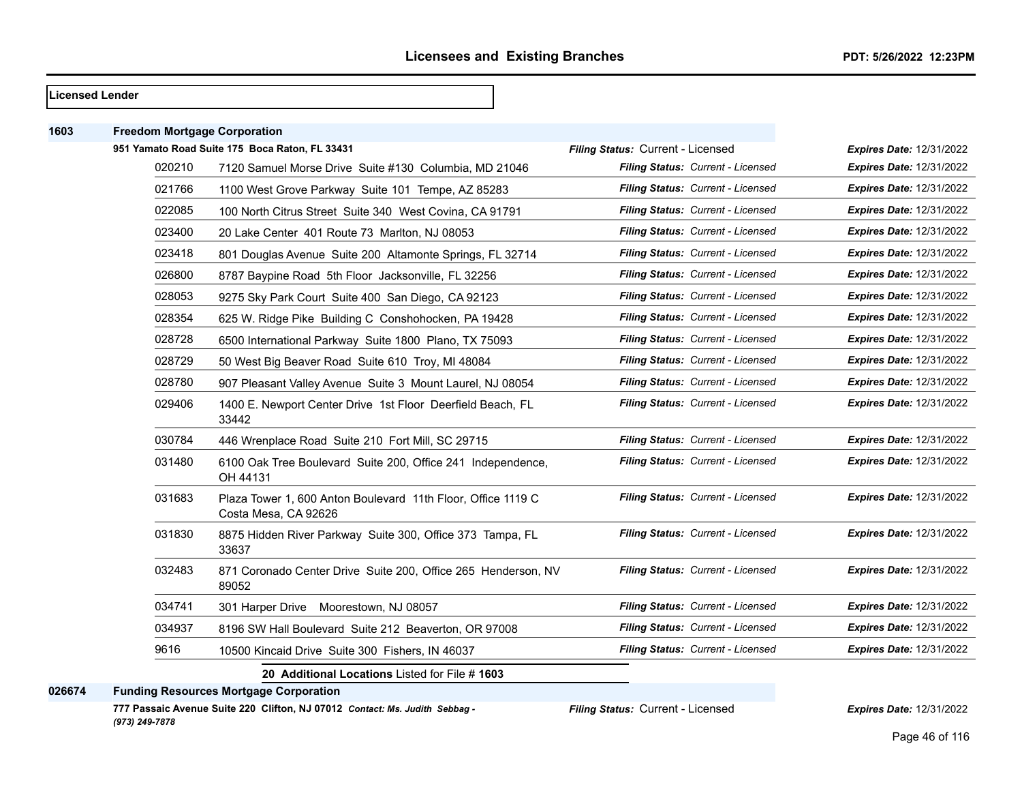#### **Licensed Lender**

| 1603 | <b>Freedom Mortgage Corporation</b> |                                                                                      |                                   |                                 |
|------|-------------------------------------|--------------------------------------------------------------------------------------|-----------------------------------|---------------------------------|
|      |                                     | 951 Yamato Road Suite 175 Boca Raton, FL 33431                                       | Filing Status: Current - Licensed | <b>Expires Date: 12/31/2022</b> |
|      | 020210                              | 7120 Samuel Morse Drive Suite #130 Columbia, MD 21046                                | Filing Status: Current - Licensed | <b>Expires Date: 12/31/2022</b> |
|      | 021766                              | 1100 West Grove Parkway Suite 101 Tempe, AZ 85283                                    | Filing Status: Current - Licensed | <b>Expires Date: 12/31/2022</b> |
|      | 022085                              | 100 North Citrus Street Suite 340 West Covina, CA 91791                              | Filing Status: Current - Licensed | <b>Expires Date: 12/31/2022</b> |
|      | 023400                              | 20 Lake Center 401 Route 73 Marlton, NJ 08053                                        | Filing Status: Current - Licensed | <b>Expires Date: 12/31/2022</b> |
|      | 023418                              | 801 Douglas Avenue Suite 200 Altamonte Springs, FL 32714                             | Filing Status: Current - Licensed | <b>Expires Date: 12/31/2022</b> |
|      | 026800                              | 8787 Baypine Road 5th Floor Jacksonville, FL 32256                                   | Filing Status: Current - Licensed | <b>Expires Date: 12/31/2022</b> |
|      | 028053                              | 9275 Sky Park Court Suite 400 San Diego, CA 92123                                    | Filing Status: Current - Licensed | <b>Expires Date: 12/31/2022</b> |
|      | 028354                              | 625 W. Ridge Pike Building C Conshohocken, PA 19428                                  | Filing Status: Current - Licensed | <b>Expires Date: 12/31/2022</b> |
|      | 028728                              | 6500 International Parkway Suite 1800 Plano, TX 75093                                | Filing Status: Current - Licensed | Expires Date: 12/31/2022        |
|      | 028729                              | 50 West Big Beaver Road Suite 610 Troy, MI 48084                                     | Filing Status: Current - Licensed | <b>Expires Date: 12/31/2022</b> |
|      | 028780                              | 907 Pleasant Valley Avenue Suite 3 Mount Laurel, NJ 08054                            | Filing Status: Current - Licensed | <b>Expires Date: 12/31/2022</b> |
|      | 029406                              | 1400 E. Newport Center Drive 1st Floor Deerfield Beach, FL<br>33442                  | Filing Status: Current - Licensed | <b>Expires Date: 12/31/2022</b> |
|      | 030784                              | 446 Wrenplace Road Suite 210 Fort Mill, SC 29715                                     | Filing Status: Current - Licensed | Expires Date: 12/31/2022        |
|      | 031480                              | 6100 Oak Tree Boulevard Suite 200, Office 241 Independence,<br>OH 44131              | Filing Status: Current - Licensed | <b>Expires Date: 12/31/2022</b> |
|      | 031683                              | Plaza Tower 1, 600 Anton Boulevard 11th Floor, Office 1119 C<br>Costa Mesa, CA 92626 | Filing Status: Current - Licensed | <b>Expires Date: 12/31/2022</b> |
|      | 031830                              | 8875 Hidden River Parkway Suite 300, Office 373 Tampa, FL<br>33637                   | Filing Status: Current - Licensed | <b>Expires Date: 12/31/2022</b> |
|      | 032483                              | 871 Coronado Center Drive Suite 200, Office 265 Henderson, NV<br>89052               | Filing Status: Current - Licensed | <b>Expires Date: 12/31/2022</b> |
|      | 034741                              | 301 Harper Drive Moorestown, NJ 08057                                                | Filing Status: Current - Licensed | <b>Expires Date: 12/31/2022</b> |
|      | 034937                              | 8196 SW Hall Boulevard Suite 212 Beaverton, OR 97008                                 | Filing Status: Current - Licensed | <b>Expires Date: 12/31/2022</b> |
|      | 9616                                | 10500 Kincaid Drive Suite 300 Fishers, IN 46037                                      | Filing Status: Current - Licensed | <b>Expires Date: 12/31/2022</b> |
|      |                                     | 20 Additional Locations Listed for File #1603                                        |                                   |                                 |

**Funding Resources Mortgage Corporation**

**777 Passaic Avenue Suite 220 Clifton, NJ 07012** *Contact: Ms. Judith Sebbag - (973) 249-7878*

*Filing Status:* Current - Licensed *Expires Date:* 12/31/2022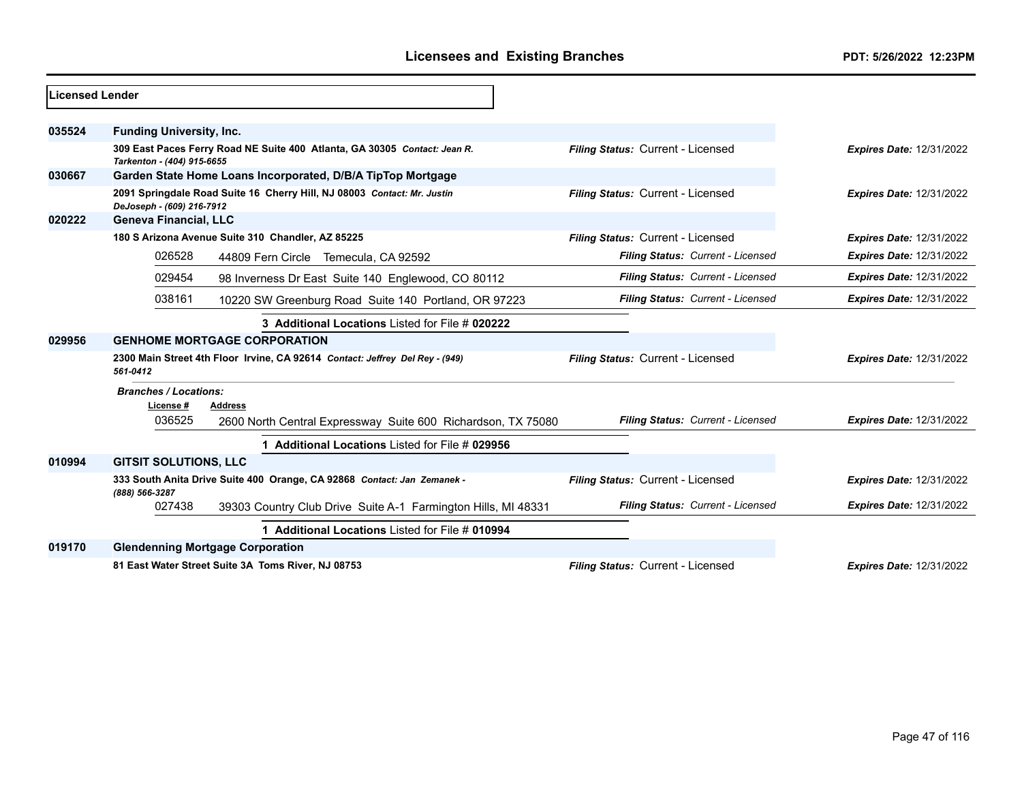| Licensed Lender |                                           |                                                                              |                                   |                                 |
|-----------------|-------------------------------------------|------------------------------------------------------------------------------|-----------------------------------|---------------------------------|
| 035524          | <b>Funding University, Inc.</b>           |                                                                              |                                   |                                 |
|                 | Tarkenton - (404) 915-6655                | 309 East Paces Ferry Road NE Suite 400 Atlanta, GA 30305 Contact: Jean R.    | Filing Status: Current - Licensed | <b>Expires Date: 12/31/2022</b> |
| 030667          |                                           | Garden State Home Loans Incorporated, D/B/A TipTop Mortgage                  |                                   |                                 |
|                 | DeJoseph - (609) 216-7912                 | 2091 Springdale Road Suite 16 Cherry Hill, NJ 08003 Contact: Mr. Justin      | Filing Status: Current - Licensed | <b>Expires Date: 12/31/2022</b> |
| 020222          | <b>Geneva Financial, LLC</b>              |                                                                              |                                   |                                 |
|                 |                                           | 180 S Arizona Avenue Suite 310 Chandler, AZ 85225                            | Filing Status: Current - Licensed | <b>Expires Date: 12/31/2022</b> |
|                 | 026528                                    | 44809 Fern Circle Temecula, CA 92592                                         | Filing Status: Current - Licensed | <b>Expires Date: 12/31/2022</b> |
|                 | 029454                                    | 98 Inverness Dr East Suite 140 Englewood, CO 80112                           | Filing Status: Current - Licensed | <b>Expires Date: 12/31/2022</b> |
|                 | 038161                                    | 10220 SW Greenburg Road Suite 140 Portland, OR 97223                         | Filing Status: Current - Licensed | <b>Expires Date: 12/31/2022</b> |
|                 |                                           | 3 Additional Locations Listed for File # 020222                              |                                   |                                 |
| 029956          |                                           | <b>GENHOME MORTGAGE CORPORATION</b>                                          |                                   |                                 |
|                 | 561-0412                                  | 2300 Main Street 4th Floor Irvine, CA 92614 Contact: Jeffrey Del Rey - (949) | Filing Status: Current - Licensed | <b>Expires Date: 12/31/2022</b> |
|                 | <b>Branches / Locations:</b><br>License # | Address                                                                      |                                   |                                 |
|                 | 036525                                    | 2600 North Central Expressway Suite 600 Richardson, TX 75080                 | Filing Status: Current - Licensed | <b>Expires Date: 12/31/2022</b> |
|                 |                                           | Additional Locations Listed for File # 029956                                |                                   |                                 |
| 010994          | <b>GITSIT SOLUTIONS, LLC</b>              |                                                                              |                                   |                                 |
|                 | (888) 566-3287                            | 333 South Anita Drive Suite 400 Orange, CA 92868 Contact: Jan Zemanek -      | Filing Status: Current - Licensed | <b>Expires Date: 12/31/2022</b> |
|                 | 027438                                    | 39303 Country Club Drive Suite A-1 Farmington Hills, MI 48331                | Filing Status: Current - Licensed | <b>Expires Date: 12/31/2022</b> |
|                 |                                           | 1 Additional Locations Listed for File # 010994                              |                                   |                                 |
| 019170          |                                           | <b>Glendenning Mortgage Corporation</b>                                      |                                   |                                 |
|                 |                                           | 81 East Water Street Suite 3A Toms River, NJ 08753                           | Filing Status: Current - Licensed | <b>Expires Date: 12/31/2022</b> |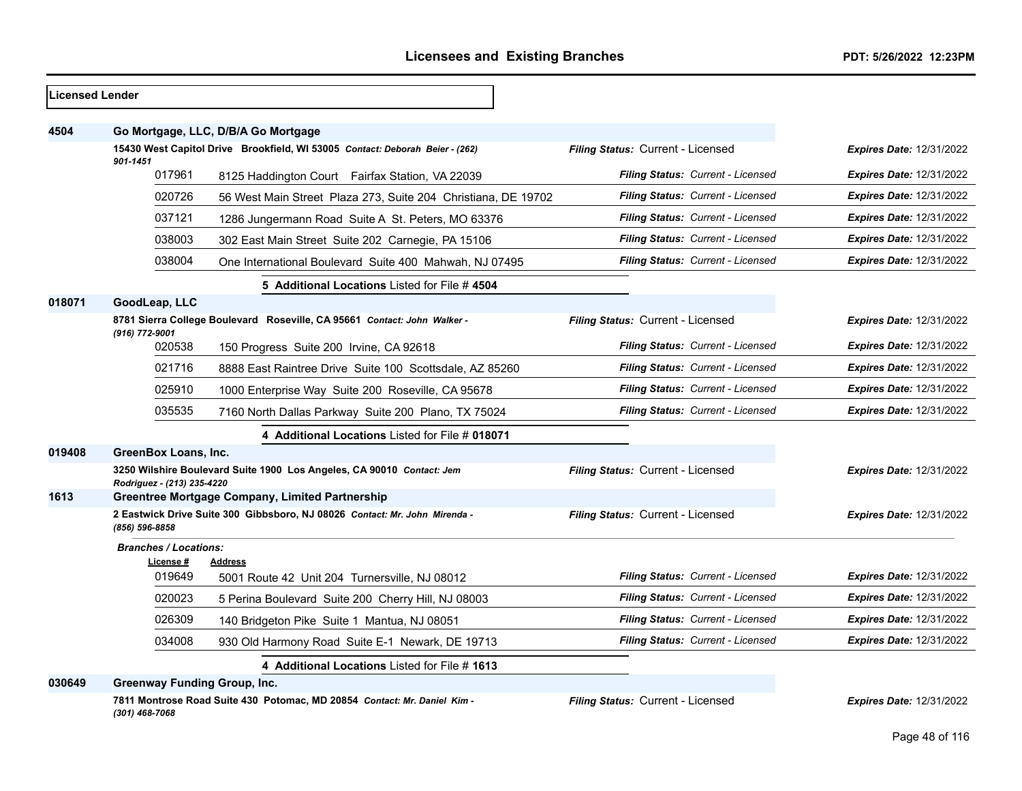| Licensed Lender |                              |                                                                              |                                   |                                 |
|-----------------|------------------------------|------------------------------------------------------------------------------|-----------------------------------|---------------------------------|
| 4504            |                              | Go Mortgage, LLC, D/B/A Go Mortgage                                          |                                   |                                 |
|                 | 901-1451                     | 15430 West Capitol Drive Brookfield, WI 53005 Contact: Deborah Beier - (262) | Filing Status: Current - Licensed | <b>Expires Date: 12/31/2022</b> |
|                 | 017961                       | 8125 Haddington Court Fairfax Station, VA 22039                              | Filing Status: Current - Licensed | <b>Expires Date: 12/31/2022</b> |
|                 | 020726                       | 56 West Main Street Plaza 273, Suite 204 Christiana, DE 19702                | Filing Status: Current - Licensed | <b>Expires Date: 12/31/2022</b> |
|                 | 037121                       | 1286 Jungermann Road Suite A St. Peters, MO 63376                            | Filing Status: Current - Licensed | <b>Expires Date: 12/31/2022</b> |
|                 | 038003                       | 302 East Main Street Suite 202 Carnegie, PA 15106                            | Filing Status: Current - Licensed | <b>Expires Date: 12/31/2022</b> |
|                 | 038004                       | One International Boulevard Suite 400 Mahwah, NJ 07495                       | Filing Status: Current - Licensed | <b>Expires Date: 12/31/2022</b> |
|                 |                              | 5 Additional Locations Listed for File # 4504                                |                                   |                                 |
| 018071          | GoodLeap, LLC                |                                                                              |                                   |                                 |
|                 | (916) 772-9001               | 8781 Sierra College Boulevard Roseville, CA 95661 Contact: John Walker -     | Filing Status: Current - Licensed | <b>Expires Date: 12/31/2022</b> |
|                 | 020538                       | 150 Progress Suite 200 Irvine, CA 92618                                      | Filing Status: Current - Licensed | <b>Expires Date: 12/31/2022</b> |
|                 | 021716                       | 8888 East Raintree Drive Suite 100 Scottsdale, AZ 85260                      | Filing Status: Current - Licensed | <b>Expires Date: 12/31/2022</b> |
|                 | 025910                       | 1000 Enterprise Way Suite 200 Roseville, CA 95678                            | Filing Status: Current - Licensed | <b>Expires Date: 12/31/2022</b> |
|                 | 035535                       | 7160 North Dallas Parkway Suite 200 Plano, TX 75024                          | Filing Status: Current - Licensed | <b>Expires Date: 12/31/2022</b> |
|                 |                              | 4 Additional Locations Listed for File # 018071                              |                                   |                                 |
| 019408          | GreenBox Loans, Inc.         |                                                                              |                                   |                                 |
|                 | Rodriguez - (213) 235-4220   | 3250 Wilshire Boulevard Suite 1900 Los Angeles, CA 90010 Contact: Jem        | Filing Status: Current - Licensed | <b>Expires Date: 12/31/2022</b> |
| 1613            |                              | <b>Greentree Mortgage Company, Limited Partnership</b>                       |                                   |                                 |
|                 | (856) 596-8858               | 2 Eastwick Drive Suite 300 Gibbsboro, NJ 08026 Contact: Mr. John Mirenda -   | Filing Status: Current - Licensed | <b>Expires Date: 12/31/2022</b> |
|                 | <b>Branches / Locations:</b> |                                                                              |                                   |                                 |
|                 | License #<br>019649          | <b>Address</b><br>5001 Route 42 Unit 204 Turnersville, NJ 08012              | Filing Status: Current - Licensed | <b>Expires Date: 12/31/2022</b> |
|                 | 020023                       | 5 Perina Boulevard Suite 200 Cherry Hill, NJ 08003                           | Filing Status: Current - Licensed | <b>Expires Date: 12/31/2022</b> |
|                 | 026309                       | 140 Bridgeton Pike Suite 1 Mantua, NJ 08051                                  | Filing Status: Current - Licensed | <b>Expires Date: 12/31/2022</b> |
|                 | 034008                       | 930 Old Harmony Road Suite E-1 Newark, DE 19713                              | Filing Status: Current - Licensed | <b>Expires Date: 12/31/2022</b> |
|                 |                              | 4 Additional Locations Listed for File # 1613                                |                                   |                                 |
| 030649          | Greenway Funding Group, Inc. |                                                                              |                                   |                                 |
|                 | $(301)$ 468-7068             | 7811 Montrose Road Suite 430 Potomac, MD 20854 Contact: Mr. Daniel Kim -     | Filing Status: Current - Licensed | <b>Expires Date: 12/31/2022</b> |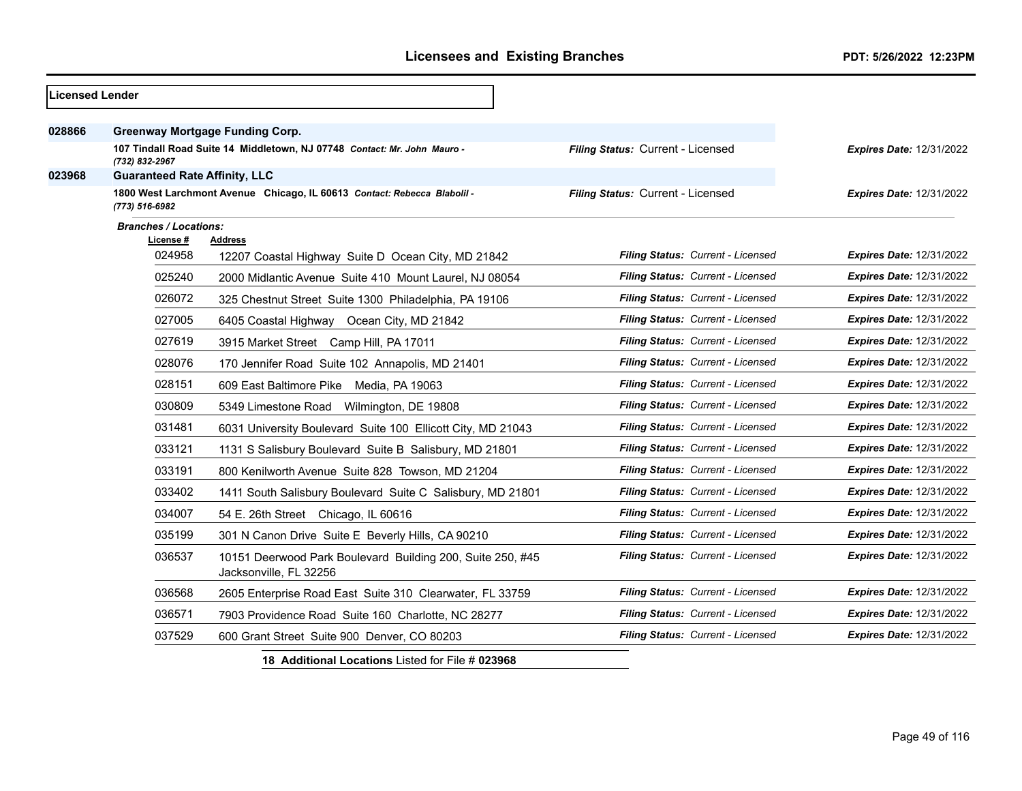| <b>Licensed Lender</b> |                                                                                            |                                                                                      |                                   |                                 |
|------------------------|--------------------------------------------------------------------------------------------|--------------------------------------------------------------------------------------|-----------------------------------|---------------------------------|
| 028866                 |                                                                                            | Greenway Mortgage Funding Corp.                                                      |                                   |                                 |
|                        | 107 Tindall Road Suite 14 Middletown, NJ 07748 Contact: Mr. John Mauro -<br>(732) 832-2967 |                                                                                      | Filing Status: Current - Licensed | <b>Expires Date: 12/31/2022</b> |
| 023968                 | <b>Guaranteed Rate Affinity, LLC</b>                                                       |                                                                                      |                                   |                                 |
|                        | (773) 516-6982                                                                             | 1800 West Larchmont Avenue Chicago, IL 60613 Contact: Rebecca Blabolil -             | Filing Status: Current - Licensed | <b>Expires Date: 12/31/2022</b> |
|                        | <b>Branches / Locations:</b>                                                               |                                                                                      |                                   |                                 |
|                        | License#                                                                                   | <b>Address</b>                                                                       |                                   |                                 |
|                        | 024958                                                                                     | 12207 Coastal Highway Suite D Ocean City, MD 21842                                   | Filing Status: Current - Licensed | <b>Expires Date: 12/31/2022</b> |
|                        | 025240                                                                                     | 2000 Midlantic Avenue Suite 410 Mount Laurel, NJ 08054                               | Filing Status: Current - Licensed | <b>Expires Date: 12/31/2022</b> |
|                        | 026072                                                                                     | 325 Chestnut Street Suite 1300 Philadelphia, PA 19106                                | Filing Status: Current - Licensed | <b>Expires Date: 12/31/2022</b> |
|                        | 027005                                                                                     | 6405 Coastal Highway Ocean City, MD 21842                                            | Filing Status: Current - Licensed | <b>Expires Date: 12/31/2022</b> |
|                        | 027619                                                                                     | 3915 Market Street Camp Hill, PA 17011                                               | Filing Status: Current - Licensed | <b>Expires Date: 12/31/2022</b> |
|                        | 028076                                                                                     | 170 Jennifer Road Suite 102 Annapolis, MD 21401                                      | Filing Status: Current - Licensed | <b>Expires Date: 12/31/2022</b> |
|                        | 028151                                                                                     | 609 East Baltimore Pike Media, PA 19063                                              | Filing Status: Current - Licensed | <b>Expires Date: 12/31/2022</b> |
|                        | 030809                                                                                     | 5349 Limestone Road Wilmington, DE 19808                                             | Filing Status: Current - Licensed | <b>Expires Date: 12/31/2022</b> |
|                        | 031481                                                                                     | 6031 University Boulevard Suite 100 Ellicott City, MD 21043                          | Filing Status: Current - Licensed | <b>Expires Date: 12/31/2022</b> |
|                        | 033121                                                                                     | 1131 S Salisbury Boulevard Suite B Salisbury, MD 21801                               | Filing Status: Current - Licensed | <b>Expires Date: 12/31/2022</b> |
|                        | 033191                                                                                     | 800 Kenilworth Avenue Suite 828 Towson, MD 21204                                     | Filing Status: Current - Licensed | <b>Expires Date: 12/31/2022</b> |
|                        | 033402                                                                                     | 1411 South Salisbury Boulevard Suite C Salisbury, MD 21801                           | Filing Status: Current - Licensed | <b>Expires Date: 12/31/2022</b> |
|                        | 034007                                                                                     | 54 E. 26th Street Chicago, IL 60616                                                  | Filing Status: Current - Licensed | <b>Expires Date: 12/31/2022</b> |
|                        | 035199                                                                                     | 301 N Canon Drive Suite E Beverly Hills, CA 90210                                    | Filing Status: Current - Licensed | <b>Expires Date: 12/31/2022</b> |
|                        | 036537                                                                                     | 10151 Deerwood Park Boulevard Building 200, Suite 250, #45<br>Jacksonville, FL 32256 | Filing Status: Current - Licensed | <b>Expires Date: 12/31/2022</b> |
|                        | 036568                                                                                     | 2605 Enterprise Road East Suite 310 Clearwater, FL 33759                             | Filing Status: Current - Licensed | <b>Expires Date: 12/31/2022</b> |
|                        | 036571                                                                                     | 7903 Providence Road Suite 160 Charlotte, NC 28277                                   | Filing Status: Current - Licensed | <b>Expires Date: 12/31/2022</b> |
|                        | 037529                                                                                     | 600 Grant Street Suite 900 Denver, CO 80203                                          | Filing Status: Current - Licensed | <b>Expires Date: 12/31/2022</b> |
|                        |                                                                                            | 18 Additional Locations Listed for File # 023968                                     |                                   |                                 |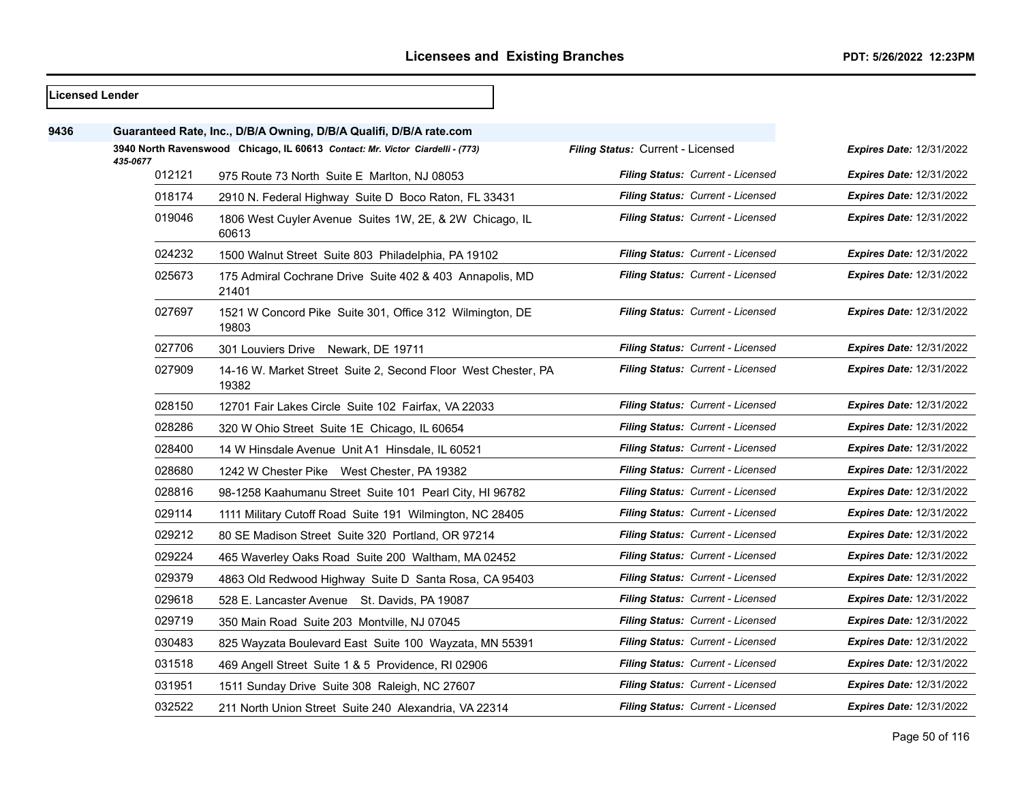$\overline{\phantom{0}}$ 

|      | <b>Licensed Lender</b> |                                                                               |                                          |                                 |
|------|------------------------|-------------------------------------------------------------------------------|------------------------------------------|---------------------------------|
| 9436 |                        | Guaranteed Rate, Inc., D/B/A Owning, D/B/A Qualifi, D/B/A rate.com            |                                          |                                 |
|      | 435-0677               | 3940 North Ravenswood Chicago, IL 60613 Contact: Mr. Victor Ciardelli - (773) | Filing Status: Current - Licensed        | <b>Expires Date: 12/31/2022</b> |
|      | 012121                 | 975 Route 73 North Suite E Marlton, NJ 08053                                  | Filing Status: Current - Licensed        | <b>Expires Date: 12/31/2022</b> |
|      | 018174                 | 2910 N. Federal Highway Suite D Boco Raton, FL 33431                          | Filing Status: Current - Licensed        | <b>Expires Date: 12/31/2022</b> |
|      | 019046                 | 1806 West Cuyler Avenue Suites 1W, 2E, & 2W Chicago, IL<br>60613              | Filing Status: Current - Licensed        | <b>Expires Date: 12/31/2022</b> |
|      | 024232                 | 1500 Walnut Street Suite 803 Philadelphia, PA 19102                           | Filing Status: Current - Licensed        | <b>Expires Date: 12/31/2022</b> |
|      | 025673                 | 175 Admiral Cochrane Drive Suite 402 & 403 Annapolis, MD<br>21401             | Filing Status: Current - Licensed        | <b>Expires Date: 12/31/2022</b> |
|      | 027697                 | 1521 W Concord Pike Suite 301, Office 312 Wilmington, DE<br>19803             | Filing Status: Current - Licensed        | <b>Expires Date: 12/31/2022</b> |
|      | 027706                 | 301 Louviers Drive Newark, DE 19711                                           | Filing Status: Current - Licensed        | <b>Expires Date: 12/31/2022</b> |
|      | 027909                 | 14-16 W. Market Street Suite 2, Second Floor West Chester, PA<br>19382        | <b>Filing Status: Current - Licensed</b> | <b>Expires Date: 12/31/2022</b> |
|      | 028150                 | 12701 Fair Lakes Circle Suite 102 Fairfax, VA 22033                           | Filing Status: Current - Licensed        | Expires Date: 12/31/2022        |
|      | 028286                 | 320 W Ohio Street Suite 1E Chicago, IL 60654                                  | Filing Status: Current - Licensed        | <b>Expires Date: 12/31/2022</b> |
|      | 028400                 | 14 W Hinsdale Avenue Unit A1 Hinsdale, IL 60521                               | Filing Status: Current - Licensed        | <b>Expires Date: 12/31/2022</b> |
|      | 028680                 | 1242 W Chester Pike West Chester, PA 19382                                    | <b>Filing Status: Current - Licensed</b> | <b>Expires Date: 12/31/2022</b> |
|      | 028816                 | 98-1258 Kaahumanu Street Suite 101 Pearl City, HI 96782                       | Filing Status: Current - Licensed        | <b>Expires Date: 12/31/2022</b> |
|      | 029114                 | 1111 Military Cutoff Road Suite 191 Wilmington, NC 28405                      | Filing Status: Current - Licensed        | <b>Expires Date: 12/31/2022</b> |
|      | 029212                 | 80 SE Madison Street Suite 320 Portland, OR 97214                             | Filing Status: Current - Licensed        | <b>Expires Date: 12/31/2022</b> |
|      | 029224                 | 465 Waverley Oaks Road Suite 200 Waltham, MA 02452                            | <b>Filing Status: Current - Licensed</b> | <b>Expires Date: 12/31/2022</b> |
|      | 029379                 | 4863 Old Redwood Highway Suite D Santa Rosa, CA 95403                         | <b>Filing Status: Current - Licensed</b> | <b>Expires Date: 12/31/2022</b> |
|      | 029618                 | 528 E. Lancaster Avenue St. Davids, PA 19087                                  | Filing Status: Current - Licensed        | <b>Expires Date: 12/31/2022</b> |
|      | 029719                 | 350 Main Road Suite 203 Montville, NJ 07045                                   | Filing Status: Current - Licensed        | <b>Expires Date: 12/31/2022</b> |
|      | 030483                 | 825 Wayzata Boulevard East Suite 100 Wayzata, MN 55391                        | Filing Status: Current - Licensed        | <b>Expires Date: 12/31/2022</b> |
|      | 031518                 | 469 Angell Street Suite 1 & 5 Providence, RI 02906                            | Filing Status: Current - Licensed        | <b>Expires Date: 12/31/2022</b> |
|      | 031951                 | 1511 Sunday Drive Suite 308 Raleigh, NC 27607                                 | Filing Status: Current - Licensed        | <b>Expires Date: 12/31/2022</b> |
|      | 032522                 | 211 North Union Street Suite 240 Alexandria, VA 22314                         | Filing Status: Current - Licensed        | Expires Date: 12/31/2022        |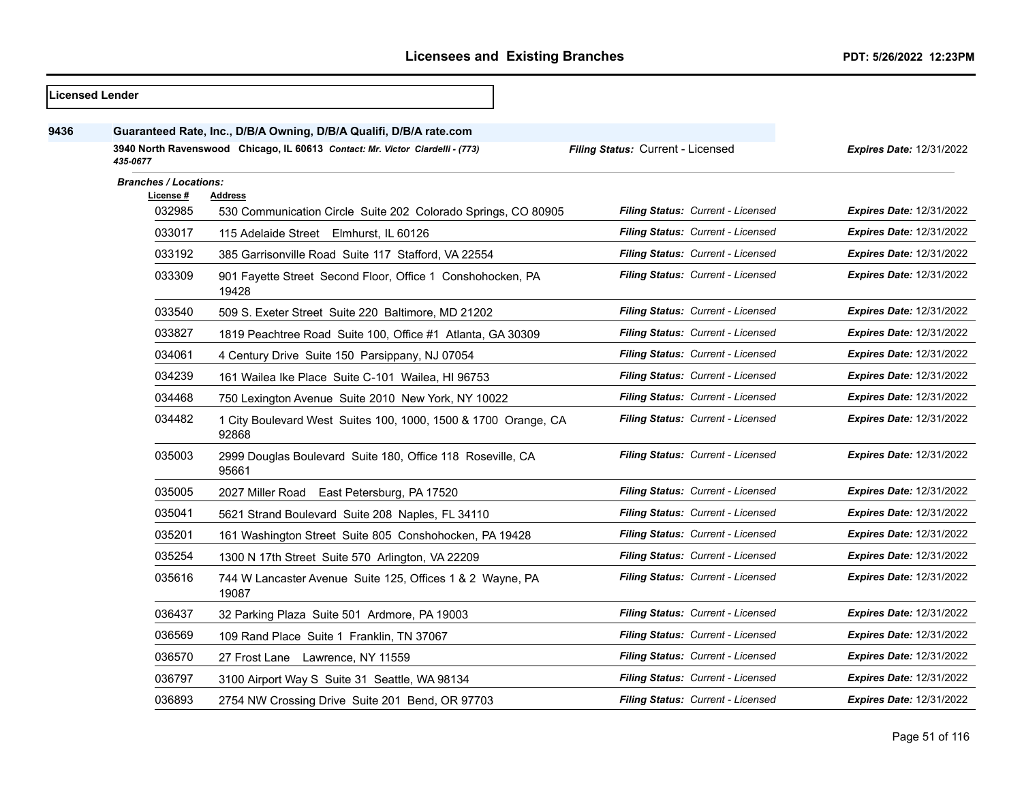| <b>Licensed Lender</b> |                                                                                           |                                                                                 |                                   |                                 |  |
|------------------------|-------------------------------------------------------------------------------------------|---------------------------------------------------------------------------------|-----------------------------------|---------------------------------|--|
| 9436                   |                                                                                           | Guaranteed Rate, Inc., D/B/A Owning, D/B/A Qualifi, D/B/A rate.com              |                                   |                                 |  |
|                        | 3940 North Ravenswood Chicago, IL 60613 Contact: Mr. Victor Ciardelli - (773)<br>435-0677 |                                                                                 | Filing Status: Current - Licensed | <b>Expires Date: 12/31/2022</b> |  |
|                        | <b>Branches / Locations:</b>                                                              |                                                                                 |                                   |                                 |  |
|                        | License #<br>032985                                                                       | <b>Address</b><br>530 Communication Circle Suite 202 Colorado Springs, CO 80905 | Filing Status: Current - Licensed | <b>Expires Date: 12/31/2022</b> |  |
|                        | 033017                                                                                    | 115 Adelaide Street Elmhurst, IL 60126                                          | Filing Status: Current - Licensed | <b>Expires Date: 12/31/2022</b> |  |
|                        | 033192                                                                                    | 385 Garrisonville Road Suite 117 Stafford, VA 22554                             | Filing Status: Current - Licensed | <b>Expires Date: 12/31/2022</b> |  |
|                        | 033309                                                                                    | 901 Fayette Street Second Floor, Office 1 Conshohocken, PA<br>19428             | Filing Status: Current - Licensed | <b>Expires Date: 12/31/2022</b> |  |
|                        | 033540                                                                                    | 509 S. Exeter Street Suite 220 Baltimore, MD 21202                              | Filing Status: Current - Licensed | Expires Date: 12/31/2022        |  |
|                        | 033827                                                                                    | 1819 Peachtree Road Suite 100, Office #1 Atlanta, GA 30309                      | Filing Status: Current - Licensed | Expires Date: 12/31/2022        |  |
|                        | 034061                                                                                    | 4 Century Drive Suite 150 Parsippany, NJ 07054                                  | Filing Status: Current - Licensed | <b>Expires Date: 12/31/2022</b> |  |
|                        | 034239                                                                                    | 161 Wailea Ike Place Suite C-101 Wailea, HI 96753                               | Filing Status: Current - Licensed | <b>Expires Date: 12/31/2022</b> |  |
|                        | 034468                                                                                    | 750 Lexington Avenue Suite 2010 New York, NY 10022                              | Filing Status: Current - Licensed | <b>Expires Date: 12/31/2022</b> |  |
|                        | 034482                                                                                    | 1 City Boulevard West Suites 100, 1000, 1500 & 1700 Orange, CA<br>92868         | Filing Status: Current - Licensed | <b>Expires Date: 12/31/2022</b> |  |
|                        | 035003                                                                                    | 2999 Douglas Boulevard Suite 180, Office 118 Roseville, CA<br>95661             | Filing Status: Current - Licensed | <b>Expires Date: 12/31/2022</b> |  |
|                        | 035005                                                                                    | 2027 Miller Road East Petersburg, PA 17520                                      | Filing Status: Current - Licensed | <b>Expires Date: 12/31/2022</b> |  |
|                        | 035041                                                                                    | 5621 Strand Boulevard Suite 208 Naples, FL 34110                                | Filing Status: Current - Licensed | <b>Expires Date: 12/31/2022</b> |  |
|                        | 035201                                                                                    | 161 Washington Street Suite 805 Conshohocken, PA 19428                          | Filing Status: Current - Licensed | <b>Expires Date: 12/31/2022</b> |  |
|                        | 035254                                                                                    | 1300 N 17th Street Suite 570 Arlington, VA 22209                                | Filing Status: Current - Licensed | <b>Expires Date: 12/31/2022</b> |  |
|                        | 035616                                                                                    | 744 W Lancaster Avenue Suite 125, Offices 1 & 2 Wayne, PA<br>19087              | Filing Status: Current - Licensed | <b>Expires Date: 12/31/2022</b> |  |
|                        | 036437                                                                                    | 32 Parking Plaza Suite 501 Ardmore, PA 19003                                    | Filing Status: Current - Licensed | <b>Expires Date: 12/31/2022</b> |  |
|                        | 036569                                                                                    | 109 Rand Place Suite 1 Franklin, TN 37067                                       | Filing Status: Current - Licensed | <b>Expires Date: 12/31/2022</b> |  |
|                        | 036570                                                                                    | 27 Frost Lane Lawrence, NY 11559                                                | Filing Status: Current - Licensed | <b>Expires Date: 12/31/2022</b> |  |
|                        | 036797                                                                                    | 3100 Airport Way S Suite 31 Seattle, WA 98134                                   | Filing Status: Current - Licensed | <b>Expires Date: 12/31/2022</b> |  |
|                        | 036893                                                                                    | 2754 NW Crossing Drive Suite 201 Bend, OR 97703                                 | Filing Status: Current - Licensed | <b>Expires Date: 12/31/2022</b> |  |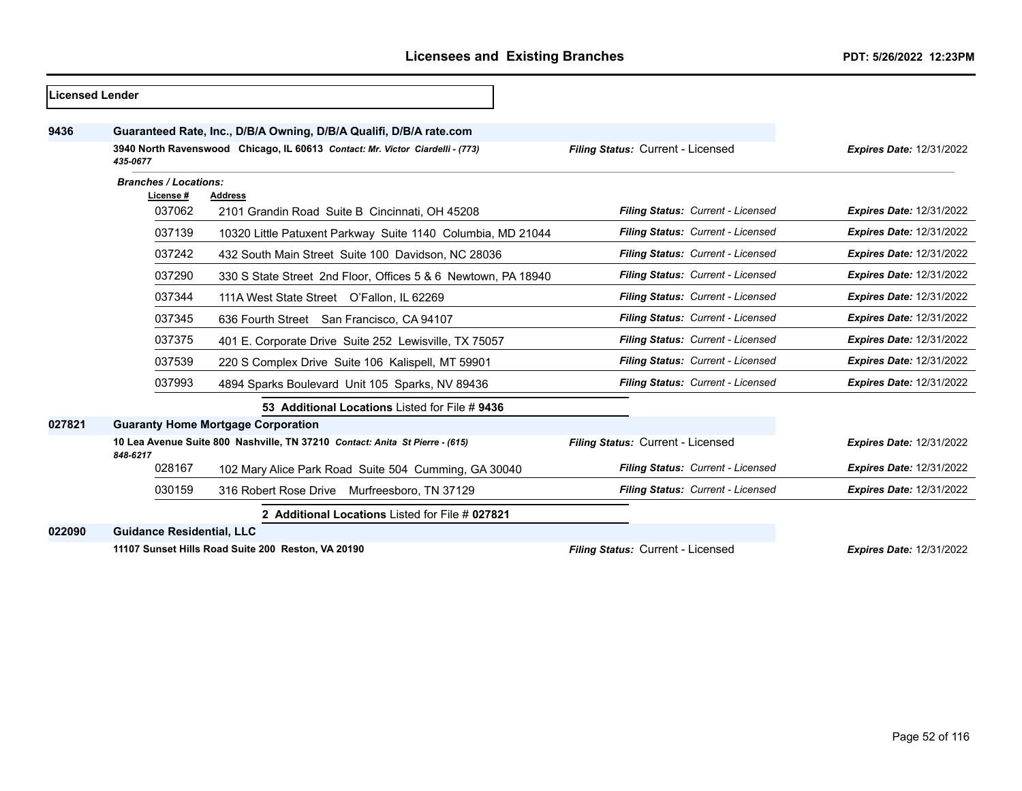| <b>Licensed Lender</b> |                                           |                                                                               |                                   |                                 |
|------------------------|-------------------------------------------|-------------------------------------------------------------------------------|-----------------------------------|---------------------------------|
| 9436                   |                                           | Guaranteed Rate, Inc., D/B/A Owning, D/B/A Qualifi, D/B/A rate.com            |                                   |                                 |
|                        | 435-0677                                  | 3940 North Ravenswood Chicago, IL 60613 Contact: Mr. Victor Ciardelli - (773) | Filing Status: Current - Licensed | <b>Expires Date: 12/31/2022</b> |
|                        | <b>Branches / Locations:</b><br>License # | <b>Address</b>                                                                |                                   |                                 |
|                        | 037062                                    | 2101 Grandin Road Suite B Cincinnati, OH 45208                                | Filing Status: Current - Licensed | <b>Expires Date: 12/31/2022</b> |
|                        | 037139                                    | 10320 Little Patuxent Parkway Suite 1140 Columbia, MD 21044                   | Filing Status: Current - Licensed | <b>Expires Date: 12/31/2022</b> |
|                        | 037242                                    | 432 South Main Street Suite 100 Davidson, NC 28036                            | Filing Status: Current - Licensed | <b>Expires Date: 12/31/2022</b> |
|                        | 037290                                    | 330 S State Street 2nd Floor, Offices 5 & 6 Newtown, PA 18940                 | Filing Status: Current - Licensed | <b>Expires Date: 12/31/2022</b> |
|                        | 037344                                    | 111A West State Street O'Fallon, IL 62269                                     | Filing Status: Current - Licensed | <b>Expires Date: 12/31/2022</b> |
|                        | 037345                                    | 636 Fourth Street San Francisco, CA 94107                                     | Filing Status: Current - Licensed | <b>Expires Date: 12/31/2022</b> |
|                        | 037375                                    | 401 E. Corporate Drive Suite 252 Lewisville, TX 75057                         | Filing Status: Current - Licensed | <b>Expires Date: 12/31/2022</b> |
|                        | 037539                                    | 220 S Complex Drive Suite 106 Kalispell, MT 59901                             | Filing Status: Current - Licensed | <b>Expires Date: 12/31/2022</b> |
|                        | 037993                                    | 4894 Sparks Boulevard Unit 105 Sparks, NV 89436                               | Filing Status: Current - Licensed | <b>Expires Date: 12/31/2022</b> |
|                        |                                           | 53 Additional Locations Listed for File # 9436                                |                                   |                                 |
| 027821                 |                                           | <b>Guaranty Home Mortgage Corporation</b>                                     |                                   |                                 |
|                        | 848-6217                                  | 10 Lea Avenue Suite 800 Nashville, TN 37210 Contact: Anita St Pierre - (615)  | Filing Status: Current - Licensed | <b>Expires Date: 12/31/2022</b> |
|                        | 028167                                    | 102 Mary Alice Park Road Suite 504 Cumming, GA 30040                          | Filing Status: Current - Licensed | <b>Expires Date: 12/31/2022</b> |
|                        | 030159                                    | 316 Robert Rose Drive<br>Murfreesboro, TN 37129                               | Filing Status: Current - Licensed | <b>Expires Date: 12/31/2022</b> |
|                        |                                           | 2 Additional Locations Listed for File # 027821                               |                                   |                                 |
| 022090                 | <b>Guidance Residential, LLC</b>          |                                                                               |                                   |                                 |
|                        |                                           | 11107 Sunset Hills Road Suite 200 Reston, VA 20190                            | Filing Status: Current - Licensed | <b>Expires Date: 12/31/2022</b> |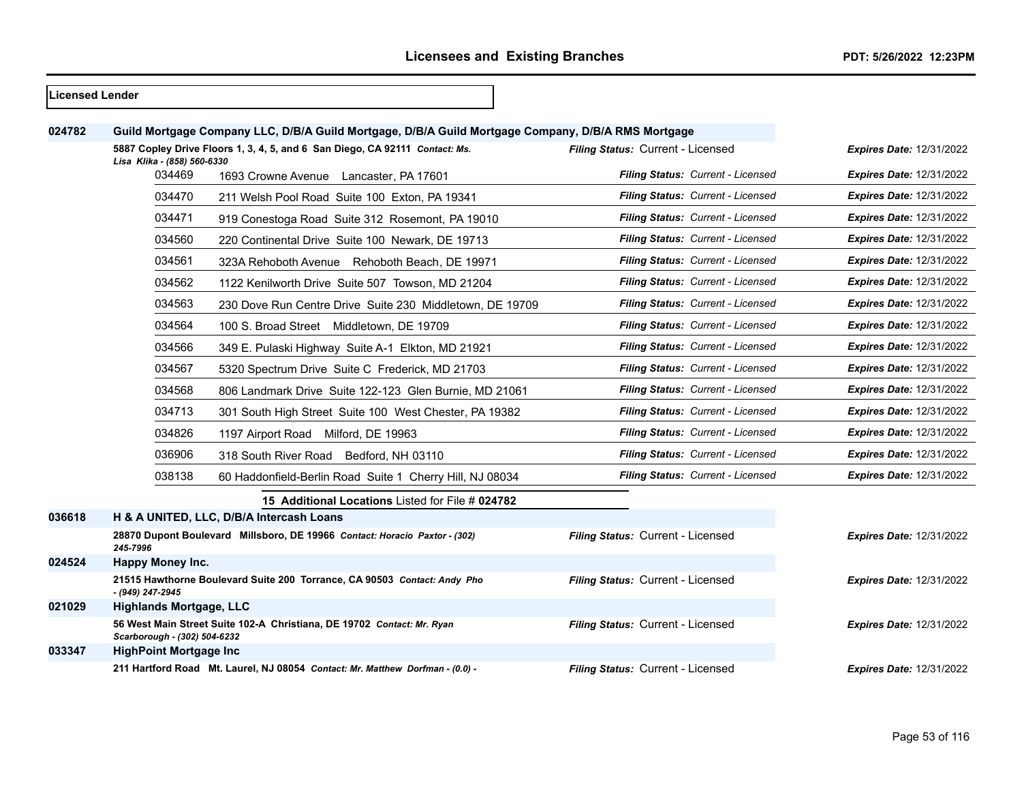| <b>Licensed Lender</b> |                                       |                                                                                                                                                                                   |                                   |                                 |
|------------------------|---------------------------------------|-----------------------------------------------------------------------------------------------------------------------------------------------------------------------------------|-----------------------------------|---------------------------------|
| 024782                 |                                       | Guild Mortgage Company LLC, D/B/A Guild Mortgage, D/B/A Guild Mortgage Company, D/B/A RMS Mortgage<br>5887 Copley Drive Floors 1, 3, 4, 5, and 6 San Diego, CA 92111 Contact: Ms. | Filing Status: Current - Licensed | <b>Expires Date: 12/31/2022</b> |
|                        | Lisa Klika - (858) 560-6330<br>034469 | 1693 Crowne Avenue Lancaster, PA 17601                                                                                                                                            | Filing Status: Current - Licensed | <b>Expires Date: 12/31/2022</b> |
|                        | 034470                                | 211 Welsh Pool Road Suite 100 Exton, PA 19341                                                                                                                                     | Filing Status: Current - Licensed | <b>Expires Date: 12/31/2022</b> |
|                        | 034471                                | 919 Conestoga Road Suite 312 Rosemont, PA 19010                                                                                                                                   | Filing Status: Current - Licensed | <b>Expires Date: 12/31/2022</b> |
|                        | 034560                                | 220 Continental Drive Suite 100 Newark, DE 19713                                                                                                                                  | Filing Status: Current - Licensed | <b>Expires Date: 12/31/2022</b> |
|                        | 034561                                | 323A Rehoboth Avenue Rehoboth Beach, DE 19971                                                                                                                                     | Filing Status: Current - Licensed | <b>Expires Date: 12/31/2022</b> |
|                        | 034562                                | 1122 Kenilworth Drive Suite 507 Towson, MD 21204                                                                                                                                  | Filing Status: Current - Licensed | <b>Expires Date: 12/31/2022</b> |
|                        | 034563                                | 230 Dove Run Centre Drive Suite 230 Middletown, DE 19709                                                                                                                          | Filing Status: Current - Licensed | <b>Expires Date: 12/31/2022</b> |
|                        | 034564                                | 100 S. Broad Street Middletown, DE 19709                                                                                                                                          | Filing Status: Current - Licensed | <b>Expires Date: 12/31/2022</b> |
|                        | 034566                                | 349 E. Pulaski Highway Suite A-1 Elkton, MD 21921                                                                                                                                 | Filing Status: Current - Licensed | <b>Expires Date: 12/31/2022</b> |
|                        | 034567                                | 5320 Spectrum Drive Suite C Frederick, MD 21703                                                                                                                                   | Filing Status: Current - Licensed | <b>Expires Date: 12/31/2022</b> |
|                        | 034568                                | 806 Landmark Drive Suite 122-123 Glen Burnie, MD 21061                                                                                                                            | Filing Status: Current - Licensed | <b>Expires Date: 12/31/2022</b> |
|                        | 034713                                | 301 South High Street Suite 100 West Chester, PA 19382                                                                                                                            | Filing Status: Current - Licensed | <b>Expires Date: 12/31/2022</b> |
|                        | 034826                                | 1197 Airport Road Milford, DE 19963                                                                                                                                               | Filing Status: Current - Licensed | <b>Expires Date: 12/31/2022</b> |
|                        | 036906                                | 318 South River Road<br>Bedford, NH 03110                                                                                                                                         | Filing Status: Current - Licensed | <b>Expires Date: 12/31/2022</b> |
|                        | 038138                                | 60 Haddonfield-Berlin Road Suite 1 Cherry Hill, NJ 08034                                                                                                                          | Filing Status: Current - Licensed | <b>Expires Date: 12/31/2022</b> |
|                        |                                       | 15 Additional Locations Listed for File # 024782                                                                                                                                  |                                   |                                 |
| 036618                 |                                       | H & A UNITED, LLC, D/B/A Intercash Loans                                                                                                                                          |                                   |                                 |
|                        | 245-7996                              | 28870 Dupont Boulevard Millsboro, DE 19966 Contact: Horacio Paxtor - (302)                                                                                                        | Filing Status: Current - Licensed | <b>Expires Date: 12/31/2022</b> |
| 024524                 | <b>Happy Money Inc.</b>               |                                                                                                                                                                                   |                                   |                                 |
|                        | - (949) 247-2945                      | 21515 Hawthorne Boulevard Suite 200 Torrance, CA 90503 Contact: Andy Pho                                                                                                          | Filing Status: Current - Licensed | <b>Expires Date: 12/31/2022</b> |
| 021029                 | <b>Highlands Mortgage, LLC</b>        |                                                                                                                                                                                   |                                   |                                 |
|                        | Scarborough - (302) 504-6232          | 56 West Main Street Suite 102-A Christiana, DE 19702 Contact: Mr. Ryan                                                                                                            | Filing Status: Current - Licensed | Expires Date: 12/31/2022        |
| 033347                 | <b>HighPoint Mortgage Inc.</b>        |                                                                                                                                                                                   |                                   |                                 |
|                        |                                       | 211 Hartford Road Mt. Laurel, NJ 08054 Contact: Mr. Matthew Dorfman - (0.0) -                                                                                                     | Filing Status: Current - Licensed | <b>Expires Date: 12/31/2022</b> |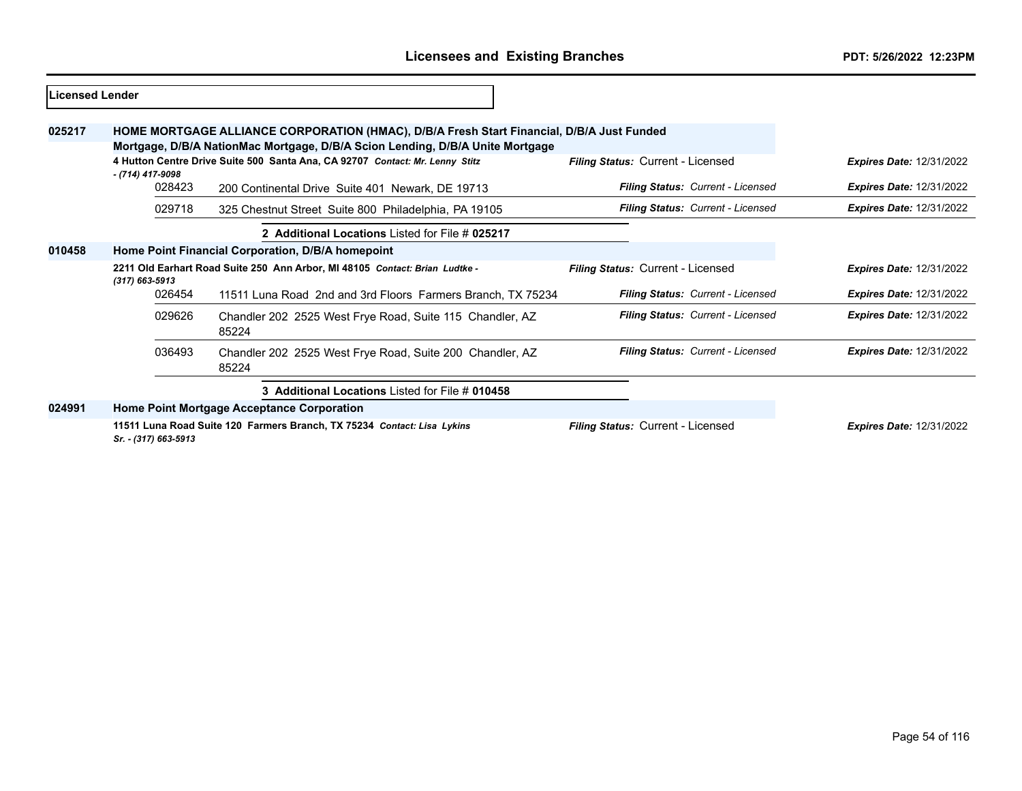| Licensed Lender |                                                                                                   |        |                                                                                                                                                                            |                                          |                                 |
|-----------------|---------------------------------------------------------------------------------------------------|--------|----------------------------------------------------------------------------------------------------------------------------------------------------------------------------|------------------------------------------|---------------------------------|
| 025217          |                                                                                                   |        | HOME MORTGAGE ALLIANCE CORPORATION (HMAC), D/B/A Fresh Start Financial, D/B/A Just Funded<br>Mortgage, D/B/A NationMac Mortgage, D/B/A Scion Lending, D/B/A Unite Mortgage |                                          |                                 |
|                 | 4 Hutton Centre Drive Suite 500 Santa Ana, CA 92707 Contact: Mr. Lenny Stitz<br>- (714) 417-9098  |        |                                                                                                                                                                            | Filing Status: Current - Licensed        | <b>Expires Date: 12/31/2022</b> |
|                 |                                                                                                   | 028423 | 200 Continental Drive Suite 401 Newark, DE 19713                                                                                                                           | Filing Status: Current - Licensed        | <b>Expires Date: 12/31/2022</b> |
|                 |                                                                                                   | 029718 | 325 Chestnut Street Suite 800 Philadelphia, PA 19105                                                                                                                       | Filing Status: Current - Licensed        | <b>Expires Date: 12/31/2022</b> |
|                 |                                                                                                   |        | 2 Additional Locations Listed for File # 025217                                                                                                                            |                                          |                                 |
| 010458          | Home Point Financial Corporation, D/B/A homepoint                                                 |        |                                                                                                                                                                            |                                          |                                 |
|                 | 2211 Old Earhart Road Suite 250 Ann Arbor, MI 48105 Contact: Brian Ludtke -<br>$(317) 663 - 5913$ |        | Filing Status: Current - Licensed                                                                                                                                          | <b>Expires Date: 12/31/2022</b>          |                                 |
|                 |                                                                                                   | 026454 | 11511 Luna Road 2nd and 3rd Floors Farmers Branch, TX 75234                                                                                                                | Filing Status: Current - Licensed        | <b>Expires Date: 12/31/2022</b> |
|                 |                                                                                                   | 029626 | Chandler 202 2525 West Frye Road, Suite 115 Chandler, AZ<br>85224                                                                                                          | <b>Filing Status: Current - Licensed</b> | <b>Expires Date: 12/31/2022</b> |
|                 |                                                                                                   | 036493 | Chandler 202 2525 West Frye Road, Suite 200 Chandler, AZ<br>85224                                                                                                          | Filing Status: Current - Licensed        | <b>Expires Date: 12/31/2022</b> |
|                 |                                                                                                   |        | 3 Additional Locations Listed for File # 010458                                                                                                                            |                                          |                                 |
| 024991          |                                                                                                   |        | Home Point Mortgage Acceptance Corporation                                                                                                                                 |                                          |                                 |
|                 | Sr. - (317) 663-5913                                                                              |        | 11511 Luna Road Suite 120 Farmers Branch, TX 75234 Contact: Lisa Lykins                                                                                                    | <b>Filing Status: Current - Licensed</b> | <b>Expires Date: 12/31/2022</b> |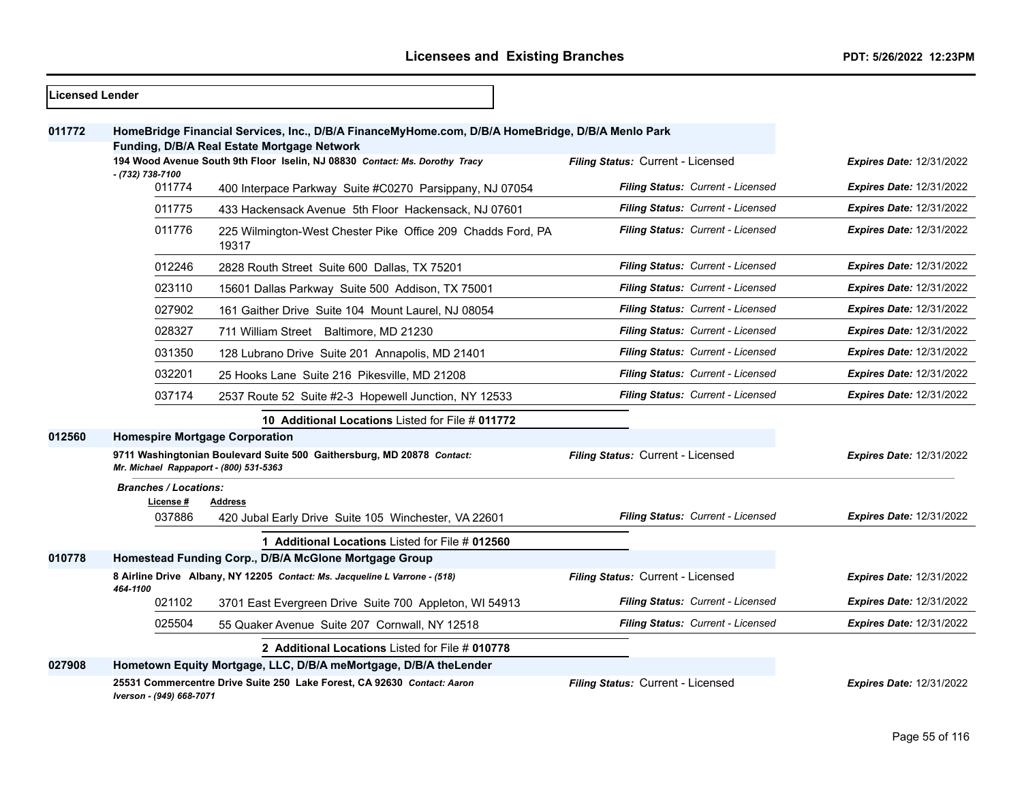| <b>Licensed Lender</b> |                                                                                                                                                 |                                                                             |                                   |                                 |
|------------------------|-------------------------------------------------------------------------------------------------------------------------------------------------|-----------------------------------------------------------------------------|-----------------------------------|---------------------------------|
| 011772                 | HomeBridge Financial Services, Inc., D/B/A FinanceMyHome.com, D/B/A HomeBridge, D/B/A Menlo Park<br>Funding, D/B/A Real Estate Mortgage Network |                                                                             |                                   |                                 |
|                        | $-$ (732) 738-7100                                                                                                                              | 194 Wood Avenue South 9th Floor Iselin, NJ 08830 Contact: Ms. Dorothy Tracy | Filing Status: Current - Licensed | <b>Expires Date: 12/31/2022</b> |
|                        | 011774                                                                                                                                          | 400 Interpace Parkway Suite #C0270 Parsippany, NJ 07054                     | Filing Status: Current - Licensed | <b>Expires Date: 12/31/2022</b> |
|                        | 011775                                                                                                                                          | 433 Hackensack Avenue 5th Floor Hackensack, NJ 07601                        | Filing Status: Current - Licensed | <b>Expires Date: 12/31/2022</b> |
|                        | 011776                                                                                                                                          | 225 Wilmington-West Chester Pike Office 209 Chadds Ford, PA<br>19317        | Filing Status: Current - Licensed | <b>Expires Date: 12/31/2022</b> |
|                        | 012246                                                                                                                                          | 2828 Routh Street Suite 600 Dallas, TX 75201                                | Filing Status: Current - Licensed | <b>Expires Date: 12/31/2022</b> |
|                        | 023110                                                                                                                                          | 15601 Dallas Parkway Suite 500 Addison, TX 75001                            | Filing Status: Current - Licensed | <b>Expires Date: 12/31/2022</b> |
|                        | 027902                                                                                                                                          | 161 Gaither Drive Suite 104 Mount Laurel, NJ 08054                          | Filing Status: Current - Licensed | <b>Expires Date: 12/31/2022</b> |
|                        | 028327                                                                                                                                          | 711 William Street Baltimore, MD 21230                                      | Filing Status: Current - Licensed | <b>Expires Date: 12/31/2022</b> |
|                        | 031350                                                                                                                                          | 128 Lubrano Drive Suite 201 Annapolis, MD 21401                             | Filing Status: Current - Licensed | <b>Expires Date: 12/31/2022</b> |
|                        | 032201                                                                                                                                          | 25 Hooks Lane Suite 216 Pikesville, MD 21208                                | Filing Status: Current - Licensed | <b>Expires Date: 12/31/2022</b> |
|                        | 037174                                                                                                                                          | 2537 Route 52 Suite #2-3 Hopewell Junction, NY 12533                        | Filing Status: Current - Licensed | <b>Expires Date: 12/31/2022</b> |
|                        |                                                                                                                                                 | 10 Additional Locations Listed for File # 011772                            |                                   |                                 |
| 012560                 | <b>Homespire Mortgage Corporation</b>                                                                                                           |                                                                             |                                   |                                 |
|                        | Mr. Michael Rappaport - (800) 531-5363                                                                                                          | 9711 Washingtonian Boulevard Suite 500 Gaithersburg, MD 20878 Contact:      | Filing Status: Current - Licensed | <b>Expires Date: 12/31/2022</b> |
|                        | <b>Branches / Locations:</b>                                                                                                                    |                                                                             |                                   |                                 |
|                        | License #<br>037886                                                                                                                             | <b>Address</b><br>420 Jubal Early Drive Suite 105 Winchester, VA 22601      | Filing Status: Current - Licensed | <b>Expires Date: 12/31/2022</b> |
|                        |                                                                                                                                                 | 1 Additional Locations Listed for File # 012560                             |                                   |                                 |
| 010778                 |                                                                                                                                                 | Homestead Funding Corp., D/B/A McGlone Mortgage Group                       |                                   |                                 |
|                        | 464-1100                                                                                                                                        | 8 Airline Drive Albany, NY 12205 Contact: Ms. Jacqueline L Varrone - (518)  | Filing Status: Current - Licensed | <b>Expires Date: 12/31/2022</b> |
|                        | 021102                                                                                                                                          | 3701 East Evergreen Drive Suite 700 Appleton, WI 54913                      | Filing Status: Current - Licensed | <b>Expires Date: 12/31/2022</b> |
|                        | 025504                                                                                                                                          | 55 Quaker Avenue Suite 207 Cornwall, NY 12518                               | Filing Status: Current - Licensed | <b>Expires Date: 12/31/2022</b> |
|                        |                                                                                                                                                 | 2 Additional Locations Listed for File # 010778                             |                                   |                                 |
| 027908                 |                                                                                                                                                 | Hometown Equity Mortgage, LLC, D/B/A meMortgage, D/B/A theLender            |                                   |                                 |
|                        | Iverson - (949) 668-7071                                                                                                                        | 25531 Commercentre Drive Suite 250 Lake Forest, CA 92630 Contact: Aaron     | Filing Status: Current - Licensed | <b>Expires Date: 12/31/2022</b> |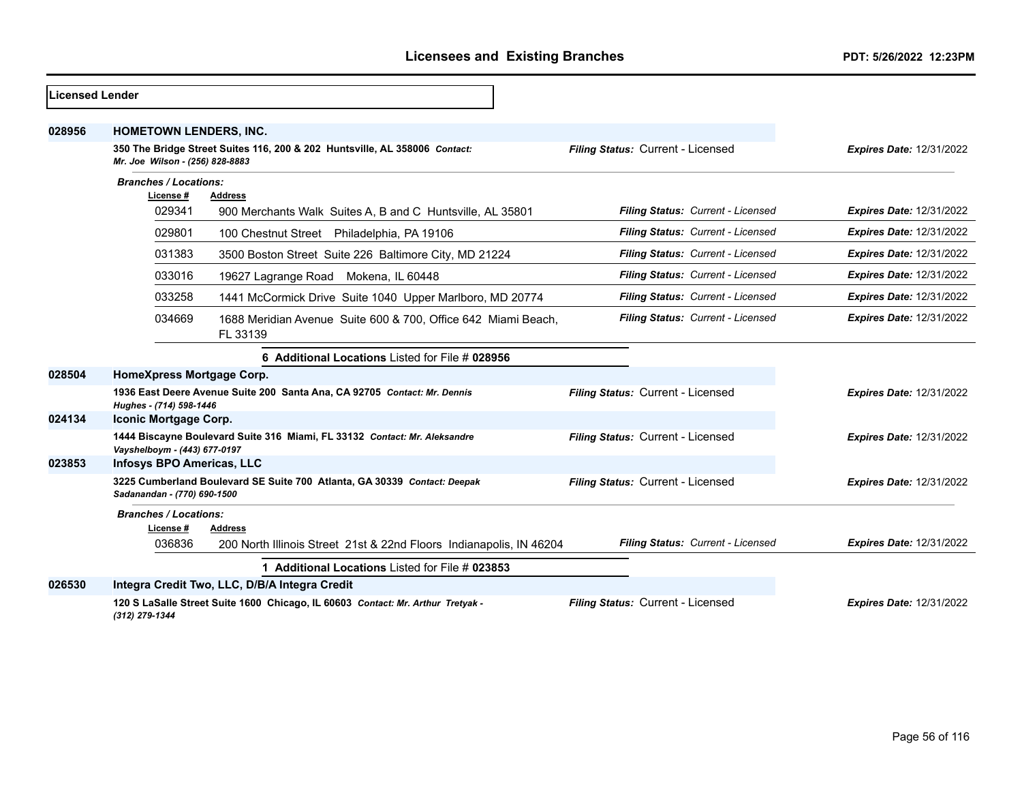| <b>Licensed Lender</b> |                                                                                                               |                                                                                       |                                   |                                 |
|------------------------|---------------------------------------------------------------------------------------------------------------|---------------------------------------------------------------------------------------|-----------------------------------|---------------------------------|
| 028956                 | <b>HOMETOWN LENDERS, INC.</b>                                                                                 |                                                                                       |                                   |                                 |
|                        | 350 The Bridge Street Suites 116, 200 & 202 Huntsville, AL 358006 Contact:<br>Mr. Joe Wilson - (256) 828-8883 |                                                                                       | Filing Status: Current - Licensed | <b>Expires Date: 12/31/2022</b> |
|                        | <b>Branches / Locations:</b>                                                                                  |                                                                                       |                                   |                                 |
|                        | License #<br>029341                                                                                           | <b>Address</b><br>900 Merchants Walk Suites A, B and C Huntsville, AL 35801           | Filing Status: Current - Licensed | <b>Expires Date: 12/31/2022</b> |
|                        | 029801                                                                                                        | 100 Chestnut Street Philadelphia, PA 19106                                            | Filing Status: Current - Licensed | <b>Expires Date: 12/31/2022</b> |
|                        | 031383                                                                                                        | 3500 Boston Street Suite 226 Baltimore City, MD 21224                                 | Filing Status: Current - Licensed | <b>Expires Date: 12/31/2022</b> |
|                        | 033016                                                                                                        | 19627 Lagrange Road Mokena, IL 60448                                                  | Filing Status: Current - Licensed | <b>Expires Date: 12/31/2022</b> |
|                        | 033258                                                                                                        | 1441 McCormick Drive Suite 1040 Upper Marlboro, MD 20774                              | Filing Status: Current - Licensed | <b>Expires Date: 12/31/2022</b> |
|                        | 034669                                                                                                        | 1688 Meridian Avenue Suite 600 & 700, Office 642 Miami Beach,<br>FL 33139             | Filing Status: Current - Licensed | <b>Expires Date: 12/31/2022</b> |
|                        |                                                                                                               | 6 Additional Locations Listed for File # 028956                                       |                                   |                                 |
| 028504                 | HomeXpress Mortgage Corp.                                                                                     |                                                                                       |                                   |                                 |
|                        | Hughes - (714) 598-1446                                                                                       | 1936 East Deere Avenue Suite 200 Santa Ana, CA 92705 Contact: Mr. Dennis              | Filing Status: Current - Licensed | <b>Expires Date: 12/31/2022</b> |
| 024134                 | Iconic Mortgage Corp.                                                                                         |                                                                                       |                                   |                                 |
|                        | Vayshelboym - (443) 677-0197                                                                                  | 1444 Biscayne Boulevard Suite 316 Miami, FL 33132 Contact: Mr. Aleksandre             | Filing Status: Current - Licensed | <b>Expires Date: 12/31/2022</b> |
| 023853                 | <b>Infosys BPO Americas, LLC</b>                                                                              |                                                                                       |                                   |                                 |
|                        | Sadanandan - (770) 690-1500                                                                                   | 3225 Cumberland Boulevard SE Suite 700 Atlanta, GA 30339 Contact: Deepak              | Filing Status: Current - Licensed | <b>Expires Date: 12/31/2022</b> |
|                        | <b>Branches / Locations:</b>                                                                                  |                                                                                       |                                   |                                 |
|                        | License #<br>036836                                                                                           | <b>Address</b><br>200 North Illinois Street 21st & 22nd Floors Indianapolis, IN 46204 | Filing Status: Current - Licensed | <b>Expires Date: 12/31/2022</b> |
|                        |                                                                                                               | 1 Additional Locations Listed for File # 023853                                       |                                   |                                 |
| 026530                 |                                                                                                               | Integra Credit Two, LLC, D/B/A Integra Credit                                         |                                   |                                 |
|                        | (312) 279-1344                                                                                                | 120 S LaSalle Street Suite 1600 Chicago, IL 60603 Contact: Mr. Arthur Tretyak -       | Filing Status: Current - Licensed | <b>Expires Date: 12/31/2022</b> |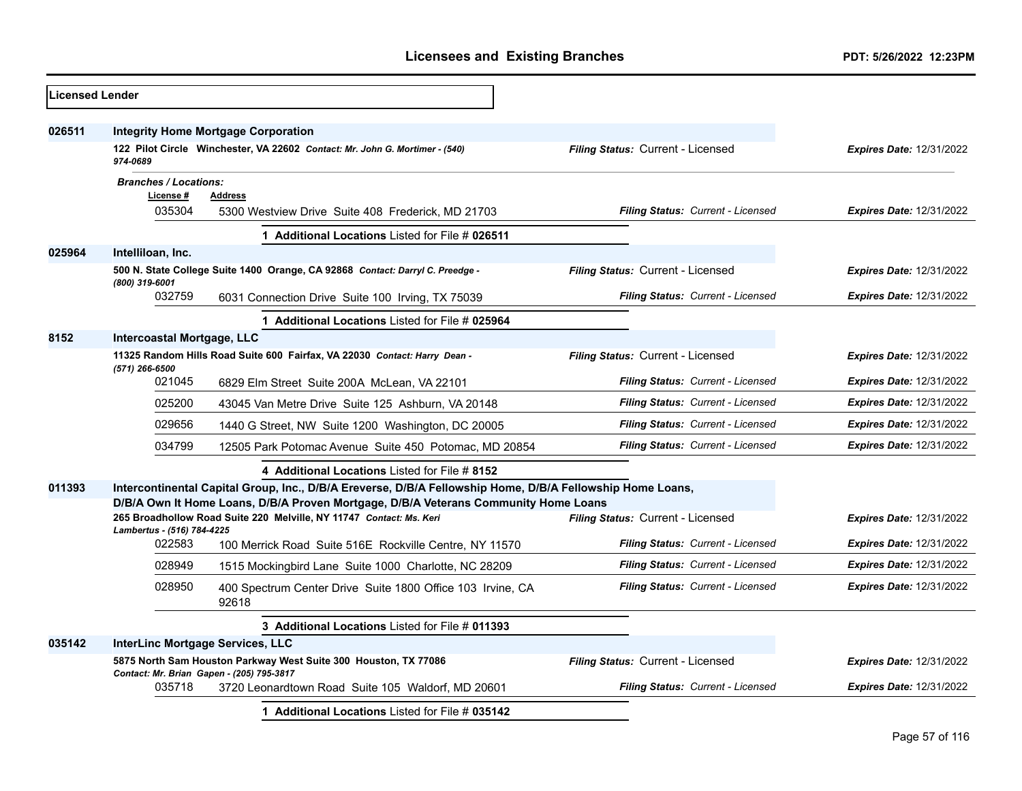| Licensed Lender |                                                       |                                                                                                                           |                                   |                                 |
|-----------------|-------------------------------------------------------|---------------------------------------------------------------------------------------------------------------------------|-----------------------------------|---------------------------------|
| 026511          |                                                       | <b>Integrity Home Mortgage Corporation</b><br>122 Pilot Circle Winchester, VA 22602 Contact: Mr. John G. Mortimer - (540) | Filing Status: Current - Licensed | <b>Expires Date: 12/31/2022</b> |
|                 | 974-0689<br><b>Branches / Locations:</b><br>License # | <b>Address</b>                                                                                                            |                                   |                                 |
|                 | 035304                                                | 5300 Westview Drive Suite 408 Frederick, MD 21703                                                                         | Filing Status: Current - Licensed | <b>Expires Date: 12/31/2022</b> |
|                 |                                                       | 1 Additional Locations Listed for File # 026511                                                                           |                                   |                                 |
| 025964          | Intelliloan, Inc.<br>(800) 319-6001                   | 500 N. State College Suite 1400 Orange, CA 92868 Contact: Darryl C. Preedge -                                             | Filing Status: Current - Licensed | <b>Expires Date: 12/31/2022</b> |
|                 | 032759                                                | 6031 Connection Drive Suite 100 Irving, TX 75039                                                                          | Filing Status: Current - Licensed | <b>Expires Date: 12/31/2022</b> |
|                 |                                                       | 1 Additional Locations Listed for File # 025964                                                                           |                                   |                                 |
| 8152            | Intercoastal Mortgage, LLC                            |                                                                                                                           |                                   |                                 |
|                 | (571) 266-6500                                        | 11325 Random Hills Road Suite 600 Fairfax, VA 22030 Contact: Harry Dean -                                                 | Filing Status: Current - Licensed | <b>Expires Date: 12/31/2022</b> |
|                 | 021045                                                | 6829 Elm Street Suite 200A McLean, VA 22101                                                                               | Filing Status: Current - Licensed | <b>Expires Date: 12/31/2022</b> |
|                 | 025200                                                | 43045 Van Metre Drive Suite 125 Ashburn, VA 20148                                                                         | Filing Status: Current - Licensed | <b>Expires Date: 12/31/2022</b> |
|                 | 029656                                                | 1440 G Street, NW Suite 1200 Washington, DC 20005                                                                         | Filing Status: Current - Licensed | <b>Expires Date: 12/31/2022</b> |
|                 | 034799                                                | 12505 Park Potomac Avenue Suite 450 Potomac, MD 20854                                                                     | Filing Status: Current - Licensed | <b>Expires Date: 12/31/2022</b> |
|                 |                                                       | 4 Additional Locations Listed for File # 8152                                                                             |                                   |                                 |
| 011393          |                                                       | Intercontinental Capital Group, Inc., D/B/A Ereverse, D/B/A Fellowship Home, D/B/A Fellowship Home Loans,                 |                                   |                                 |
|                 |                                                       | D/B/A Own It Home Loans, D/B/A Proven Mortgage, D/B/A Veterans Community Home Loans                                       |                                   |                                 |
|                 | Lambertus - (516) 784-4225                            | 265 Broadhollow Road Suite 220 Melville, NY 11747 Contact: Ms. Keri                                                       | Filing Status: Current - Licensed | <b>Expires Date: 12/31/2022</b> |
|                 | 022583                                                | 100 Merrick Road Suite 516E Rockville Centre, NY 11570                                                                    | Filing Status: Current - Licensed | <b>Expires Date: 12/31/2022</b> |
|                 | 028949                                                | 1515 Mockingbird Lane Suite 1000 Charlotte, NC 28209                                                                      | Filing Status: Current - Licensed | <b>Expires Date: 12/31/2022</b> |
|                 | 028950                                                | 400 Spectrum Center Drive Suite 1800 Office 103 Irvine, CA<br>92618                                                       | Filing Status: Current - Licensed | <b>Expires Date: 12/31/2022</b> |
|                 |                                                       | 3 Additional Locations Listed for File # 011393                                                                           |                                   |                                 |
| 035142          | InterLinc Mortgage Services, LLC                      |                                                                                                                           |                                   |                                 |
|                 |                                                       | 5875 North Sam Houston Parkway West Suite 300 Houston, TX 77086<br>Contact: Mr. Brian Gapen - (205) 795-3817              | Filing Status: Current - Licensed | <b>Expires Date: 12/31/2022</b> |
|                 | 035718                                                | 3720 Leonardtown Road Suite 105 Waldorf, MD 20601                                                                         | Filing Status: Current - Licensed | <b>Expires Date: 12/31/2022</b> |
|                 |                                                       | 1 Additional Locations Listed for File # 035142                                                                           |                                   |                                 |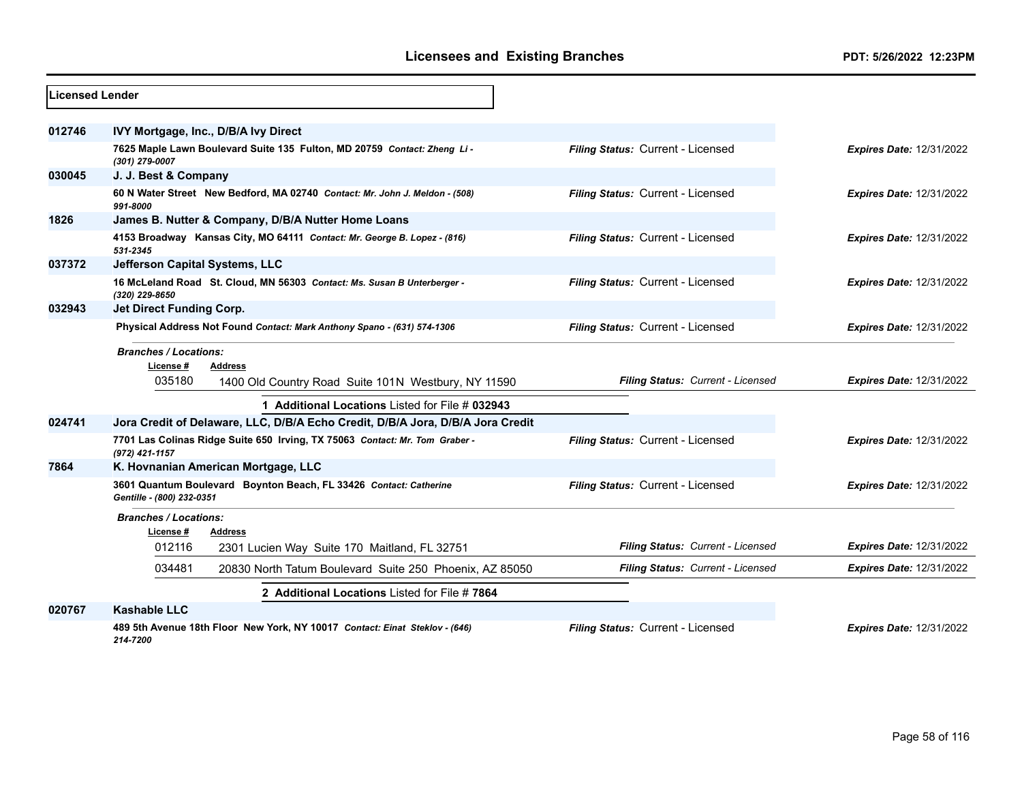| <b>ILicensed Lender</b> |                                                                                                |                                   |                                 |
|-------------------------|------------------------------------------------------------------------------------------------|-----------------------------------|---------------------------------|
| 012746                  | IVY Mortgage, Inc., D/B/A Ivy Direct                                                           |                                   |                                 |
|                         | 7625 Maple Lawn Boulevard Suite 135 Fulton, MD 20759 Contact: Zheng Li-<br>(301) 279-0007      | Filing Status: Current - Licensed | <b>Expires Date: 12/31/2022</b> |
| 030045                  | J. J. Best & Company                                                                           |                                   |                                 |
|                         | 60 N Water Street New Bedford, MA 02740 Contact: Mr. John J. Meldon - (508)<br>991-8000        | Filing Status: Current - Licensed | <b>Expires Date: 12/31/2022</b> |
| 1826                    | James B. Nutter & Company, D/B/A Nutter Home Loans                                             |                                   |                                 |
|                         | 4153 Broadway Kansas City, MO 64111 Contact: Mr. George B. Lopez - (816)<br>531-2345           | Filing Status: Current - Licensed | <b>Expires Date: 12/31/2022</b> |
| 037372                  | Jefferson Capital Systems, LLC                                                                 |                                   |                                 |
|                         | 16 McLeland Road St. Cloud, MN 56303 Contact: Ms. Susan B Unterberger -<br>(320) 229-8650      | Filing Status: Current - Licensed | <b>Expires Date: 12/31/2022</b> |
| 032943                  | <b>Jet Direct Funding Corp.</b>                                                                |                                   |                                 |
|                         | Physical Address Not Found Contact: Mark Anthony Spano - (631) 574-1306                        | Filing Status: Current - Licensed | <b>Expires Date: 12/31/2022</b> |
|                         | <b>Branches / Locations:</b>                                                                   |                                   |                                 |
|                         | License#<br><b>Address</b>                                                                     |                                   |                                 |
|                         | 035180<br>1400 Old Country Road Suite 101N Westbury, NY 11590                                  | Filing Status: Current - Licensed | <b>Expires Date: 12/31/2022</b> |
|                         | 1 Additional Locations Listed for File # 032943                                                |                                   |                                 |
| 024741                  | Jora Credit of Delaware, LLC, D/B/A Echo Credit, D/B/A Jora, D/B/A Jora Credit                 |                                   |                                 |
|                         | 7701 Las Colinas Ridge Suite 650 Irving, TX 75063 Contact: Mr. Tom Graber -<br>(972) 421-1157  | Filing Status: Current - Licensed | <b>Expires Date: 12/31/2022</b> |
| 7864                    | K. Hovnanian American Mortgage, LLC                                                            |                                   |                                 |
|                         | 3601 Quantum Boulevard Boynton Beach, FL 33426 Contact: Catherine<br>Gentille - (800) 232-0351 | Filing Status: Current - Licensed | <b>Expires Date: 12/31/2022</b> |
|                         | <b>Branches / Locations:</b><br>License #<br><b>Address</b>                                    |                                   |                                 |
|                         | 012116<br>2301 Lucien Way Suite 170 Maitland, FL 32751                                         | Filing Status: Current - Licensed | <b>Expires Date: 12/31/2022</b> |
|                         | 034481<br>20830 North Tatum Boulevard Suite 250 Phoenix, AZ 85050                              | Filing Status: Current - Licensed | <b>Expires Date: 12/31/2022</b> |
|                         | 2 Additional Locations Listed for File # 7864                                                  |                                   |                                 |
| 020767                  | <b>Kashable LLC</b>                                                                            |                                   |                                 |
|                         | 489 5th Avenue 18th Floor New York, NY 10017 Contact: Einat Steklov - (646)<br>214-7200        | Filing Status: Current - Licensed | <b>Expires Date: 12/31/2022</b> |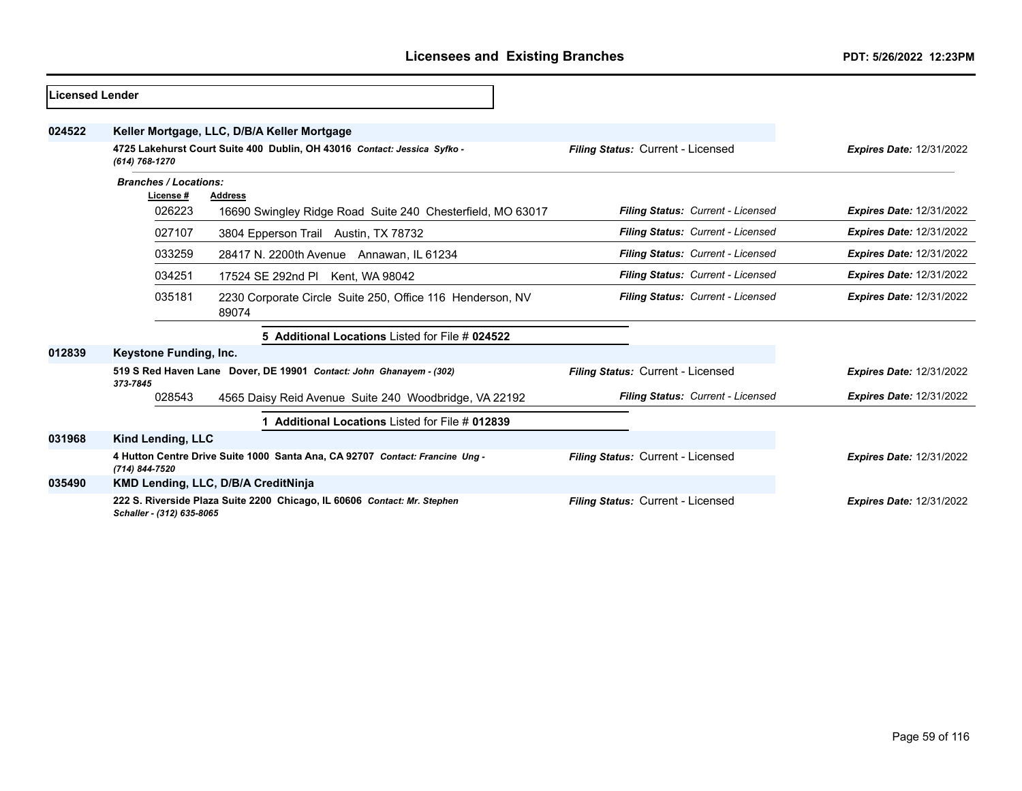| Licensed Lender |                                                                                            |                                                                              |                                   |                                 |
|-----------------|--------------------------------------------------------------------------------------------|------------------------------------------------------------------------------|-----------------------------------|---------------------------------|
| 024522          |                                                                                            | Keller Mortgage, LLC, D/B/A Keller Mortgage                                  |                                   |                                 |
|                 | 4725 Lakehurst Court Suite 400 Dublin, OH 43016 Contact: Jessica Syfko -<br>(614) 768-1270 |                                                                              | Filing Status: Current - Licensed | <b>Expires Date: 12/31/2022</b> |
|                 | <b>Branches / Locations:</b>                                                               |                                                                              |                                   |                                 |
|                 | License #                                                                                  | <b>Address</b>                                                               |                                   |                                 |
|                 | 026223                                                                                     | 16690 Swingley Ridge Road Suite 240 Chesterfield, MO 63017                   | Filing Status: Current - Licensed | <b>Expires Date: 12/31/2022</b> |
|                 | 027107                                                                                     | 3804 Epperson Trail Austin, TX 78732                                         | Filing Status: Current - Licensed | <b>Expires Date: 12/31/2022</b> |
|                 | 033259                                                                                     | 28417 N. 2200th Avenue Annawan, IL 61234                                     | Filing Status: Current - Licensed | <b>Expires Date: 12/31/2022</b> |
|                 | 034251                                                                                     | 17524 SE 292nd PI<br>Kent, WA 98042                                          | Filing Status: Current - Licensed | <b>Expires Date: 12/31/2022</b> |
|                 | 035181                                                                                     | 2230 Corporate Circle Suite 250, Office 116 Henderson, NV<br>89074           | Filing Status: Current - Licensed | <b>Expires Date: 12/31/2022</b> |
|                 |                                                                                            | 5 Additional Locations Listed for File # 024522                              |                                   |                                 |
| 012839          | Keystone Funding, Inc.                                                                     |                                                                              |                                   |                                 |
|                 | 373-7845                                                                                   | 519 S Red Haven Lane Dover, DE 19901 Contact: John Ghanayem - (302)          | Filing Status: Current - Licensed | <b>Expires Date: 12/31/2022</b> |
|                 | 028543                                                                                     | 4565 Daisy Reid Avenue Suite 240 Woodbridge, VA 22192                        | Filing Status: Current - Licensed | <b>Expires Date: 12/31/2022</b> |
|                 |                                                                                            | Additional Locations Listed for File # 012839                                |                                   |                                 |
| 031968          | <b>Kind Lending, LLC</b>                                                                   |                                                                              |                                   |                                 |
|                 | (714) 844-7520                                                                             | 4 Hutton Centre Drive Suite 1000 Santa Ana, CA 92707 Contact: Francine Ung - | Filing Status: Current - Licensed | <b>Expires Date: 12/31/2022</b> |
| 035490          |                                                                                            | KMD Lending, LLC, D/B/A CreditNinja                                          |                                   |                                 |
|                 | Schaller - (312) 635-8065                                                                  | 222 S. Riverside Plaza Suite 2200 Chicago, IL 60606 Contact: Mr. Stephen     | Filing Status: Current - Licensed | <b>Expires Date: 12/31/2022</b> |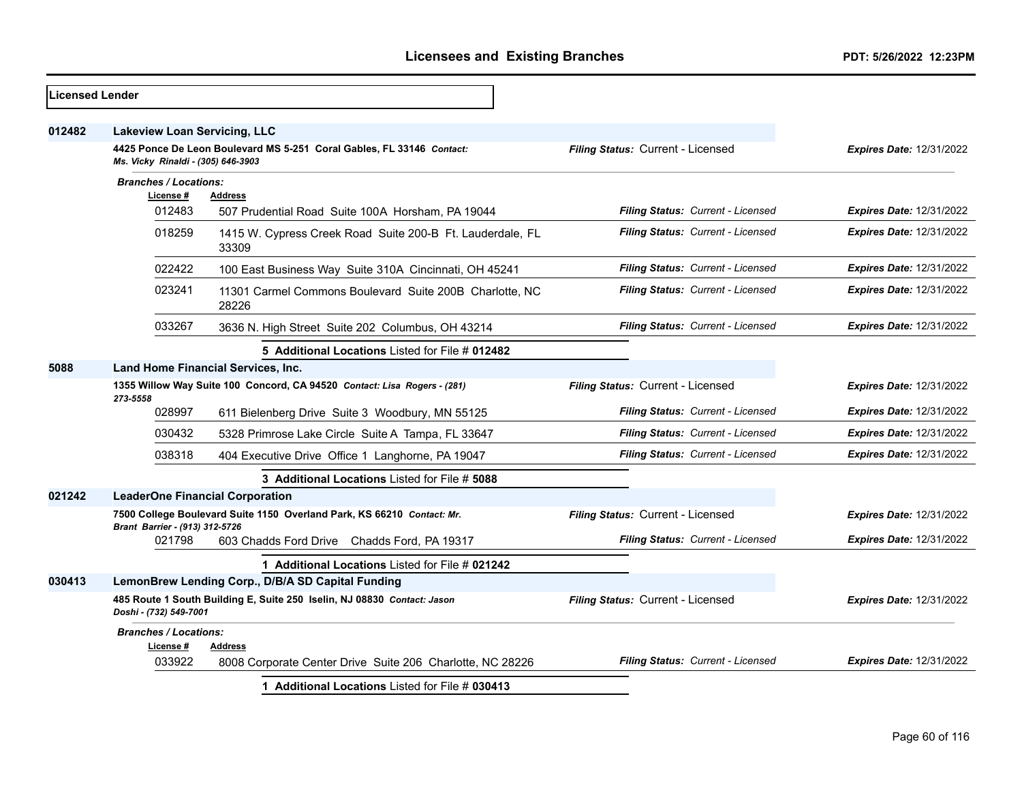| <b>Licensed Lender</b> |                                                                           |                                                                         |                                   |                                 |
|------------------------|---------------------------------------------------------------------------|-------------------------------------------------------------------------|-----------------------------------|---------------------------------|
| 012482                 | <b>Lakeview Loan Servicing, LLC</b><br>Ms. Vicky Rinaldi - (305) 646-3903 | 4425 Ponce De Leon Boulevard MS 5-251 Coral Gables, FL 33146 Contact:   | Filing Status: Current - Licensed | <b>Expires Date: 12/31/2022</b> |
|                        | <b>Branches / Locations:</b>                                              |                                                                         |                                   |                                 |
|                        | License #                                                                 | <b>Address</b>                                                          |                                   |                                 |
|                        | 012483                                                                    | 507 Prudential Road Suite 100A Horsham, PA 19044                        | Filing Status: Current - Licensed | <b>Expires Date: 12/31/2022</b> |
|                        | 018259                                                                    | 1415 W. Cypress Creek Road Suite 200-B Ft. Lauderdale, FL<br>33309      | Filing Status: Current - Licensed | <b>Expires Date: 12/31/2022</b> |
|                        | 022422                                                                    | 100 East Business Way Suite 310A Cincinnati, OH 45241                   | Filing Status: Current - Licensed | Expires Date: 12/31/2022        |
|                        | 023241                                                                    | 11301 Carmel Commons Boulevard Suite 200B Charlotte, NC<br>28226        | Filing Status: Current - Licensed | <b>Expires Date: 12/31/2022</b> |
|                        | 033267                                                                    | 3636 N. High Street Suite 202 Columbus, OH 43214                        | Filing Status: Current - Licensed | <b>Expires Date: 12/31/2022</b> |
|                        |                                                                           | 5 Additional Locations Listed for File # 012482                         |                                   |                                 |
| 5088                   |                                                                           | Land Home Financial Services, Inc.                                      |                                   |                                 |
|                        | 1355 Willow Way Suite 100 Concord, CA 94520 Contact: Lisa Rogers - (281)  |                                                                         | Filing Status: Current - Licensed | <b>Expires Date: 12/31/2022</b> |
|                        | 273-5558<br>028997                                                        | 611 Bielenberg Drive Suite 3 Woodbury, MN 55125                         | Filing Status: Current - Licensed | <b>Expires Date: 12/31/2022</b> |
|                        | 030432                                                                    | 5328 Primrose Lake Circle Suite A Tampa, FL 33647                       | Filing Status: Current - Licensed | <b>Expires Date: 12/31/2022</b> |
|                        | 038318                                                                    | 404 Executive Drive Office 1 Langhorne, PA 19047                        | Filing Status: Current - Licensed | <b>Expires Date: 12/31/2022</b> |
|                        |                                                                           | 3 Additional Locations Listed for File # 5088                           |                                   |                                 |
| 021242                 |                                                                           | <b>LeaderOne Financial Corporation</b>                                  |                                   |                                 |
|                        |                                                                           | 7500 College Boulevard Suite 1150 Overland Park, KS 66210 Contact: Mr.  | Filing Status: Current - Licensed | <b>Expires Date: 12/31/2022</b> |
|                        | Brant Barrier - (913) 312-5726<br>021798                                  | 603 Chadds Ford Drive Chadds Ford, PA 19317                             | Filing Status: Current - Licensed | <b>Expires Date: 12/31/2022</b> |
|                        |                                                                           | 1 Additional Locations Listed for File # 021242                         |                                   |                                 |
| 030413                 |                                                                           | LemonBrew Lending Corp., D/B/A SD Capital Funding                       |                                   |                                 |
|                        | Doshi - (732) 549-7001                                                    | 485 Route 1 South Building E, Suite 250 Iselin, NJ 08830 Contact: Jason | Filing Status: Current - Licensed | <b>Expires Date: 12/31/2022</b> |
|                        | <b>Branches / Locations:</b><br>License #                                 | Address                                                                 |                                   |                                 |
|                        | 033922                                                                    | 8008 Corporate Center Drive Suite 206 Charlotte, NC 28226               | Filing Status: Current - Licensed | <b>Expires Date: 12/31/2022</b> |
|                        |                                                                           | 1 Additional Locations Listed for File # 030413                         |                                   |                                 |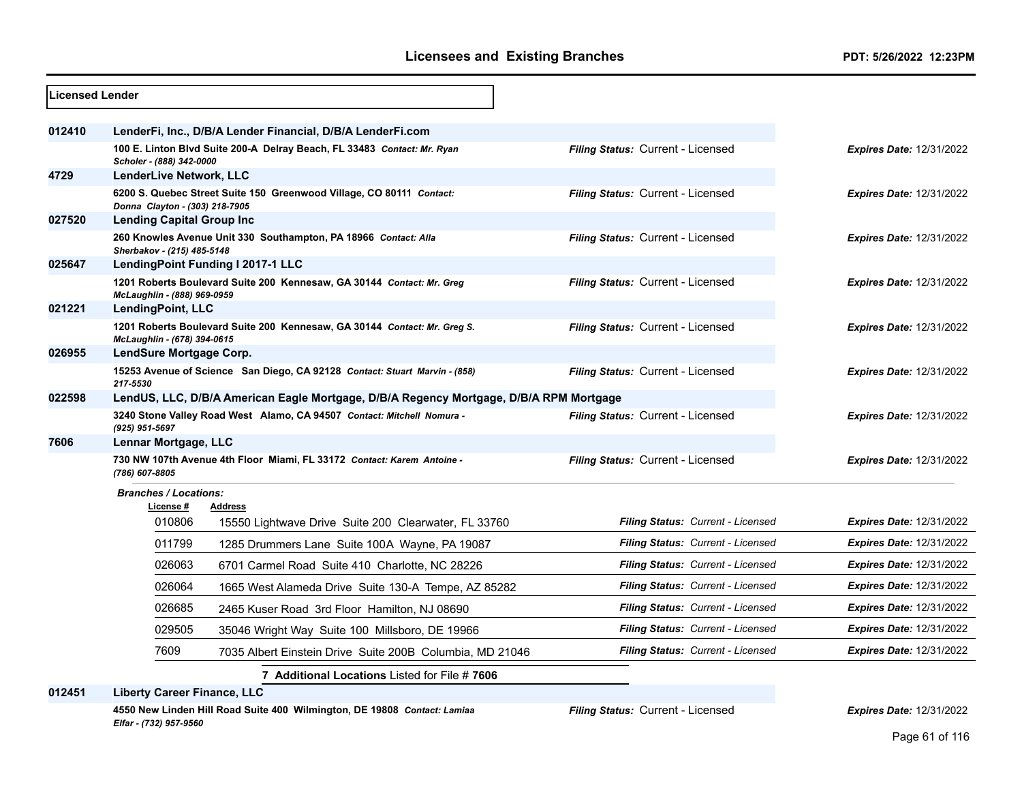| <b>Licensed Lender</b> |                                                                                                         |                                                                                        |                                          |                                 |
|------------------------|---------------------------------------------------------------------------------------------------------|----------------------------------------------------------------------------------------|------------------------------------------|---------------------------------|
| 012410                 |                                                                                                         | LenderFi, Inc., D/B/A Lender Financial, D/B/A LenderFi.com                             |                                          |                                 |
|                        | Scholer - (888) 342-0000                                                                                | 100 E. Linton Blvd Suite 200-A Delray Beach, FL 33483 Contact: Mr. Ryan                | Filing Status: Current - Licensed        | <b>Expires Date: 12/31/2022</b> |
| 4729                   | LenderLive Network, LLC                                                                                 |                                                                                        |                                          |                                 |
|                        | Donna Clayton - (303) 218-7905                                                                          | 6200 S. Quebec Street Suite 150 Greenwood Village, CO 80111 Contact:                   | Filing Status: Current - Licensed        | <b>Expires Date: 12/31/2022</b> |
| 027520                 | <b>Lending Capital Group Inc</b>                                                                        |                                                                                        |                                          |                                 |
|                        | Sherbakov - (215) 485-5148                                                                              | 260 Knowles Avenue Unit 330 Southampton, PA 18966 Contact: Alla                        | Filing Status: Current - Licensed        | <b>Expires Date: 12/31/2022</b> |
| 025647                 |                                                                                                         | LendingPoint Funding I 2017-1 LLC                                                      |                                          |                                 |
|                        | McLaughlin - (888) 969-0959                                                                             | 1201 Roberts Boulevard Suite 200 Kennesaw, GA 30144 Contact: Mr. Greg                  | Filing Status: Current - Licensed        | <b>Expires Date: 12/31/2022</b> |
| 021221                 | LendingPoint, LLC                                                                                       |                                                                                        |                                          |                                 |
|                        | 1201 Roberts Boulevard Suite 200 Kennesaw, GA 30144 Contact: Mr. Greg S.<br>McLaughlin - (678) 394-0615 |                                                                                        | Filing Status: Current - Licensed        | <b>Expires Date: 12/31/2022</b> |
| 026955                 | LendSure Mortgage Corp.                                                                                 |                                                                                        |                                          |                                 |
|                        | 217-5530                                                                                                | 15253 Avenue of Science San Diego, CA 92128 Contact: Stuart Marvin - (858)             | Filing Status: Current - Licensed        | <b>Expires Date: 12/31/2022</b> |
| 022598                 |                                                                                                         | LendUS, LLC, D/B/A American Eagle Mortgage, D/B/A Regency Mortgage, D/B/A RPM Mortgage |                                          |                                 |
|                        | (925) 951-5697                                                                                          | 3240 Stone Valley Road West Alamo, CA 94507 Contact: Mitchell Nomura -                 | Filing Status: Current - Licensed        | <b>Expires Date: 12/31/2022</b> |
| 7606                   | Lennar Mortgage, LLC                                                                                    |                                                                                        |                                          |                                 |
|                        | (786) 607-8805                                                                                          | 730 NW 107th Avenue 4th Floor Miami, FL 33172 Contact: Karem Antoine -                 | Filing Status: Current - Licensed        | <b>Expires Date: 12/31/2022</b> |
|                        | <b>Branches / Locations:</b><br>License #                                                               | Address                                                                                |                                          |                                 |
|                        | 010806                                                                                                  | 15550 Lightwave Drive Suite 200 Clearwater, FL 33760                                   | <b>Filing Status: Current - Licensed</b> | <b>Expires Date: 12/31/2022</b> |
|                        | 011799                                                                                                  | 1285 Drummers Lane Suite 100A Wayne, PA 19087                                          | <b>Filing Status: Current - Licensed</b> | <b>Expires Date: 12/31/2022</b> |
|                        | 026063                                                                                                  | 6701 Carmel Road Suite 410 Charlotte, NC 28226                                         | <b>Filing Status: Current - Licensed</b> | <b>Expires Date: 12/31/2022</b> |
|                        | 026064                                                                                                  | 1665 West Alameda Drive Suite 130-A Tempe, AZ 85282                                    | <b>Filing Status: Current - Licensed</b> | <b>Expires Date: 12/31/2022</b> |
|                        | 026685                                                                                                  | 2465 Kuser Road 3rd Floor Hamilton, NJ 08690                                           | <b>Filing Status: Current - Licensed</b> | <b>Expires Date: 12/31/2022</b> |
|                        | 029505                                                                                                  | 35046 Wright Way Suite 100 Millsboro, DE 19966                                         | Filing Status: Current - Licensed        | <b>Expires Date: 12/31/2022</b> |
|                        | 7609                                                                                                    | 7035 Albert Einstein Drive Suite 200B Columbia, MD 21046                               | Filing Status: Current - Licensed        | <b>Expires Date: 12/31/2022</b> |
|                        |                                                                                                         | 7 Additional Locations Listed for File # 7606                                          |                                          |                                 |

**012451 Liberty Career Finance, LLC**

**4550 New Linden Hill Road Suite 400 Wilmington, DE 19808** *Contact: Lamiaa Elfar - (732) 957-9560*

*Filing Status:* Current - Licensed *Expires Date:* 12/31/2022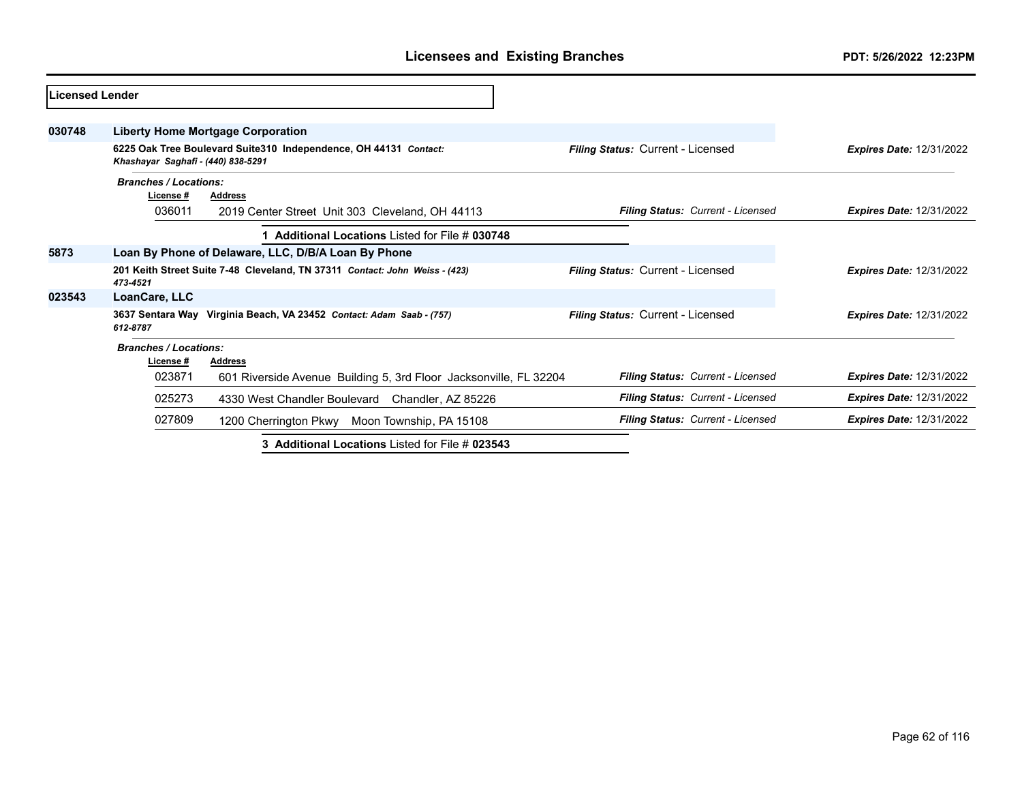| <b>Licensed Lender</b> |                                          |                                                                             |                                   |                                 |
|------------------------|------------------------------------------|-----------------------------------------------------------------------------|-----------------------------------|---------------------------------|
| 030748                 |                                          | <b>Liberty Home Mortgage Corporation</b>                                    |                                   |                                 |
|                        | Khashayar Saghafi - (440) 838-5291       | 6225 Oak Tree Boulevard Suite310 Independence, OH 44131 Contact:            | Filing Status: Current - Licensed | <b>Expires Date: 12/31/2022</b> |
|                        | <b>Branches / Locations:</b><br>License# | <b>Address</b>                                                              |                                   |                                 |
|                        | 036011                                   | 2019 Center Street Unit 303 Cleveland, OH 44113                             | Filing Status: Current - Licensed | <b>Expires Date: 12/31/2022</b> |
|                        |                                          | <b>Additional Locations Listed for File # 030748</b>                        |                                   |                                 |
| 5873                   |                                          | Loan By Phone of Delaware, LLC, D/B/A Loan By Phone                         |                                   |                                 |
|                        | 473-4521                                 | 201 Keith Street Suite 7-48 Cleveland, TN 37311 Contact: John Weiss - (423) | Filing Status: Current - Licensed | <b>Expires Date: 12/31/2022</b> |
| 023543                 | LoanCare, LLC                            |                                                                             |                                   |                                 |
|                        | 612-8787                                 | 3637 Sentara Way Virginia Beach, VA 23452 Contact: Adam Saab - (757)        | Filing Status: Current - Licensed | <b>Expires Date: 12/31/2022</b> |
|                        | <b>Branches / Locations:</b>             |                                                                             |                                   |                                 |
|                        | License#                                 | <b>Address</b>                                                              |                                   |                                 |
|                        | 023871                                   | 601 Riverside Avenue Building 5, 3rd Floor Jacksonville, FL 32204           | Filing Status: Current - Licensed | <b>Expires Date: 12/31/2022</b> |
|                        | 025273                                   | 4330 West Chandler Boulevard Chandler, AZ 85226                             | Filing Status: Current - Licensed | <b>Expires Date: 12/31/2022</b> |
|                        | 027809                                   | 1200 Cherrington Pkwy Moon Township, PA 15108                               | Filing Status: Current - Licensed | <b>Expires Date: 12/31/2022</b> |
|                        |                                          | 3 Additional Locations Listed for File # 023543                             |                                   |                                 |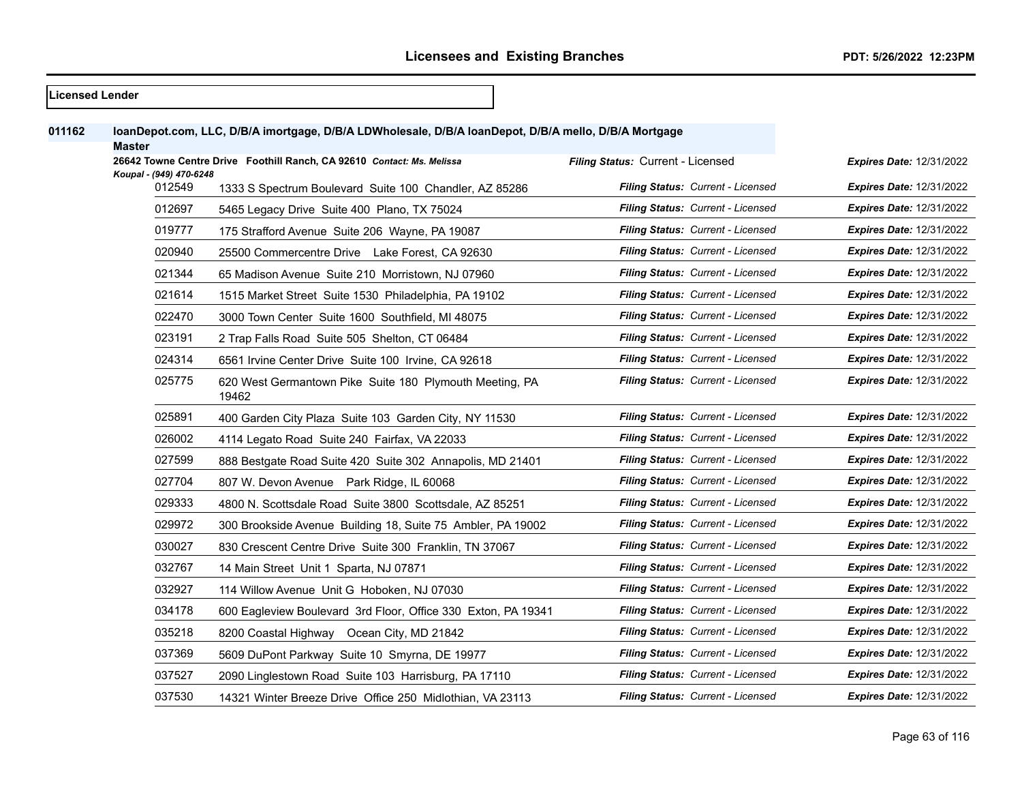| <b>Licensed Lender</b> |                                   |                                                                                                      |                                          |                                 |
|------------------------|-----------------------------------|------------------------------------------------------------------------------------------------------|------------------------------------------|---------------------------------|
| 011162                 | <b>Master</b>                     | loanDepot.com, LLC, D/B/A imortgage, D/B/A LDWholesale, D/B/A loanDepot, D/B/A mello, D/B/A Mortgage |                                          |                                 |
|                        |                                   | 26642 Towne Centre Drive Foothill Ranch, CA 92610 Contact: Ms. Melissa                               | Filing Status: Current - Licensed        | Expires Date: 12/31/2022        |
|                        | Koupal - (949) 470-6248<br>012549 | 1333 S Spectrum Boulevard Suite 100 Chandler, AZ 85286                                               | Filing Status: Current - Licensed        | <b>Expires Date: 12/31/2022</b> |
|                        | 012697                            | 5465 Legacy Drive Suite 400 Plano, TX 75024                                                          | Filing Status: Current - Licensed        | <b>Expires Date: 12/31/2022</b> |
|                        | 019777                            | 175 Strafford Avenue Suite 206 Wayne, PA 19087                                                       | Filing Status: Current - Licensed        | <b>Expires Date: 12/31/2022</b> |
|                        | 020940                            | 25500 Commercentre Drive Lake Forest, CA 92630                                                       | <b>Filing Status: Current - Licensed</b> | <b>Expires Date: 12/31/2022</b> |
|                        | 021344                            | 65 Madison Avenue Suite 210 Morristown, NJ 07960                                                     | Filing Status: Current - Licensed        | <b>Expires Date: 12/31/2022</b> |
|                        | 021614                            | 1515 Market Street Suite 1530 Philadelphia, PA 19102                                                 | <b>Filing Status: Current - Licensed</b> | <b>Expires Date: 12/31/2022</b> |
|                        | 022470                            | 3000 Town Center Suite 1600 Southfield, MI 48075                                                     | Filing Status: Current - Licensed        | <b>Expires Date: 12/31/2022</b> |
|                        | 023191                            | 2 Trap Falls Road Suite 505 Shelton, CT 06484                                                        | Filing Status: Current - Licensed        | <b>Expires Date: 12/31/2022</b> |
|                        | 024314                            | 6561 Irvine Center Drive Suite 100 Irvine, CA 92618                                                  | Filing Status: Current - Licensed        | <b>Expires Date: 12/31/2022</b> |
|                        | 025775                            | 620 West Germantown Pike Suite 180 Plymouth Meeting, PA<br>19462                                     | Filing Status: Current - Licensed        | <b>Expires Date: 12/31/2022</b> |
|                        | 025891                            | 400 Garden City Plaza Suite 103 Garden City, NY 11530                                                | Filing Status: Current - Licensed        | Expires Date: 12/31/2022        |
|                        | 026002                            | 4114 Legato Road Suite 240 Fairfax, VA 22033                                                         | Filing Status: Current - Licensed        | <b>Expires Date: 12/31/2022</b> |
|                        | 027599                            | 888 Bestgate Road Suite 420 Suite 302 Annapolis, MD 21401                                            | Filing Status: Current - Licensed        | <b>Expires Date: 12/31/2022</b> |
|                        | 027704                            | 807 W. Devon Avenue Park Ridge, IL 60068                                                             | Filing Status: Current - Licensed        | <b>Expires Date: 12/31/2022</b> |
|                        | 029333                            | 4800 N. Scottsdale Road Suite 3800 Scottsdale, AZ 85251                                              | <b>Filing Status: Current - Licensed</b> | <b>Expires Date: 12/31/2022</b> |
|                        | 029972                            | 300 Brookside Avenue Building 18, Suite 75 Ambler, PA 19002                                          | Filing Status: Current - Licensed        | <b>Expires Date: 12/31/2022</b> |
|                        | 030027                            | 830 Crescent Centre Drive Suite 300 Franklin, TN 37067                                               | Filing Status: Current - Licensed        | <b>Expires Date: 12/31/2022</b> |
|                        | 032767                            | 14 Main Street Unit 1 Sparta, NJ 07871                                                               | Filing Status: Current - Licensed        | <b>Expires Date: 12/31/2022</b> |
|                        | 032927                            | 114 Willow Avenue Unit G Hoboken, NJ 07030                                                           | Filing Status: Current - Licensed        | <b>Expires Date: 12/31/2022</b> |
|                        | 034178                            | 600 Eagleview Boulevard 3rd Floor, Office 330 Exton, PA 19341                                        | Filing Status: Current - Licensed        | <b>Expires Date: 12/31/2022</b> |
|                        | 035218                            | 8200 Coastal Highway Ocean City, MD 21842                                                            | Filing Status: Current - Licensed        | <b>Expires Date: 12/31/2022</b> |
|                        | 037369                            | 5609 DuPont Parkway Suite 10 Smyrna, DE 19977                                                        | Filing Status: Current - Licensed        | <b>Expires Date: 12/31/2022</b> |
|                        | 037527                            | 2090 Linglestown Road Suite 103 Harrisburg, PA 17110                                                 | Filing Status: Current - Licensed        | <b>Expires Date: 12/31/2022</b> |
|                        | 037530                            | 14321 Winter Breeze Drive Office 250 Midlothian, VA 23113                                            | Filing Status: Current - Licensed        | <b>Expires Date: 12/31/2022</b> |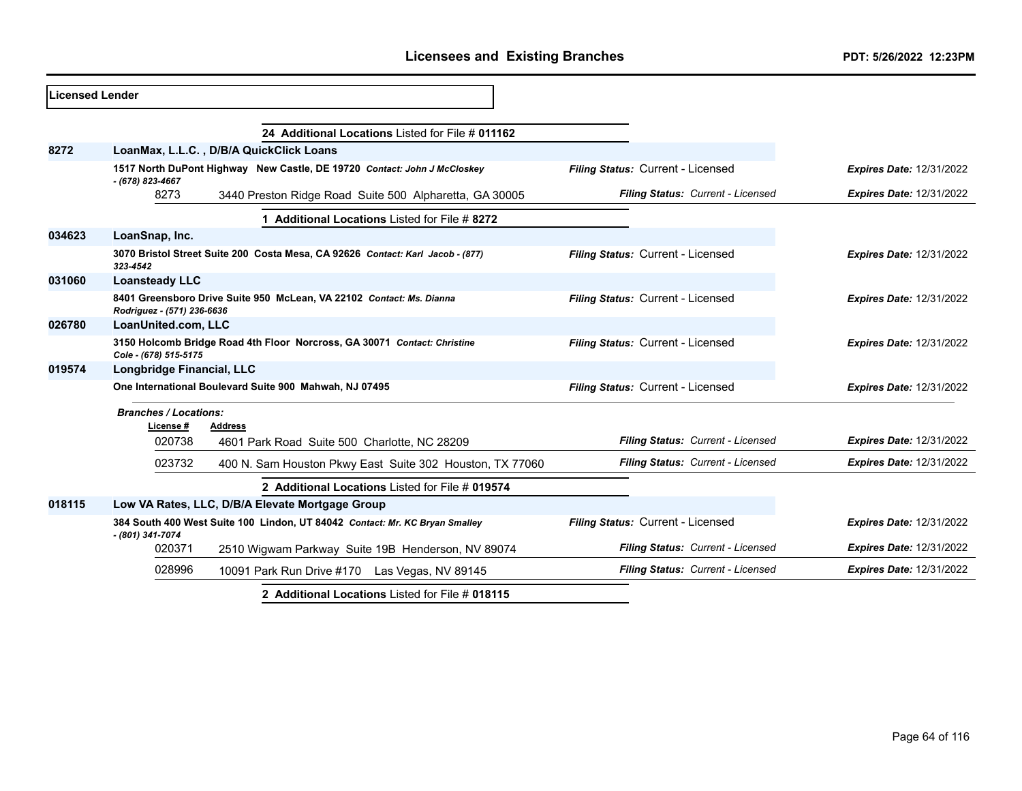| <b>ILicensed Lender</b> |                              |                                                                                |                                   |                                 |
|-------------------------|------------------------------|--------------------------------------------------------------------------------|-----------------------------------|---------------------------------|
|                         |                              | 24 Additional Locations Listed for File # 011162                               |                                   |                                 |
| 8272                    |                              | LoanMax, L.L.C., D/B/A QuickClick Loans                                        |                                   |                                 |
|                         | - (678) 823-4667             | 1517 North DuPont Highway New Castle, DE 19720 Contact: John J McCloskey       | Filing Status: Current - Licensed | <b>Expires Date: 12/31/2022</b> |
|                         | 8273                         | 3440 Preston Ridge Road Suite 500 Alpharetta, GA 30005                         | Filing Status: Current - Licensed | <b>Expires Date: 12/31/2022</b> |
|                         |                              | 1 Additional Locations Listed for File # 8272                                  |                                   |                                 |
| 034623                  | LoanSnap, Inc.               |                                                                                |                                   |                                 |
|                         | 323-4542                     | 3070 Bristol Street Suite 200 Costa Mesa, CA 92626 Contact: Karl Jacob - (877) | Filing Status: Current - Licensed | <b>Expires Date: 12/31/2022</b> |
| 031060                  | <b>Loansteady LLC</b>        |                                                                                |                                   |                                 |
|                         | Rodriguez - (571) 236-6636   | 8401 Greensboro Drive Suite 950 McLean, VA 22102 Contact: Ms. Dianna           | Filing Status: Current - Licensed | <b>Expires Date: 12/31/2022</b> |
| 026780                  | LoanUnited.com, LLC          |                                                                                |                                   |                                 |
|                         | Cole - (678) 515-5175        | 3150 Holcomb Bridge Road 4th Floor Norcross, GA 30071 Contact: Christine       | Filing Status: Current - Licensed | <b>Expires Date: 12/31/2022</b> |
| 019574                  | Longbridge Financial, LLC    |                                                                                |                                   |                                 |
|                         |                              | One International Boulevard Suite 900 Mahwah, NJ 07495                         | Filing Status: Current - Licensed | <b>Expires Date: 12/31/2022</b> |
|                         | <b>Branches / Locations:</b> |                                                                                |                                   |                                 |
|                         | License #<br>020738          | Address<br>4601 Park Road Suite 500 Charlotte, NC 28209                        | Filing Status: Current - Licensed | <b>Expires Date: 12/31/2022</b> |
|                         | 023732                       | 400 N. Sam Houston Pkwy East Suite 302 Houston, TX 77060                       | Filing Status: Current - Licensed | Expires Date: 12/31/2022        |
|                         |                              | 2 Additional Locations Listed for File # 019574                                |                                   |                                 |
| 018115                  |                              | Low VA Rates, LLC, D/B/A Elevate Mortgage Group                                |                                   |                                 |
|                         | - (801) 341-7074             | 384 South 400 West Suite 100 Lindon, UT 84042 Contact: Mr. KC Bryan Smalley    | Filing Status: Current - Licensed | <b>Expires Date: 12/31/2022</b> |
|                         | 020371                       | 2510 Wigwam Parkway Suite 19B Henderson, NV 89074                              | Filing Status: Current - Licensed | <b>Expires Date: 12/31/2022</b> |
|                         | 028996                       | 10091 Park Run Drive #170 Las Vegas, NV 89145                                  | Filing Status: Current - Licensed | <b>Expires Date: 12/31/2022</b> |
|                         |                              | 2 Additional Locations Listed for File # 018115                                |                                   |                                 |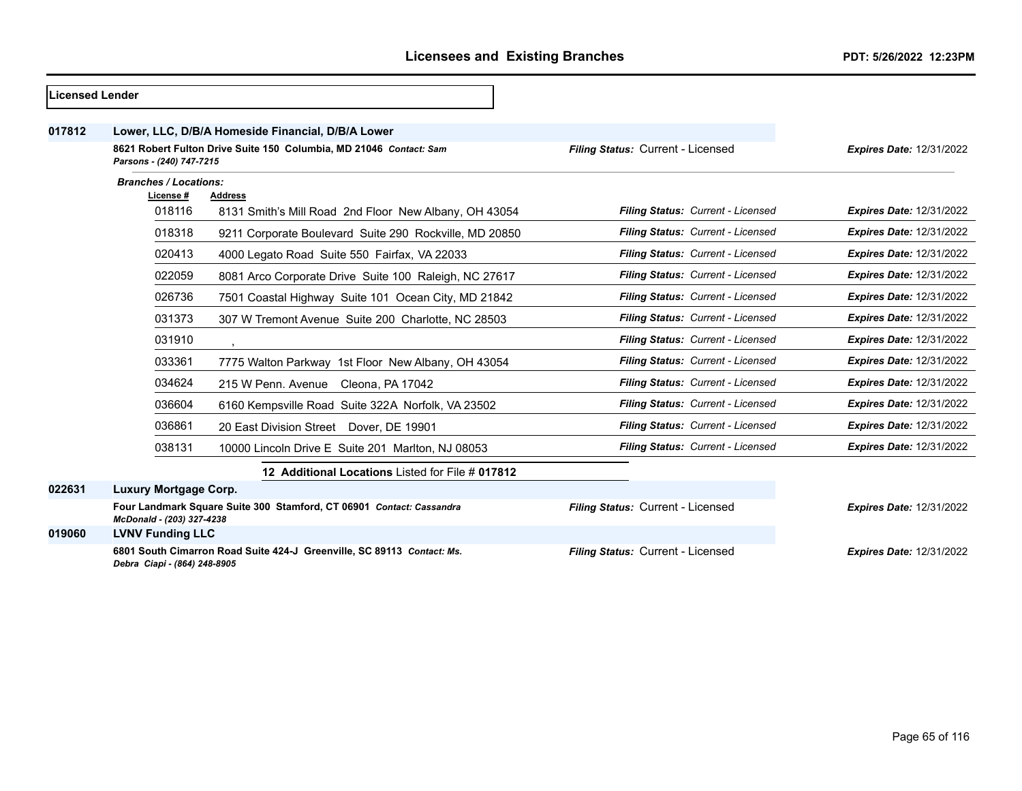| lLicensed Lender |                              |                                                                        |                                   |                                 |
|------------------|------------------------------|------------------------------------------------------------------------|-----------------------------------|---------------------------------|
| 017812           |                              | Lower, LLC, D/B/A Homeside Financial, D/B/A Lower                      |                                   |                                 |
|                  | Parsons - (240) 747-7215     | 8621 Robert Fulton Drive Suite 150 Columbia, MD 21046 Contact: Sam     | Filing Status: Current - Licensed | <b>Expires Date: 12/31/2022</b> |
|                  | <b>Branches / Locations:</b> |                                                                        |                                   |                                 |
|                  | License #<br>018116          | Address<br>8131 Smith's Mill Road 2nd Floor New Albany, OH 43054       | Filing Status: Current - Licensed | <b>Expires Date: 12/31/2022</b> |
|                  | 018318                       | 9211 Corporate Boulevard Suite 290 Rockville, MD 20850                 | Filing Status: Current - Licensed | <b>Expires Date: 12/31/2022</b> |
|                  | 020413                       | 4000 Legato Road Suite 550 Fairfax, VA 22033                           | Filing Status: Current - Licensed | <b>Expires Date: 12/31/2022</b> |
|                  | 022059                       | 8081 Arco Corporate Drive Suite 100 Raleigh, NC 27617                  | Filing Status: Current - Licensed | <b>Expires Date: 12/31/2022</b> |
|                  | 026736                       | 7501 Coastal Highway Suite 101 Ocean City, MD 21842                    | Filing Status: Current - Licensed | <b>Expires Date: 12/31/2022</b> |
|                  | 031373                       | 307 W Tremont Avenue Suite 200 Charlotte, NC 28503                     | Filing Status: Current - Licensed | <b>Expires Date: 12/31/2022</b> |
|                  | 031910                       |                                                                        | Filing Status: Current - Licensed | <b>Expires Date: 12/31/2022</b> |
|                  | 033361                       | 7775 Walton Parkway 1st Floor New Albany, OH 43054                     | Filing Status: Current - Licensed | <b>Expires Date: 12/31/2022</b> |
|                  | 034624                       | 215 W Penn. Avenue Cleona, PA 17042                                    | Filing Status: Current - Licensed | <b>Expires Date: 12/31/2022</b> |
|                  | 036604                       | 6160 Kempsville Road Suite 322A Norfolk, VA 23502                      | Filing Status: Current - Licensed | <b>Expires Date: 12/31/2022</b> |
|                  | 036861                       | 20 East Division Street Dover, DE 19901                                | Filing Status: Current - Licensed | <b>Expires Date: 12/31/2022</b> |
|                  | 038131                       | 10000 Lincoln Drive E Suite 201 Marlton, NJ 08053                      | Filing Status: Current - Licensed | <b>Expires Date: 12/31/2022</b> |
|                  |                              | 12 Additional Locations Listed for File # 017812                       |                                   |                                 |
| 022631           | <b>Luxury Mortgage Corp.</b> |                                                                        |                                   |                                 |
|                  | McDonald - (203) 327-4238    | Four Landmark Square Suite 300 Stamford, CT 06901 Contact: Cassandra   | Filing Status: Current - Licensed | <b>Expires Date: 12/31/2022</b> |
| 019060           | <b>LVNV Funding LLC</b>      |                                                                        |                                   |                                 |
|                  | Debra Ciapi - (864) 248-8905 | 6801 South Cimarron Road Suite 424-J Greenville, SC 89113 Contact: Ms. | Filing Status: Current - Licensed | <b>Expires Date: 12/31/2022</b> |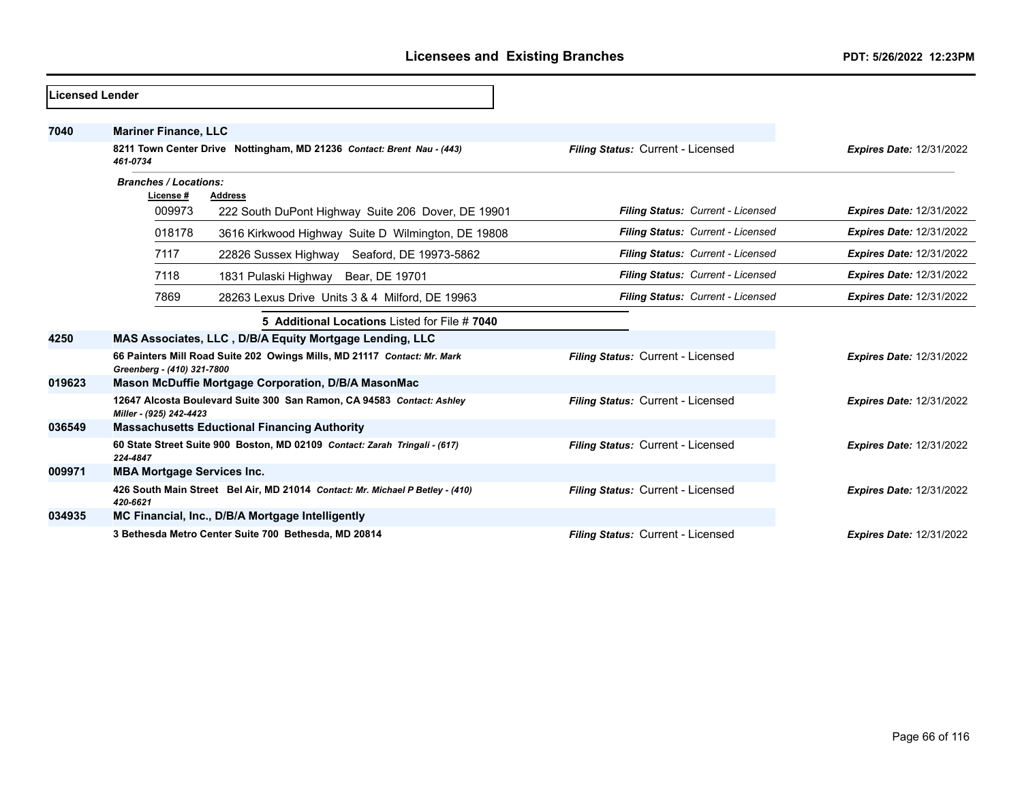| Licensed Lender |                                                                                                        |                                   |                                 |
|-----------------|--------------------------------------------------------------------------------------------------------|-----------------------------------|---------------------------------|
| 7040            | <b>Mariner Finance, LLC</b>                                                                            |                                   |                                 |
|                 | 8211 Town Center Drive Nottingham, MD 21236 Contact: Brent Nau - (443)<br>461-0734                     | Filing Status: Current - Licensed | <b>Expires Date: 12/31/2022</b> |
|                 | <b>Branches / Locations:</b>                                                                           |                                   |                                 |
|                 | License #<br><b>Address</b>                                                                            |                                   |                                 |
|                 | 009973<br>222 South DuPont Highway Suite 206 Dover, DE 19901                                           | Filing Status: Current - Licensed | <b>Expires Date: 12/31/2022</b> |
|                 | 018178<br>3616 Kirkwood Highway Suite D Wilmington, DE 19808                                           | Filing Status: Current - Licensed | <b>Expires Date: 12/31/2022</b> |
|                 | 7117<br>22826 Sussex Highway Seaford, DE 19973-5862                                                    | Filing Status: Current - Licensed | <b>Expires Date: 12/31/2022</b> |
|                 | 7118<br>1831 Pulaski Highway Bear, DE 19701                                                            | Filing Status: Current - Licensed | <b>Expires Date: 12/31/2022</b> |
|                 | 7869<br>28263 Lexus Drive Units 3 & 4 Milford, DE 19963                                                | Filing Status: Current - Licensed | <b>Expires Date: 12/31/2022</b> |
|                 | 5 Additional Locations Listed for File # 7040                                                          |                                   |                                 |
| 4250            | MAS Associates, LLC, D/B/A Equity Mortgage Lending, LLC                                                |                                   |                                 |
|                 | 66 Painters Mill Road Suite 202 Owings Mills, MD 21117 Contact: Mr. Mark<br>Greenberg - (410) 321-7800 | Filing Status: Current - Licensed | <b>Expires Date: 12/31/2022</b> |
| 019623          | Mason McDuffie Mortgage Corporation, D/B/A MasonMac                                                    |                                   |                                 |
|                 | 12647 Alcosta Boulevard Suite 300 San Ramon, CA 94583 Contact: Ashley<br>Miller - (925) 242-4423       | Filing Status: Current - Licensed | <b>Expires Date: 12/31/2022</b> |
| 036549          | <b>Massachusetts Eductional Financing Authority</b>                                                    |                                   |                                 |
|                 | 60 State Street Suite 900 Boston, MD 02109 Contact: Zarah Tringali - (617)<br>224-4847                 | Filing Status: Current - Licensed | <b>Expires Date: 12/31/2022</b> |
| 009971          | <b>MBA Mortgage Services Inc.</b>                                                                      |                                   |                                 |
|                 | 426 South Main Street Bel Air, MD 21014 Contact: Mr. Michael P Betley - (410)<br>420-6621              | Filing Status: Current - Licensed | <b>Expires Date: 12/31/2022</b> |
| 034935          | MC Financial, Inc., D/B/A Mortgage Intelligently                                                       |                                   |                                 |
|                 | 3 Bethesda Metro Center Suite 700 Bethesda, MD 20814                                                   | Filing Status: Current - Licensed | <b>Expires Date: 12/31/2022</b> |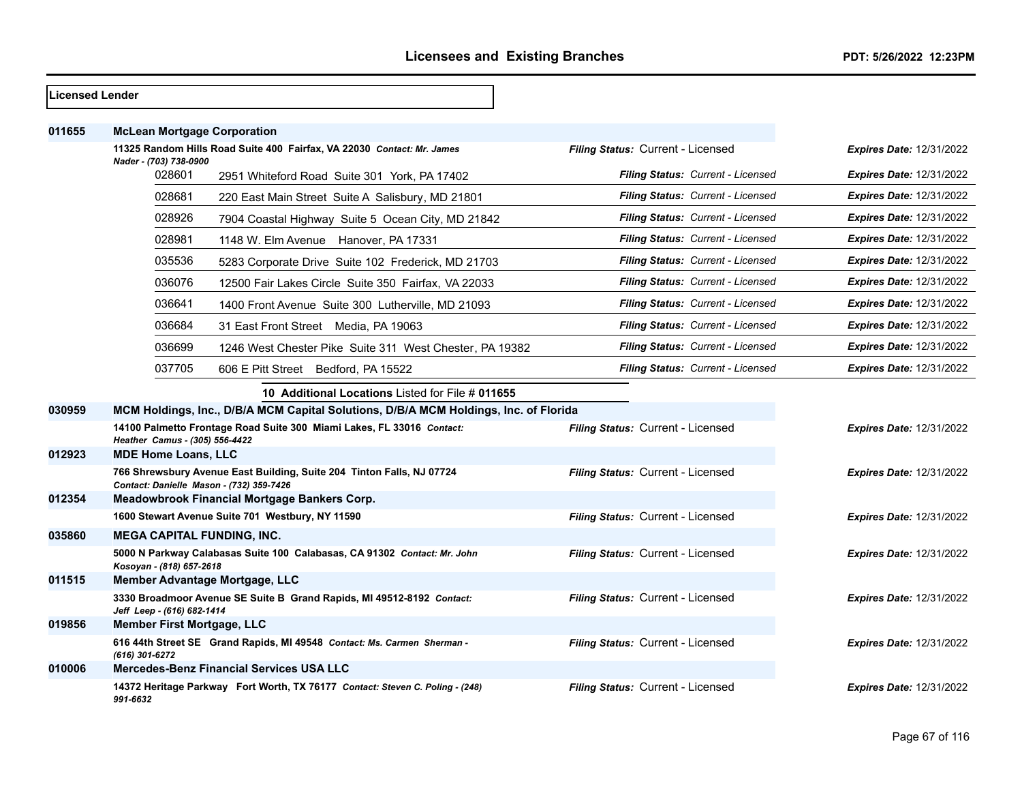| <b>Licensed Lender</b> |                                                                                                                   |                                          |                                 |
|------------------------|-------------------------------------------------------------------------------------------------------------------|------------------------------------------|---------------------------------|
| 011655                 | <b>McLean Mortgage Corporation</b>                                                                                |                                          |                                 |
|                        | 11325 Random Hills Road Suite 400 Fairfax, VA 22030 Contact: Mr. James<br>Nader - (703) 738-0900                  | Filing Status: Current - Licensed        | <b>Expires Date: 12/31/2022</b> |
|                        | 028601<br>2951 Whiteford Road Suite 301 York, PA 17402                                                            | Filing Status: Current - Licensed        | <b>Expires Date: 12/31/2022</b> |
|                        | 028681<br>220 East Main Street Suite A Salisbury, MD 21801                                                        | Filing Status: Current - Licensed        | <b>Expires Date: 12/31/2022</b> |
|                        | 028926<br>7904 Coastal Highway Suite 5 Ocean City, MD 21842                                                       | Filing Status: Current - Licensed        | <b>Expires Date: 12/31/2022</b> |
|                        | 028981<br>1148 W. Elm Avenue Hanover, PA 17331                                                                    | Filing Status: Current - Licensed        | <b>Expires Date: 12/31/2022</b> |
|                        | 035536<br>5283 Corporate Drive Suite 102 Frederick, MD 21703                                                      | <b>Filing Status: Current - Licensed</b> | <b>Expires Date: 12/31/2022</b> |
|                        | 036076<br>12500 Fair Lakes Circle Suite 350 Fairfax, VA 22033                                                     | Filing Status: Current - Licensed        | <b>Expires Date: 12/31/2022</b> |
|                        | 036641<br>1400 Front Avenue Suite 300 Lutherville, MD 21093                                                       | <b>Filing Status: Current - Licensed</b> | <b>Expires Date: 12/31/2022</b> |
|                        | 036684<br>31 East Front Street Media, PA 19063                                                                    | Filing Status: Current - Licensed        | <b>Expires Date: 12/31/2022</b> |
|                        | 036699<br>1246 West Chester Pike Suite 311 West Chester, PA 19382                                                 | Filing Status: Current - Licensed        | <b>Expires Date: 12/31/2022</b> |
|                        | 037705<br>606 E Pitt Street Bedford, PA 15522                                                                     | Filing Status: Current - Licensed        | <b>Expires Date: 12/31/2022</b> |
|                        | 10 Additional Locations Listed for File # 011655                                                                  |                                          |                                 |
| 030959                 | MCM Holdings, Inc., D/B/A MCM Capital Solutions, D/B/A MCM Holdings, Inc. of Florida                              |                                          |                                 |
|                        | 14100 Palmetto Frontage Road Suite 300 Miami Lakes, FL 33016 Contact:<br>Heather Camus - (305) 556-4422           | Filing Status: Current - Licensed        | <b>Expires Date: 12/31/2022</b> |
| 012923                 | <b>MDE Home Loans, LLC</b>                                                                                        |                                          |                                 |
|                        | 766 Shrewsbury Avenue East Building, Suite 204 Tinton Falls, NJ 07724<br>Contact: Danielle Mason - (732) 359-7426 | Filing Status: Current - Licensed        | <b>Expires Date: 12/31/2022</b> |
| 012354                 | Meadowbrook Financial Mortgage Bankers Corp.                                                                      |                                          |                                 |
|                        | 1600 Stewart Avenue Suite 701 Westbury, NY 11590                                                                  | Filing Status: Current - Licensed        | <b>Expires Date: 12/31/2022</b> |
| 035860                 | <b>MEGA CAPITAL FUNDING, INC.</b>                                                                                 |                                          |                                 |
|                        | 5000 N Parkway Calabasas Suite 100 Calabasas, CA 91302 Contact: Mr. John<br>Kosoyan - (818) 657-2618              | Filing Status: Current - Licensed        | <b>Expires Date: 12/31/2022</b> |
| 011515                 | Member Advantage Mortgage, LLC                                                                                    |                                          |                                 |
|                        | 3330 Broadmoor Avenue SE Suite B Grand Rapids, MI 49512-8192 Contact:<br>Jeff Leep - (616) 682-1414               | Filing Status: Current - Licensed        | <b>Expires Date: 12/31/2022</b> |
| 019856                 | <b>Member First Mortgage, LLC</b>                                                                                 |                                          |                                 |
|                        | 616 44th Street SE Grand Rapids, MI 49548 Contact: Ms. Carmen Sherman -<br>(616) 301-6272                         | Filing Status: Current - Licensed        | <b>Expires Date: 12/31/2022</b> |
| 010006                 | <b>Mercedes-Benz Financial Services USA LLC</b>                                                                   |                                          |                                 |
|                        | 14372 Heritage Parkway Fort Worth, TX 76177 Contact: Steven C. Poling - (248)<br>991-6632                         | Filing Status: Current - Licensed        | <b>Expires Date: 12/31/2022</b> |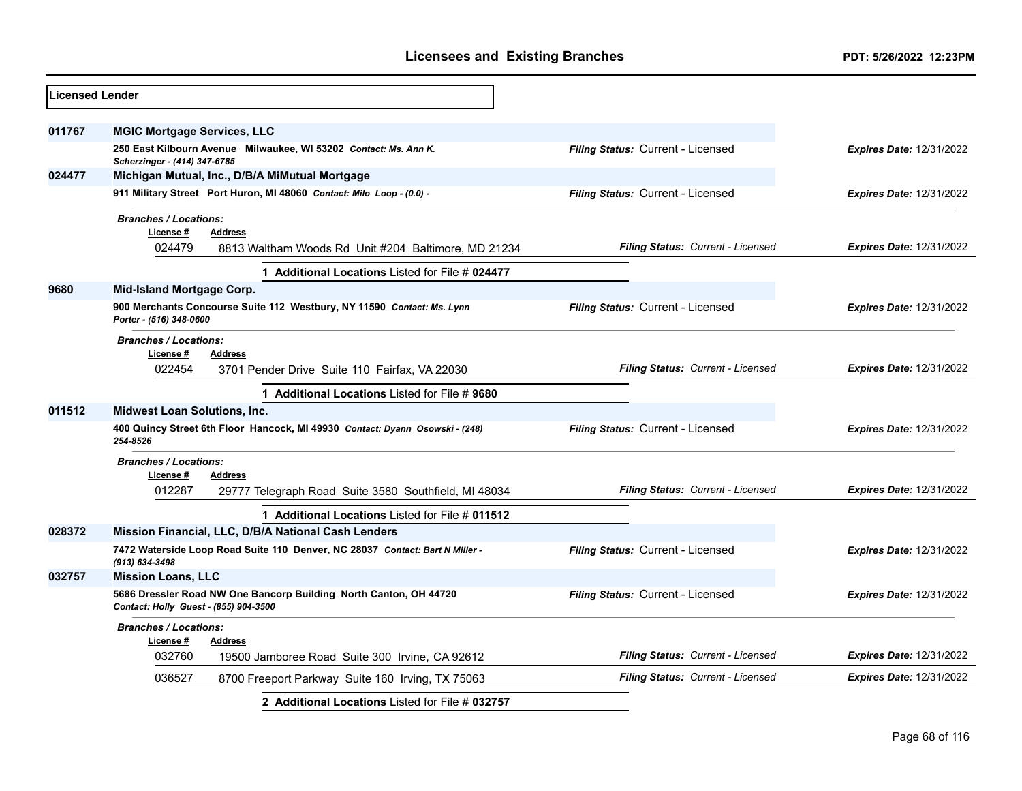| <b>Licensed Lender</b> |                                                                                                            |                                   |                                 |
|------------------------|------------------------------------------------------------------------------------------------------------|-----------------------------------|---------------------------------|
| 011767                 | <b>MGIC Mortgage Services, LLC</b>                                                                         |                                   |                                 |
|                        | 250 East Kilbourn Avenue Milwaukee, WI 53202 Contact: Ms. Ann K.<br>Scherzinger - (414) 347-6785           | Filing Status: Current - Licensed | <b>Expires Date: 12/31/2022</b> |
| 024477                 | Michigan Mutual, Inc., D/B/A MiMutual Mortgage                                                             |                                   |                                 |
|                        | 911 Military Street Port Huron, MI 48060 Contact: Milo Loop - (0.0) -                                      | Filing Status: Current - Licensed | <b>Expires Date: 12/31/2022</b> |
|                        | <b>Branches / Locations:</b>                                                                               |                                   |                                 |
|                        | License #<br>Address<br>024479<br>8813 Waltham Woods Rd Unit #204 Baltimore, MD 21234                      | Filing Status: Current - Licensed | <b>Expires Date: 12/31/2022</b> |
|                        | 1 Additional Locations Listed for File # 024477                                                            |                                   |                                 |
| 9680                   | Mid-Island Mortgage Corp.                                                                                  |                                   |                                 |
|                        | 900 Merchants Concourse Suite 112 Westbury, NY 11590 Contact: Ms. Lynn<br>Porter - (516) 348-0600          | Filing Status: Current - Licensed | <b>Expires Date: 12/31/2022</b> |
|                        | <b>Branches / Locations:</b>                                                                               |                                   |                                 |
|                        | License #<br><b>Address</b>                                                                                |                                   |                                 |
|                        | 022454<br>3701 Pender Drive Suite 110 Fairfax, VA 22030                                                    | Filing Status: Current - Licensed | <b>Expires Date: 12/31/2022</b> |
|                        | 1 Additional Locations Listed for File # 9680                                                              |                                   |                                 |
| 011512                 | <b>Midwest Loan Solutions, Inc.</b>                                                                        |                                   |                                 |
|                        | 400 Quincy Street 6th Floor Hancock, MI 49930 Contact: Dyann Osowski - (248)<br>254-8526                   | Filing Status: Current - Licensed | <b>Expires Date: 12/31/2022</b> |
|                        | <b>Branches / Locations:</b>                                                                               |                                   |                                 |
|                        | License #<br><b>Address</b>                                                                                |                                   |                                 |
|                        | 012287<br>29777 Telegraph Road Suite 3580 Southfield, MI 48034                                             | Filing Status: Current - Licensed | <b>Expires Date: 12/31/2022</b> |
|                        | 1 Additional Locations Listed for File # 011512                                                            |                                   |                                 |
| 028372                 | Mission Financial, LLC, D/B/A National Cash Lenders                                                        |                                   |                                 |
|                        | 7472 Waterside Loop Road Suite 110 Denver, NC 28037 Contact: Bart N Miller -<br>(913) 634-3498             | Filing Status: Current - Licensed | <b>Expires Date: 12/31/2022</b> |
| 032757                 | <b>Mission Loans, LLC</b>                                                                                  |                                   |                                 |
|                        | 5686 Dressler Road NW One Bancorp Building North Canton, OH 44720<br>Contact: Holly Guest - (855) 904-3500 | Filing Status: Current - Licensed | <b>Expires Date: 12/31/2022</b> |
|                        | <b>Branches / Locations:</b>                                                                               |                                   |                                 |
|                        | License #<br><b>Address</b>                                                                                |                                   |                                 |
|                        | 032760<br>19500 Jamboree Road Suite 300 Irvine, CA 92612                                                   | Filing Status: Current - Licensed | <b>Expires Date: 12/31/2022</b> |
|                        | 036527<br>8700 Freeport Parkway Suite 160 Irving, TX 75063                                                 | Filing Status: Current - Licensed | <b>Expires Date: 12/31/2022</b> |
|                        | 2 Additional Locations Listed for File # 032757                                                            |                                   |                                 |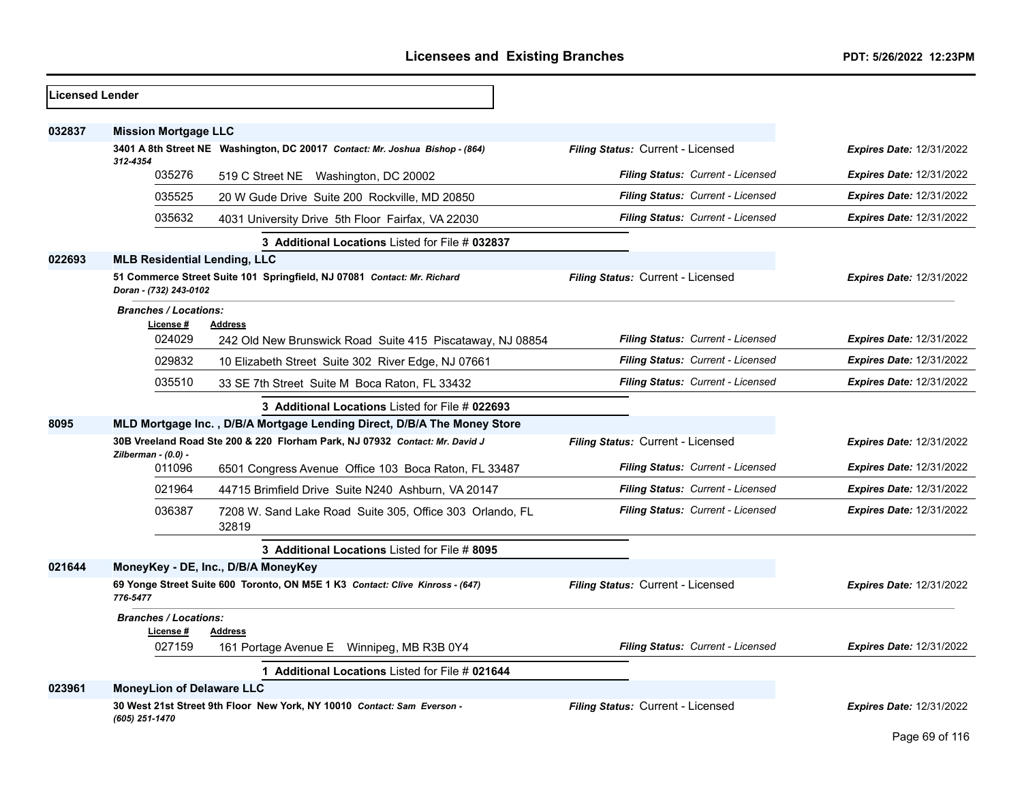| Licensed Lender |                                          |                                                                               |                                   |                                 |
|-----------------|------------------------------------------|-------------------------------------------------------------------------------|-----------------------------------|---------------------------------|
| 032837          | <b>Mission Mortgage LLC</b>              |                                                                               |                                   |                                 |
|                 | 312-4354                                 | 3401 A 8th Street NE Washington, DC 20017 Contact: Mr. Joshua Bishop - (864)  | Filing Status: Current - Licensed | <b>Expires Date: 12/31/2022</b> |
|                 | 035276                                   | 519 C Street NE Washington, DC 20002                                          | Filing Status: Current - Licensed | <b>Expires Date: 12/31/2022</b> |
|                 | 035525                                   | 20 W Gude Drive Suite 200 Rockville, MD 20850                                 | Filing Status: Current - Licensed | <b>Expires Date: 12/31/2022</b> |
|                 | 035632                                   | 4031 University Drive 5th Floor Fairfax, VA 22030                             | Filing Status: Current - Licensed | Expires Date: 12/31/2022        |
|                 |                                          | 3 Additional Locations Listed for File # 032837                               |                                   |                                 |
| 022693          | <b>MLB Residential Lending, LLC</b>      |                                                                               |                                   |                                 |
|                 | Doran - (732) 243-0102                   | 51 Commerce Street Suite 101 Springfield, NJ 07081 Contact: Mr. Richard       | Filing Status: Current - Licensed | <b>Expires Date: 12/31/2022</b> |
|                 | <b>Branches / Locations:</b><br>License# | <b>Address</b>                                                                |                                   |                                 |
|                 | 024029                                   | 242 Old New Brunswick Road Suite 415 Piscataway, NJ 08854                     | Filing Status: Current - Licensed | <b>Expires Date: 12/31/2022</b> |
|                 | 029832                                   | 10 Elizabeth Street Suite 302 River Edge, NJ 07661                            | Filing Status: Current - Licensed | <b>Expires Date: 12/31/2022</b> |
|                 | 035510                                   | 33 SE 7th Street Suite M Boca Raton, FL 33432                                 | Filing Status: Current - Licensed | <b>Expires Date: 12/31/2022</b> |
|                 |                                          | 3 Additional Locations Listed for File # 022693                               |                                   |                                 |
| 8095            |                                          | MLD Mortgage Inc., D/B/A Mortgage Lending Direct, D/B/A The Money Store       |                                   |                                 |
|                 | Zilberman - (0.0) -                      | 30B Vreeland Road Ste 200 & 220 Florham Park, NJ 07932 Contact: Mr. David J   | Filing Status: Current - Licensed | <b>Expires Date: 12/31/2022</b> |
|                 | 011096                                   | 6501 Congress Avenue Office 103 Boca Raton, FL 33487                          | Filing Status: Current - Licensed | <b>Expires Date: 12/31/2022</b> |
|                 | 021964                                   | 44715 Brimfield Drive Suite N240 Ashburn, VA 20147                            | Filing Status: Current - Licensed | <b>Expires Date: 12/31/2022</b> |
|                 | 036387                                   | 7208 W. Sand Lake Road Suite 305, Office 303 Orlando, FL<br>32819             | Filing Status: Current - Licensed | <b>Expires Date: 12/31/2022</b> |
|                 |                                          | 3 Additional Locations Listed for File # 8095                                 |                                   |                                 |
| 021644          |                                          | MoneyKey - DE, Inc., D/B/A MoneyKey                                           |                                   |                                 |
|                 | 776-5477                                 | 69 Yonge Street Suite 600 Toronto, ON M5E 1 K3 Contact: Clive Kinross - (647) | Filing Status: Current - Licensed | <b>Expires Date: 12/31/2022</b> |
|                 | <b>Branches / Locations:</b>             |                                                                               |                                   |                                 |
|                 | License #<br>027159                      | <b>Address</b><br>161 Portage Avenue E Winnipeg, MB R3B 0Y4                   | Filing Status: Current - Licensed | <b>Expires Date: 12/31/2022</b> |
|                 |                                          | 1 Additional Locations Listed for File # 021644                               |                                   |                                 |
| 023961          | <b>MoneyLion of Delaware LLC</b>         |                                                                               |                                   |                                 |
|                 | (605) 251-1470                           | 30 West 21st Street 9th Floor New York, NY 10010 Contact: Sam Everson -       | Filing Status: Current - Licensed | <b>Expires Date: 12/31/2022</b> |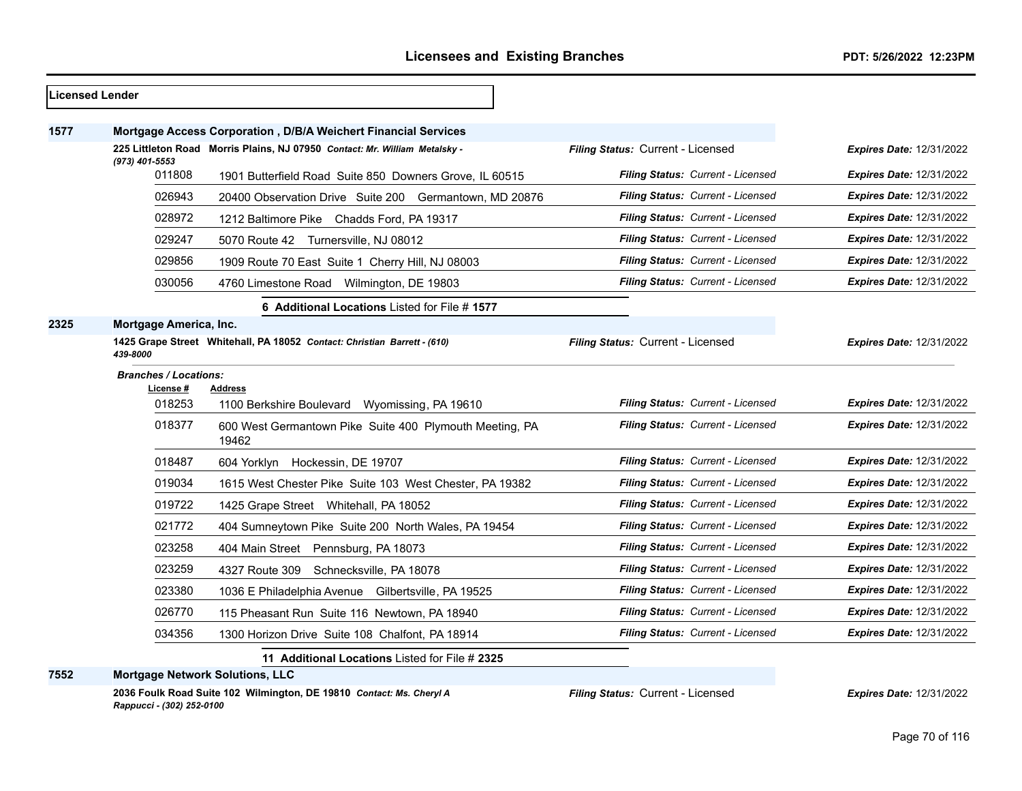|      | Licensed Lender              |                                                                            |                                          |                                 |
|------|------------------------------|----------------------------------------------------------------------------|------------------------------------------|---------------------------------|
| 1577 |                              | Mortgage Access Corporation, D/B/A Weichert Financial Services             |                                          |                                 |
|      |                              | 225 Littleton Road Morris Plains, NJ 07950 Contact: Mr. William Metalsky - | Filing Status: Current - Licensed        | <b>Expires Date: 12/31/2022</b> |
|      | (973) 401-5553<br>011808     | 1901 Butterfield Road Suite 850 Downers Grove, IL 60515                    | Filing Status: Current - Licensed        | <b>Expires Date: 12/31/2022</b> |
|      | 026943                       | 20400 Observation Drive Suite 200 Germantown, MD 20876                     | Filing Status: Current - Licensed        | <b>Expires Date: 12/31/2022</b> |
|      | 028972                       | 1212 Baltimore Pike Chadds Ford, PA 19317                                  | Filing Status: Current - Licensed        | <b>Expires Date: 12/31/2022</b> |
|      | 029247                       | 5070 Route 42 Turnersville, NJ 08012                                       | Filing Status: Current - Licensed        | <b>Expires Date: 12/31/2022</b> |
|      | 029856                       | 1909 Route 70 East Suite 1 Cherry Hill, NJ 08003                           | Filing Status: Current - Licensed        | <b>Expires Date: 12/31/2022</b> |
|      | 030056                       | 4760 Limestone Road Wilmington, DE 19803                                   | Filing Status: Current - Licensed        | <b>Expires Date: 12/31/2022</b> |
|      |                              | 6 Additional Locations Listed for File #1577                               |                                          |                                 |
| 2325 | Mortgage America, Inc.       |                                                                            |                                          |                                 |
|      | 439-8000                     | 1425 Grape Street Whitehall, PA 18052 Contact: Christian Barrett - (610)   | Filing Status: Current - Licensed        | <b>Expires Date: 12/31/2022</b> |
|      | <b>Branches / Locations:</b> |                                                                            |                                          |                                 |
|      | License #<br>018253          | <b>Address</b><br>1100 Berkshire Boulevard Wyomissing, PA 19610            | Filing Status: Current - Licensed        | <b>Expires Date: 12/31/2022</b> |
|      | 018377                       | 600 West Germantown Pike Suite 400 Plymouth Meeting, PA<br>19462           | Filing Status: Current - Licensed        | <b>Expires Date: 12/31/2022</b> |
|      | 018487                       | 604 Yorklyn Hockessin, DE 19707                                            | Filing Status: Current - Licensed        | <b>Expires Date: 12/31/2022</b> |
|      | 019034                       | 1615 West Chester Pike Suite 103 West Chester, PA 19382                    | Filing Status: Current - Licensed        | <b>Expires Date: 12/31/2022</b> |
|      | 019722                       | 1425 Grape Street Whitehall, PA 18052                                      | Filing Status: Current - Licensed        | <b>Expires Date: 12/31/2022</b> |
|      | 021772                       | 404 Sumneytown Pike Suite 200 North Wales, PA 19454                        | Filing Status: Current - Licensed        | <b>Expires Date: 12/31/2022</b> |
|      | 023258                       | 404 Main Street Pennsburg, PA 18073                                        | Filing Status: Current - Licensed        | <b>Expires Date: 12/31/2022</b> |
|      | 023259                       | 4327 Route 309<br>Schnecksville, PA 18078                                  | Filing Status: Current - Licensed        | <b>Expires Date: 12/31/2022</b> |
|      | 023380                       | 1036 E Philadelphia Avenue Gilbertsville, PA 19525                         | Filing Status: Current - Licensed        | <b>Expires Date: 12/31/2022</b> |
|      | 026770                       | 115 Pheasant Run Suite 116 Newtown, PA 18940                               | <b>Filing Status: Current - Licensed</b> | <b>Expires Date: 12/31/2022</b> |
|      | 034356                       | 1300 Horizon Drive Suite 108 Chalfont, PA 18914                            | Filing Status: Current - Licensed        | <b>Expires Date: 12/31/2022</b> |
|      |                              | 11 Additional Locations Listed for File # 2325                             |                                          |                                 |
| 7552 |                              | <b>Mortgage Network Solutions, LLC</b>                                     |                                          |                                 |

**2036 Foulk Road Suite 102 Wilmington, DE 19810** *Contact: Ms. Cheryl A Rappucci - (302) 252-0100*

*Filing Status:* Current - Licensed *Expires Date:* 12/31/2022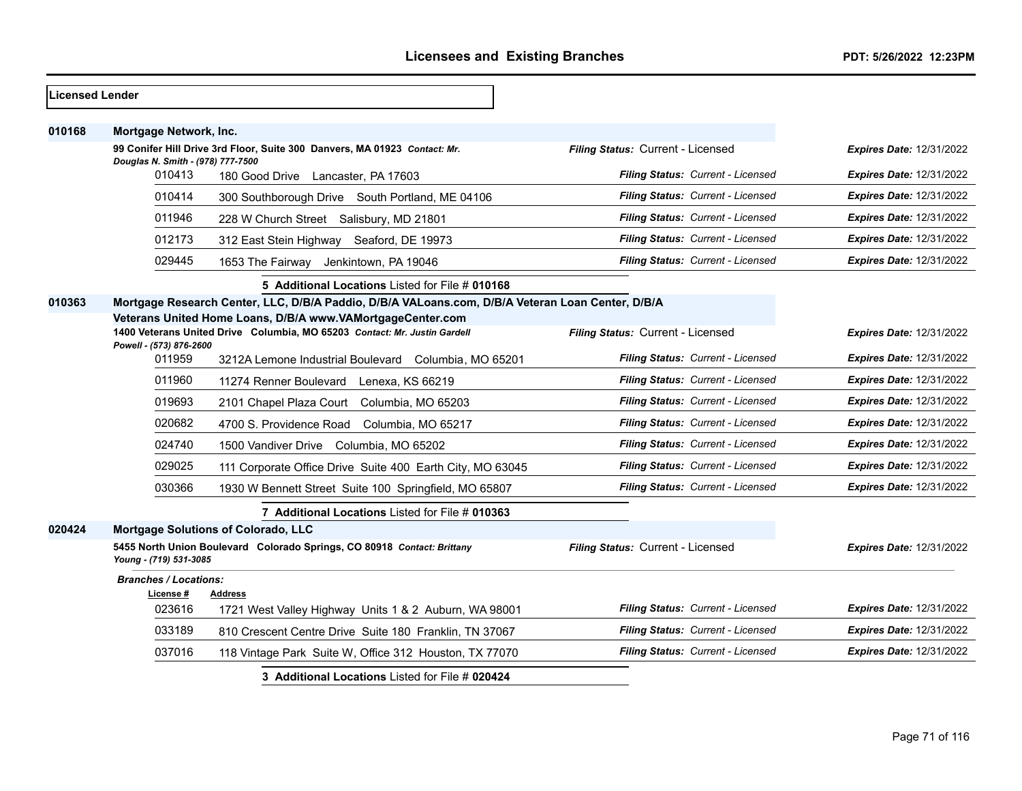| Licensed Lender |                                             |                                                                                                                                         |                                   |                                 |
|-----------------|---------------------------------------------|-----------------------------------------------------------------------------------------------------------------------------------------|-----------------------------------|---------------------------------|
| 010168          | Mortgage Network, Inc.                      |                                                                                                                                         |                                   |                                 |
|                 |                                             | 99 Conifer Hill Drive 3rd Floor, Suite 300 Danvers, MA 01923 Contact: Mr.                                                               | Filing Status: Current - Licensed | <b>Expires Date: 12/31/2022</b> |
|                 | Douglas N. Smith - (978) 777-7500<br>010413 | 180 Good Drive Lancaster, PA 17603                                                                                                      | Filing Status: Current - Licensed | <b>Expires Date: 12/31/2022</b> |
|                 | 010414                                      | 300 Southborough Drive South Portland, ME 04106                                                                                         | Filing Status: Current - Licensed | Expires Date: 12/31/2022        |
|                 | 011946                                      | 228 W Church Street Salisbury, MD 21801                                                                                                 | Filing Status: Current - Licensed | <b>Expires Date: 12/31/2022</b> |
|                 | 012173                                      | 312 East Stein Highway Seaford, DE 19973                                                                                                | Filing Status: Current - Licensed | <b>Expires Date: 12/31/2022</b> |
|                 | 029445                                      | 1653 The Fairway Jenkintown, PA 19046                                                                                                   | Filing Status: Current - Licensed | <b>Expires Date: 12/31/2022</b> |
|                 |                                             | 5 Additional Locations Listed for File # 010168                                                                                         |                                   |                                 |
| 010363          |                                             | Mortgage Research Center, LLC, D/B/A Paddio, D/B/A VALoans.com, D/B/A Veteran Loan Center, D/B/A                                        |                                   |                                 |
|                 | Powell - (573) 876-2600                     | Veterans United Home Loans, D/B/A www.VAMortgageCenter.com<br>1400 Veterans United Drive Columbia, MO 65203 Contact: Mr. Justin Gardell | Filing Status: Current - Licensed | Expires Date: 12/31/2022        |
|                 | 011959                                      | 3212A Lemone Industrial Boulevard Columbia, MO 65201                                                                                    | Filing Status: Current - Licensed | <b>Expires Date: 12/31/2022</b> |
|                 | 011960                                      | 11274 Renner Boulevard Lenexa, KS 66219                                                                                                 | Filing Status: Current - Licensed | <b>Expires Date: 12/31/2022</b> |
|                 | 019693                                      | 2101 Chapel Plaza Court Columbia, MO 65203                                                                                              | Filing Status: Current - Licensed | <b>Expires Date: 12/31/2022</b> |
|                 | 020682                                      | 4700 S. Providence Road<br>Columbia, MO 65217                                                                                           | Filing Status: Current - Licensed | <b>Expires Date: 12/31/2022</b> |
|                 | 024740                                      | 1500 Vandiver Drive Columbia, MO 65202                                                                                                  | Filing Status: Current - Licensed | <b>Expires Date: 12/31/2022</b> |
|                 | 029025                                      | 111 Corporate Office Drive Suite 400 Earth City, MO 63045                                                                               | Filing Status: Current - Licensed | <b>Expires Date: 12/31/2022</b> |
|                 | 030366                                      | 1930 W Bennett Street Suite 100 Springfield, MO 65807                                                                                   | Filing Status: Current - Licensed | <b>Expires Date: 12/31/2022</b> |
|                 |                                             | 7 Additional Locations Listed for File # 010363                                                                                         |                                   |                                 |
| 020424          |                                             | Mortgage Solutions of Colorado, LLC                                                                                                     |                                   |                                 |
|                 | Young - (719) 531-3085                      | 5455 North Union Boulevard Colorado Springs, CO 80918 Contact: Brittany                                                                 | Filing Status: Current - Licensed | <b>Expires Date: 12/31/2022</b> |
|                 | <b>Branches / Locations:</b>                |                                                                                                                                         |                                   |                                 |
|                 | License #<br>023616                         | <b>Address</b><br>1721 West Valley Highway Units 1 & 2 Auburn, WA 98001                                                                 | Filing Status: Current - Licensed | <b>Expires Date: 12/31/2022</b> |
|                 | 033189                                      | 810 Crescent Centre Drive Suite 180 Franklin, TN 37067                                                                                  | Filing Status: Current - Licensed | <b>Expires Date: 12/31/2022</b> |
|                 | 037016                                      | 118 Vintage Park Suite W, Office 312 Houston, TX 77070                                                                                  | Filing Status: Current - Licensed | <b>Expires Date: 12/31/2022</b> |
|                 |                                             | 3 Additional Locations Listed for File # 020424                                                                                         |                                   |                                 |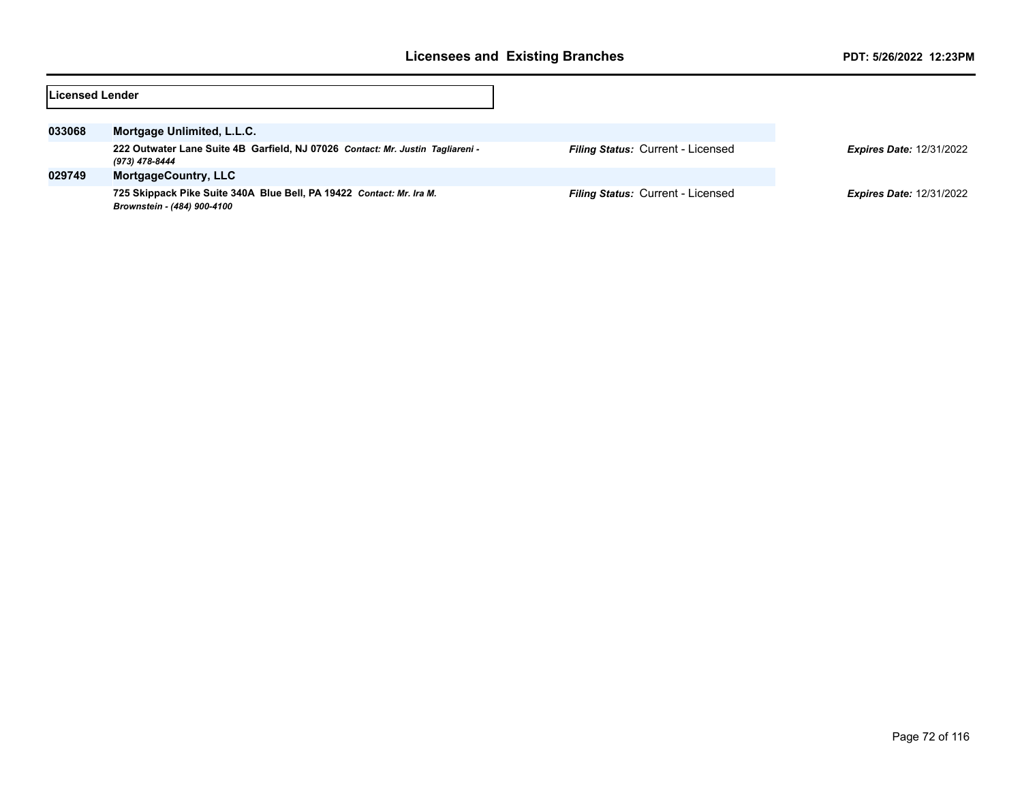| lLicensed Lender |                                                                                                     |                                   |                                 |
|------------------|-----------------------------------------------------------------------------------------------------|-----------------------------------|---------------------------------|
| 033068           | Mortgage Unlimited, L.L.C.                                                                          |                                   |                                 |
|                  | 222 Outwater Lane Suite 4B Garfield, NJ 07026 Contact: Mr. Justin Tagliareni -<br>(973) 478-8444    | Filing Status: Current - Licensed | <b>Expires Date: 12/31/2022</b> |
| 029749           | <b>MortgageCountry, LLC</b>                                                                         |                                   |                                 |
|                  | 725 Skippack Pike Suite 340A Blue Bell, PA 19422 Contact: Mr. Ira M.<br>Brownstein - (484) 900-4100 | Filing Status: Current - Licensed | <b>Expires Date: 12/31/2022</b> |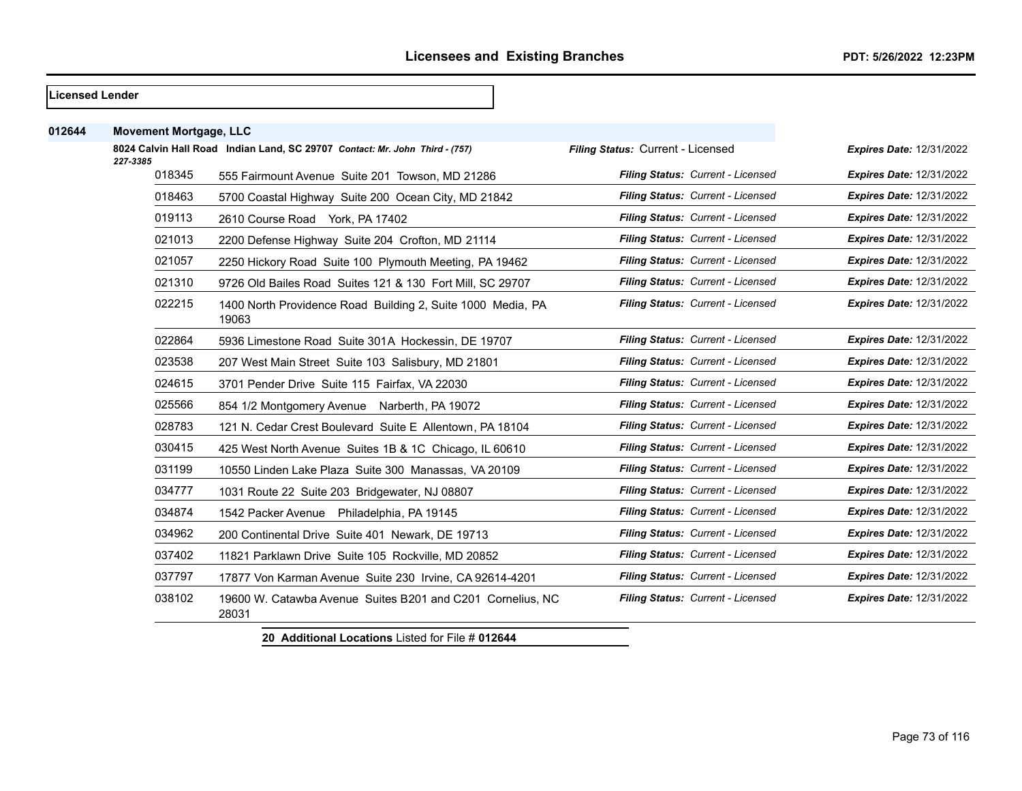#### **Licensed Lender**

| 012644 | <b>Movement Mortgage, LLC</b> |                                                                             |                                   |                                 |
|--------|-------------------------------|-----------------------------------------------------------------------------|-----------------------------------|---------------------------------|
|        | 227-3385                      | 8024 Calvin Hall Road Indian Land, SC 29707 Contact: Mr. John Third - (757) | Filing Status: Current - Licensed | <b>Expires Date: 12/31/2022</b> |
|        | 018345                        | 555 Fairmount Avenue Suite 201 Towson, MD 21286                             | Filing Status: Current - Licensed | Expires Date: 12/31/2022        |
|        | 018463                        | 5700 Coastal Highway Suite 200 Ocean City, MD 21842                         | Filing Status: Current - Licensed | <b>Expires Date: 12/31/2022</b> |
|        | 019113                        | 2610 Course Road York, PA 17402                                             | Filing Status: Current - Licensed | <b>Expires Date: 12/31/2022</b> |
|        | 021013                        | 2200 Defense Highway Suite 204 Crofton, MD 21114                            | Filing Status: Current - Licensed | <b>Expires Date: 12/31/2022</b> |
|        | 021057                        | 2250 Hickory Road Suite 100 Plymouth Meeting, PA 19462                      | Filing Status: Current - Licensed | <b>Expires Date: 12/31/2022</b> |
|        | 021310                        | 9726 Old Bailes Road Suites 121 & 130 Fort Mill, SC 29707                   | Filing Status: Current - Licensed | <b>Expires Date: 12/31/2022</b> |
|        | 022215                        | 1400 North Providence Road Building 2, Suite 1000 Media, PA<br>19063        | Filing Status: Current - Licensed | Expires Date: 12/31/2022        |
|        | 022864                        | 5936 Limestone Road Suite 301A Hockessin, DE 19707                          | Filing Status: Current - Licensed | <b>Expires Date: 12/31/2022</b> |
|        | 023538                        | 207 West Main Street Suite 103 Salisbury, MD 21801                          | Filing Status: Current - Licensed | Expires Date: 12/31/2022        |
|        | 024615                        | 3701 Pender Drive Suite 115 Fairfax, VA 22030                               | Filing Status: Current - Licensed | <b>Expires Date: 12/31/2022</b> |
|        | 025566                        | 854 1/2 Montgomery Avenue Narberth, PA 19072                                | Filing Status: Current - Licensed | <b>Expires Date: 12/31/2022</b> |
|        | 028783                        | 121 N. Cedar Crest Boulevard Suite E Allentown, PA 18104                    | Filing Status: Current - Licensed | <b>Expires Date: 12/31/2022</b> |
|        | 030415                        | 425 West North Avenue Suites 1B & 1C Chicago, IL 60610                      | Filing Status: Current - Licensed | <b>Expires Date: 12/31/2022</b> |
|        | 031199                        | 10550 Linden Lake Plaza Suite 300 Manassas, VA 20109                        | Filing Status: Current - Licensed | <b>Expires Date: 12/31/2022</b> |
|        | 034777                        | 1031 Route 22 Suite 203 Bridgewater, NJ 08807                               | Filing Status: Current - Licensed | <b>Expires Date: 12/31/2022</b> |
|        | 034874                        | 1542 Packer Avenue Philadelphia, PA 19145                                   | Filing Status: Current - Licensed | <b>Expires Date: 12/31/2022</b> |
|        | 034962                        | 200 Continental Drive Suite 401 Newark, DE 19713                            | Filing Status: Current - Licensed | Expires Date: 12/31/2022        |
|        | 037402                        | 11821 Parklawn Drive Suite 105 Rockville, MD 20852                          | Filing Status: Current - Licensed | <b>Expires Date: 12/31/2022</b> |
|        | 037797                        | 17877 Von Karman Avenue Suite 230 Irvine, CA 92614-4201                     | Filing Status: Current - Licensed | <b>Expires Date: 12/31/2022</b> |
|        | 038102                        | 19600 W. Catawba Avenue Suites B201 and C201 Cornelius, NC<br>28031         | Filing Status: Current - Licensed | <b>Expires Date: 12/31/2022</b> |
|        |                               |                                                                             |                                   |                                 |

**20 Additional Locations** Listed for File # **012644**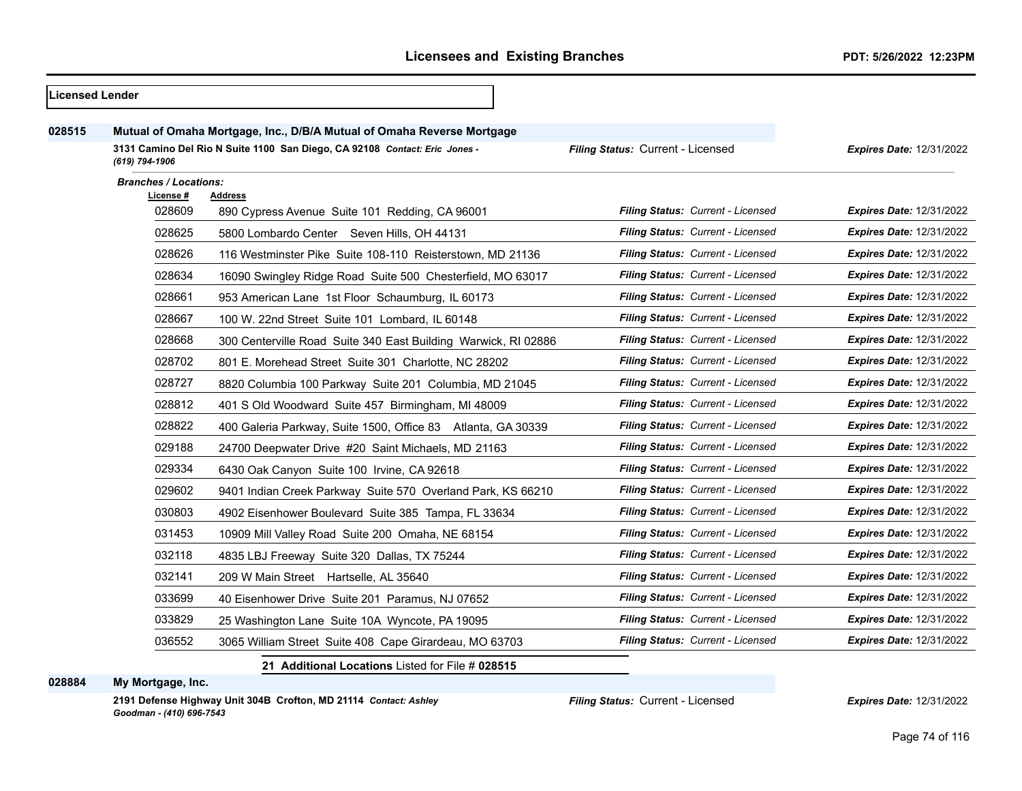| <b>Licensed Lender</b> |                              |                                                                            |                                   |                                 |
|------------------------|------------------------------|----------------------------------------------------------------------------|-----------------------------------|---------------------------------|
| 028515                 |                              | Mutual of Omaha Mortgage, Inc., D/B/A Mutual of Omaha Reverse Mortgage     |                                   |                                 |
|                        | (619) 794-1906               | 3131 Camino Del Rio N Suite 1100 San Diego, CA 92108 Contact: Eric Jones - | Filing Status: Current - Licensed | <b>Expires Date: 12/31/2022</b> |
|                        | <b>Branches / Locations:</b> |                                                                            |                                   |                                 |
|                        | <u>License #</u><br>028609   | <b>Address</b>                                                             | Filing Status: Current - Licensed | <b>Expires Date: 12/31/2022</b> |
|                        |                              | 890 Cypress Avenue Suite 101 Redding, CA 96001                             |                                   |                                 |
|                        | 028625                       | 5800 Lombardo Center Seven Hills, OH 44131                                 | Filing Status: Current - Licensed | <b>Expires Date: 12/31/2022</b> |
|                        | 028626                       | 116 Westminster Pike Suite 108-110 Reisterstown, MD 21136                  | Filing Status: Current - Licensed | <b>Expires Date: 12/31/2022</b> |
|                        | 028634                       | 16090 Swingley Ridge Road Suite 500 Chesterfield, MO 63017                 | Filing Status: Current - Licensed | <b>Expires Date: 12/31/2022</b> |
|                        | 028661                       | 953 American Lane 1st Floor Schaumburg, IL 60173                           | Filing Status: Current - Licensed | <b>Expires Date: 12/31/2022</b> |
|                        | 028667                       | 100 W. 22nd Street Suite 101 Lombard, IL 60148                             | Filing Status: Current - Licensed | <b>Expires Date: 12/31/2022</b> |
|                        | 028668                       | 300 Centerville Road Suite 340 East Building Warwick, RI 02886             | Filing Status: Current - Licensed | Expires Date: 12/31/2022        |
|                        | 028702                       | 801 E. Morehead Street Suite 301 Charlotte, NC 28202                       | Filing Status: Current - Licensed | <b>Expires Date: 12/31/2022</b> |
|                        | 028727                       | 8820 Columbia 100 Parkway Suite 201 Columbia, MD 21045                     | Filing Status: Current - Licensed | <b>Expires Date: 12/31/2022</b> |
|                        | 028812                       | 401 S Old Woodward Suite 457 Birmingham, MI 48009                          | Filing Status: Current - Licensed | <b>Expires Date: 12/31/2022</b> |
|                        | 028822                       | 400 Galeria Parkway, Suite 1500, Office 83 Atlanta, GA 30339               | Filing Status: Current - Licensed | <b>Expires Date: 12/31/2022</b> |
|                        | 029188                       | 24700 Deepwater Drive #20 Saint Michaels, MD 21163                         | Filing Status: Current - Licensed | <b>Expires Date: 12/31/2022</b> |
|                        | 029334                       | 6430 Oak Canyon Suite 100 Irvine, CA 92618                                 | Filing Status: Current - Licensed | <b>Expires Date: 12/31/2022</b> |
|                        | 029602                       | 9401 Indian Creek Parkway Suite 570 Overland Park, KS 66210                | Filing Status: Current - Licensed | <b>Expires Date: 12/31/2022</b> |
|                        | 030803                       | 4902 Eisenhower Boulevard Suite 385 Tampa, FL 33634                        | Filing Status: Current - Licensed | <b>Expires Date: 12/31/2022</b> |
|                        | 031453                       | 10909 Mill Valley Road Suite 200 Omaha, NE 68154                           | Filing Status: Current - Licensed | <b>Expires Date: 12/31/2022</b> |
|                        | 032118                       | 4835 LBJ Freeway Suite 320 Dallas, TX 75244                                | Filing Status: Current - Licensed | <b>Expires Date: 12/31/2022</b> |
|                        | 032141                       | 209 W Main Street Hartselle, AL 35640                                      | Filing Status: Current - Licensed | <b>Expires Date: 12/31/2022</b> |
|                        | 033699                       | 40 Eisenhower Drive Suite 201 Paramus, NJ 07652                            | Filing Status: Current - Licensed | <b>Expires Date: 12/31/2022</b> |
|                        | 033829                       | 25 Washington Lane Suite 10A Wyncote, PA 19095                             | Filing Status: Current - Licensed | <b>Expires Date: 12/31/2022</b> |
|                        | 036552                       | 3065 William Street Suite 408 Cape Girardeau, MO 63703                     | Filing Status: Current - Licensed | Expires Date: 12/31/2022        |
|                        |                              |                                                                            |                                   |                                 |

#### **21 Additional Locations** Listed for File # **028515**

**My Mortgage, Inc.**

**2191 Defense Highway Unit 304B Crofton, MD 21114** *Contact: Ashley Goodman - (410) 696-7543*

*Filing Status:* Current - Licensed *Expires Date:* 12/31/2022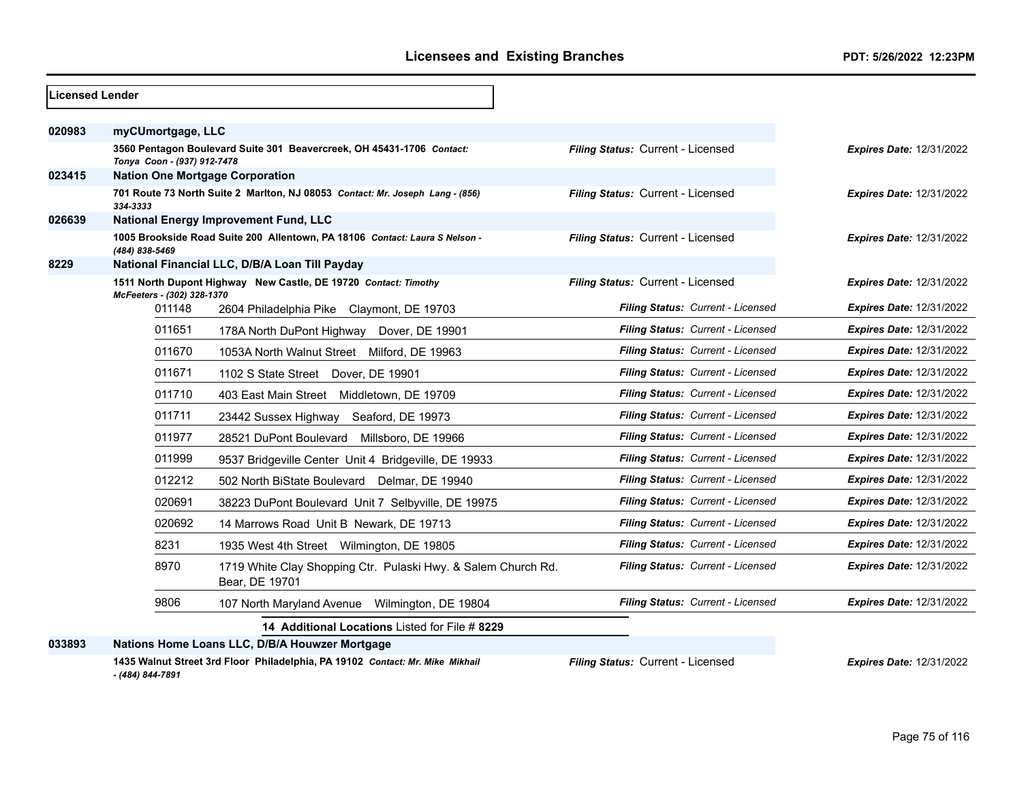| <b>Licensed Lender</b> |                                        |                                                                                                                                                                                                                                                                                                                                                                                      |                                   |                                 |
|------------------------|----------------------------------------|--------------------------------------------------------------------------------------------------------------------------------------------------------------------------------------------------------------------------------------------------------------------------------------------------------------------------------------------------------------------------------------|-----------------------------------|---------------------------------|
| 020983                 | myCUmortgage, LLC                      |                                                                                                                                                                                                                                                                                                                                                                                      |                                   |                                 |
|                        | Tonya Coon - (937) 912-7478            | 3560 Pentagon Boulevard Suite 301 Beavercreek, OH 45431-1706 Contact:                                                                                                                                                                                                                                                                                                                | Filing Status: Current - Licensed | <b>Expires Date: 12/31/2022</b> |
| 023415                 | <b>Nation One Mortgage Corporation</b> |                                                                                                                                                                                                                                                                                                                                                                                      |                                   |                                 |
|                        | 334-3333                               | 701 Route 73 North Suite 2 Marlton, NJ 08053 Contact: Mr. Joseph Lang - (856)                                                                                                                                                                                                                                                                                                        | Filing Status: Current - Licensed | <b>Expires Date: 12/31/2022</b> |
| 026639                 |                                        | National Energy Improvement Fund, LLC                                                                                                                                                                                                                                                                                                                                                |                                   |                                 |
|                        | (484) 838-5469                         | 1005 Brookside Road Suite 200 Allentown, PA 18106 Contact: Laura S Nelson -                                                                                                                                                                                                                                                                                                          | Filing Status: Current - Licensed | <b>Expires Date: 12/31/2022</b> |
| 8229                   |                                        | National Financial LLC, D/B/A Loan Till Payday                                                                                                                                                                                                                                                                                                                                       |                                   |                                 |
|                        | McFeeters - (302) 328-1370             | 1511 North Dupont Highway New Castle, DE 19720 Contact: Timothy                                                                                                                                                                                                                                                                                                                      | Filing Status: Current - Licensed | <b>Expires Date: 12/31/2022</b> |
|                        | 011148                                 | 2604 Philadelphia Pike Claymont, DE 19703                                                                                                                                                                                                                                                                                                                                            | Filing Status: Current - Licensed | <b>Expires Date: 12/31/2022</b> |
|                        | 011651                                 | 178A North DuPont Highway Dover, DE 19901                                                                                                                                                                                                                                                                                                                                            | Filing Status: Current - Licensed | <b>Expires Date: 12/31/2022</b> |
|                        | 011670                                 | 1053A North Walnut Street Milford, DE 19963                                                                                                                                                                                                                                                                                                                                          | Filing Status: Current - Licensed | <b>Expires Date: 12/31/2022</b> |
|                        | 011671                                 | 1102 S State Street Dover, DE 19901                                                                                                                                                                                                                                                                                                                                                  | Filing Status: Current - Licensed | <b>Expires Date: 12/31/2022</b> |
|                        | 011710                                 | 403 East Main Street Middletown, DE 19709                                                                                                                                                                                                                                                                                                                                            | Filing Status: Current - Licensed | <b>Expires Date: 12/31/2022</b> |
|                        | 011711                                 | 23442 Sussex Highway<br>Seaford, DE 19973                                                                                                                                                                                                                                                                                                                                            | Filing Status: Current - Licensed | <b>Expires Date: 12/31/2022</b> |
|                        | 011977                                 | 28521 DuPont Boulevard Millsboro, DE 19966                                                                                                                                                                                                                                                                                                                                           | Filing Status: Current - Licensed | <b>Expires Date: 12/31/2022</b> |
|                        | 011999                                 | 9537 Bridgeville Center Unit 4 Bridgeville, DE 19933                                                                                                                                                                                                                                                                                                                                 | Filing Status: Current - Licensed | <b>Expires Date: 12/31/2022</b> |
|                        | 012212                                 | 502 North BiState Boulevard Delmar, DE 19940                                                                                                                                                                                                                                                                                                                                         | Filing Status: Current - Licensed | <b>Expires Date: 12/31/2022</b> |
|                        | 020691                                 | 38223 DuPont Boulevard Unit 7 Selbyville, DE 19975                                                                                                                                                                                                                                                                                                                                   | Filing Status: Current - Licensed | Expires Date: 12/31/2022        |
|                        | 020692                                 | 14 Marrows Road Unit B Newark, DE 19713                                                                                                                                                                                                                                                                                                                                              | Filing Status: Current - Licensed | <b>Expires Date: 12/31/2022</b> |
|                        | 8231                                   | 1935 West 4th Street Wilmington, DE 19805                                                                                                                                                                                                                                                                                                                                            | Filing Status: Current - Licensed | <b>Expires Date: 12/31/2022</b> |
|                        | 8970                                   | 1719 White Clay Shopping Ctr. Pulaski Hwy. & Salem Church Rd.<br>Bear, DE 19701                                                                                                                                                                                                                                                                                                      | Filing Status: Current - Licensed | <b>Expires Date: 12/31/2022</b> |
|                        | 9806                                   | 107 North Maryland Avenue Wilmington, DE 19804                                                                                                                                                                                                                                                                                                                                       | Filing Status: Current - Licensed | <b>Expires Date: 12/31/2022</b> |
|                        |                                        | 14 Additional Locations Listed for File # 8229                                                                                                                                                                                                                                                                                                                                       |                                   |                                 |
| 033893                 |                                        | Nations Home Loans LLC, D/B/A Houwzer Mortgage                                                                                                                                                                                                                                                                                                                                       |                                   |                                 |
|                        |                                        | $\overline{a}$ $\overline{a}$ $\overline{a}$ $\overline{a}$ $\overline{a}$ $\overline{a}$ $\overline{a}$ $\overline{a}$ $\overline{a}$ $\overline{a}$ $\overline{a}$ $\overline{a}$ $\overline{a}$ $\overline{a}$ $\overline{a}$ $\overline{a}$ $\overline{a}$ $\overline{a}$ $\overline{a}$ $\overline{a}$ $\overline{a}$ $\overline{a}$ $\overline{a}$ $\overline{a}$ $\overline{$ |                                   |                                 |

**1435 Walnut Street 3rd Floor Philadelphia, PA 19102** *Contact: Mr. Mike Mikhail - (484) 844-7891*

*Filing Status:* Current - Licensed *Expires Date:* 12/31/2022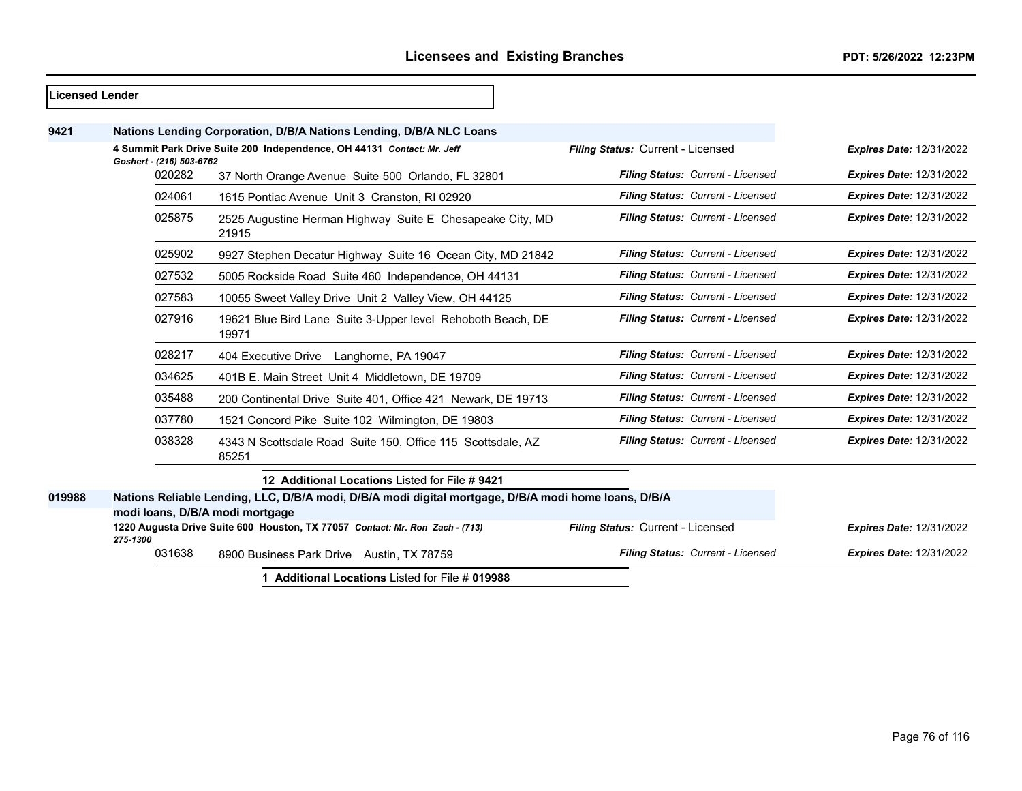| Licensed Lender |                                                                                                                 |                          |                                                                                                      |                                   |                                 |
|-----------------|-----------------------------------------------------------------------------------------------------------------|--------------------------|------------------------------------------------------------------------------------------------------|-----------------------------------|---------------------------------|
| 9421            |                                                                                                                 |                          | Nations Lending Corporation, D/B/A Nations Lending, D/B/A NLC Loans                                  |                                   |                                 |
|                 |                                                                                                                 | Goshert - (216) 503-6762 | 4 Summit Park Drive Suite 200 Independence, OH 44131 Contact: Mr. Jeff                               | Filing Status: Current - Licensed | <b>Expires Date: 12/31/2022</b> |
|                 |                                                                                                                 | 020282                   | 37 North Orange Avenue Suite 500 Orlando, FL 32801                                                   | Filing Status: Current - Licensed | <b>Expires Date: 12/31/2022</b> |
|                 |                                                                                                                 | 024061                   | 1615 Pontiac Avenue Unit 3 Cranston, RI 02920                                                        | Filing Status: Current - Licensed | <b>Expires Date: 12/31/2022</b> |
|                 |                                                                                                                 | 025875                   | 2525 Augustine Herman Highway Suite E Chesapeake City, MD<br>21915                                   | Filing Status: Current - Licensed | <b>Expires Date: 12/31/2022</b> |
|                 |                                                                                                                 | 025902                   | 9927 Stephen Decatur Highway Suite 16 Ocean City, MD 21842                                           | Filing Status: Current - Licensed | <b>Expires Date: 12/31/2022</b> |
|                 |                                                                                                                 | 027532                   | 5005 Rockside Road Suite 460 Independence, OH 44131                                                  | Filing Status: Current - Licensed | <b>Expires Date: 12/31/2022</b> |
|                 |                                                                                                                 | 027583                   | 10055 Sweet Valley Drive Unit 2 Valley View, OH 44125                                                | Filing Status: Current - Licensed | <b>Expires Date: 12/31/2022</b> |
|                 |                                                                                                                 | 027916                   | 19621 Blue Bird Lane Suite 3-Upper level Rehoboth Beach, DE<br>19971                                 | Filing Status: Current - Licensed | <b>Expires Date: 12/31/2022</b> |
|                 |                                                                                                                 | 028217                   | 404 Executive Drive Langhorne, PA 19047                                                              | Filing Status: Current - Licensed | <b>Expires Date: 12/31/2022</b> |
|                 |                                                                                                                 | 034625                   | 401B E. Main Street Unit 4 Middletown, DE 19709                                                      | Filing Status: Current - Licensed | <b>Expires Date: 12/31/2022</b> |
|                 |                                                                                                                 | 035488                   | 200 Continental Drive Suite 401, Office 421 Newark, DE 19713                                         | Filing Status: Current - Licensed | <b>Expires Date: 12/31/2022</b> |
|                 |                                                                                                                 | 037780                   | 1521 Concord Pike Suite 102 Wilmington, DE 19803                                                     | Filing Status: Current - Licensed | <b>Expires Date: 12/31/2022</b> |
|                 |                                                                                                                 | 038328                   | 4343 N Scottsdale Road Suite 150, Office 115 Scottsdale, AZ<br>85251                                 | Filing Status: Current - Licensed | <b>Expires Date: 12/31/2022</b> |
|                 |                                                                                                                 |                          | 12 Additional Locations Listed for File #9421                                                        |                                   |                                 |
| 019988          |                                                                                                                 |                          | Nations Reliable Lending, LLC, D/B/A modi, D/B/A modi digital mortgage, D/B/A modi home loans, D/B/A |                                   |                                 |
|                 | modi Ioans, D/B/A modi mortgage<br>1220 Augusta Drive Suite 600 Houston, TX 77057 Contact: Mr. Ron Zach - (713) |                          |                                                                                                      | <b>Expires Date: 12/31/2022</b>   |                                 |
|                 | 275-1300                                                                                                        |                          |                                                                                                      | Filing Status: Current - Licensed |                                 |
|                 |                                                                                                                 | 031638                   | 8900 Business Park Drive Austin, TX 78759                                                            | Filing Status: Current - Licensed | <b>Expires Date: 12/31/2022</b> |
|                 |                                                                                                                 |                          | 1 Additional Locations Listed for File # 019988                                                      |                                   |                                 |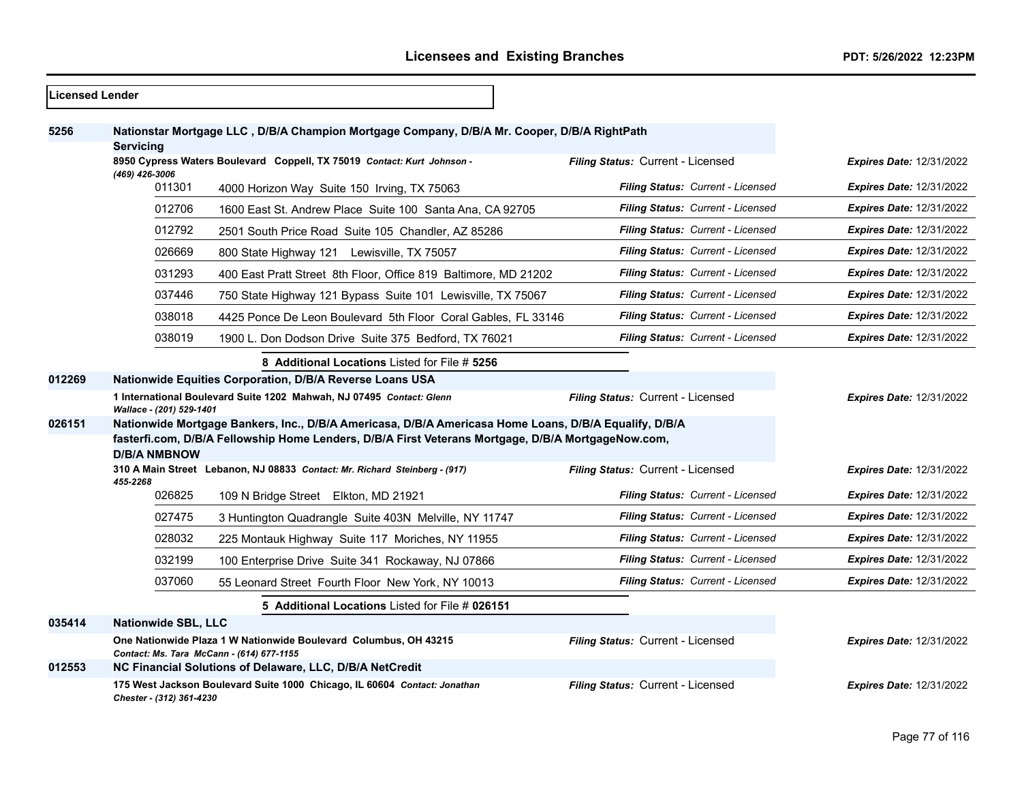$\overline{\phantom{a}}$ 

| <b>Licensed Lender</b> |                                                                                                       |                                                                                                       |                                          |                                 |
|------------------------|-------------------------------------------------------------------------------------------------------|-------------------------------------------------------------------------------------------------------|------------------------------------------|---------------------------------|
| 5256                   | <b>Servicing</b>                                                                                      | Nationstar Mortgage LLC, D/B/A Champion Mortgage Company, D/B/A Mr. Cooper, D/B/A RightPath           |                                          |                                 |
|                        | (469) 426-3006                                                                                        | 8950 Cypress Waters Boulevard Coppell, TX 75019 Contact: Kurt Johnson -                               | Filing Status: Current - Licensed        | <b>Expires Date: 12/31/2022</b> |
|                        | 011301                                                                                                | 4000 Horizon Way Suite 150 Irving, TX 75063                                                           | Filing Status: Current - Licensed        | <b>Expires Date: 12/31/2022</b> |
|                        | 012706                                                                                                | 1600 East St. Andrew Place Suite 100 Santa Ana, CA 92705                                              | Filing Status: Current - Licensed        | <b>Expires Date: 12/31/2022</b> |
|                        | 012792                                                                                                | 2501 South Price Road Suite 105 Chandler, AZ 85286                                                    | Filing Status: Current - Licensed        | <b>Expires Date: 12/31/2022</b> |
|                        | 026669                                                                                                | 800 State Highway 121 Lewisville, TX 75057                                                            | Filing Status: Current - Licensed        | <b>Expires Date: 12/31/2022</b> |
|                        | 031293                                                                                                | 400 East Pratt Street 8th Floor, Office 819 Baltimore, MD 21202                                       | <b>Filing Status: Current - Licensed</b> | <b>Expires Date: 12/31/2022</b> |
|                        | 037446                                                                                                | 750 State Highway 121 Bypass Suite 101 Lewisville, TX 75067                                           | Filing Status: Current - Licensed        | <b>Expires Date: 12/31/2022</b> |
|                        | 038018                                                                                                | 4425 Ponce De Leon Boulevard 5th Floor Coral Gables, FL 33146                                         | Filing Status: Current - Licensed        | <b>Expires Date: 12/31/2022</b> |
|                        | 038019                                                                                                | 1900 L. Don Dodson Drive Suite 375 Bedford, TX 76021                                                  | <b>Filing Status: Current - Licensed</b> | <b>Expires Date: 12/31/2022</b> |
|                        |                                                                                                       | 8 Additional Locations Listed for File # 5256                                                         |                                          |                                 |
| 012269                 |                                                                                                       | Nationwide Equities Corporation, D/B/A Reverse Loans USA                                              |                                          |                                 |
|                        | Wallace - (201) 529-1401                                                                              | 1 International Boulevard Suite 1202 Mahwah, NJ 07495 Contact: Glenn                                  | Filing Status: Current - Licensed        | <b>Expires Date: 12/31/2022</b> |
| 026151                 | Nationwide Mortgage Bankers, Inc., D/B/A Americasa, D/B/A Americasa Home Loans, D/B/A Equalify, D/B/A |                                                                                                       |                                          |                                 |
|                        | <b>D/B/A NMBNOW</b>                                                                                   | fasterfi.com, D/B/A Fellowship Home Lenders, D/B/A First Veterans Mortgage, D/B/A MortgageNow.com,    |                                          |                                 |
|                        |                                                                                                       | 310 A Main Street Lebanon, NJ 08833 Contact: Mr. Richard Steinberg - (917)                            | Filing Status: Current - Licensed        | <b>Expires Date: 12/31/2022</b> |
|                        | 455-2268<br>026825                                                                                    | 109 N Bridge Street Elkton, MD 21921                                                                  | Filing Status: Current - Licensed        | <b>Expires Date: 12/31/2022</b> |
|                        | 027475                                                                                                | 3 Huntington Quadrangle Suite 403N Melville, NY 11747                                                 | Filing Status: Current - Licensed        | <b>Expires Date: 12/31/2022</b> |
|                        | 028032                                                                                                | 225 Montauk Highway Suite 117 Moriches, NY 11955                                                      | Filing Status: Current - Licensed        | <b>Expires Date: 12/31/2022</b> |
|                        | 032199                                                                                                | 100 Enterprise Drive Suite 341 Rockaway, NJ 07866                                                     | Filing Status: Current - Licensed        | <b>Expires Date: 12/31/2022</b> |
|                        | 037060                                                                                                | 55 Leonard Street Fourth Floor New York, NY 10013                                                     | Filing Status: Current - Licensed        | <b>Expires Date: 12/31/2022</b> |
|                        |                                                                                                       | 5 Additional Locations Listed for File # 026151                                                       |                                          |                                 |
| 035414                 | <b>Nationwide SBL, LLC</b>                                                                            |                                                                                                       |                                          |                                 |
|                        |                                                                                                       | One Nationwide Plaza 1 W Nationwide Boulevard Columbus, OH 43215                                      | Filing Status: Current - Licensed        | <b>Expires Date: 12/31/2022</b> |
| 012553                 |                                                                                                       | Contact: Ms. Tara McCann - (614) 677-1155<br>NC Financial Solutions of Delaware, LLC, D/B/A NetCredit |                                          |                                 |
|                        | Chester - (312) 361-4230                                                                              | 175 West Jackson Boulevard Suite 1000 Chicago, IL 60604 Contact: Jonathan                             | Filing Status: Current - Licensed        | <b>Expires Date: 12/31/2022</b> |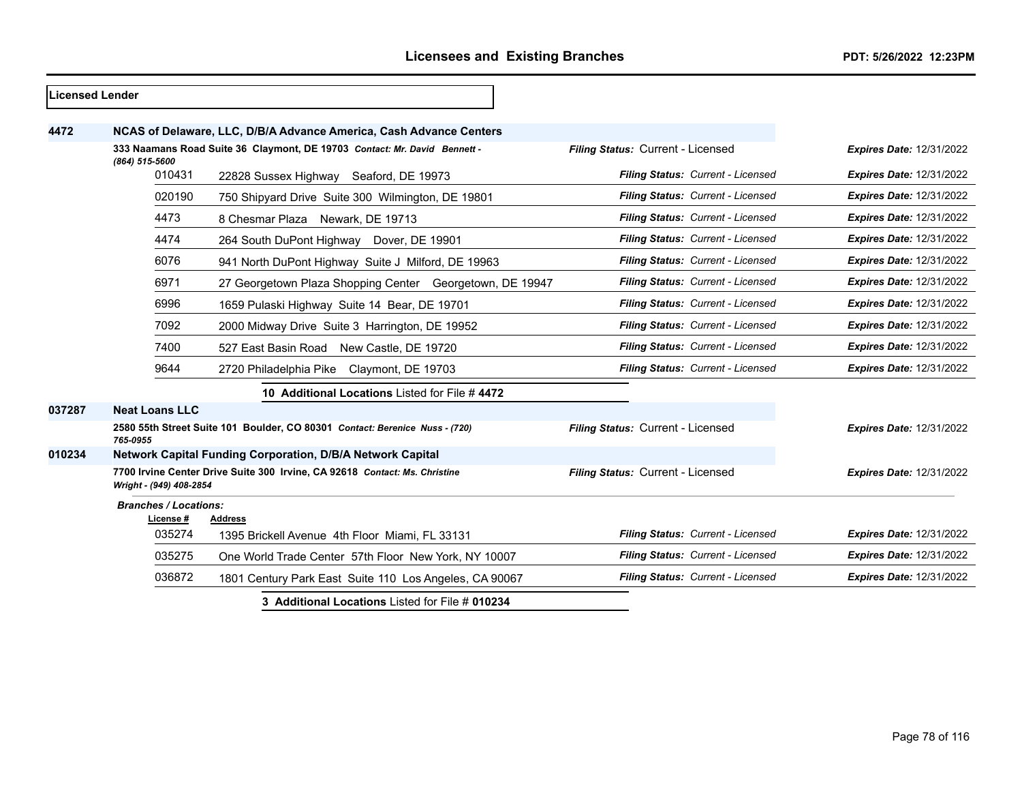| <b>Licensed Lender</b> |                                                 |                                                                             |                                   |                                 |  |  |
|------------------------|-------------------------------------------------|-----------------------------------------------------------------------------|-----------------------------------|---------------------------------|--|--|
| 4472                   |                                                 | NCAS of Delaware, LLC, D/B/A Advance America, Cash Advance Centers          |                                   |                                 |  |  |
|                        |                                                 | 333 Naamans Road Suite 36 Claymont, DE 19703 Contact: Mr. David Bennett -   | Filing Status: Current - Licensed | <b>Expires Date: 12/31/2022</b> |  |  |
|                        | (864) 515-5600<br>010431                        | 22828 Sussex Highway Seaford, DE 19973                                      | Filing Status: Current - Licensed | <b>Expires Date: 12/31/2022</b> |  |  |
|                        | 020190                                          | 750 Shipyard Drive Suite 300 Wilmington, DE 19801                           | Filing Status: Current - Licensed | <b>Expires Date: 12/31/2022</b> |  |  |
|                        | 4473                                            | 8 Chesmar Plaza Newark, DE 19713                                            | Filing Status: Current - Licensed | <b>Expires Date: 12/31/2022</b> |  |  |
|                        | 4474                                            | 264 South DuPont Highway Dover, DE 19901                                    | Filing Status: Current - Licensed | <b>Expires Date: 12/31/2022</b> |  |  |
|                        | 6076                                            | 941 North DuPont Highway Suite J Milford, DE 19963                          | Filing Status: Current - Licensed | <b>Expires Date: 12/31/2022</b> |  |  |
|                        | 6971                                            | 27 Georgetown Plaza Shopping Center Georgetown, DE 19947                    | Filing Status: Current - Licensed | <b>Expires Date: 12/31/2022</b> |  |  |
|                        | 6996                                            | 1659 Pulaski Highway Suite 14 Bear, DE 19701                                | Filing Status: Current - Licensed | <b>Expires Date: 12/31/2022</b> |  |  |
|                        | 7092                                            | 2000 Midway Drive Suite 3 Harrington, DE 19952                              | Filing Status: Current - Licensed | <b>Expires Date: 12/31/2022</b> |  |  |
|                        | 7400                                            | 527 East Basin Road New Castle, DE 19720                                    | Filing Status: Current - Licensed | <b>Expires Date: 12/31/2022</b> |  |  |
|                        | 9644                                            | 2720 Philadelphia Pike<br>Claymont, DE 19703                                | Filing Status: Current - Licensed | <b>Expires Date: 12/31/2022</b> |  |  |
|                        |                                                 | 10 Additional Locations Listed for File #4472                               |                                   |                                 |  |  |
| 037287                 | <b>Neat Loans LLC</b>                           |                                                                             |                                   |                                 |  |  |
|                        | 765-0955                                        | 2580 55th Street Suite 101 Boulder, CO 80301 Contact: Berenice Nuss - (720) | Filing Status: Current - Licensed | <b>Expires Date: 12/31/2022</b> |  |  |
| 010234                 |                                                 | Network Capital Funding Corporation, D/B/A Network Capital                  |                                   |                                 |  |  |
|                        | Wright - (949) 408-2854                         | 7700 Irvine Center Drive Suite 300 Irvine, CA 92618 Contact: Ms. Christine  | Filing Status: Current - Licensed | <b>Expires Date: 12/31/2022</b> |  |  |
|                        | <b>Branches / Locations:</b>                    |                                                                             |                                   |                                 |  |  |
|                        | License #<br>035274                             | <b>Address</b><br>1395 Brickell Avenue 4th Floor Miami, FL 33131            | Filing Status: Current - Licensed | <b>Expires Date: 12/31/2022</b> |  |  |
|                        | 035275                                          | One World Trade Center 57th Floor New York, NY 10007                        | Filing Status: Current - Licensed | <b>Expires Date: 12/31/2022</b> |  |  |
|                        | 036872                                          | 1801 Century Park East Suite 110 Los Angeles, CA 90067                      | Filing Status: Current - Licensed | <b>Expires Date: 12/31/2022</b> |  |  |
|                        | 3 Additional Locations Listed for File # 010234 |                                                                             |                                   |                                 |  |  |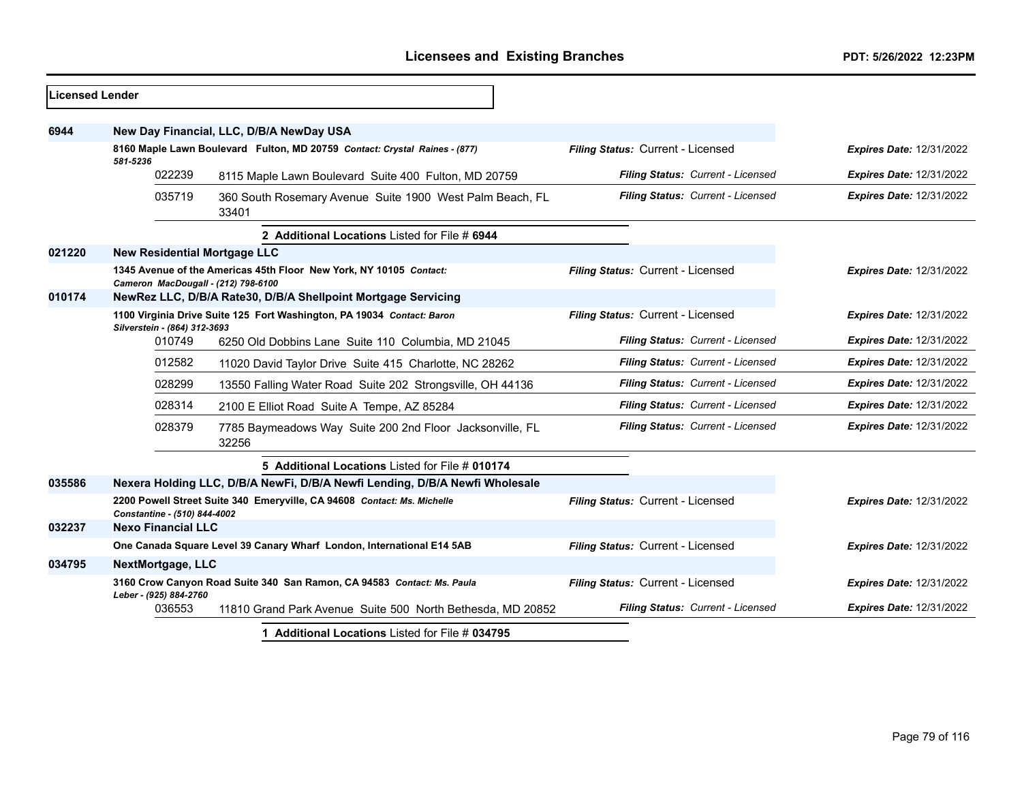| <b>Licensed Lender</b> |                                                                                        |                                                                             |                                   |                                 |
|------------------------|----------------------------------------------------------------------------------------|-----------------------------------------------------------------------------|-----------------------------------|---------------------------------|
| 6944                   |                                                                                        | New Day Financial, LLC, D/B/A NewDay USA                                    |                                   |                                 |
|                        | 8160 Maple Lawn Boulevard Fulton, MD 20759 Contact: Crystal Raines - (877)<br>581-5236 |                                                                             | Filing Status: Current - Licensed | <b>Expires Date: 12/31/2022</b> |
|                        | 022239                                                                                 | 8115 Maple Lawn Boulevard Suite 400 Fulton, MD 20759                        | Filing Status: Current - Licensed | <b>Expires Date: 12/31/2022</b> |
|                        | 035719                                                                                 | 360 South Rosemary Avenue Suite 1900 West Palm Beach, FL<br>33401           | Filing Status: Current - Licensed | <b>Expires Date: 12/31/2022</b> |
|                        |                                                                                        | 2 Additional Locations Listed for File # 6944                               |                                   |                                 |
| 021220                 | <b>New Residential Mortgage LLC</b>                                                    |                                                                             |                                   |                                 |
|                        | Cameron MacDougall - (212) 798-6100                                                    | 1345 Avenue of the Americas 45th Floor New York, NY 10105 Contact:          | Filing Status: Current - Licensed | <b>Expires Date: 12/31/2022</b> |
| 010174                 |                                                                                        | NewRez LLC, D/B/A Rate30, D/B/A Shellpoint Mortgage Servicing               |                                   |                                 |
|                        | Silverstein - (864) 312-3693                                                           | 1100 Virginia Drive Suite 125 Fort Washington, PA 19034 Contact: Baron      | Filing Status: Current - Licensed | <b>Expires Date: 12/31/2022</b> |
|                        | 010749                                                                                 | 6250 Old Dobbins Lane Suite 110 Columbia, MD 21045                          | Filing Status: Current - Licensed | <b>Expires Date: 12/31/2022</b> |
|                        | 012582                                                                                 | 11020 David Taylor Drive Suite 415 Charlotte, NC 28262                      | Filing Status: Current - Licensed | <b>Expires Date: 12/31/2022</b> |
|                        | 028299                                                                                 | 13550 Falling Water Road Suite 202 Strongsville, OH 44136                   | Filing Status: Current - Licensed | <b>Expires Date: 12/31/2022</b> |
|                        | 028314                                                                                 | 2100 E Elliot Road Suite A Tempe, AZ 85284                                  | Filing Status: Current - Licensed | Expires Date: 12/31/2022        |
|                        | 028379                                                                                 | 7785 Baymeadows Way Suite 200 2nd Floor Jacksonville, FL<br>32256           | Filing Status: Current - Licensed | <b>Expires Date: 12/31/2022</b> |
|                        |                                                                                        | 5 Additional Locations Listed for File # 010174                             |                                   |                                 |
| 035586                 |                                                                                        | Nexera Holding LLC, D/B/A NewFi, D/B/A Newfi Lending, D/B/A Newfi Wholesale |                                   |                                 |
|                        | Constantine - (510) 844-4002                                                           | 2200 Powell Street Suite 340 Emeryville, CA 94608 Contact: Ms. Michelle     | Filing Status: Current - Licensed | <b>Expires Date: 12/31/2022</b> |
| 032237                 | <b>Nexo Financial LLC</b>                                                              |                                                                             |                                   |                                 |
|                        |                                                                                        | One Canada Square Level 39 Canary Wharf London, International E14 5AB       | Filing Status: Current - Licensed | <b>Expires Date: 12/31/2022</b> |
| 034795                 | <b>NextMortgage, LLC</b>                                                               |                                                                             |                                   |                                 |
|                        | Leber - (925) 884-2760                                                                 | 3160 Crow Canyon Road Suite 340 San Ramon, CA 94583 Contact: Ms. Paula      | Filing Status: Current - Licensed | <b>Expires Date: 12/31/2022</b> |
|                        | 036553                                                                                 | 11810 Grand Park Avenue Suite 500 North Bethesda, MD 20852                  | Filing Status: Current - Licensed | <b>Expires Date: 12/31/2022</b> |
|                        |                                                                                        |                                                                             |                                   |                                 |

**1 Additional Locations** Listed for File # **034795**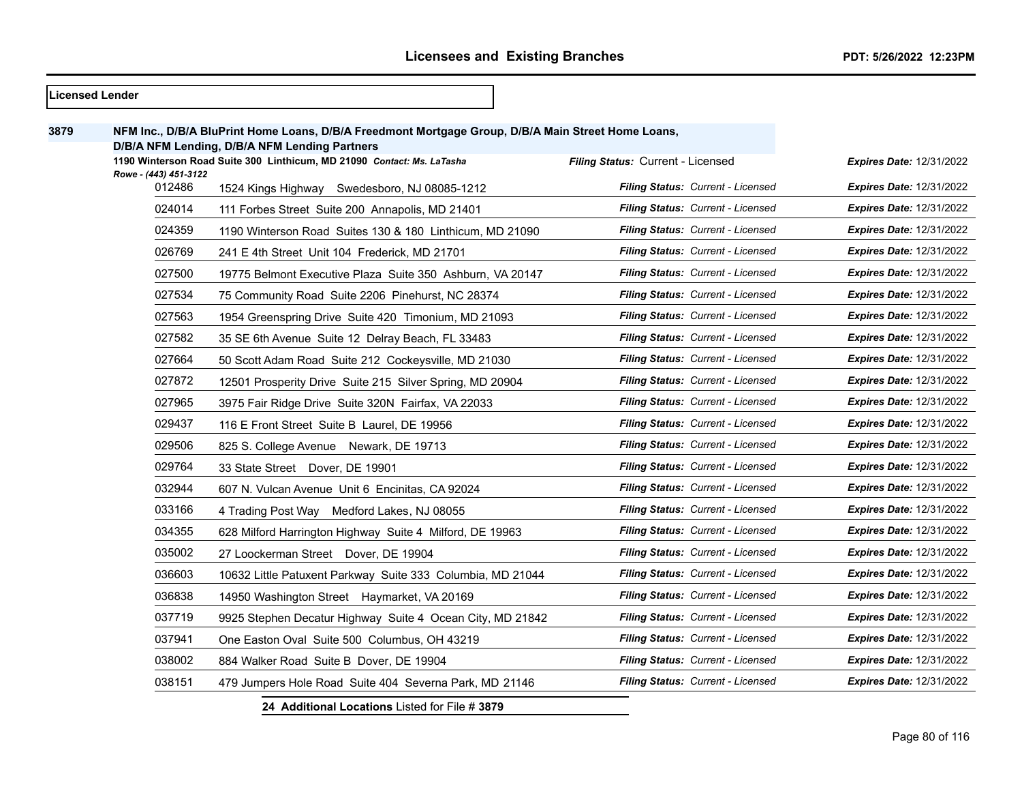|      | <b>Licensed Lender</b>          |                                                                                                                                                     |                                          |                                 |
|------|---------------------------------|-----------------------------------------------------------------------------------------------------------------------------------------------------|------------------------------------------|---------------------------------|
| 3879 |                                 | NFM Inc., D/B/A BluPrint Home Loans, D/B/A Freedmont Mortgage Group, D/B/A Main Street Home Loans,<br>D/B/A NFM Lending, D/B/A NFM Lending Partners |                                          |                                 |
|      |                                 | 1190 Winterson Road Suite 300 Linthicum, MD 21090 Contact: Ms. LaTasha                                                                              | Filing Status: Current - Licensed        | <b>Expires Date: 12/31/2022</b> |
|      | Rowe - (443) 451-3122<br>012486 | 1524 Kings Highway Swedesboro, NJ 08085-1212                                                                                                        | <b>Filing Status: Current - Licensed</b> | <b>Expires Date: 12/31/2022</b> |
|      | 024014                          | 111 Forbes Street Suite 200 Annapolis, MD 21401                                                                                                     | Filing Status: Current - Licensed        | Expires Date: 12/31/2022        |
|      | 024359                          | 1190 Winterson Road Suites 130 & 180 Linthicum, MD 21090                                                                                            | Filing Status: Current - Licensed        | <b>Expires Date: 12/31/2022</b> |
|      | 026769                          | 241 E 4th Street Unit 104 Frederick, MD 21701                                                                                                       | Filing Status: Current - Licensed        | <b>Expires Date: 12/31/2022</b> |
|      | 027500                          | 19775 Belmont Executive Plaza Suite 350 Ashburn, VA 20147                                                                                           | <b>Filing Status: Current - Licensed</b> | <b>Expires Date: 12/31/2022</b> |
|      | 027534                          | 75 Community Road Suite 2206 Pinehurst, NC 28374                                                                                                    | <b>Filing Status: Current - Licensed</b> | <b>Expires Date: 12/31/2022</b> |
|      | 027563                          | 1954 Greenspring Drive Suite 420 Timonium, MD 21093                                                                                                 | Filing Status: Current - Licensed        | <b>Expires Date: 12/31/2022</b> |
|      | 027582                          | 35 SE 6th Avenue Suite 12 Delray Beach, FL 33483                                                                                                    | <b>Filing Status: Current - Licensed</b> | <b>Expires Date: 12/31/2022</b> |
|      | 027664                          | 50 Scott Adam Road Suite 212 Cockeysville, MD 21030                                                                                                 | <b>Filing Status: Current - Licensed</b> | <b>Expires Date: 12/31/2022</b> |
|      | 027872                          | 12501 Prosperity Drive Suite 215 Silver Spring, MD 20904                                                                                            | <b>Filing Status: Current - Licensed</b> | <b>Expires Date: 12/31/2022</b> |
|      | 027965                          | 3975 Fair Ridge Drive Suite 320N Fairfax, VA 22033                                                                                                  | Filing Status: Current - Licensed        | <b>Expires Date: 12/31/2022</b> |
|      | 029437                          | 116 E Front Street Suite B Laurel, DE 19956                                                                                                         | Filing Status: Current - Licensed        | <b>Expires Date: 12/31/2022</b> |
|      | 029506                          | 825 S. College Avenue Newark, DE 19713                                                                                                              | <b>Filing Status: Current - Licensed</b> | <b>Expires Date: 12/31/2022</b> |
|      | 029764                          | 33 State Street Dover, DE 19901                                                                                                                     | <b>Filing Status: Current - Licensed</b> | <b>Expires Date: 12/31/2022</b> |
|      | 032944                          | 607 N. Vulcan Avenue Unit 6 Encinitas, CA 92024                                                                                                     | Filing Status: Current - Licensed        | <b>Expires Date: 12/31/2022</b> |
|      | 033166                          | 4 Trading Post Way Medford Lakes, NJ 08055                                                                                                          | Filing Status: Current - Licensed        | <b>Expires Date: 12/31/2022</b> |
|      | 034355                          | 628 Milford Harrington Highway Suite 4 Milford, DE 19963                                                                                            | Filing Status: Current - Licensed        | <b>Expires Date: 12/31/2022</b> |
|      | 035002                          | 27 Loockerman Street Dover, DE 19904                                                                                                                | Filing Status: Current - Licensed        | <b>Expires Date: 12/31/2022</b> |
|      | 036603                          | 10632 Little Patuxent Parkway Suite 333 Columbia, MD 21044                                                                                          | <b>Filing Status: Current - Licensed</b> | <b>Expires Date: 12/31/2022</b> |
|      | 036838                          | 14950 Washington Street Haymarket, VA 20169                                                                                                         | Filing Status: Current - Licensed        | Expires Date: 12/31/2022        |
|      | 037719                          | 9925 Stephen Decatur Highway Suite 4 Ocean City, MD 21842                                                                                           | <b>Filing Status: Current - Licensed</b> | <b>Expires Date: 12/31/2022</b> |
|      | 037941                          | One Easton Oval Suite 500 Columbus, OH 43219                                                                                                        | <b>Filing Status: Current - Licensed</b> | <b>Expires Date: 12/31/2022</b> |
|      | 038002                          | 884 Walker Road Suite B Dover, DE 19904                                                                                                             | <b>Filing Status: Current - Licensed</b> | <b>Expires Date: 12/31/2022</b> |
|      | 038151                          | 479 Jumpers Hole Road Suite 404 Severna Park, MD 21146                                                                                              | Filing Status: Current - Licensed        | <b>Expires Date: 12/31/2022</b> |
|      |                                 | 24 Additional Locations Listed for File # 3879                                                                                                      |                                          |                                 |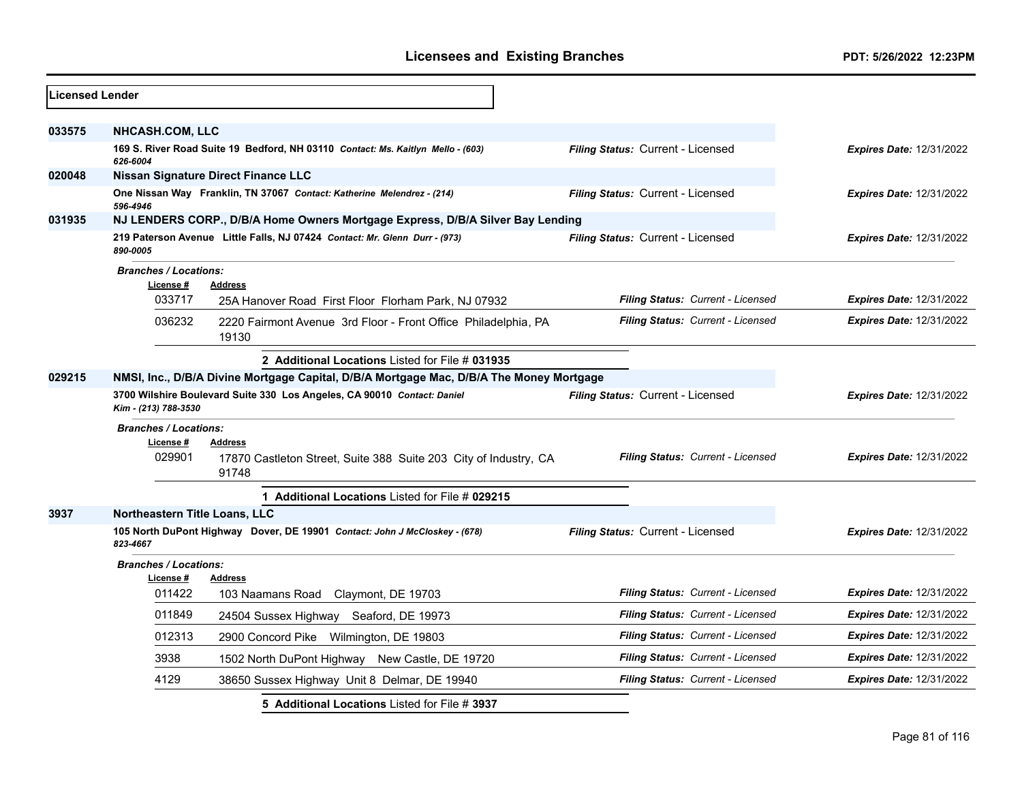| Licensed Lender |                                                                                                 |                                                                                         |                                          |                                 |  |  |
|-----------------|-------------------------------------------------------------------------------------------------|-----------------------------------------------------------------------------------------|------------------------------------------|---------------------------------|--|--|
| 033575          | <b>NHCASH.COM, LLC</b>                                                                          |                                                                                         |                                          |                                 |  |  |
|                 | 626-6004                                                                                        | 169 S. River Road Suite 19 Bedford, NH 03110 Contact: Ms. Kaitlyn Mello - (603)         | Filing Status: Current - Licensed        | <b>Expires Date: 12/31/2022</b> |  |  |
| 020048          |                                                                                                 | Nissan Signature Direct Finance LLC                                                     |                                          |                                 |  |  |
|                 | 596-4946                                                                                        | One Nissan Way Franklin, TN 37067 Contact: Katherine Melendrez - (214)                  | Filing Status: Current - Licensed        | <b>Expires Date: 12/31/2022</b> |  |  |
| 031935          |                                                                                                 | NJ LENDERS CORP., D/B/A Home Owners Mortgage Express, D/B/A Silver Bay Lending          |                                          |                                 |  |  |
|                 | 890-0005                                                                                        | 219 Paterson Avenue Little Falls, NJ 07424 Contact: Mr. Glenn Durr - (973)              | Filing Status: Current - Licensed        | <b>Expires Date: 12/31/2022</b> |  |  |
|                 | <b>Branches / Locations:</b><br>License#                                                        | <b>Address</b>                                                                          |                                          |                                 |  |  |
|                 | 033717                                                                                          | 25A Hanover Road First Floor Florham Park, NJ 07932                                     | <b>Filing Status: Current - Licensed</b> | <b>Expires Date: 12/31/2022</b> |  |  |
|                 | 036232                                                                                          | 2220 Fairmont Avenue 3rd Floor - Front Office Philadelphia, PA<br>19130                 | Filing Status: Current - Licensed        | <b>Expires Date: 12/31/2022</b> |  |  |
|                 |                                                                                                 | 2 Additional Locations Listed for File # 031935                                         |                                          |                                 |  |  |
| 029215          |                                                                                                 | NMSI, Inc., D/B/A Divine Mortgage Capital, D/B/A Mortgage Mac, D/B/A The Money Mortgage |                                          |                                 |  |  |
|                 | 3700 Wilshire Boulevard Suite 330 Los Angeles, CA 90010 Contact: Daniel<br>Kim - (213) 788-3530 |                                                                                         | Filing Status: Current - Licensed        | <b>Expires Date: 12/31/2022</b> |  |  |
|                 | <b>Branches / Locations:</b>                                                                    |                                                                                         |                                          |                                 |  |  |
|                 | License #<br>029901                                                                             | <b>Address</b><br>17870 Castleton Street, Suite 388 Suite 203 City of Industry, CA      | Filing Status: Current - Licensed        | <b>Expires Date: 12/31/2022</b> |  |  |
|                 |                                                                                                 | 91748                                                                                   |                                          |                                 |  |  |
|                 |                                                                                                 | 1 Additional Locations Listed for File # 029215                                         |                                          |                                 |  |  |
| 3937            | Northeastern Title Loans, LLC                                                                   |                                                                                         |                                          |                                 |  |  |
|                 | 823-4667                                                                                        | 105 North DuPont Highway Dover, DE 19901 Contact: John J McCloskey - (678)              | Filing Status: Current - Licensed        | <b>Expires Date: 12/31/2022</b> |  |  |
|                 | <b>Branches / Locations:</b>                                                                    |                                                                                         |                                          |                                 |  |  |
|                 | License #                                                                                       | <b>Address</b>                                                                          |                                          |                                 |  |  |
|                 | 011422                                                                                          | 103 Naamans Road Claymont, DE 19703                                                     | <b>Filing Status: Current - Licensed</b> | <b>Expires Date: 12/31/2022</b> |  |  |
|                 | 011849                                                                                          | 24504 Sussex Highway Seaford, DE 19973                                                  | Filing Status: Current - Licensed        | Expires Date: 12/31/2022        |  |  |
|                 | 012313                                                                                          | 2900 Concord Pike Wilmington, DE 19803                                                  | Filing Status: Current - Licensed        | <b>Expires Date: 12/31/2022</b> |  |  |
|                 | 3938                                                                                            | 1502 North DuPont Highway New Castle, DE 19720                                          | Filing Status: Current - Licensed        | <b>Expires Date: 12/31/2022</b> |  |  |
|                 | 4129                                                                                            | 38650 Sussex Highway Unit 8 Delmar, DE 19940                                            | Filing Status: Current - Licensed        | <b>Expires Date: 12/31/2022</b> |  |  |
|                 |                                                                                                 | 5 Additional Locations Listed for File # 3937                                           |                                          |                                 |  |  |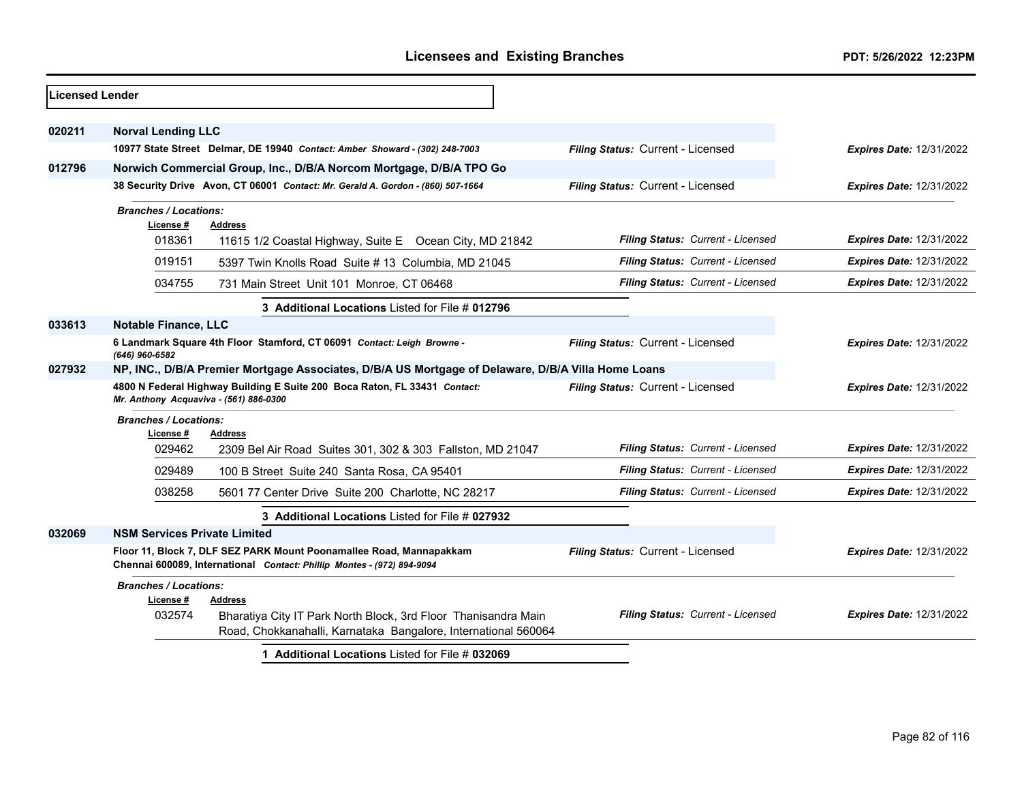| Licensed Lender |                                                                                                                     |                                                                                                                                               |                                   |                                 |
|-----------------|---------------------------------------------------------------------------------------------------------------------|-----------------------------------------------------------------------------------------------------------------------------------------------|-----------------------------------|---------------------------------|
| 020211          | <b>Norval Lending LLC</b>                                                                                           |                                                                                                                                               |                                   |                                 |
|                 |                                                                                                                     | 10977 State Street Delmar, DE 19940 Contact: Amber Showard - (302) 248-7003                                                                   | Filing Status: Current - Licensed | <b>Expires Date: 12/31/2022</b> |
| 012796          |                                                                                                                     | Norwich Commercial Group, Inc., D/B/A Norcom Mortgage, D/B/A TPO Go                                                                           |                                   |                                 |
|                 |                                                                                                                     | 38 Security Drive Avon, CT 06001 Contact: Mr. Gerald A. Gordon - (860) 507-1664                                                               | Filing Status: Current - Licensed | <b>Expires Date: 12/31/2022</b> |
|                 | <b>Branches / Locations:</b><br>License #                                                                           | <b>Address</b>                                                                                                                                |                                   |                                 |
|                 | 018361                                                                                                              | 11615 1/2 Coastal Highway, Suite E Ocean City, MD 21842                                                                                       | Filing Status: Current - Licensed | <b>Expires Date: 12/31/2022</b> |
|                 | 019151                                                                                                              | 5397 Twin Knolls Road Suite #13 Columbia, MD 21045                                                                                            | Filing Status: Current - Licensed | <b>Expires Date: 12/31/2022</b> |
|                 | 034755                                                                                                              | 731 Main Street Unit 101 Monroe, CT 06468                                                                                                     | Filing Status: Current - Licensed | <b>Expires Date: 12/31/2022</b> |
|                 |                                                                                                                     | 3 Additional Locations Listed for File # 012796                                                                                               |                                   |                                 |
| 033613          | <b>Notable Finance, LLC</b>                                                                                         |                                                                                                                                               |                                   |                                 |
|                 | (646) 960-6582                                                                                                      | 6 Landmark Square 4th Floor Stamford, CT 06091 Contact: Leigh Browne -                                                                        | Filing Status: Current - Licensed | <b>Expires Date: 12/31/2022</b> |
| 027932          | NP, INC., D/B/A Premier Mortgage Associates, D/B/A US Mortgage of Delaware, D/B/A Villa Home Loans                  |                                                                                                                                               |                                   |                                 |
|                 | 4800 N Federal Highway Building E Suite 200 Boca Raton, FL 33431 Contact:<br>Mr. Anthony Acquaviva - (561) 886-0300 |                                                                                                                                               | Filing Status: Current - Licensed | <b>Expires Date: 12/31/2022</b> |
|                 | <b>Branches / Locations:</b>                                                                                        |                                                                                                                                               |                                   |                                 |
|                 | License #                                                                                                           | <b>Address</b>                                                                                                                                |                                   |                                 |
|                 | 029462                                                                                                              | 2309 Bel Air Road Suites 301, 302 & 303 Fallston, MD 21047                                                                                    | Filing Status: Current - Licensed | <b>Expires Date: 12/31/2022</b> |
|                 | 029489                                                                                                              | 100 B Street Suite 240 Santa Rosa, CA 95401                                                                                                   | Filing Status: Current - Licensed | <b>Expires Date: 12/31/2022</b> |
|                 | 038258                                                                                                              | 5601 77 Center Drive Suite 200 Charlotte, NC 28217                                                                                            | Filing Status: Current - Licensed | <b>Expires Date: 12/31/2022</b> |
|                 |                                                                                                                     | 3 Additional Locations Listed for File # 027932                                                                                               |                                   |                                 |
| 032069          | <b>NSM Services Private Limited</b>                                                                                 |                                                                                                                                               |                                   |                                 |
|                 |                                                                                                                     | Floor 11, Block 7, DLF SEZ PARK Mount Poonamallee Road, Mannapakkam<br>Chennai 600089, International Contact: Phillip Montes - (972) 894-9094 | Filing Status: Current - Licensed | <b>Expires Date: 12/31/2022</b> |
|                 | <b>Branches / Locations:</b><br>License #                                                                           | Address                                                                                                                                       |                                   |                                 |
|                 | 032574                                                                                                              | Bharatiya City IT Park North Block, 3rd Floor Thanisandra Main<br>Road, Chokkanahalli, Karnataka Bangalore, International 560064              | Filing Status: Current - Licensed | <b>Expires Date: 12/31/2022</b> |
|                 |                                                                                                                     | 1 Additional Locations Listed for File # 032069                                                                                               |                                   |                                 |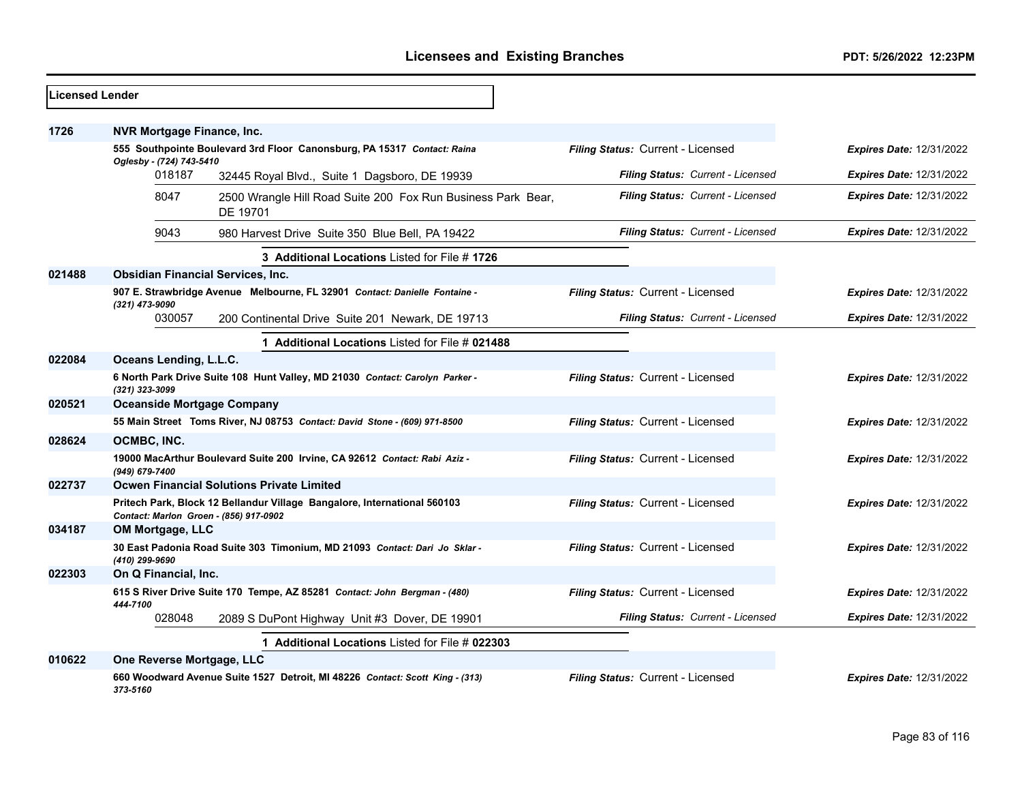| <b>Licensed Lender</b> |                                                                                                     |                                                                              |                                   |                                 |
|------------------------|-----------------------------------------------------------------------------------------------------|------------------------------------------------------------------------------|-----------------------------------|---------------------------------|
| 1726                   | <b>NVR Mortgage Finance, Inc.</b>                                                                   |                                                                              |                                   |                                 |
|                        | 555 Southpointe Boulevard 3rd Floor Canonsburg, PA 15317 Contact: Raina<br>Oglesby - (724) 743-5410 |                                                                              | Filing Status: Current - Licensed | <b>Expires Date: 12/31/2022</b> |
|                        | 018187<br>32445 Royal Blvd., Suite 1 Dagsboro, DE 19939                                             |                                                                              | Filing Status: Current - Licensed | Expires Date: 12/31/2022        |
|                        | 8047                                                                                                | 2500 Wrangle Hill Road Suite 200 Fox Run Business Park Bear,<br>DE 19701     | Filing Status: Current - Licensed | <b>Expires Date: 12/31/2022</b> |
|                        | 9043                                                                                                | 980 Harvest Drive Suite 350 Blue Bell, PA 19422                              | Filing Status: Current - Licensed | <b>Expires Date: 12/31/2022</b> |
|                        |                                                                                                     | 3 Additional Locations Listed for File # 1726                                |                                   |                                 |
| 021488                 | <b>Obsidian Financial Services, Inc.</b>                                                            |                                                                              |                                   |                                 |
|                        | (321) 473-9090                                                                                      | 907 E. Strawbridge Avenue Melbourne, FL 32901 Contact: Danielle Fontaine -   | Filing Status: Current - Licensed | <b>Expires Date: 12/31/2022</b> |
|                        | 030057                                                                                              | 200 Continental Drive Suite 201 Newark, DE 19713                             | Filing Status: Current - Licensed | <b>Expires Date: 12/31/2022</b> |
|                        |                                                                                                     | 1 Additional Locations Listed for File # 021488                              |                                   |                                 |
| 022084                 | Oceans Lending, L.L.C.                                                                              |                                                                              |                                   |                                 |
|                        | (321) 323-3099                                                                                      | 6 North Park Drive Suite 108 Hunt Valley, MD 21030 Contact: Carolyn Parker - | Filing Status: Current - Licensed | <b>Expires Date: 12/31/2022</b> |
| 020521                 | <b>Oceanside Mortgage Company</b>                                                                   |                                                                              |                                   |                                 |
|                        |                                                                                                     | 55 Main Street Toms River, NJ 08753 Contact: David Stone - (609) 971-8500    | Filing Status: Current - Licensed | <b>Expires Date: 12/31/2022</b> |
| 028624                 | OCMBC, INC.                                                                                         |                                                                              |                                   |                                 |
|                        | (949) 679-7400                                                                                      | 19000 MacArthur Boulevard Suite 200 Irvine, CA 92612 Contact: Rabi Aziz -    | Filing Status: Current - Licensed | <b>Expires Date: 12/31/2022</b> |
| 022737                 |                                                                                                     | <b>Ocwen Financial Solutions Private Limited</b>                             |                                   |                                 |
|                        | Contact: Marlon Groen - (856) 917-0902                                                              | Pritech Park, Block 12 Bellandur Village Bangalore, International 560103     | Filing Status: Current - Licensed | <b>Expires Date: 12/31/2022</b> |
| 034187                 | OM Mortgage, LLC                                                                                    |                                                                              |                                   |                                 |
|                        | (410) 299-9690                                                                                      | 30 East Padonia Road Suite 303 Timonium, MD 21093 Contact: Dari Jo Sklar -   | Filing Status: Current - Licensed | <b>Expires Date: 12/31/2022</b> |
| 022303                 | On Q Financial, Inc.                                                                                |                                                                              |                                   |                                 |
|                        | 444-7100                                                                                            | 615 S River Drive Suite 170 Tempe, AZ 85281 Contact: John Bergman - (480)    | Filing Status: Current - Licensed | <b>Expires Date: 12/31/2022</b> |
|                        | 028048                                                                                              | 2089 S DuPont Highway Unit #3 Dover, DE 19901                                | Filing Status: Current - Licensed | <b>Expires Date: 12/31/2022</b> |
|                        |                                                                                                     | <b>Additional Locations Listed for File # 022303</b>                         |                                   |                                 |
| 010622                 | One Reverse Mortgage, LLC                                                                           |                                                                              |                                   |                                 |
|                        | 373-5160                                                                                            | 660 Woodward Avenue Suite 1527 Detroit, MI 48226 Contact: Scott King - (313) | Filing Status: Current - Licensed | Expires Date: 12/31/2022        |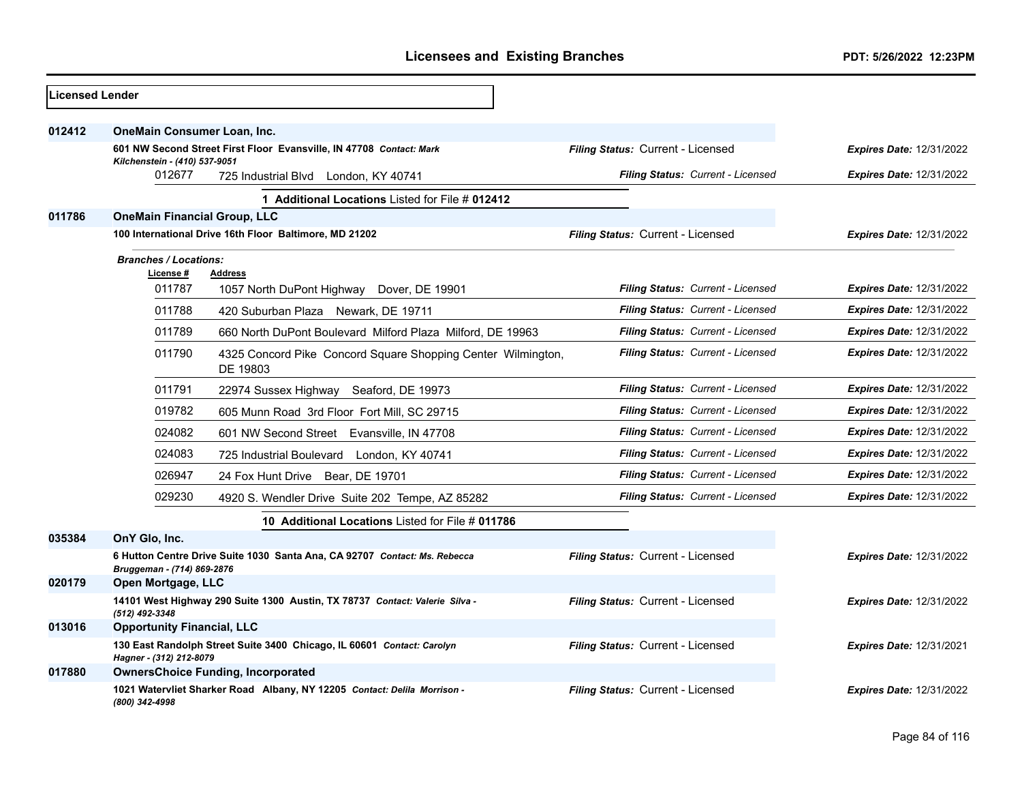| Licensed Lender |                                         |                                                                             |                                          |                                 |
|-----------------|-----------------------------------------|-----------------------------------------------------------------------------|------------------------------------------|---------------------------------|
| 012412          | <b>OneMain Consumer Loan, Inc.</b>      |                                                                             |                                          |                                 |
|                 |                                         | 601 NW Second Street First Floor Evansville, IN 47708 Contact: Mark         | Filing Status: Current - Licensed        | <b>Expires Date: 12/31/2022</b> |
|                 | Kilchenstein - (410) 537-9051<br>012677 | 725 Industrial Blvd London, KY 40741                                        | Filing Status: Current - Licensed        | <b>Expires Date: 12/31/2022</b> |
|                 |                                         | 1 Additional Locations Listed for File # 012412                             |                                          |                                 |
| 011786          | <b>OneMain Financial Group, LLC</b>     |                                                                             |                                          |                                 |
|                 |                                         | 100 International Drive 16th Floor Baltimore, MD 21202                      | Filing Status: Current - Licensed        | <b>Expires Date: 12/31/2022</b> |
|                 | <b>Branches / Locations:</b>            |                                                                             |                                          |                                 |
|                 | License#<br>011787                      | <b>Address</b><br>1057 North DuPont Highway<br>Dover, DE 19901              | Filing Status: Current - Licensed        | <b>Expires Date: 12/31/2022</b> |
|                 | 011788                                  | 420 Suburban Plaza Newark, DE 19711                                         | Filing Status: Current - Licensed        | <b>Expires Date: 12/31/2022</b> |
|                 | 011789                                  | 660 North DuPont Boulevard Milford Plaza Milford, DE 19963                  | Filing Status: Current - Licensed        | <b>Expires Date: 12/31/2022</b> |
|                 | 011790                                  | 4325 Concord Pike Concord Square Shopping Center Wilmington,<br>DE 19803    | Filing Status: Current - Licensed        | <b>Expires Date: 12/31/2022</b> |
|                 | 011791                                  | 22974 Sussex Highway Seaford, DE 19973                                      | Filing Status: Current - Licensed        | <b>Expires Date: 12/31/2022</b> |
|                 | 019782                                  | 605 Munn Road 3rd Floor Fort Mill, SC 29715                                 | Filing Status: Current - Licensed        | <b>Expires Date: 12/31/2022</b> |
|                 | 024082                                  | 601 NW Second Street Evansville, IN 47708                                   | Filing Status: Current - Licensed        | <b>Expires Date: 12/31/2022</b> |
|                 | 024083                                  | 725 Industrial Boulevard London, KY 40741                                   | Filing Status: Current - Licensed        | <b>Expires Date: 12/31/2022</b> |
|                 | 026947                                  | 24 Fox Hunt Drive Bear, DE 19701                                            | Filing Status: Current - Licensed        | <b>Expires Date: 12/31/2022</b> |
|                 | 029230                                  | 4920 S. Wendler Drive Suite 202 Tempe, AZ 85282                             | <b>Filing Status: Current - Licensed</b> | <b>Expires Date: 12/31/2022</b> |
|                 |                                         | 10 Additional Locations Listed for File # 011786                            |                                          |                                 |
| 035384          | OnY Glo, Inc.                           |                                                                             |                                          |                                 |
|                 | Bruggeman - (714) 869-2876              | 6 Hutton Centre Drive Suite 1030 Santa Ana, CA 92707 Contact: Ms. Rebecca   | Filing Status: Current - Licensed        | <b>Expires Date: 12/31/2022</b> |
| 020179          | Open Mortgage, LLC                      |                                                                             |                                          |                                 |
|                 | (512) 492-3348                          | 14101 West Highway 290 Suite 1300 Austin, TX 78737 Contact: Valerie Silva - | Filing Status: Current - Licensed        | <b>Expires Date: 12/31/2022</b> |
| 013016          | <b>Opportunity Financial, LLC</b>       |                                                                             |                                          |                                 |
|                 | Hagner - (312) 212-8079                 | 130 East Randolph Street Suite 3400 Chicago, IL 60601 Contact: Carolyn      | Filing Status: Current - Licensed        | <b>Expires Date: 12/31/2021</b> |
| 017880          |                                         | <b>OwnersChoice Funding, Incorporated</b>                                   |                                          |                                 |
|                 | (800) 342-4998                          | 1021 Watervliet Sharker Road Albany, NY 12205 Contact: Delila Morrison -    | Filing Status: Current - Licensed        | <b>Expires Date: 12/31/2022</b> |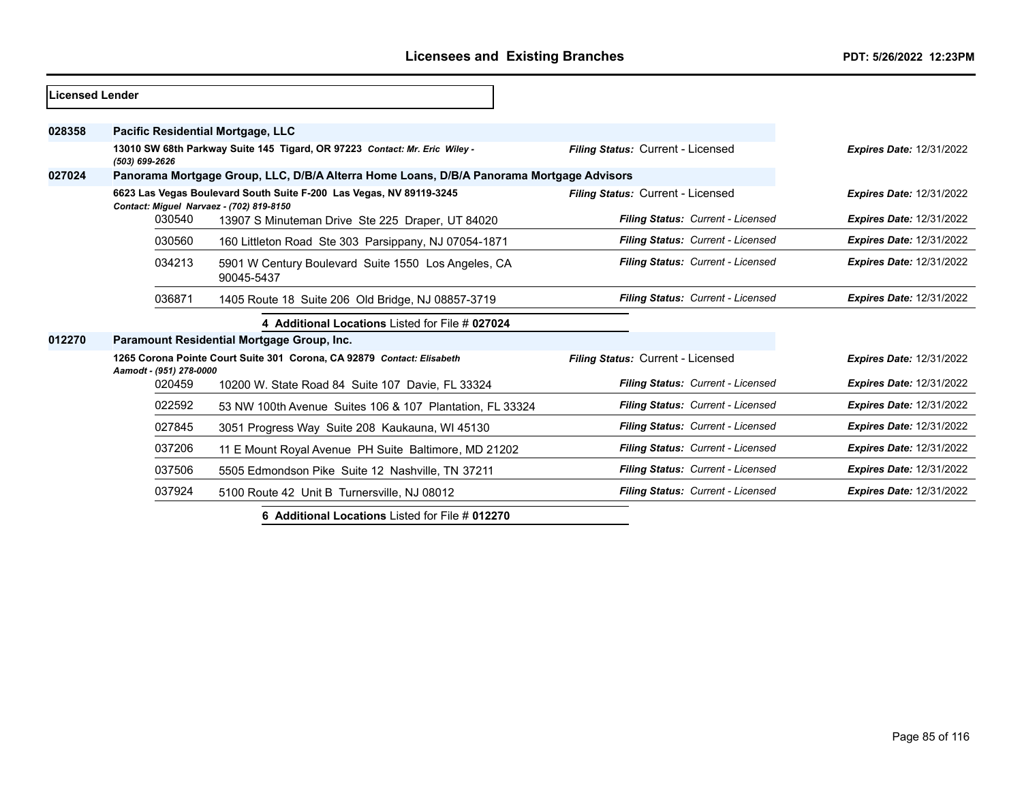| Licensed Lender |                                          |                                                                                          |                                   |                                 |
|-----------------|------------------------------------------|------------------------------------------------------------------------------------------|-----------------------------------|---------------------------------|
| 028358          |                                          | Pacific Residential Mortgage, LLC                                                        |                                   |                                 |
|                 | (503) 699-2626                           | 13010 SW 68th Parkway Suite 145 Tigard, OR 97223 Contact: Mr. Eric Wiley -               | Filing Status: Current - Licensed | <b>Expires Date: 12/31/2022</b> |
| 027024          |                                          | Panorama Mortgage Group, LLC, D/B/A Alterra Home Loans, D/B/A Panorama Mortgage Advisors |                                   |                                 |
|                 | Contact: Miguel Narvaez - (702) 819-8150 | 6623 Las Vegas Boulevard South Suite F-200 Las Vegas, NV 89119-3245                      | Filing Status: Current - Licensed | <b>Expires Date: 12/31/2022</b> |
|                 | 030540                                   | 13907 S Minuteman Drive Ste 225 Draper, UT 84020                                         | Filing Status: Current - Licensed | <b>Expires Date: 12/31/2022</b> |
|                 | 030560                                   | 160 Littleton Road Ste 303 Parsippany, NJ 07054-1871                                     | Filing Status: Current - Licensed | <b>Expires Date: 12/31/2022</b> |
|                 | 034213                                   | 5901 W Century Boulevard Suite 1550 Los Angeles, CA<br>90045-5437                        | Filing Status: Current - Licensed | <b>Expires Date: 12/31/2022</b> |
|                 | 036871                                   | 1405 Route 18 Suite 206 Old Bridge, NJ 08857-3719                                        | Filing Status: Current - Licensed | <b>Expires Date: 12/31/2022</b> |
|                 |                                          | 4 Additional Locations Listed for File # 027024                                          |                                   |                                 |
| 012270          |                                          | Paramount Residential Mortgage Group, Inc.                                               |                                   |                                 |
|                 | Aamodt - (951) 278-0000                  | 1265 Corona Pointe Court Suite 301 Corona, CA 92879 Contact: Elisabeth                   | Filing Status: Current - Licensed | <b>Expires Date: 12/31/2022</b> |
|                 | 020459                                   | 10200 W. State Road 84 Suite 107 Davie, FL 33324                                         | Filing Status: Current - Licensed | <b>Expires Date: 12/31/2022</b> |
|                 | 022592                                   | 53 NW 100th Avenue Suites 106 & 107 Plantation, FL 33324                                 | Filing Status: Current - Licensed | <b>Expires Date: 12/31/2022</b> |
|                 | 027845                                   | 3051 Progress Way Suite 208 Kaukauna, WI 45130                                           | Filing Status: Current - Licensed | <b>Expires Date: 12/31/2022</b> |
|                 | 037206                                   | 11 E Mount Royal Avenue PH Suite Baltimore, MD 21202                                     | Filing Status: Current - Licensed | <b>Expires Date: 12/31/2022</b> |
|                 | 037506                                   | 5505 Edmondson Pike Suite 12 Nashville, TN 37211                                         | Filing Status: Current - Licensed | <b>Expires Date: 12/31/2022</b> |
|                 | 037924                                   | 5100 Route 42 Unit B Turnersville, NJ 08012                                              | Filing Status: Current - Licensed | <b>Expires Date: 12/31/2022</b> |

**6 Additional Locations** Listed for File # **012270**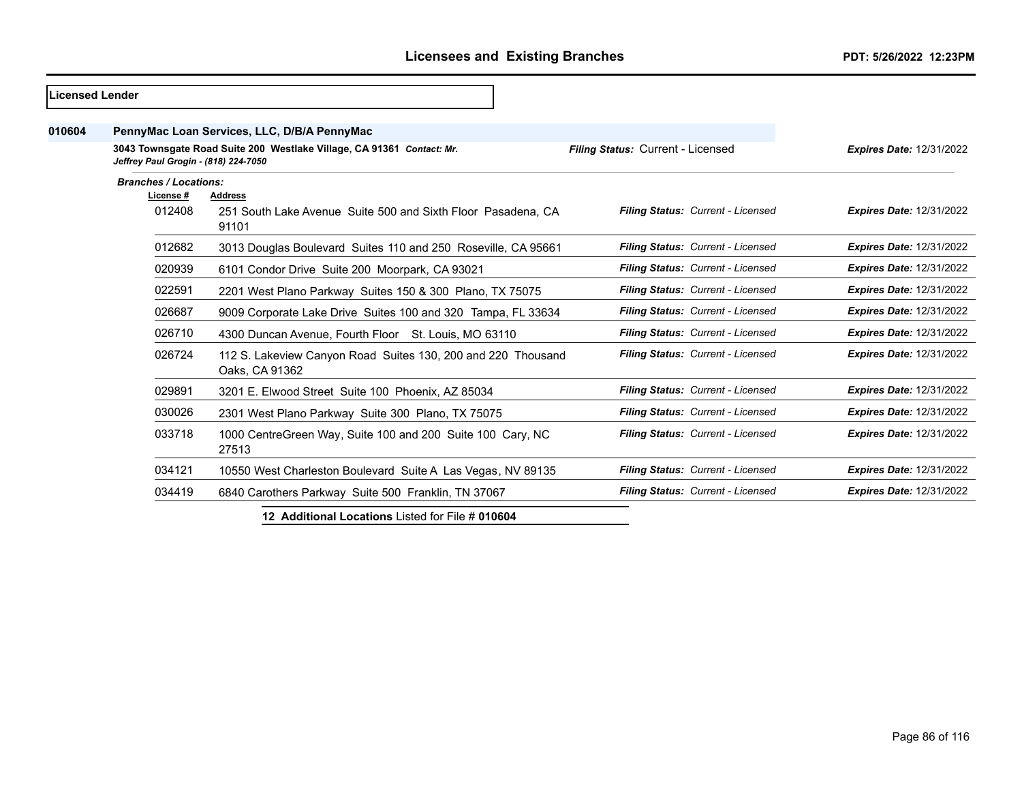| Licensed Lender |                                      |                                                                                         |                                   |                                 |
|-----------------|--------------------------------------|-----------------------------------------------------------------------------------------|-----------------------------------|---------------------------------|
| 010604          |                                      | PennyMac Loan Services, LLC, D/B/A PennyMac                                             |                                   |                                 |
|                 | Jeffrey Paul Grogin - (818) 224-7050 | 3043 Townsgate Road Suite 200 Westlake Village, CA 91361 Contact: Mr.                   | Filing Status: Current - Licensed | <b>Expires Date: 12/31/2022</b> |
|                 | <b>Branches / Locations:</b>         |                                                                                         |                                   |                                 |
|                 | License #<br>012408                  | <b>Address</b><br>251 South Lake Avenue Suite 500 and Sixth Floor Pasadena. CA<br>91101 | Filing Status: Current - Licensed | <b>Expires Date: 12/31/2022</b> |
|                 | 012682                               | 3013 Douglas Boulevard Suites 110 and 250 Roseville, CA 95661                           | Filing Status: Current - Licensed | <b>Expires Date: 12/31/2022</b> |
|                 | 020939                               | 6101 Condor Drive Suite 200 Moorpark, CA 93021                                          | Filing Status: Current - Licensed | <b>Expires Date: 12/31/2022</b> |
|                 | 022591                               | 2201 West Plano Parkway Suites 150 & 300 Plano, TX 75075                                | Filing Status: Current - Licensed | <b>Expires Date: 12/31/2022</b> |
|                 | 026687                               | 9009 Corporate Lake Drive Suites 100 and 320 Tampa, FL 33634                            | Filing Status: Current - Licensed | <b>Expires Date: 12/31/2022</b> |
|                 | 026710                               | 4300 Duncan Avenue, Fourth Floor St. Louis, MO 63110                                    | Filing Status: Current - Licensed | <b>Expires Date: 12/31/2022</b> |
|                 | 026724                               | 112 S. Lakeview Canyon Road Suites 130, 200 and 220 Thousand<br>Oaks, CA 91362          | Filing Status: Current - Licensed | <b>Expires Date: 12/31/2022</b> |
|                 | 029891                               | 3201 E. Elwood Street Suite 100 Phoenix, AZ 85034                                       | Filing Status: Current - Licensed | <b>Expires Date: 12/31/2022</b> |
|                 | 030026                               | 2301 West Plano Parkway Suite 300 Plano, TX 75075                                       | Filing Status: Current - Licensed | <b>Expires Date: 12/31/2022</b> |
|                 | 033718                               | 1000 CentreGreen Way, Suite 100 and 200 Suite 100 Cary, NC<br>27513                     | Filing Status: Current - Licensed | <b>Expires Date: 12/31/2022</b> |
|                 | 034121                               | 10550 West Charleston Boulevard Suite A Las Vegas, NV 89135                             | Filing Status: Current - Licensed | <b>Expires Date: 12/31/2022</b> |
|                 | 034419                               | 6840 Carothers Parkway Suite 500 Franklin, TN 37067                                     | Filing Status: Current - Licensed | <b>Expires Date: 12/31/2022</b> |
|                 |                                      | 12 Additional Locations Listed for File # 010604                                        |                                   |                                 |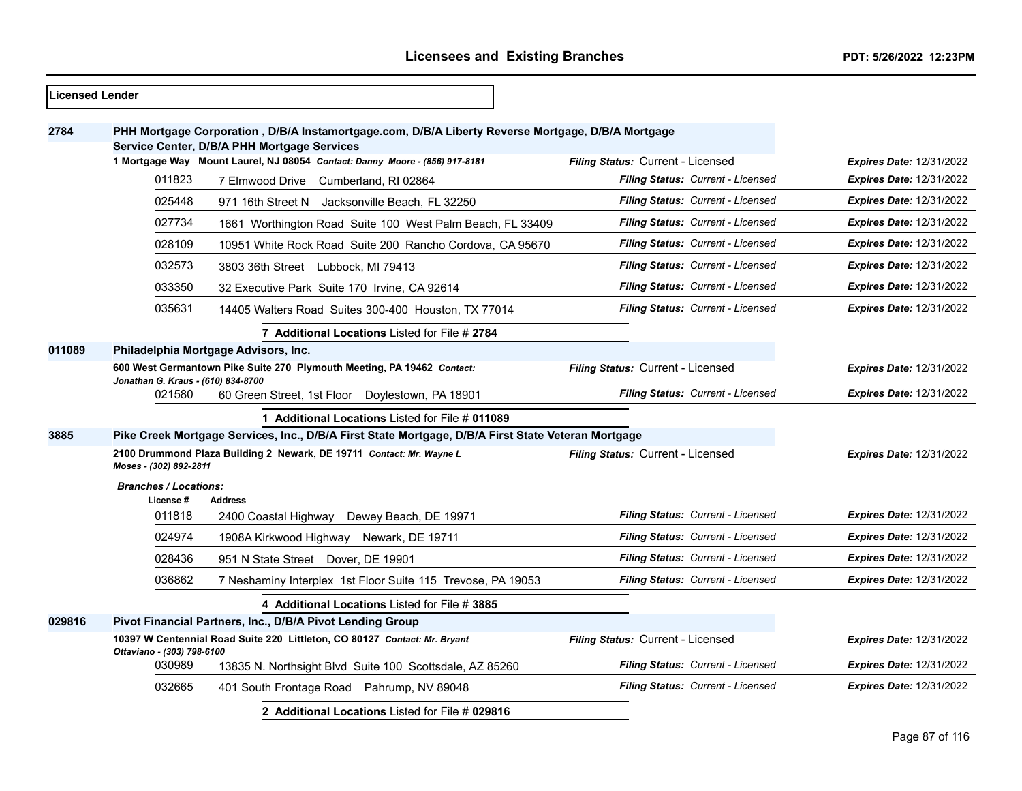| Licensed Lender |                                           |                                                                                                                                                  |                                          |                                 |
|-----------------|-------------------------------------------|--------------------------------------------------------------------------------------------------------------------------------------------------|------------------------------------------|---------------------------------|
| 2784            |                                           | PHH Mortgage Corporation, D/B/A Instamortgage.com, D/B/A Liberty Reverse Mortgage, D/B/A Mortgage<br>Service Center, D/B/A PHH Mortgage Services |                                          |                                 |
|                 |                                           | 1 Mortgage Way Mount Laurel, NJ 08054 Contact: Danny Moore - (856) 917-8181                                                                      | <b>Filing Status: Current - Licensed</b> | <b>Expires Date: 12/31/2022</b> |
|                 | 011823                                    | 7 Elmwood Drive Cumberland, RI 02864                                                                                                             | Filing Status: Current - Licensed        | <b>Expires Date: 12/31/2022</b> |
|                 | 025448                                    | 971 16th Street N Jacksonville Beach, FL 32250                                                                                                   | Filing Status: Current - Licensed        | Expires Date: 12/31/2022        |
|                 | 027734                                    | 1661 Worthington Road Suite 100 West Palm Beach, FL 33409                                                                                        | Filing Status: Current - Licensed        | <b>Expires Date: 12/31/2022</b> |
|                 | 028109                                    | 10951 White Rock Road Suite 200 Rancho Cordova, CA 95670                                                                                         | Filing Status: Current - Licensed        | Expires Date: 12/31/2022        |
|                 | 032573                                    | 3803 36th Street Lubbock, MI 79413                                                                                                               | Filing Status: Current - Licensed        | <b>Expires Date: 12/31/2022</b> |
|                 | 033350                                    | 32 Executive Park Suite 170 Irvine, CA 92614                                                                                                     | <b>Filing Status: Current - Licensed</b> | <b>Expires Date: 12/31/2022</b> |
|                 | 035631                                    | 14405 Walters Road Suites 300-400 Houston, TX 77014                                                                                              | Filing Status: Current - Licensed        | Expires Date: 12/31/2022        |
|                 |                                           | 7 Additional Locations Listed for File # 2784                                                                                                    |                                          |                                 |
| 011089          |                                           | Philadelphia Mortgage Advisors, Inc.                                                                                                             |                                          |                                 |
|                 | Jonathan G. Kraus - (610) 834-8700        | 600 West Germantown Pike Suite 270 Plymouth Meeting, PA 19462 Contact:                                                                           | Filing Status: Current - Licensed        | <b>Expires Date: 12/31/2022</b> |
|                 | 021580                                    | 60 Green Street, 1st Floor Doylestown, PA 18901                                                                                                  | Filing Status: Current - Licensed        | Expires Date: 12/31/2022        |
|                 |                                           | 1 Additional Locations Listed for File # 011089                                                                                                  |                                          |                                 |
| 3885            |                                           | Pike Creek Mortgage Services, Inc., D/B/A First State Mortgage, D/B/A First State Veteran Mortgage                                               |                                          |                                 |
|                 | Moses - (302) 892-2811                    | 2100 Drummond Plaza Building 2 Newark, DE 19711 Contact: Mr. Wayne L                                                                             | Filing Status: Current - Licensed        | <b>Expires Date: 12/31/2022</b> |
|                 | <b>Branches / Locations:</b><br>License # | <b>Address</b>                                                                                                                                   |                                          |                                 |
|                 | 011818                                    | 2400 Coastal Highway Dewey Beach, DE 19971                                                                                                       | Filing Status: Current - Licensed        | <b>Expires Date: 12/31/2022</b> |
|                 | 024974                                    | 1908A Kirkwood Highway Newark, DE 19711                                                                                                          | Filing Status: Current - Licensed        | <b>Expires Date: 12/31/2022</b> |
|                 | 028436                                    | 951 N State Street Dover, DE 19901                                                                                                               | Filing Status: Current - Licensed        | <b>Expires Date: 12/31/2022</b> |
|                 | 036862                                    | 7 Neshaminy Interplex 1st Floor Suite 115 Trevose, PA 19053                                                                                      | Filing Status: Current - Licensed        | <b>Expires Date: 12/31/2022</b> |
|                 |                                           | 4 Additional Locations Listed for File # 3885                                                                                                    |                                          |                                 |
| 029816          |                                           | Pivot Financial Partners, Inc., D/B/A Pivot Lending Group                                                                                        |                                          |                                 |
|                 |                                           | 10397 W Centennial Road Suite 220 Littleton, CO 80127 Contact: Mr. Bryant                                                                        | Filing Status: Current - Licensed        | <b>Expires Date: 12/31/2022</b> |
|                 | Ottaviano - (303) 798-6100<br>030989      | 13835 N. Northsight Blvd Suite 100 Scottsdale, AZ 85260                                                                                          | Filing Status: Current - Licensed        | <b>Expires Date: 12/31/2022</b> |
|                 | 032665                                    | 401 South Frontage Road Pahrump, NV 89048                                                                                                        | Filing Status: Current - Licensed        | <b>Expires Date: 12/31/2022</b> |
|                 |                                           | 2 Additional Locations Listed for File # 029816                                                                                                  |                                          |                                 |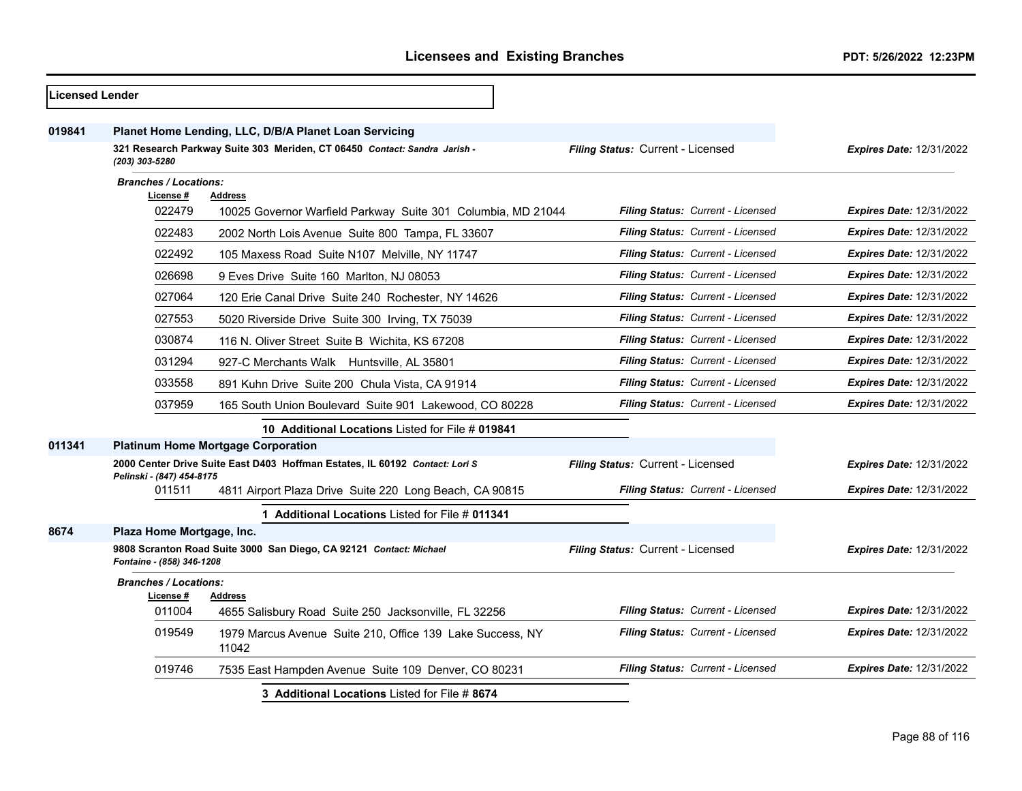| Licensed Lender |                                                                                                                                                      |                                                                                |                                   |                                 |
|-----------------|------------------------------------------------------------------------------------------------------------------------------------------------------|--------------------------------------------------------------------------------|-----------------------------------|---------------------------------|
| 019841          | Planet Home Lending, LLC, D/B/A Planet Loan Servicing<br>321 Research Parkway Suite 303 Meriden, CT 06450 Contact: Sandra Jarish -<br>(203) 303-5280 |                                                                                | Filing Status: Current - Licensed | Expires Date: 12/31/2022        |
|                 | <b>Branches / Locations:</b>                                                                                                                         |                                                                                |                                   |                                 |
|                 | License #<br>022479                                                                                                                                  | <b>Address</b><br>10025 Governor Warfield Parkway Suite 301 Columbia, MD 21044 | Filing Status: Current - Licensed | <b>Expires Date: 12/31/2022</b> |
|                 | 022483                                                                                                                                               | 2002 North Lois Avenue Suite 800 Tampa, FL 33607                               | Filing Status: Current - Licensed | <b>Expires Date: 12/31/2022</b> |
|                 | 022492                                                                                                                                               | 105 Maxess Road Suite N107 Melville, NY 11747                                  | Filing Status: Current - Licensed | <b>Expires Date: 12/31/2022</b> |
|                 | 026698                                                                                                                                               | 9 Eves Drive Suite 160 Marlton, NJ 08053                                       | Filing Status: Current - Licensed | <b>Expires Date: 12/31/2022</b> |
|                 | 027064                                                                                                                                               | 120 Erie Canal Drive Suite 240 Rochester, NY 14626                             | Filing Status: Current - Licensed | <b>Expires Date: 12/31/2022</b> |
|                 | 027553                                                                                                                                               |                                                                                | Filing Status: Current - Licensed | <b>Expires Date: 12/31/2022</b> |
|                 |                                                                                                                                                      | 5020 Riverside Drive Suite 300 Irving, TX 75039                                |                                   |                                 |
|                 | 030874                                                                                                                                               | 116 N. Oliver Street Suite B Wichita, KS 67208                                 | Filing Status: Current - Licensed | <b>Expires Date: 12/31/2022</b> |
|                 | 031294                                                                                                                                               | 927-C Merchants Walk Huntsville, AL 35801                                      | Filing Status: Current - Licensed | <b>Expires Date: 12/31/2022</b> |
|                 | 033558                                                                                                                                               | 891 Kuhn Drive Suite 200 Chula Vista, CA 91914                                 | Filing Status: Current - Licensed | <b>Expires Date: 12/31/2022</b> |
|                 | 037959                                                                                                                                               | 165 South Union Boulevard Suite 901 Lakewood, CO 80228                         | Filing Status: Current - Licensed | <b>Expires Date: 12/31/2022</b> |
|                 |                                                                                                                                                      | 10 Additional Locations Listed for File # 019841                               |                                   |                                 |
| 011341          |                                                                                                                                                      | <b>Platinum Home Mortgage Corporation</b>                                      |                                   |                                 |
|                 | Pelinski - (847) 454-8175                                                                                                                            | 2000 Center Drive Suite East D403 Hoffman Estates, IL 60192 Contact: Lori S    | Filing Status: Current - Licensed | <b>Expires Date: 12/31/2022</b> |
|                 | 011511                                                                                                                                               | 4811 Airport Plaza Drive Suite 220 Long Beach, CA 90815                        | Filing Status: Current - Licensed | <b>Expires Date: 12/31/2022</b> |
|                 |                                                                                                                                                      | 1 Additional Locations Listed for File # 011341                                |                                   |                                 |
| 8674            | Plaza Home Mortgage, Inc.                                                                                                                            |                                                                                |                                   |                                 |
|                 | Fontaine - (858) 346-1208                                                                                                                            | 9808 Scranton Road Suite 3000 San Diego, CA 92121 Contact: Michael             | Filing Status: Current - Licensed | <b>Expires Date: 12/31/2022</b> |
|                 | <b>Branches / Locations:</b><br>License #                                                                                                            | <b>Address</b>                                                                 |                                   |                                 |
|                 | 011004                                                                                                                                               | 4655 Salisbury Road Suite 250 Jacksonville, FL 32256                           | Filing Status: Current - Licensed | <b>Expires Date: 12/31/2022</b> |
|                 | 019549                                                                                                                                               | 1979 Marcus Avenue Suite 210, Office 139 Lake Success, NY<br>11042             | Filing Status: Current - Licensed | <b>Expires Date: 12/31/2022</b> |
|                 | 019746                                                                                                                                               | 7535 East Hampden Avenue Suite 109 Denver, CO 80231                            | Filing Status: Current - Licensed | Expires Date: 12/31/2022        |
|                 |                                                                                                                                                      | 3 Additional Locations Listed for File # 8674                                  |                                   |                                 |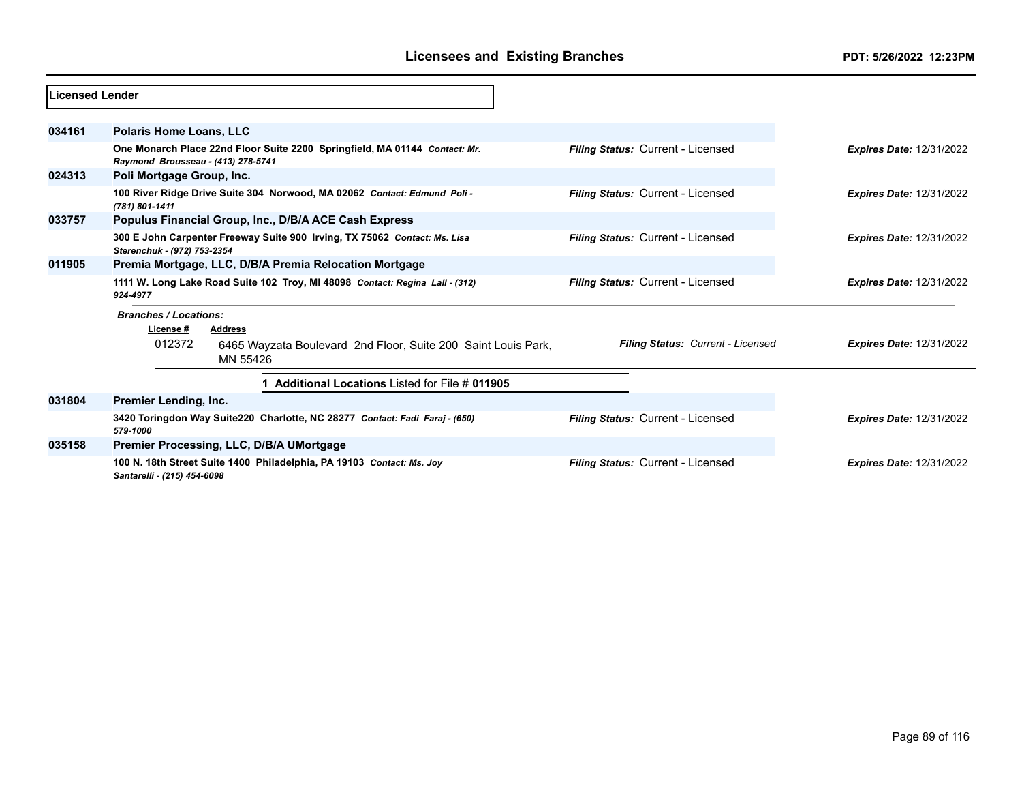| Licensed Lender |                                                                                                                  |                                          |                                 |
|-----------------|------------------------------------------------------------------------------------------------------------------|------------------------------------------|---------------------------------|
| 034161          | <b>Polaris Home Loans, LLC</b>                                                                                   |                                          |                                 |
|                 | One Monarch Place 22nd Floor Suite 2200 Springfield, MA 01144 Contact: Mr.<br>Raymond Brousseau - (413) 278-5741 | Filing Status: Current - Licensed        | <b>Expires Date: 12/31/2022</b> |
| 024313          | Poli Mortgage Group, Inc.                                                                                        |                                          |                                 |
|                 | 100 River Ridge Drive Suite 304 Norwood, MA 02062 Contact: Edmund Poli -<br>(781) 801-1411                       | <b>Filing Status: Current - Licensed</b> | <b>Expires Date: 12/31/2022</b> |
| 033757          | Populus Financial Group, Inc., D/B/A ACE Cash Express                                                            |                                          |                                 |
|                 | 300 E John Carpenter Freeway Suite 900 Irving, TX 75062 Contact: Ms. Lisa<br>Sterenchuk - (972) 753-2354         | Filing Status: Current - Licensed        | <b>Expires Date: 12/31/2022</b> |
| 011905          | Premia Mortgage, LLC, D/B/A Premia Relocation Mortgage                                                           |                                          |                                 |
|                 | 1111 W. Long Lake Road Suite 102 Troy, MI 48098 Contact: Regina Lall - (312)<br>924-4977                         | Filing Status: Current - Licensed        | <b>Expires Date: 12/31/2022</b> |
|                 | <b>Branches / Locations:</b>                                                                                     |                                          |                                 |
|                 | License #<br><b>Address</b>                                                                                      |                                          |                                 |
|                 | 012372<br>6465 Wayzata Boulevard 2nd Floor, Suite 200 Saint Louis Park,<br>MN 55426                              | Filing Status: Current - Licensed        | <b>Expires Date: 12/31/2022</b> |
|                 | Additional Locations Listed for File # 011905                                                                    |                                          |                                 |
| 031804          | Premier Lending, Inc.                                                                                            |                                          |                                 |
|                 | 3420 Toringdon Way Suite220 Charlotte, NC 28277 Contact: Fadi Faraj - (650)<br>579-1000                          | <b>Filing Status: Current - Licensed</b> | <b>Expires Date: 12/31/2022</b> |
| 035158          | Premier Processing, LLC, D/B/A UMortgage                                                                         |                                          |                                 |
|                 | 100 N. 18th Street Suite 1400 Philadelphia, PA 19103 Contact: Ms. Joy<br>Santarelli - (215) 454-6098             | <b>Filing Status: Current - Licensed</b> | <b>Expires Date: 12/31/2022</b> |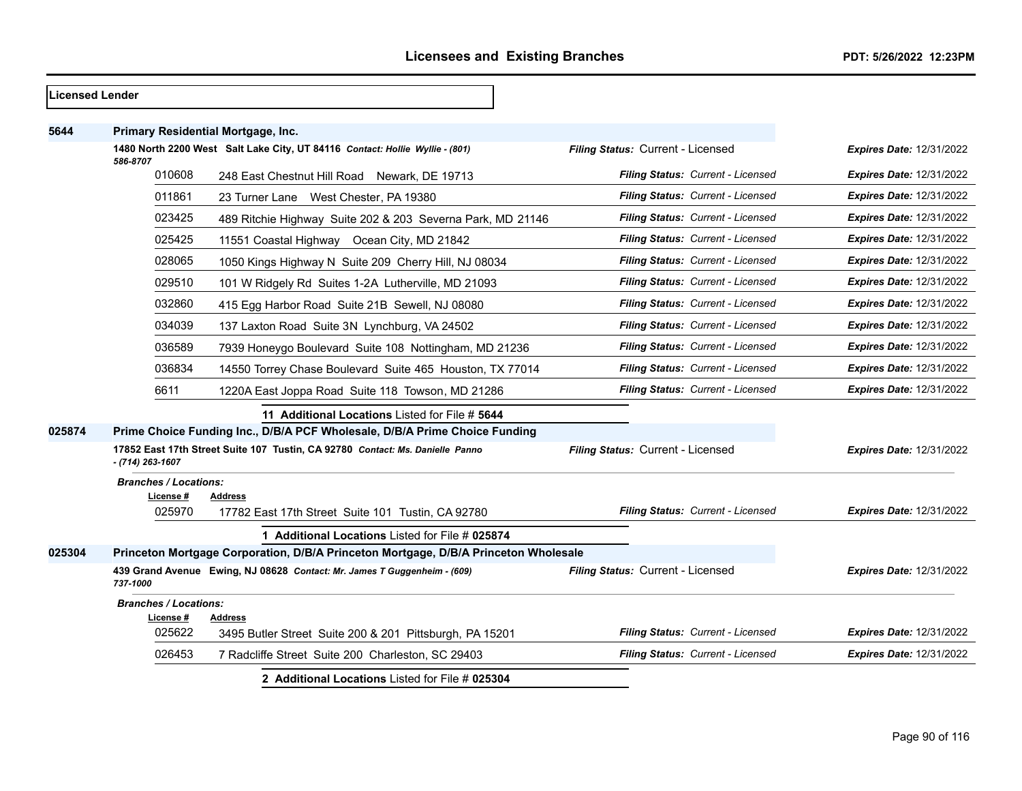| Licensed Lender |                                           |                                                                                     |                                   |                                 |
|-----------------|-------------------------------------------|-------------------------------------------------------------------------------------|-----------------------------------|---------------------------------|
| 5644            | Primary Residential Mortgage, Inc.        |                                                                                     |                                   |                                 |
|                 | 586-8707                                  | 1480 North 2200 West Salt Lake City, UT 84116 Contact: Hollie Wyllie - (801)        | Filing Status: Current - Licensed | <b>Expires Date: 12/31/2022</b> |
|                 | 010608                                    | 248 East Chestnut Hill Road Newark, DE 19713                                        | Filing Status: Current - Licensed | <b>Expires Date: 12/31/2022</b> |
|                 | 011861                                    | 23 Turner Lane West Chester, PA 19380                                               | Filing Status: Current - Licensed | Expires Date: 12/31/2022        |
|                 | 023425                                    | 489 Ritchie Highway Suite 202 & 203 Severna Park, MD 21146                          | Filing Status: Current - Licensed | <b>Expires Date: 12/31/2022</b> |
|                 | 025425                                    | 11551 Coastal Highway Ocean City, MD 21842                                          | Filing Status: Current - Licensed | <b>Expires Date: 12/31/2022</b> |
|                 | 028065                                    | 1050 Kings Highway N Suite 209 Cherry Hill, NJ 08034                                | Filing Status: Current - Licensed | <b>Expires Date: 12/31/2022</b> |
|                 | 029510                                    | 101 W Ridgely Rd Suites 1-2A Lutherville, MD 21093                                  | Filing Status: Current - Licensed | Expires Date: 12/31/2022        |
|                 | 032860                                    | 415 Egg Harbor Road Suite 21B Sewell, NJ 08080                                      | Filing Status: Current - Licensed | <b>Expires Date: 12/31/2022</b> |
|                 | 034039                                    | 137 Laxton Road Suite 3N Lynchburg, VA 24502                                        | Filing Status: Current - Licensed | <b>Expires Date: 12/31/2022</b> |
|                 | 036589                                    | 7939 Honeygo Boulevard Suite 108 Nottingham, MD 21236                               | Filing Status: Current - Licensed | Expires Date: 12/31/2022        |
|                 | 036834                                    | 14550 Torrey Chase Boulevard Suite 465 Houston, TX 77014                            | Filing Status: Current - Licensed | <b>Expires Date: 12/31/2022</b> |
|                 | 6611                                      | 1220A East Joppa Road Suite 118 Towson, MD 21286                                    | Filing Status: Current - Licensed | <b>Expires Date: 12/31/2022</b> |
|                 |                                           | 11 Additional Locations Listed for File # 5644                                      |                                   |                                 |
| 025874          |                                           | Prime Choice Funding Inc., D/B/A PCF Wholesale, D/B/A Prime Choice Funding          |                                   |                                 |
|                 | - (714) 263-1607                          | 17852 East 17th Street Suite 107 Tustin, CA 92780 Contact: Ms. Danielle Panno       | Filing Status: Current - Licensed | <b>Expires Date: 12/31/2022</b> |
|                 | <b>Branches / Locations:</b><br>License # | <b>Address</b>                                                                      |                                   |                                 |
|                 | 025970                                    | 17782 East 17th Street Suite 101 Tustin, CA 92780                                   | Filing Status: Current - Licensed | <b>Expires Date: 12/31/2022</b> |
|                 |                                           | 1 Additional Locations Listed for File # 025874                                     |                                   |                                 |
| 025304          |                                           | Princeton Mortgage Corporation, D/B/A Princeton Mortgage, D/B/A Princeton Wholesale |                                   |                                 |
|                 | 737-1000                                  | 439 Grand Avenue Ewing, NJ 08628 Contact: Mr. James T Guggenheim - (609)            | Filing Status: Current - Licensed | <b>Expires Date: 12/31/2022</b> |
|                 | <b>Branches / Locations:</b>              |                                                                                     |                                   |                                 |
|                 | License#<br>025622                        | <b>Address</b><br>3495 Butler Street Suite 200 & 201 Pittsburgh, PA 15201           | Filing Status: Current - Licensed | <b>Expires Date: 12/31/2022</b> |
|                 | 026453                                    | 7 Radcliffe Street Suite 200 Charleston, SC 29403                                   | Filing Status: Current - Licensed | <b>Expires Date: 12/31/2022</b> |
|                 |                                           | 2 Additional Locations Listed for File # 025304                                     |                                   |                                 |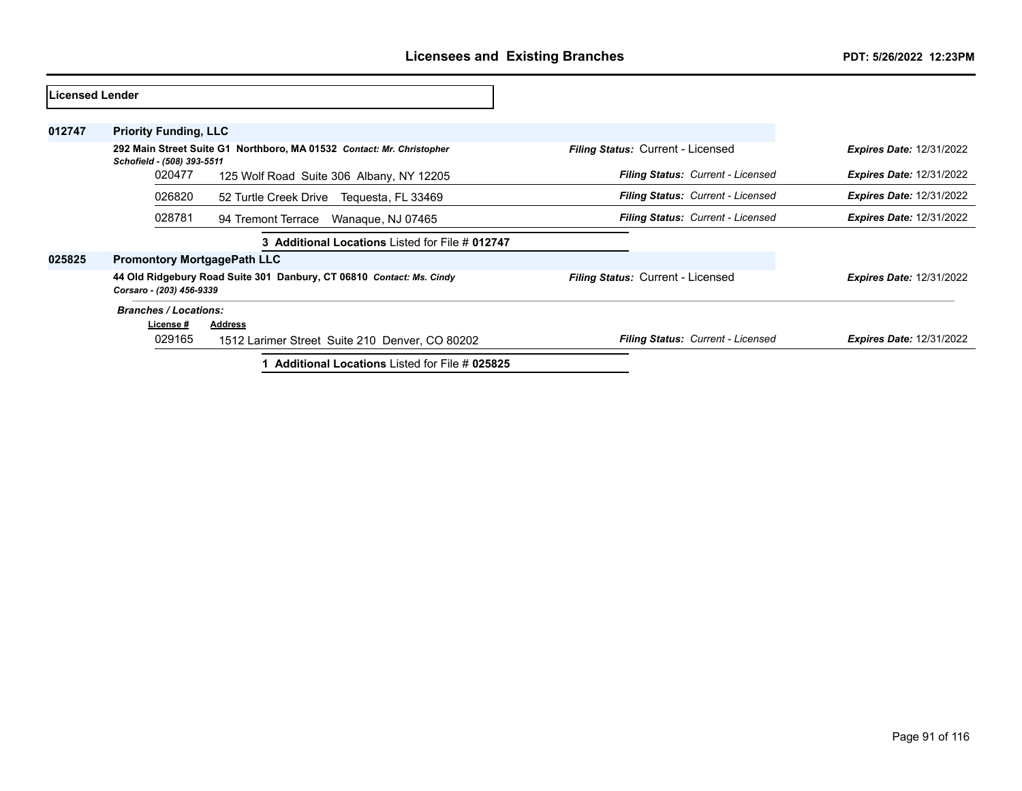| lLicensed Lender |                                    |                                                                       |                                          |                                 |
|------------------|------------------------------------|-----------------------------------------------------------------------|------------------------------------------|---------------------------------|
| 012747           | <b>Priority Funding, LLC</b>       |                                                                       |                                          |                                 |
|                  | Schofield - (508) 393-5511         | 292 Main Street Suite G1 Northboro, MA 01532 Contact: Mr. Christopher | <b>Filing Status: Current - Licensed</b> | <b>Expires Date: 12/31/2022</b> |
|                  | 020477                             | 125 Wolf Road Suite 306 Albany, NY 12205                              | Filing Status: Current - Licensed        | <b>Expires Date: 12/31/2022</b> |
|                  | 026820                             | 52 Turtle Creek Drive<br>Tequesta, FL 33469                           | Filing Status: Current - Licensed        | <b>Expires Date: 12/31/2022</b> |
|                  | 028781                             | 94 Tremont Terrace<br>Wanaque, NJ 07465                               | Filing Status: Current - Licensed        | <b>Expires Date: 12/31/2022</b> |
|                  |                                    | 3 Additional Locations Listed for File # 012747                       |                                          |                                 |
| 025825           | <b>Promontory MortgagePath LLC</b> |                                                                       |                                          |                                 |
|                  | Corsaro - (203) 456-9339           | 44 Old Ridgebury Road Suite 301 Danbury, CT 06810 Contact: Ms. Cindy  | <b>Filing Status: Current - Licensed</b> | <b>Expires Date: 12/31/2022</b> |
|                  | <b>Branches / Locations:</b>       |                                                                       |                                          |                                 |
|                  | License #                          | Address                                                               |                                          |                                 |
|                  | 029165                             | 1512 Larimer Street Suite 210 Denver, CO 80202                        | Filing Status: Current - Licensed        | <b>Expires Date: 12/31/2022</b> |
|                  |                                    | <b>Additional Locations Listed for File # 025825</b>                  |                                          |                                 |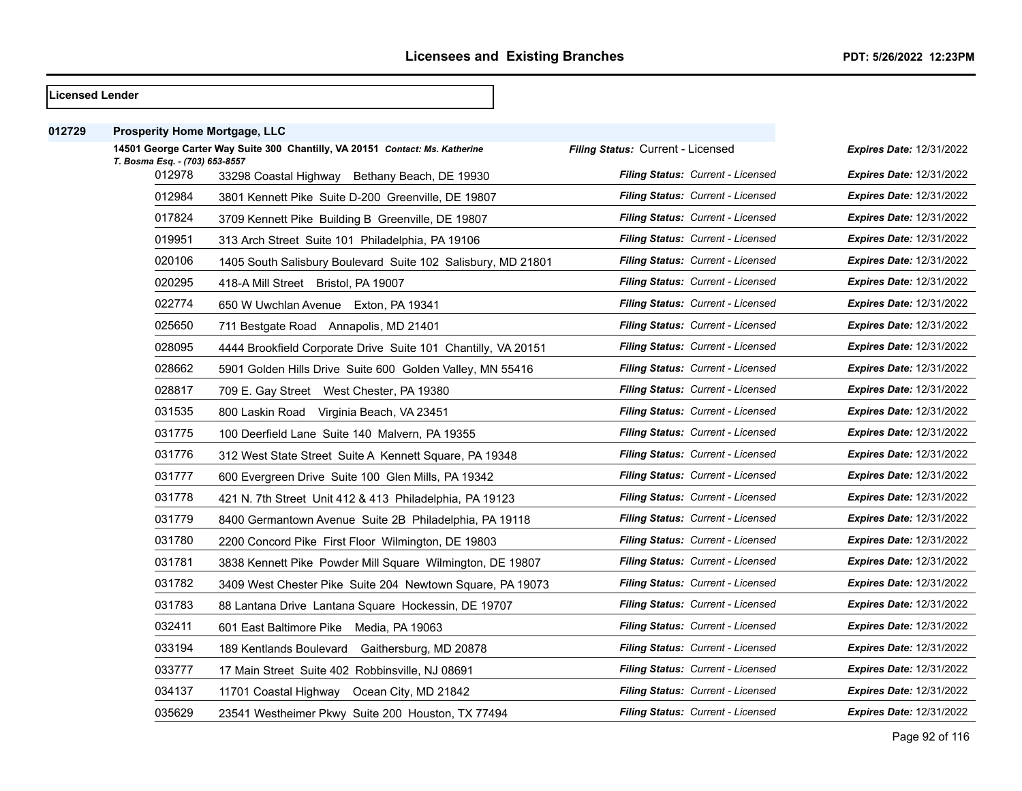| <b>ILicensed Lender</b> |  |  |
|-------------------------|--|--|
|                         |  |  |

| 012729 | <b>Prosperity Home Mortgage, LLC</b> |                                                                              |                                   |                                 |
|--------|--------------------------------------|------------------------------------------------------------------------------|-----------------------------------|---------------------------------|
|        | T. Bosma Esq. - (703) 653-8557       | 14501 George Carter Way Suite 300 Chantilly, VA 20151 Contact: Ms. Katherine | Filing Status: Current - Licensed | Expires Date: 12/31/2022        |
|        | 012978                               | 33298 Coastal Highway Bethany Beach, DE 19930                                | Filing Status: Current - Licensed | <b>Expires Date: 12/31/2022</b> |
|        | 012984                               | 3801 Kennett Pike Suite D-200 Greenville, DE 19807                           | Filing Status: Current - Licensed | <b>Expires Date: 12/31/2022</b> |
|        | 017824                               | 3709 Kennett Pike Building B Greenville, DE 19807                            | Filing Status: Current - Licensed | <b>Expires Date: 12/31/2022</b> |
|        | 019951                               | 313 Arch Street Suite 101 Philadelphia, PA 19106                             | Filing Status: Current - Licensed | <b>Expires Date: 12/31/2022</b> |
|        | 020106                               | 1405 South Salisbury Boulevard Suite 102 Salisbury, MD 21801                 | Filing Status: Current - Licensed | Expires Date: 12/31/2022        |
|        | 020295                               | 418-A Mill Street Bristol, PA 19007                                          | Filing Status: Current - Licensed | Expires Date: 12/31/2022        |
|        | 022774                               | 650 W Uwchlan Avenue Exton, PA 19341                                         | Filing Status: Current - Licensed | <b>Expires Date: 12/31/2022</b> |
|        | 025650                               | 711 Bestgate Road Annapolis, MD 21401                                        | Filing Status: Current - Licensed | <b>Expires Date: 12/31/2022</b> |
|        | 028095                               | 4444 Brookfield Corporate Drive Suite 101 Chantilly, VA 20151                | Filing Status: Current - Licensed | <b>Expires Date: 12/31/2022</b> |
|        | 028662                               | 5901 Golden Hills Drive Suite 600 Golden Valley, MN 55416                    | Filing Status: Current - Licensed | <b>Expires Date: 12/31/2022</b> |
|        | 028817                               | 709 E. Gay Street West Chester, PA 19380                                     | Filing Status: Current - Licensed | <b>Expires Date: 12/31/2022</b> |
|        | 031535                               | 800 Laskin Road Virginia Beach, VA 23451                                     | Filing Status: Current - Licensed | <b>Expires Date: 12/31/2022</b> |
|        | 031775                               | 100 Deerfield Lane Suite 140 Malvern, PA 19355                               | Filing Status: Current - Licensed | <b>Expires Date: 12/31/2022</b> |
|        | 031776                               | 312 West State Street Suite A Kennett Square, PA 19348                       | Filing Status: Current - Licensed | <b>Expires Date: 12/31/2022</b> |
|        | 031777                               | 600 Evergreen Drive Suite 100 Glen Mills, PA 19342                           | Filing Status: Current - Licensed | <b>Expires Date: 12/31/2022</b> |
|        | 031778                               | 421 N. 7th Street Unit 412 & 413 Philadelphia, PA 19123                      | Filing Status: Current - Licensed | <b>Expires Date: 12/31/2022</b> |
|        | 031779                               | 8400 Germantown Avenue Suite 2B Philadelphia, PA 19118                       | Filing Status: Current - Licensed | <b>Expires Date: 12/31/2022</b> |
|        | 031780                               | 2200 Concord Pike First Floor Wilmington, DE 19803                           | Filing Status: Current - Licensed | <b>Expires Date: 12/31/2022</b> |
|        | 031781                               | 3838 Kennett Pike Powder Mill Square Wilmington, DE 19807                    | Filing Status: Current - Licensed | <b>Expires Date: 12/31/2022</b> |
|        | 031782                               | 3409 West Chester Pike Suite 204 Newtown Square, PA 19073                    | Filing Status: Current - Licensed | <b>Expires Date: 12/31/2022</b> |
|        | 031783                               | 88 Lantana Drive Lantana Square Hockessin, DE 19707                          | Filing Status: Current - Licensed | Expires Date: 12/31/2022        |
|        | 032411                               | 601 East Baltimore Pike Media, PA 19063                                      | Filing Status: Current - Licensed | Expires Date: 12/31/2022        |
|        | 033194                               | 189 Kentlands Boulevard Gaithersburg, MD 20878                               | Filing Status: Current - Licensed | Expires Date: 12/31/2022        |
|        | 033777                               | 17 Main Street Suite 402 Robbinsville, NJ 08691                              | Filing Status: Current - Licensed | <b>Expires Date: 12/31/2022</b> |
|        | 034137                               | 11701 Coastal Highway Ocean City, MD 21842                                   | Filing Status: Current - Licensed | <b>Expires Date: 12/31/2022</b> |
|        | 035629                               | 23541 Westheimer Pkwy Suite 200 Houston, TX 77494                            | Filing Status: Current - Licensed | <b>Expires Date: 12/31/2022</b> |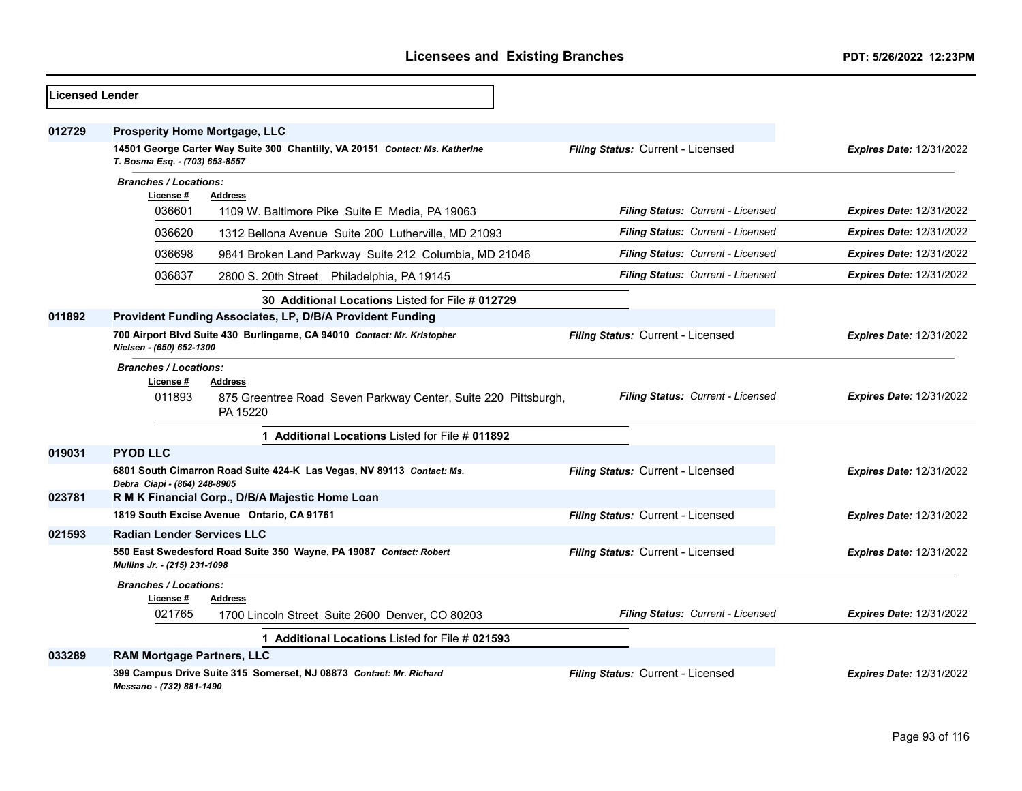| <b>Licensed Lender</b> |                                                                                                                                      |                                   |                                 |
|------------------------|--------------------------------------------------------------------------------------------------------------------------------------|-----------------------------------|---------------------------------|
| 012729                 | <b>Prosperity Home Mortgage, LLC</b>                                                                                                 |                                   |                                 |
|                        | 14501 George Carter Way Suite 300 Chantilly, VA 20151 Contact: Ms. Katherine<br>T. Bosma Esq. - (703) 653-8557                       | Filing Status: Current - Licensed | <b>Expires Date: 12/31/2022</b> |
|                        | <b>Branches / Locations:</b>                                                                                                         |                                   |                                 |
|                        | License #<br><b>Address</b><br>036601<br>1109 W. Baltimore Pike Suite E Media, PA 19063                                              | Filing Status: Current - Licensed | <b>Expires Date: 12/31/2022</b> |
|                        | 036620<br>1312 Bellona Avenue Suite 200 Lutherville, MD 21093                                                                        | Filing Status: Current - Licensed | <b>Expires Date: 12/31/2022</b> |
|                        | 036698<br>9841 Broken Land Parkway Suite 212 Columbia, MD 21046                                                                      | Filing Status: Current - Licensed | <b>Expires Date: 12/31/2022</b> |
|                        | 036837                                                                                                                               | Filing Status: Current - Licensed | <b>Expires Date: 12/31/2022</b> |
|                        | 2800 S. 20th Street Philadelphia, PA 19145                                                                                           |                                   |                                 |
|                        | 30 Additional Locations Listed for File # 012729                                                                                     |                                   |                                 |
| 011892                 | Provident Funding Associates, LP, D/B/A Provident Funding<br>700 Airport Blvd Suite 430 Burlingame, CA 94010 Contact: Mr. Kristopher | Filing Status: Current - Licensed |                                 |
|                        | Nielsen - (650) 652-1300                                                                                                             |                                   | <b>Expires Date: 12/31/2022</b> |
|                        | <b>Branches / Locations:</b>                                                                                                         |                                   |                                 |
|                        | License #<br><b>Address</b>                                                                                                          |                                   |                                 |
|                        | 011893<br>875 Greentree Road Seven Parkway Center, Suite 220 Pittsburgh,<br>PA 15220                                                 | Filing Status: Current - Licensed | <b>Expires Date: 12/31/2022</b> |
|                        | Additional Locations Listed for File # 011892<br>1.                                                                                  |                                   |                                 |
| 019031                 | <b>PYOD LLC</b>                                                                                                                      |                                   |                                 |
|                        | 6801 South Cimarron Road Suite 424-K Las Vegas, NV 89113 Contact: Ms.                                                                | Filing Status: Current - Licensed | <b>Expires Date: 12/31/2022</b> |
| 023781                 | Debra Ciapi - (864) 248-8905<br>R M K Financial Corp., D/B/A Majestic Home Loan                                                      |                                   |                                 |
|                        | 1819 South Excise Avenue Ontario, CA 91761                                                                                           | Filing Status: Current - Licensed | <b>Expires Date: 12/31/2022</b> |
| 021593                 | <b>Radian Lender Services LLC</b>                                                                                                    |                                   |                                 |
|                        | 550 East Swedesford Road Suite 350 Wayne, PA 19087 Contact: Robert<br>Mullins Jr. - (215) 231-1098                                   | Filing Status: Current - Licensed | <b>Expires Date: 12/31/2022</b> |
|                        | <b>Branches / Locations:</b>                                                                                                         |                                   |                                 |
|                        | License#<br><b>Address</b>                                                                                                           |                                   |                                 |
|                        | 021765<br>1700 Lincoln Street Suite 2600 Denver, CO 80203                                                                            | Filing Status: Current - Licensed | <b>Expires Date: 12/31/2022</b> |
|                        | 1 Additional Locations Listed for File # 021593                                                                                      |                                   |                                 |
| 033289                 | <b>RAM Mortgage Partners, LLC</b>                                                                                                    |                                   |                                 |
|                        | 399 Campus Drive Suite 315 Somerset, NJ 08873 Contact: Mr. Richard<br>Messano - (732) 881-1490                                       | Filing Status: Current - Licensed | <b>Expires Date: 12/31/2022</b> |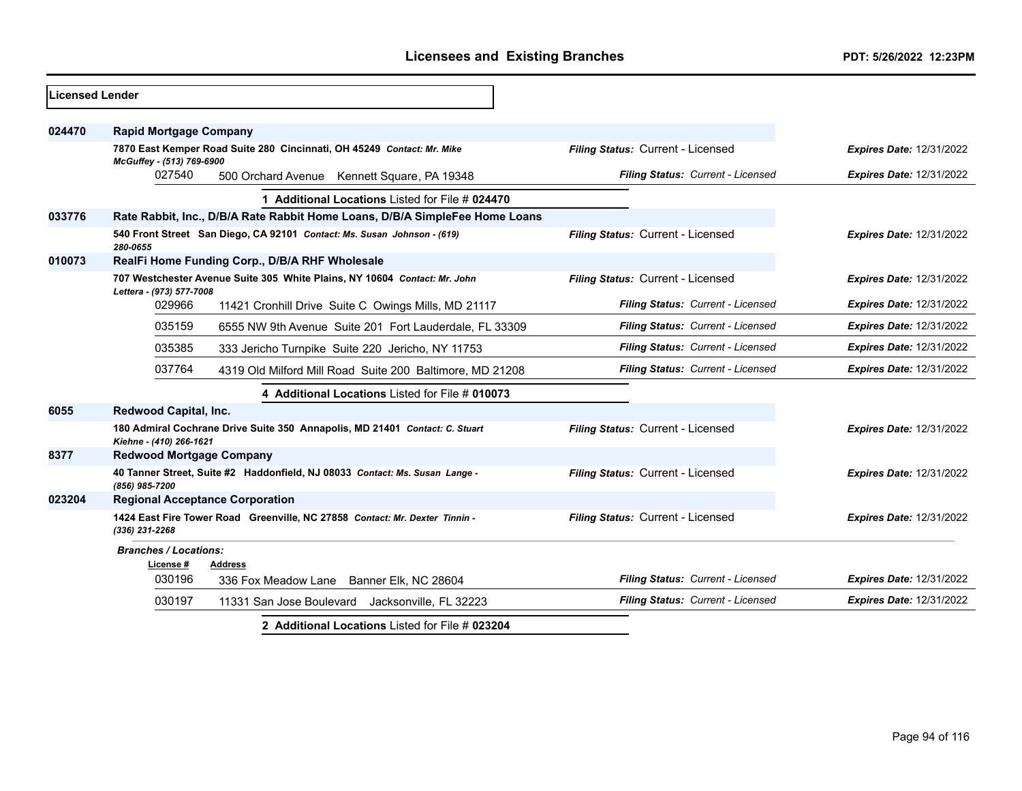| <b>Licensed Lender</b> |                                        |                                                                             |                                   |                                 |
|------------------------|----------------------------------------|-----------------------------------------------------------------------------|-----------------------------------|---------------------------------|
| 024470                 | <b>Rapid Mortgage Company</b>          |                                                                             |                                   |                                 |
|                        | McGuffey - (513) 769-6900              | 7870 East Kemper Road Suite 280 Cincinnati, OH 45249 Contact: Mr. Mike      | Filing Status: Current - Licensed | <b>Expires Date: 12/31/2022</b> |
|                        | 027540                                 | 500 Orchard Avenue Kennett Square, PA 19348                                 | Filing Status: Current - Licensed | <b>Expires Date: 12/31/2022</b> |
|                        |                                        | 1 Additional Locations Listed for File # 024470                             |                                   |                                 |
| 033776                 |                                        | Rate Rabbit, Inc., D/B/A Rate Rabbit Home Loans, D/B/A SimpleFee Home Loans |                                   |                                 |
|                        | 280-0655                               | 540 Front Street San Diego, CA 92101 Contact: Ms. Susan Johnson - (619)     | Filing Status: Current - Licensed | <b>Expires Date: 12/31/2022</b> |
| 010073                 |                                        | RealFi Home Funding Corp., D/B/A RHF Wholesale                              |                                   |                                 |
|                        | Lettera - (973) 577-7008               | 707 Westchester Avenue Suite 305 White Plains, NY 10604 Contact: Mr. John   | Filing Status: Current - Licensed | <b>Expires Date: 12/31/2022</b> |
|                        | 029966                                 | 11421 Cronhill Drive Suite C Owings Mills, MD 21117                         | Filing Status: Current - Licensed | <b>Expires Date: 12/31/2022</b> |
|                        | 035159                                 | 6555 NW 9th Avenue Suite 201 Fort Lauderdale, FL 33309                      | Filing Status: Current - Licensed | <b>Expires Date: 12/31/2022</b> |
|                        | 035385                                 | 333 Jericho Turnpike Suite 220 Jericho, NY 11753                            | Filing Status: Current - Licensed | <b>Expires Date: 12/31/2022</b> |
|                        | 037764                                 | 4319 Old Milford Mill Road Suite 200 Baltimore, MD 21208                    | Filing Status: Current - Licensed | <b>Expires Date: 12/31/2022</b> |
|                        |                                        | 4 Additional Locations Listed for File # 010073                             |                                   |                                 |
| 6055                   | Redwood Capital, Inc.                  |                                                                             |                                   |                                 |
|                        | Kiehne - (410) 266-1621                | 180 Admiral Cochrane Drive Suite 350 Annapolis, MD 21401 Contact: C. Stuart | Filing Status: Current - Licensed | <b>Expires Date: 12/31/2022</b> |
| 8377                   | <b>Redwood Mortgage Company</b>        |                                                                             |                                   |                                 |
|                        | (856) 985-7200                         | 40 Tanner Street, Suite #2 Haddonfield, NJ 08033 Contact: Ms. Susan Lange - | Filing Status: Current - Licensed | <b>Expires Date: 12/31/2022</b> |
| 023204                 | <b>Regional Acceptance Corporation</b> |                                                                             |                                   |                                 |
|                        | $(336)$ 231-2268                       | 1424 East Fire Tower Road Greenville, NC 27858 Contact: Mr. Dexter Tinnin - | Filing Status: Current - Licensed | <b>Expires Date: 12/31/2022</b> |
|                        | <b>Branches / Locations:</b>           |                                                                             |                                   |                                 |
|                        | License #<br>030196                    | <b>Address</b><br>336 Fox Meadow Lane<br>Banner Elk, NC 28604               | Filing Status: Current - Licensed | <b>Expires Date: 12/31/2022</b> |
|                        | 030197                                 | 11331 San Jose Boulevard Jacksonville, FL 32223                             | Filing Status: Current - Licensed | <b>Expires Date: 12/31/2022</b> |
|                        |                                        | 2 Additional Locations Listed for File # 023204                             |                                   |                                 |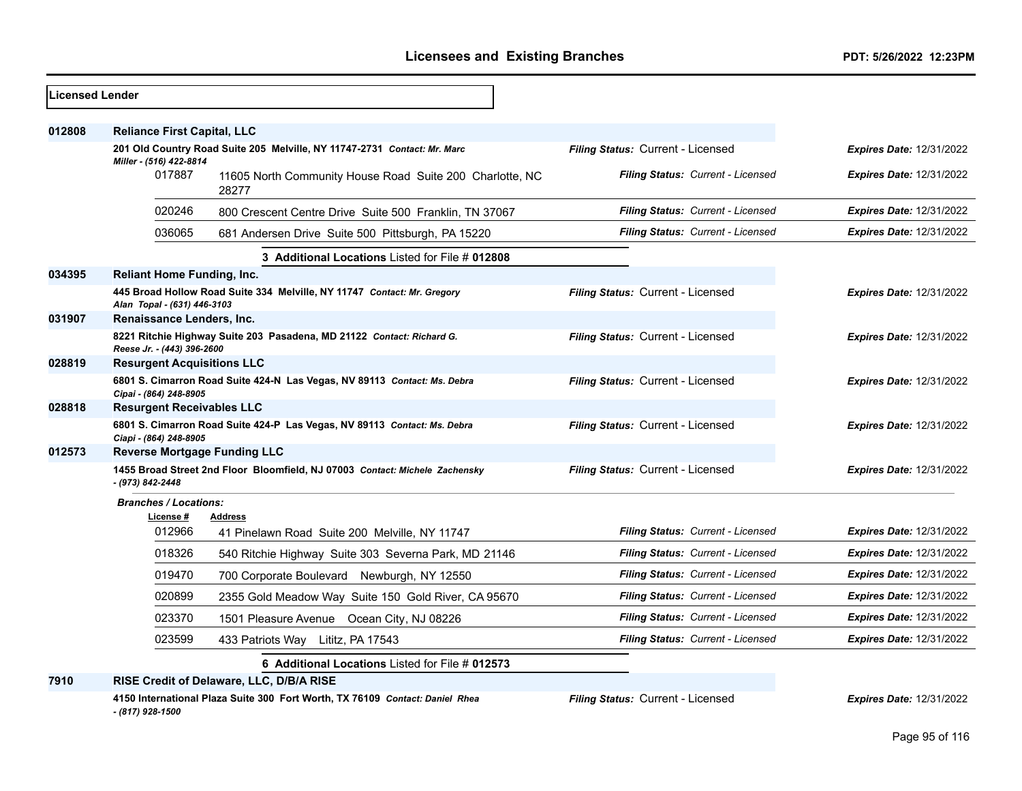| <b>Licensed Lender</b> |                                     |                                                                              |                                          |                                 |
|------------------------|-------------------------------------|------------------------------------------------------------------------------|------------------------------------------|---------------------------------|
| 012808                 | <b>Reliance First Capital, LLC</b>  |                                                                              |                                          |                                 |
|                        |                                     | 201 Old Country Road Suite 205 Melville, NY 11747-2731 Contact: Mr. Marc     | Filing Status: Current - Licensed        | <b>Expires Date: 12/31/2022</b> |
|                        | Miller - (516) 422-8814<br>017887   | 11605 North Community House Road Suite 200 Charlotte, NC<br>28277            | Filing Status: Current - Licensed        | <b>Expires Date: 12/31/2022</b> |
|                        | 020246                              | 800 Crescent Centre Drive Suite 500 Franklin, TN 37067                       | Filing Status: Current - Licensed        | <b>Expires Date: 12/31/2022</b> |
|                        | 036065                              | 681 Andersen Drive Suite 500 Pittsburgh, PA 15220                            | Filing Status: Current - Licensed        | <b>Expires Date: 12/31/2022</b> |
|                        |                                     | 3 Additional Locations Listed for File # 012808                              |                                          |                                 |
| 034395                 | <b>Reliant Home Funding, Inc.</b>   |                                                                              |                                          |                                 |
|                        | Alan Topal - (631) 446-3103         | 445 Broad Hollow Road Suite 334 Melville, NY 11747 Contact: Mr. Gregory      | Filing Status: Current - Licensed        | <b>Expires Date: 12/31/2022</b> |
| 031907                 | Renaissance Lenders, Inc.           |                                                                              |                                          |                                 |
|                        | Reese Jr. - (443) 396-2600          | 8221 Ritchie Highway Suite 203 Pasadena, MD 21122 Contact: Richard G.        | Filing Status: Current - Licensed        | <b>Expires Date: 12/31/2022</b> |
| 028819                 | <b>Resurgent Acquisitions LLC</b>   |                                                                              |                                          |                                 |
|                        | Cipai - (864) 248-8905              | 6801 S. Cimarron Road Suite 424-N Las Vegas, NV 89113 Contact: Ms. Debra     | Filing Status: Current - Licensed        | <b>Expires Date: 12/31/2022</b> |
| 028818                 | <b>Resurgent Receivables LLC</b>    |                                                                              |                                          |                                 |
|                        | Ciapi - (864) 248-8905              | 6801 S. Cimarron Road Suite 424-P Las Vegas, NV 89113 Contact: Ms. Debra     | Filing Status: Current - Licensed        | <b>Expires Date: 12/31/2022</b> |
| 012573                 | <b>Reverse Mortgage Funding LLC</b> |                                                                              |                                          |                                 |
|                        | - (973) 842-2448                    | 1455 Broad Street 2nd Floor Bloomfield, NJ 07003 Contact: Michele Zachensky  | Filing Status: Current - Licensed        | <b>Expires Date: 12/31/2022</b> |
|                        | <b>Branches / Locations:</b>        |                                                                              |                                          |                                 |
|                        | License #                           | <b>Address</b>                                                               | Filing Status: Current - Licensed        |                                 |
|                        | 012966                              | 41 Pinelawn Road Suite 200 Melville, NY 11747                                |                                          | <b>Expires Date: 12/31/2022</b> |
|                        | 018326                              | 540 Ritchie Highway Suite 303 Severna Park, MD 21146                         | Filing Status: Current - Licensed        | <b>Expires Date: 12/31/2022</b> |
|                        | 019470                              | 700 Corporate Boulevard Newburgh, NY 12550                                   | Filing Status: Current - Licensed        | <b>Expires Date: 12/31/2022</b> |
|                        | 020899                              | 2355 Gold Meadow Way Suite 150 Gold River, CA 95670                          | Filing Status: Current - Licensed        | <b>Expires Date: 12/31/2022</b> |
|                        | 023370                              | 1501 Pleasure Avenue Ocean City, NJ 08226                                    | <b>Filing Status: Current - Licensed</b> | <b>Expires Date: 12/31/2022</b> |
|                        | 023599                              | 433 Patriots Way Lititz, PA 17543                                            | Filing Status: Current - Licensed        | <b>Expires Date: 12/31/2022</b> |
|                        |                                     | 6 Additional Locations Listed for File # 012573                              |                                          |                                 |
| 7910                   |                                     | RISE Credit of Delaware, LLC, D/B/A RISE                                     |                                          |                                 |
|                        | - (817) 928-1500                    | 4150 International Plaza Suite 300 Fort Worth, TX 76109 Contact: Daniel Rhea | Filing Status: Current - Licensed        | <b>Expires Date: 12/31/2022</b> |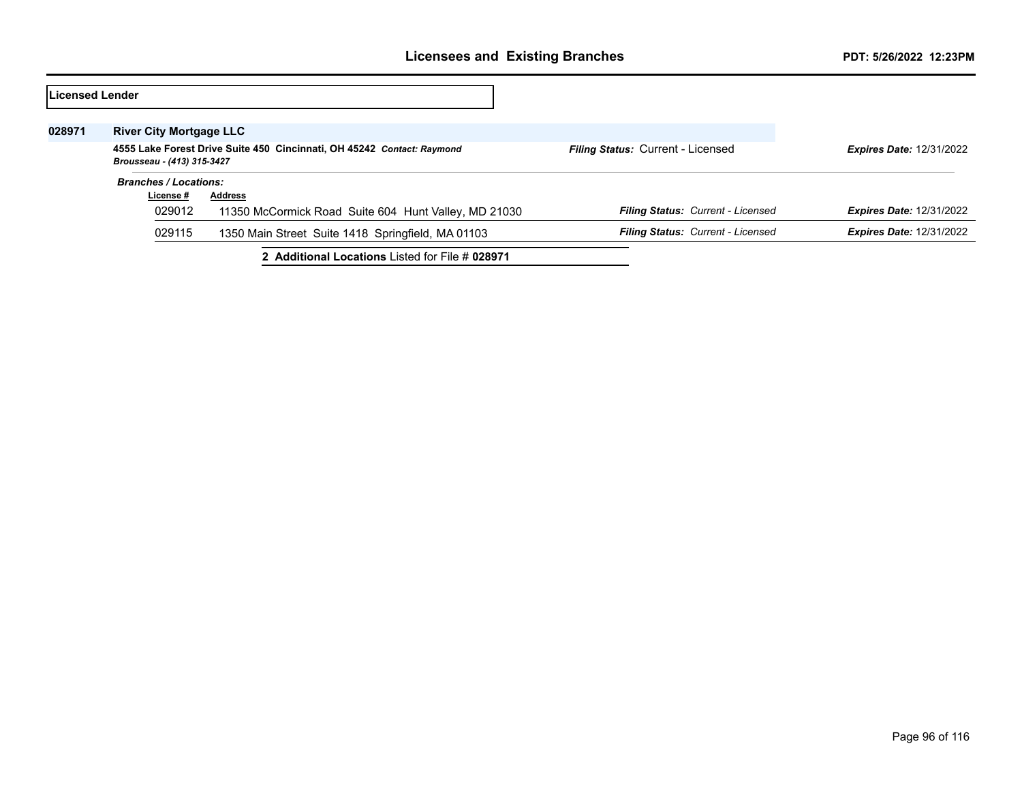| Licensed Lender |                                |                                                                        |                                          |                                 |
|-----------------|--------------------------------|------------------------------------------------------------------------|------------------------------------------|---------------------------------|
| 028971          | <b>River City Mortgage LLC</b> |                                                                        |                                          |                                 |
|                 | Brousseau - (413) 315-3427     | 4555 Lake Forest Drive Suite 450 Cincinnati, OH 45242 Contact: Raymond | Filing Status: Current - Licensed        | <b>Expires Date: 12/31/2022</b> |
|                 | <b>Branches / Locations:</b>   |                                                                        |                                          |                                 |
|                 | License #                      | <b>Address</b>                                                         |                                          |                                 |
|                 | 029012                         | 11350 McCormick Road Suite 604 Hunt Valley, MD 21030                   | <b>Filing Status: Current - Licensed</b> | <b>Expires Date: 12/31/2022</b> |
|                 | 029115                         | 1350 Main Street Suite 1418 Springfield, MA 01103                      | <b>Filing Status: Current - Licensed</b> | <b>Expires Date: 12/31/2022</b> |
|                 |                                | 2 Additional Locations Listed for File # 028971                        |                                          |                                 |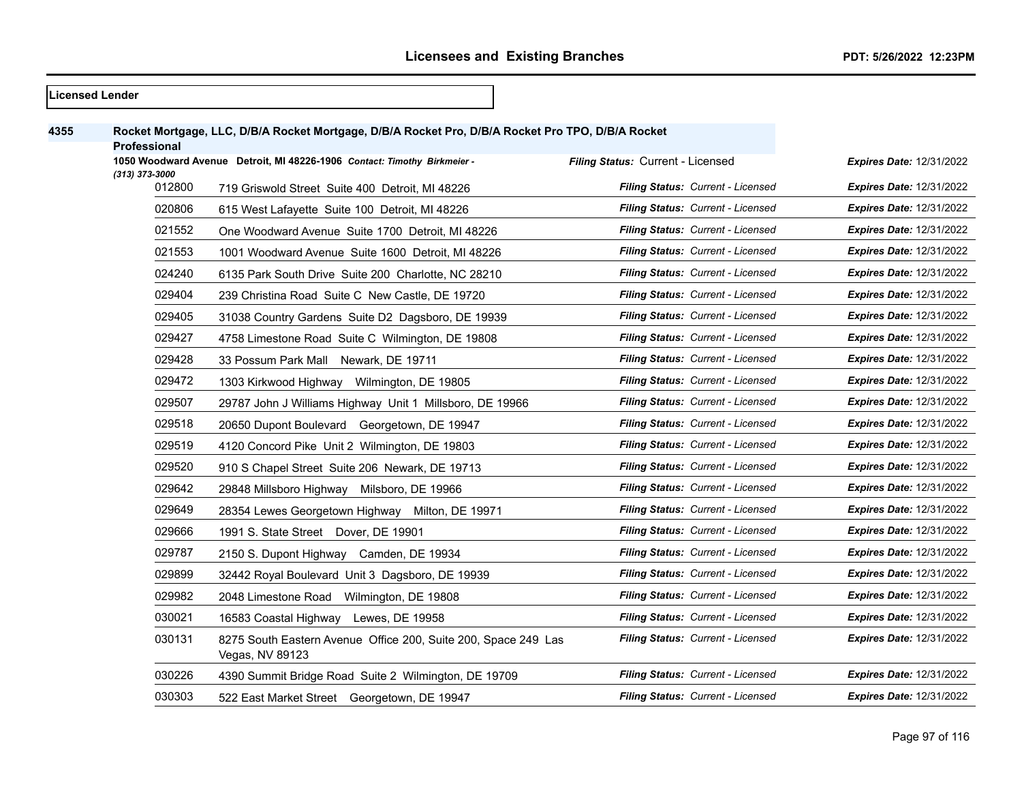|      | Licensed Lender     |                                                                                                   |                                          |                                 |
|------|---------------------|---------------------------------------------------------------------------------------------------|------------------------------------------|---------------------------------|
| 4355 |                     | Rocket Mortgage, LLC, D/B/A Rocket Mortgage, D/B/A Rocket Pro, D/B/A Rocket Pro TPO, D/B/A Rocket |                                          |                                 |
|      | <b>Professional</b> |                                                                                                   |                                          |                                 |
|      | (313) 373-3000      | 1050 Woodward Avenue Detroit, MI 48226-1906 Contact: Timothy Birkmeier -                          | Filing Status: Current - Licensed        | <b>Expires Date: 12/31/2022</b> |
|      | 012800              | 719 Griswold Street Suite 400 Detroit, MI 48226                                                   | Filing Status: Current - Licensed        | <b>Expires Date: 12/31/2022</b> |
|      | 020806              | 615 West Lafayette Suite 100 Detroit, MI 48226                                                    | Filing Status: Current - Licensed        | <b>Expires Date: 12/31/2022</b> |
|      | 021552              | One Woodward Avenue Suite 1700 Detroit, MI 48226                                                  | Filing Status: Current - Licensed        | <b>Expires Date: 12/31/2022</b> |
|      | 021553              | 1001 Woodward Avenue Suite 1600 Detroit, MI 48226                                                 | Filing Status: Current - Licensed        | <b>Expires Date: 12/31/2022</b> |
|      | 024240              | 6135 Park South Drive Suite 200 Charlotte, NC 28210                                               | Filing Status: Current - Licensed        | Expires Date: 12/31/2022        |
|      | 029404              | 239 Christina Road Suite C New Castle, DE 19720                                                   | Filing Status: Current - Licensed        | <b>Expires Date: 12/31/2022</b> |
|      | 029405              | 31038 Country Gardens Suite D2 Dagsboro, DE 19939                                                 | Filing Status: Current - Licensed        | Expires Date: 12/31/2022        |
|      | 029427              | 4758 Limestone Road Suite C Wilmington, DE 19808                                                  | Filing Status: Current - Licensed        | <b>Expires Date: 12/31/2022</b> |
|      | 029428              | 33 Possum Park Mall Newark, DE 19711                                                              | Filing Status: Current - Licensed        | <b>Expires Date: 12/31/2022</b> |
|      | 029472              | 1303 Kirkwood Highway Wilmington, DE 19805                                                        | Filing Status: Current - Licensed        | <b>Expires Date: 12/31/2022</b> |
|      | 029507              | 29787 John J Williams Highway Unit 1 Millsboro, DE 19966                                          | Filing Status: Current - Licensed        | <b>Expires Date: 12/31/2022</b> |
|      | 029518              | 20650 Dupont Boulevard Georgetown, DE 19947                                                       | Filing Status: Current - Licensed        | <b>Expires Date: 12/31/2022</b> |
|      | 029519              | 4120 Concord Pike Unit 2 Wilmington, DE 19803                                                     | Filing Status: Current - Licensed        | <b>Expires Date: 12/31/2022</b> |
|      | 029520              | 910 S Chapel Street Suite 206 Newark, DE 19713                                                    | Filing Status: Current - Licensed        | <b>Expires Date: 12/31/2022</b> |
|      | 029642              | 29848 Millsboro Highway Milsboro, DE 19966                                                        | Filing Status: Current - Licensed        | <b>Expires Date: 12/31/2022</b> |
|      | 029649              | 28354 Lewes Georgetown Highway Milton, DE 19971                                                   | Filing Status: Current - Licensed        | <b>Expires Date: 12/31/2022</b> |
|      | 029666              | 1991 S. State Street Dover, DE 19901                                                              | Filing Status: Current - Licensed        | <b>Expires Date: 12/31/2022</b> |
|      | 029787              | 2150 S. Dupont Highway Camden, DE 19934                                                           | Filing Status: Current - Licensed        | <b>Expires Date: 12/31/2022</b> |
|      | 029899              | 32442 Royal Boulevard Unit 3 Dagsboro, DE 19939                                                   | Filing Status: Current - Licensed        | <b>Expires Date: 12/31/2022</b> |
|      | 029982              | 2048 Limestone Road<br>Wilmington, DE 19808                                                       | Filing Status: Current - Licensed        | <b>Expires Date: 12/31/2022</b> |
|      | 030021              | 16583 Coastal Highway Lewes, DE 19958                                                             | Filing Status: Current - Licensed        | <b>Expires Date: 12/31/2022</b> |
|      | 030131              | 8275 South Eastern Avenue Office 200, Suite 200, Space 249 Las<br>Vegas, NV 89123                 | Filing Status: Current - Licensed        | <b>Expires Date: 12/31/2022</b> |
|      | 030226              | 4390 Summit Bridge Road Suite 2 Wilmington, DE 19709                                              | Filing Status: Current - Licensed        | Expires Date: 12/31/2022        |
|      | 030303              | 522 East Market Street Georgetown, DE 19947                                                       | <b>Filing Status: Current - Licensed</b> | <b>Expires Date: 12/31/2022</b> |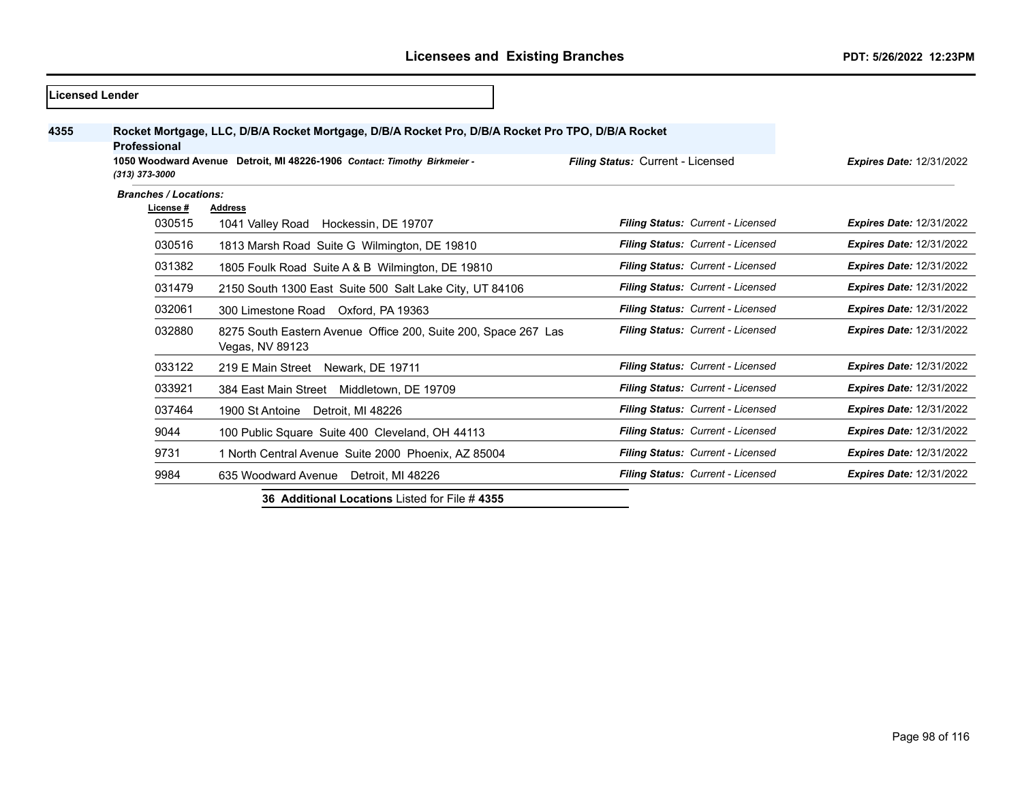|      | Licensed Lender                          |                                                                                                                                                                               |                                   |                                 |
|------|------------------------------------------|-------------------------------------------------------------------------------------------------------------------------------------------------------------------------------|-----------------------------------|---------------------------------|
| 4355 | <b>Professional</b><br>(313) 373-3000    | Rocket Mortgage, LLC, D/B/A Rocket Mortgage, D/B/A Rocket Pro, D/B/A Rocket Pro TPO, D/B/A Rocket<br>1050 Woodward Avenue Detroit, MI 48226-1906 Contact: Timothy Birkmeier - | Filing Status: Current - Licensed | <b>Expires Date: 12/31/2022</b> |
|      | <b>Branches / Locations:</b><br>License# | <b>Address</b>                                                                                                                                                                |                                   |                                 |
|      | 030515                                   | 1041 Valley Road Hockessin, DE 19707                                                                                                                                          | Filing Status: Current - Licensed | <b>Expires Date: 12/31/2022</b> |
|      | 030516                                   | 1813 Marsh Road Suite G Wilmington, DE 19810                                                                                                                                  | Filing Status: Current - Licensed | <b>Expires Date: 12/31/2022</b> |
|      | 031382                                   | 1805 Foulk Road Suite A & B Wilmington, DE 19810                                                                                                                              | Filing Status: Current - Licensed | <b>Expires Date: 12/31/2022</b> |
|      | 031479                                   | 2150 South 1300 East Suite 500 Salt Lake City, UT 84106                                                                                                                       | Filing Status: Current - Licensed | <b>Expires Date: 12/31/2022</b> |
|      | 032061                                   | 300 Limestone Road<br>Oxford, PA 19363                                                                                                                                        | Filing Status: Current - Licensed | <b>Expires Date: 12/31/2022</b> |
|      | 032880                                   | 8275 South Eastern Avenue Office 200, Suite 200, Space 267 Las<br>Vegas, NV 89123                                                                                             | Filing Status: Current - Licensed | <b>Expires Date: 12/31/2022</b> |
|      | 033122                                   | 219 E Main Street Newark, DE 19711                                                                                                                                            | Filing Status: Current - Licensed | <b>Expires Date: 12/31/2022</b> |
|      | 033921                                   | 384 East Main Street Middletown, DE 19709                                                                                                                                     | Filing Status: Current - Licensed | <b>Expires Date: 12/31/2022</b> |
|      | 037464                                   | 1900 St Antoine<br>Detroit, MI 48226                                                                                                                                          | Filing Status: Current - Licensed | <b>Expires Date: 12/31/2022</b> |
|      | 9044                                     | 100 Public Square Suite 400 Cleveland, OH 44113                                                                                                                               | Filing Status: Current - Licensed | <b>Expires Date: 12/31/2022</b> |
|      | 9731                                     | 1 North Central Avenue Suite 2000 Phoenix, AZ 85004                                                                                                                           | Filing Status: Current - Licensed | <b>Expires Date: 12/31/2022</b> |
|      | 9984                                     | 635 Woodward Avenue Detroit, MI 48226                                                                                                                                         | Filing Status: Current - Licensed | <b>Expires Date: 12/31/2022</b> |

**36 Additional Locations** Listed for File # **4355**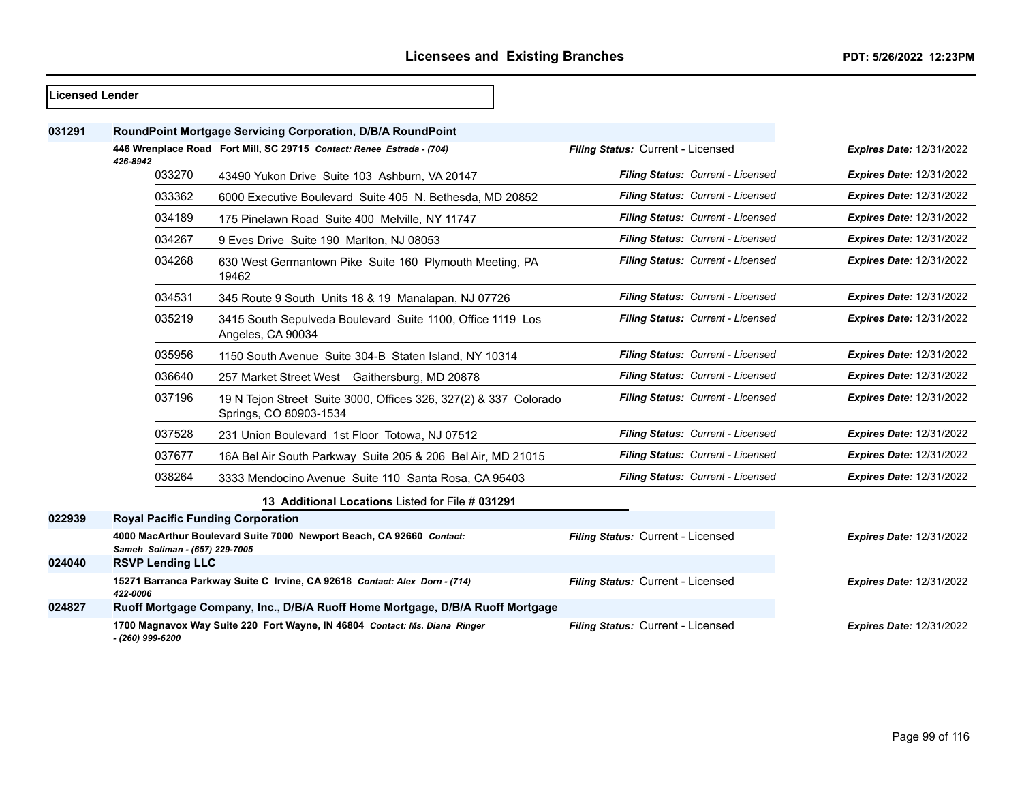- r

| Licensed Lender |                                          |                                                                                            |                                   |                                 |
|-----------------|------------------------------------------|--------------------------------------------------------------------------------------------|-----------------------------------|---------------------------------|
| 031291          |                                          | RoundPoint Mortgage Servicing Corporation, D/B/A RoundPoint                                |                                   |                                 |
|                 |                                          | 446 Wrenplace Road Fort Mill, SC 29715 Contact: Renee Estrada - (704)                      | Filing Status: Current - Licensed | <b>Expires Date: 12/31/2022</b> |
|                 | 426-8942<br>033270                       | 43490 Yukon Drive Suite 103 Ashburn, VA 20147                                              | Filing Status: Current - Licensed | <b>Expires Date: 12/31/2022</b> |
|                 | 033362                                   | 6000 Executive Boulevard Suite 405 N. Bethesda, MD 20852                                   | Filing Status: Current - Licensed | <b>Expires Date: 12/31/2022</b> |
|                 | 034189                                   | 175 Pinelawn Road Suite 400 Melville, NY 11747                                             | Filing Status: Current - Licensed | <b>Expires Date: 12/31/2022</b> |
|                 | 034267                                   | 9 Eves Drive Suite 190 Marlton, NJ 08053                                                   | Filing Status: Current - Licensed | <b>Expires Date: 12/31/2022</b> |
|                 | 034268                                   | 630 West Germantown Pike Suite 160 Plymouth Meeting, PA<br>19462                           | Filing Status: Current - Licensed | <b>Expires Date: 12/31/2022</b> |
|                 | 034531                                   | 345 Route 9 South Units 18 & 19 Manalapan, NJ 07726                                        | Filing Status: Current - Licensed | <b>Expires Date: 12/31/2022</b> |
|                 | 035219                                   | 3415 South Sepulveda Boulevard Suite 1100, Office 1119 Los<br>Angeles, CA 90034            | Filing Status: Current - Licensed | <b>Expires Date: 12/31/2022</b> |
|                 | 035956                                   | 1150 South Avenue Suite 304-B Staten Island, NY 10314                                      | Filing Status: Current - Licensed | <b>Expires Date: 12/31/2022</b> |
|                 | 036640                                   | 257 Market Street West Gaithersburg, MD 20878                                              | Filing Status: Current - Licensed | <b>Expires Date: 12/31/2022</b> |
|                 | 037196                                   | 19 N Tejon Street Suite 3000, Offices 326, 327(2) & 337 Colorado<br>Springs, CO 80903-1534 | Filing Status: Current - Licensed | <b>Expires Date: 12/31/2022</b> |
|                 | 037528                                   | 231 Union Boulevard 1st Floor Totowa, NJ 07512                                             | Filing Status: Current - Licensed | <b>Expires Date: 12/31/2022</b> |
|                 | 037677                                   | 16A Bel Air South Parkway Suite 205 & 206 Bel Air, MD 21015                                | Filing Status: Current - Licensed | <b>Expires Date: 12/31/2022</b> |
|                 | 038264                                   | 3333 Mendocino Avenue Suite 110 Santa Rosa, CA 95403                                       | Filing Status: Current - Licensed | <b>Expires Date: 12/31/2022</b> |
|                 |                                          | 13 Additional Locations Listed for File # 031291                                           |                                   |                                 |
| 022939          | <b>Royal Pacific Funding Corporation</b> |                                                                                            |                                   |                                 |
|                 | Sameh Soliman - (657) 229-7005           | 4000 MacArthur Boulevard Suite 7000 Newport Beach, CA 92660 Contact:                       | Filing Status: Current - Licensed | <b>Expires Date: 12/31/2022</b> |
| 024040          | <b>RSVP Lending LLC</b>                  |                                                                                            |                                   |                                 |
|                 | 422-0006                                 | 15271 Barranca Parkway Suite C Irvine, CA 92618 Contact: Alex Dorn - (714)                 | Filing Status: Current - Licensed | <b>Expires Date: 12/31/2022</b> |
| 024827          |                                          | Ruoff Mortgage Company, Inc., D/B/A Ruoff Home Mortgage, D/B/A Ruoff Mortgage              |                                   |                                 |
|                 | - (260) 999-6200                         | 1700 Magnavox Way Suite 220 Fort Wayne, IN 46804 Contact: Ms. Diana Ringer                 | Filing Status: Current - Licensed | <b>Expires Date: 12/31/2022</b> |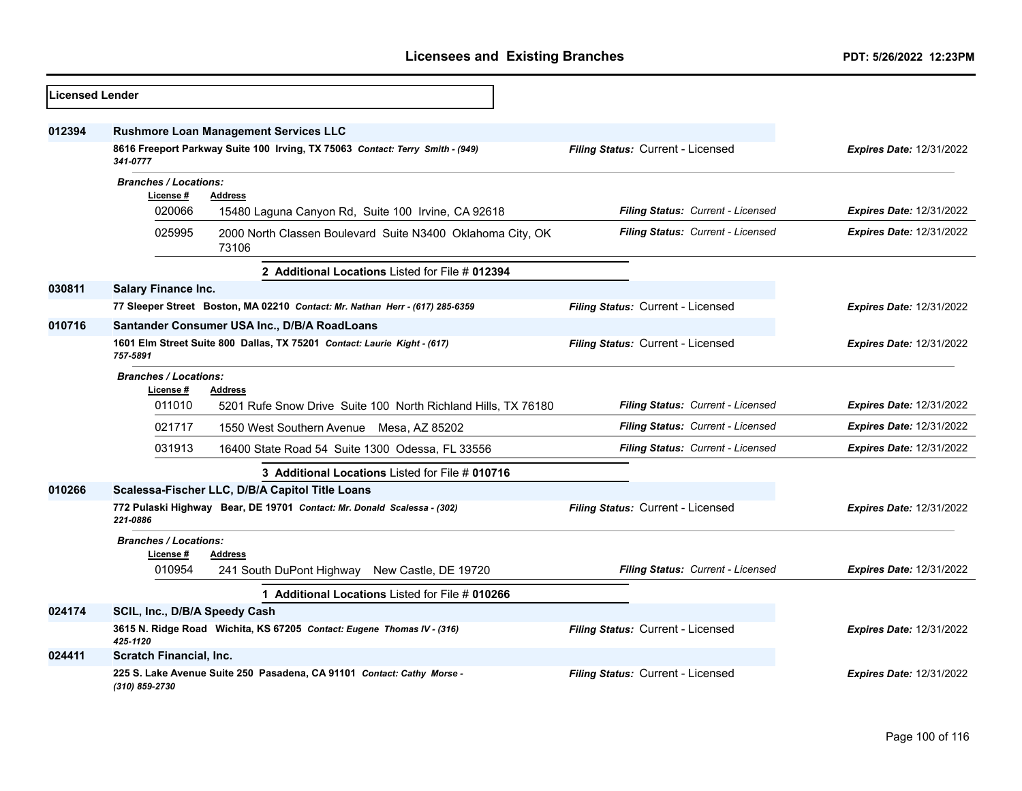| <b>Licensed Lender</b> |                                                                                           |                                   |                                 |
|------------------------|-------------------------------------------------------------------------------------------|-----------------------------------|---------------------------------|
| 012394                 | <b>Rushmore Loan Management Services LLC</b>                                              |                                   |                                 |
|                        | 8616 Freeport Parkway Suite 100 Irving, TX 75063 Contact: Terry Smith - (949)<br>341-0777 | Filing Status: Current - Licensed | <b>Expires Date: 12/31/2022</b> |
|                        | <b>Branches / Locations:</b><br>License #<br><b>Address</b>                               |                                   |                                 |
|                        | 020066<br>15480 Laguna Canyon Rd, Suite 100 Irvine, CA 92618                              | Filing Status: Current - Licensed | <b>Expires Date: 12/31/2022</b> |
|                        | 025995<br>2000 North Classen Boulevard Suite N3400 Oklahoma City, OK<br>73106             | Filing Status: Current - Licensed | <b>Expires Date: 12/31/2022</b> |
|                        | 2 Additional Locations Listed for File # 012394                                           |                                   |                                 |
| 030811                 | <b>Salary Finance Inc.</b>                                                                |                                   |                                 |
|                        | 77 Sleeper Street Boston, MA 02210 Contact: Mr. Nathan Herr - (617) 285-6359              | Filing Status: Current - Licensed | <b>Expires Date: 12/31/2022</b> |
| 010716                 | Santander Consumer USA Inc., D/B/A RoadLoans                                              |                                   |                                 |
|                        | 1601 Elm Street Suite 800 Dallas, TX 75201 Contact: Laurie Kight - (617)<br>757-5891      | Filing Status: Current - Licensed | <b>Expires Date: 12/31/2022</b> |
|                        | <b>Branches / Locations:</b><br><u>License #</u><br><b>Address</b>                        |                                   |                                 |
|                        | 011010<br>5201 Rufe Snow Drive Suite 100 North Richland Hills, TX 76180                   | Filing Status: Current - Licensed | <b>Expires Date: 12/31/2022</b> |
|                        | 021717<br>1550 West Southern Avenue Mesa, AZ 85202                                        | Filing Status: Current - Licensed | <b>Expires Date: 12/31/2022</b> |
|                        | 031913<br>16400 State Road 54 Suite 1300 Odessa, FL 33556                                 | Filing Status: Current - Licensed | <b>Expires Date: 12/31/2022</b> |
|                        | 3 Additional Locations Listed for File # 010716                                           |                                   |                                 |
| 010266                 | Scalessa-Fischer LLC, D/B/A Capitol Title Loans                                           |                                   |                                 |
|                        | 772 Pulaski Highway Bear, DE 19701 Contact: Mr. Donald Scalessa - (302)<br>221-0886       | Filing Status: Current - Licensed | <b>Expires Date: 12/31/2022</b> |
|                        | <b>Branches / Locations:</b><br>License #<br>Address                                      |                                   |                                 |
|                        | 010954<br>241 South DuPont Highway New Castle, DE 19720                                   | Filing Status: Current - Licensed | <b>Expires Date: 12/31/2022</b> |
|                        | 1 Additional Locations Listed for File # 010266                                           |                                   |                                 |
| 024174                 | SCIL, Inc., D/B/A Speedy Cash                                                             |                                   |                                 |
|                        | 3615 N. Ridge Road Wichita, KS 67205 Contact: Eugene Thomas IV - (316)<br>425-1120        | Filing Status: Current - Licensed | <b>Expires Date: 12/31/2022</b> |
| 024411                 | <b>Scratch Financial, Inc.</b>                                                            |                                   |                                 |
|                        | 225 S. Lake Avenue Suite 250 Pasadena, CA 91101 Contact: Cathy Morse -<br>(310) 859-2730  | Filing Status: Current - Licensed | <b>Expires Date: 12/31/2022</b> |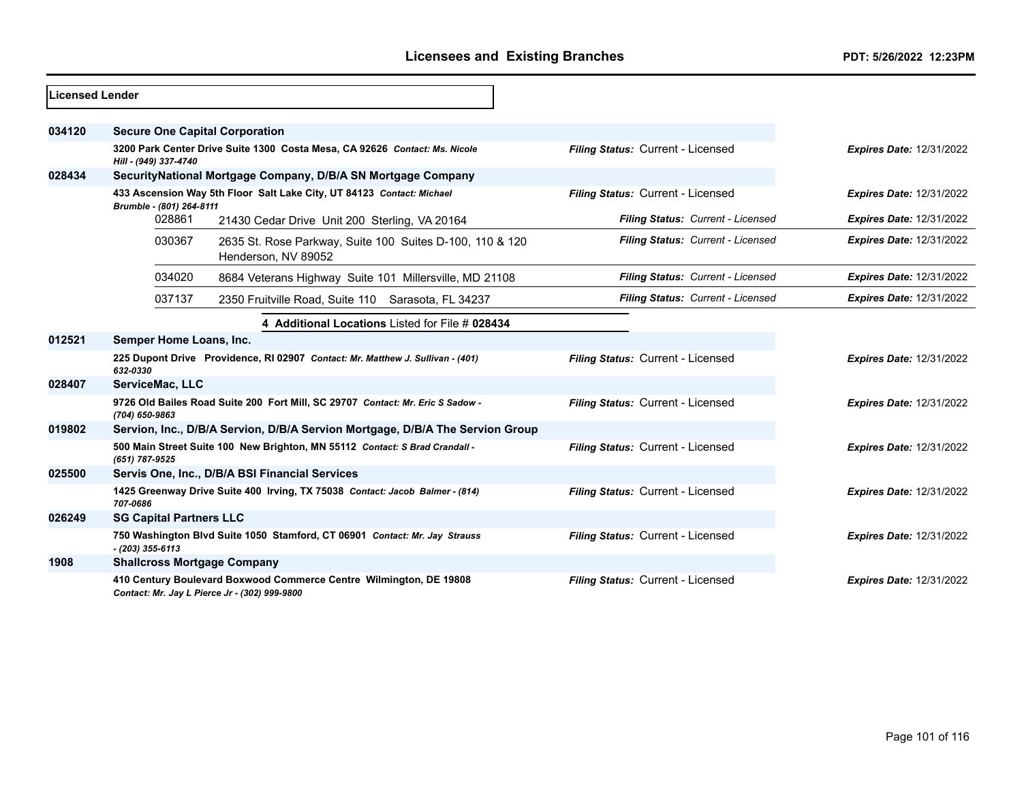| <b>Licensed Lender</b> |                                       |                                                                                                                     |                                   |                                 |
|------------------------|---------------------------------------|---------------------------------------------------------------------------------------------------------------------|-----------------------------------|---------------------------------|
| 034120                 | <b>Secure One Capital Corporation</b> |                                                                                                                     |                                   |                                 |
|                        | Hill - (949) 337-4740                 | 3200 Park Center Drive Suite 1300 Costa Mesa, CA 92626 Contact: Ms. Nicole                                          | Filing Status: Current - Licensed | <b>Expires Date: 12/31/2022</b> |
| 028434                 |                                       | SecurityNational Mortgage Company, D/B/A SN Mortgage Company                                                        |                                   |                                 |
|                        | Brumble - (801) 264-8111              | 433 Ascension Way 5th Floor Salt Lake City, UT 84123 Contact: Michael                                               | Filing Status: Current - Licensed | <b>Expires Date: 12/31/2022</b> |
|                        | 028861                                | 21430 Cedar Drive Unit 200 Sterling, VA 20164                                                                       | Filing Status: Current - Licensed | <b>Expires Date: 12/31/2022</b> |
|                        | 030367                                | 2635 St. Rose Parkway, Suite 100 Suites D-100, 110 & 120<br>Henderson, NV 89052                                     | Filing Status: Current - Licensed | <b>Expires Date: 12/31/2022</b> |
|                        | 034020                                | 8684 Veterans Highway Suite 101 Millersville, MD 21108                                                              | Filing Status: Current - Licensed | <b>Expires Date: 12/31/2022</b> |
|                        | 037137                                | 2350 Fruitville Road, Suite 110 Sarasota, FL 34237                                                                  | Filing Status: Current - Licensed | <b>Expires Date: 12/31/2022</b> |
|                        |                                       | 4 Additional Locations Listed for File # 028434                                                                     |                                   |                                 |
| 012521                 | Semper Home Loans, Inc.               |                                                                                                                     |                                   |                                 |
|                        | 632-0330                              | 225 Dupont Drive Providence, RI 02907 Contact: Mr. Matthew J. Sullivan - (401)                                      | Filing Status: Current - Licensed | <b>Expires Date: 12/31/2022</b> |
| 028407                 | ServiceMac, LLC                       |                                                                                                                     |                                   |                                 |
|                        | (704) 650-9863                        | 9726 Old Bailes Road Suite 200 Fort Mill, SC 29707 Contact: Mr. Eric S Sadow -                                      | Filing Status: Current - Licensed | <b>Expires Date: 12/31/2022</b> |
| 019802                 |                                       | Servion, Inc., D/B/A Servion, D/B/A Servion Mortgage, D/B/A The Servion Group                                       |                                   |                                 |
|                        | (651) 787-9525                        | 500 Main Street Suite 100 New Brighton, MN 55112 Contact: S Brad Crandall -                                         | Filing Status: Current - Licensed | <b>Expires Date: 12/31/2022</b> |
| 025500                 |                                       | Servis One, Inc., D/B/A BSI Financial Services                                                                      |                                   |                                 |
|                        | 707-0686                              | 1425 Greenway Drive Suite 400 Irving, TX 75038 Contact: Jacob Balmer - (814)                                        | Filing Status: Current - Licensed | <b>Expires Date: 12/31/2022</b> |
| 026249                 | <b>SG Capital Partners LLC</b>        |                                                                                                                     |                                   |                                 |
|                        | $- (203) 355 - 6113$                  | 750 Washington Blvd Suite 1050 Stamford, CT 06901 Contact: Mr. Jay Strauss                                          | Filing Status: Current - Licensed | <b>Expires Date: 12/31/2022</b> |
| 1908                   | <b>Shallcross Mortgage Company</b>    |                                                                                                                     |                                   |                                 |
|                        |                                       | 410 Century Boulevard Boxwood Commerce Centre Wilmington, DE 19808<br>Contact: Mr. Jay L Pierce Jr - (302) 999-9800 | Filing Status: Current - Licensed | <b>Expires Date: 12/31/2022</b> |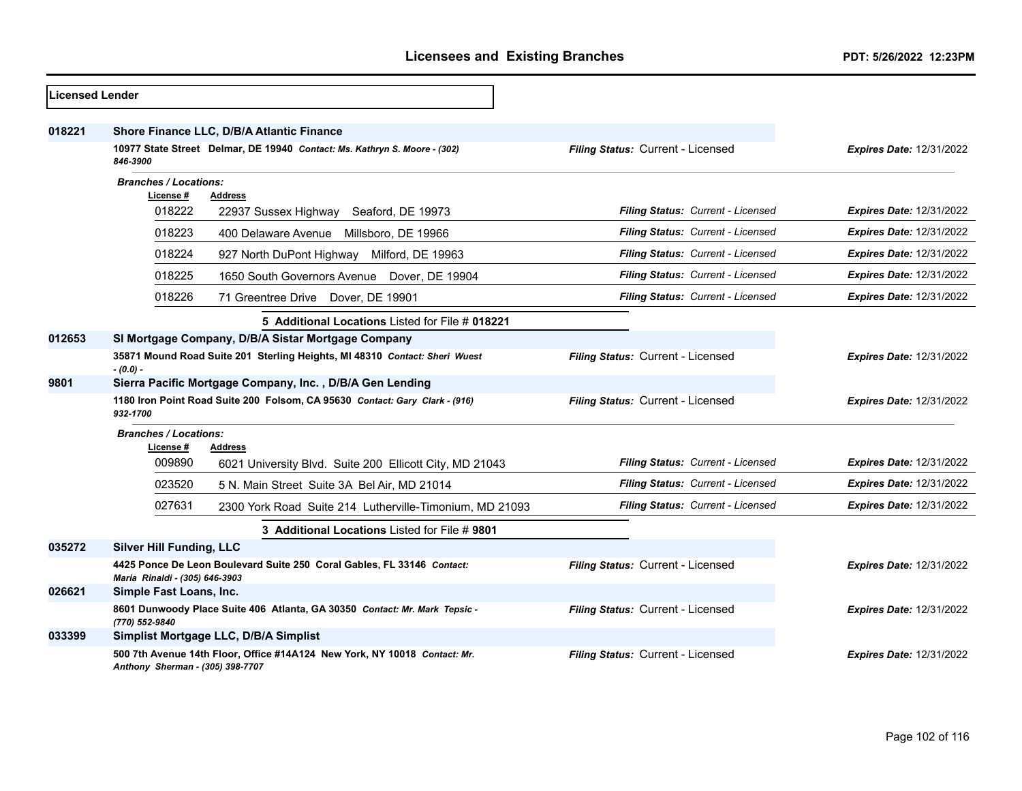| Licensed Lender |                                                                                                                        |                                   |                                 |
|-----------------|------------------------------------------------------------------------------------------------------------------------|-----------------------------------|---------------------------------|
| 018221          | Shore Finance LLC, D/B/A Atlantic Finance<br>10977 State Street Delmar, DE 19940 Contact: Ms. Kathryn S. Moore - (302) | Filing Status: Current - Licensed | <b>Expires Date: 12/31/2022</b> |
|                 | 846-3900                                                                                                               |                                   |                                 |
|                 | <b>Branches / Locations:</b><br>License #<br><b>Address</b>                                                            |                                   |                                 |
|                 | 018222<br>22937 Sussex Highway<br>Seaford, DE 19973                                                                    | Filing Status: Current - Licensed | <b>Expires Date: 12/31/2022</b> |
|                 | 018223<br>400 Delaware Avenue Millsboro, DE 19966                                                                      | Filing Status: Current - Licensed | <b>Expires Date: 12/31/2022</b> |
|                 | 018224<br>927 North DuPont Highway<br>Milford, DE 19963                                                                | Filing Status: Current - Licensed | <b>Expires Date: 12/31/2022</b> |
|                 | 018225<br>1650 South Governors Avenue Dover, DE 19904                                                                  | Filing Status: Current - Licensed | <b>Expires Date: 12/31/2022</b> |
|                 | 018226<br>71 Greentree Drive Dover, DE 19901                                                                           | Filing Status: Current - Licensed | <b>Expires Date: 12/31/2022</b> |
|                 | 5 Additional Locations Listed for File # 018221                                                                        |                                   |                                 |
| 012653          | SI Mortgage Company, D/B/A Sistar Mortgage Company                                                                     |                                   |                                 |
|                 | 35871 Mound Road Suite 201 Sterling Heights, MI 48310 Contact: Sheri Wuest<br>$-(0.0) -$                               | Filing Status: Current - Licensed | <b>Expires Date: 12/31/2022</b> |
| 9801            | Sierra Pacific Mortgage Company, Inc., D/B/A Gen Lending                                                               |                                   |                                 |
|                 | 1180 Iron Point Road Suite 200 Folsom, CA 95630 Contact: Gary Clark - (916)<br>932-1700                                | Filing Status: Current - Licensed | <b>Expires Date: 12/31/2022</b> |
|                 | <b>Branches / Locations:</b>                                                                                           |                                   |                                 |
|                 | License #<br><b>Address</b><br>009890<br>6021 University Blvd. Suite 200 Ellicott City, MD 21043                       | Filing Status: Current - Licensed | <b>Expires Date: 12/31/2022</b> |
|                 | 023520<br>5 N. Main Street Suite 3A Bel Air, MD 21014                                                                  | Filing Status: Current - Licensed | <b>Expires Date: 12/31/2022</b> |
|                 | 027631<br>2300 York Road Suite 214 Lutherville-Timonium, MD 21093                                                      | Filing Status: Current - Licensed | <b>Expires Date: 12/31/2022</b> |
|                 |                                                                                                                        |                                   |                                 |
| 035272          | 3 Additional Locations Listed for File # 9801<br><b>Silver Hill Funding, LLC</b>                                       |                                   |                                 |
|                 | 4425 Ponce De Leon Boulevard Suite 250 Coral Gables, FL 33146 Contact:                                                 | Filing Status: Current - Licensed | <b>Expires Date: 12/31/2022</b> |
| 026621          | Maria Rinaldi - (305) 646-3903<br>Simple Fast Loans, Inc.                                                              |                                   |                                 |
|                 | 8601 Dunwoody Place Suite 406 Atlanta, GA 30350 Contact: Mr. Mark Tepsic -<br>(770) 552-9840                           | Filing Status: Current - Licensed | <b>Expires Date: 12/31/2022</b> |
| 033399          | Simplist Mortgage LLC, D/B/A Simplist                                                                                  |                                   |                                 |
|                 | 500 7th Avenue 14th Floor, Office #14A124 New York, NY 10018 Contact: Mr.<br>Anthony Sherman - (305) 398-7707          | Filing Status: Current - Licensed | <b>Expires Date: 12/31/2022</b> |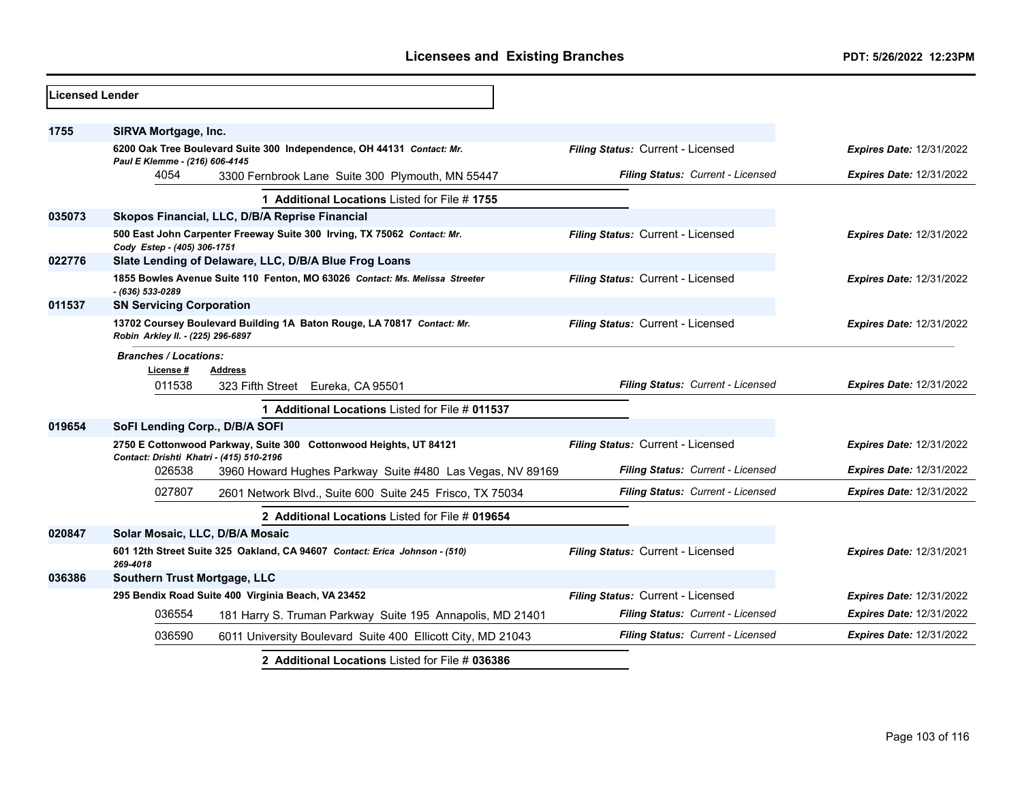| Licensed Lender |                                                     |                                                                             |                                   |                                 |
|-----------------|-----------------------------------------------------|-----------------------------------------------------------------------------|-----------------------------------|---------------------------------|
| 1755            | SIRVA Mortgage, Inc.                                |                                                                             |                                   |                                 |
|                 | Paul E Klemme - (216) 606-4145                      | 6200 Oak Tree Boulevard Suite 300 Independence, OH 44131 Contact: Mr.       | Filing Status: Current - Licensed | <b>Expires Date: 12/31/2022</b> |
|                 | 4054                                                | 3300 Fernbrook Lane Suite 300 Plymouth, MN 55447                            | Filing Status: Current - Licensed | <b>Expires Date: 12/31/2022</b> |
|                 |                                                     | 1 Additional Locations Listed for File # 1755                               |                                   |                                 |
| 035073          |                                                     | Skopos Financial, LLC, D/B/A Reprise Financial                              |                                   |                                 |
|                 | Cody Estep - (405) 306-1751                         | 500 East John Carpenter Freeway Suite 300 Irving, TX 75062 Contact: Mr.     | Filing Status: Current - Licensed | <b>Expires Date: 12/31/2022</b> |
| 022776          |                                                     | Slate Lending of Delaware, LLC, D/B/A Blue Frog Loans                       |                                   |                                 |
|                 | - (636) 533-0289                                    | 1855 Bowles Avenue Suite 110 Fenton, MO 63026 Contact: Ms. Melissa Streeter | Filing Status: Current - Licensed | <b>Expires Date: 12/31/2022</b> |
| 011537          | <b>SN Servicing Corporation</b>                     |                                                                             |                                   |                                 |
|                 | Robin Arkley II. - (225) 296-6897                   | 13702 Coursey Boulevard Building 1A Baton Rouge, LA 70817 Contact: Mr.      | Filing Status: Current - Licensed | <b>Expires Date: 12/31/2022</b> |
|                 | <b>Branches / Locations:</b><br>License #<br>011538 | <b>Address</b><br>323 Fifth Street Eureka, CA 95501                         | Filing Status: Current - Licensed | <b>Expires Date: 12/31/2022</b> |
|                 |                                                     |                                                                             |                                   |                                 |
|                 |                                                     | 1 Additional Locations Listed for File # 011537                             |                                   |                                 |
| 019654          | SoFI Lending Corp., D/B/A SOFI                      |                                                                             |                                   |                                 |
|                 | Contact: Drishti Khatri - (415) 510-2196            | 2750 E Cottonwood Parkway, Suite 300 Cottonwood Heights, UT 84121           | Filing Status: Current - Licensed | <b>Expires Date: 12/31/2022</b> |
|                 | 026538                                              | 3960 Howard Hughes Parkway Suite #480 Las Vegas, NV 89169                   | Filing Status: Current - Licensed | <b>Expires Date: 12/31/2022</b> |
|                 | 027807                                              | 2601 Network Blvd., Suite 600 Suite 245 Frisco, TX 75034                    | Filing Status: Current - Licensed | <b>Expires Date: 12/31/2022</b> |
|                 |                                                     | 2 Additional Locations Listed for File # 019654                             |                                   |                                 |
| 020847          | Solar Mosaic, LLC, D/B/A Mosaic                     |                                                                             |                                   |                                 |
|                 | 269-4018                                            | 601 12th Street Suite 325 Oakland, CA 94607 Contact: Erica Johnson - (510)  | Filing Status: Current - Licensed | Expires Date: 12/31/2021        |
| 036386          | Southern Trust Mortgage, LLC                        |                                                                             |                                   |                                 |
|                 |                                                     | 295 Bendix Road Suite 400 Virginia Beach, VA 23452                          | Filing Status: Current - Licensed | <b>Expires Date: 12/31/2022</b> |
|                 | 036554                                              | 181 Harry S. Truman Parkway Suite 195 Annapolis, MD 21401                   | Filing Status: Current - Licensed | <b>Expires Date: 12/31/2022</b> |
|                 | 036590                                              | 6011 University Boulevard Suite 400 Ellicott City, MD 21043                 | Filing Status: Current - Licensed | <b>Expires Date: 12/31/2022</b> |
|                 |                                                     | 2 Additional Locations Listed for File # 036386                             |                                   |                                 |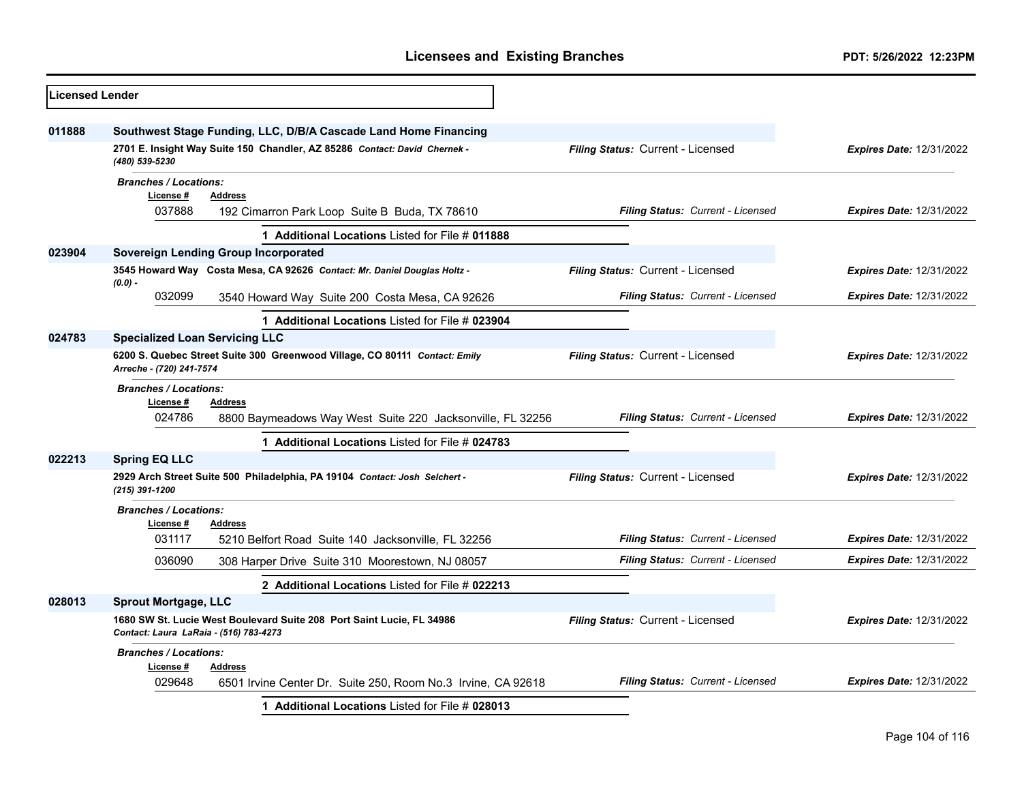| <b>Licensed Lender</b> |                                                                                                                 |                                                                                                                                              |                                          |                                 |
|------------------------|-----------------------------------------------------------------------------------------------------------------|----------------------------------------------------------------------------------------------------------------------------------------------|------------------------------------------|---------------------------------|
| 011888                 | (480) 539-5230                                                                                                  | Southwest Stage Funding, LLC, D/B/A Cascade Land Home Financing<br>2701 E. Insight Way Suite 150 Chandler, AZ 85286 Contact: David Chernek - | Filing Status: Current - Licensed        | Expires Date: 12/31/2022        |
|                        | <b>Branches / Locations:</b><br>License #<br>037888                                                             | <b>Address</b><br>192 Cimarron Park Loop Suite B Buda, TX 78610<br>1 Additional Locations Listed for File # 011888                           | <b>Filing Status: Current - Licensed</b> | <b>Expires Date: 12/31/2022</b> |
| 023904                 |                                                                                                                 | <b>Sovereign Lending Group Incorporated</b>                                                                                                  |                                          |                                 |
|                        | $(0.0) -$                                                                                                       | 3545 Howard Way Costa Mesa, CA 92626 Contact: Mr. Daniel Douglas Holtz -                                                                     | Filing Status: Current - Licensed        | <b>Expires Date: 12/31/2022</b> |
|                        | 032099                                                                                                          | 3540 Howard Way Suite 200 Costa Mesa, CA 92626                                                                                               | <b>Filing Status: Current - Licensed</b> | <b>Expires Date: 12/31/2022</b> |
|                        |                                                                                                                 | 1 Additional Locations Listed for File # 023904                                                                                              |                                          |                                 |
| 024783                 | <b>Specialized Loan Servicing LLC</b>                                                                           |                                                                                                                                              |                                          |                                 |
|                        | Arreche - (720) 241-7574                                                                                        | 6200 S. Quebec Street Suite 300 Greenwood Village, CO 80111 Contact: Emily                                                                   | Filing Status: Current - Licensed        | <b>Expires Date: 12/31/2022</b> |
|                        | <b>Branches / Locations:</b><br>License #<br>024786                                                             | Address<br>8800 Baymeadows Way West Suite 220 Jacksonville, FL 32256                                                                         | Filing Status: Current - Licensed        | <b>Expires Date: 12/31/2022</b> |
|                        |                                                                                                                 | 1 Additional Locations Listed for File # 024783                                                                                              |                                          |                                 |
| 022213                 | <b>Spring EQ LLC</b>                                                                                            |                                                                                                                                              |                                          |                                 |
|                        | (215) 391-1200                                                                                                  | 2929 Arch Street Suite 500 Philadelphia, PA 19104 Contact: Josh Selchert -                                                                   | Filing Status: Current - Licensed        | Expires Date: 12/31/2022        |
|                        | <b>Branches / Locations:</b><br>License #<br>031117                                                             | <b>Address</b><br>5210 Belfort Road Suite 140 Jacksonville, FL 32256                                                                         | Filing Status: Current - Licensed        | <b>Expires Date: 12/31/2022</b> |
|                        | 036090                                                                                                          | 308 Harper Drive Suite 310 Moorestown, NJ 08057                                                                                              | Filing Status: Current - Licensed        | <b>Expires Date: 12/31/2022</b> |
|                        |                                                                                                                 | 2 Additional Locations Listed for File # 022213                                                                                              |                                          |                                 |
| 028013                 | <b>Sprout Mortgage, LLC</b>                                                                                     |                                                                                                                                              |                                          |                                 |
|                        | 1680 SW St. Lucie West Boulevard Suite 208 Port Saint Lucie, FL 34986<br>Contact: Laura LaRaia - (516) 783-4273 |                                                                                                                                              | Filing Status: Current - Licensed        | <b>Expires Date: 12/31/2022</b> |
|                        | <b>Branches / Locations:</b><br>License #<br>029648                                                             | Address<br>6501 Irvine Center Dr. Suite 250, Room No.3 Irvine, CA 92618                                                                      | Filing Status: Current - Licensed        | Expires Date: 12/31/2022        |
|                        |                                                                                                                 | 1 Additional Locations Listed for File # 028013                                                                                              |                                          |                                 |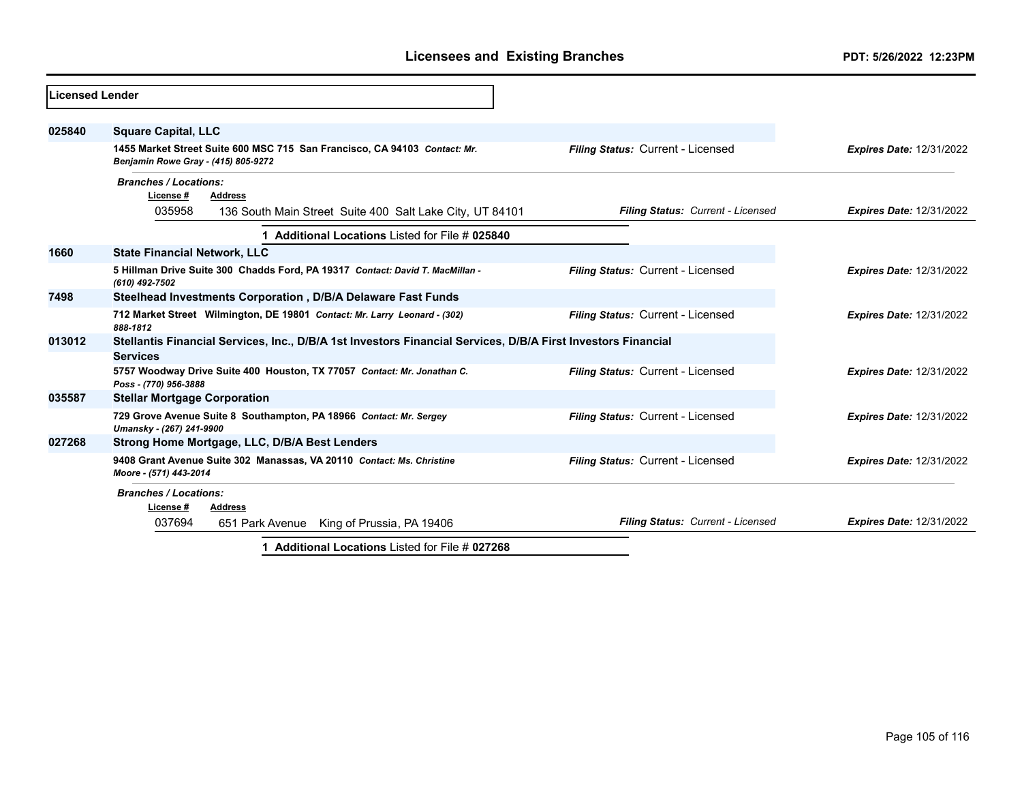| <b>Licensed Lender</b> |                                                                                                                                 |                                   |                                 |
|------------------------|---------------------------------------------------------------------------------------------------------------------------------|-----------------------------------|---------------------------------|
| 025840                 | <b>Square Capital, LLC</b>                                                                                                      |                                   |                                 |
|                        | 1455 Market Street Suite 600 MSC 715 San Francisco, CA 94103 Contact: Mr.<br>Benjamin Rowe Gray - (415) 805-9272                | Filing Status: Current - Licensed | <b>Expires Date: 12/31/2022</b> |
|                        | <b>Branches / Locations:</b>                                                                                                    |                                   |                                 |
|                        | License#<br><b>Address</b><br>035958<br>136 South Main Street Suite 400 Salt Lake City, UT 84101                                | Filing Status: Current - Licensed | <b>Expires Date: 12/31/2022</b> |
|                        | <b>Additional Locations Listed for File # 025840</b>                                                                            |                                   |                                 |
| 1660                   | <b>State Financial Network, LLC</b>                                                                                             |                                   |                                 |
|                        | 5 Hillman Drive Suite 300 Chadds Ford, PA 19317 Contact: David T. MacMillan -<br>(610) 492-7502                                 | Filing Status: Current - Licensed | <b>Expires Date: 12/31/2022</b> |
| 7498                   | Steelhead Investments Corporation, D/B/A Delaware Fast Funds                                                                    |                                   |                                 |
|                        | 712 Market Street Wilmington, DE 19801 Contact: Mr. Larry Leonard - (302)<br>888-1812                                           | Filing Status: Current - Licensed | <b>Expires Date: 12/31/2022</b> |
| 013012                 | Stellantis Financial Services, Inc., D/B/A 1st Investors Financial Services, D/B/A First Investors Financial<br><b>Services</b> |                                   |                                 |
|                        | 5757 Woodway Drive Suite 400 Houston, TX 77057 Contact: Mr. Jonathan C.<br>Poss - (770) 956-3888                                | Filing Status: Current - Licensed | <b>Expires Date: 12/31/2022</b> |
| 035587                 | <b>Stellar Mortgage Corporation</b>                                                                                             |                                   |                                 |
|                        | 729 Grove Avenue Suite 8 Southampton, PA 18966 Contact: Mr. Sergey<br>Umansky - (267) 241-9900                                  | Filing Status: Current - Licensed | <b>Expires Date: 12/31/2022</b> |
| 027268                 | Strong Home Mortgage, LLC, D/B/A Best Lenders                                                                                   |                                   |                                 |
|                        | 9408 Grant Avenue Suite 302 Manassas, VA 20110 Contact: Ms. Christine<br>Moore - (571) 443-2014                                 | Filing Status: Current - Licensed | <b>Expires Date: 12/31/2022</b> |
|                        | <b>Branches / Locations:</b><br>License#<br><b>Address</b>                                                                      |                                   |                                 |
|                        | 037694<br>King of Prussia, PA 19406<br>651 Park Avenue                                                                          | Filing Status: Current - Licensed | <b>Expires Date: 12/31/2022</b> |
|                        | 1 Additional Locations Listed for File # 027268                                                                                 |                                   |                                 |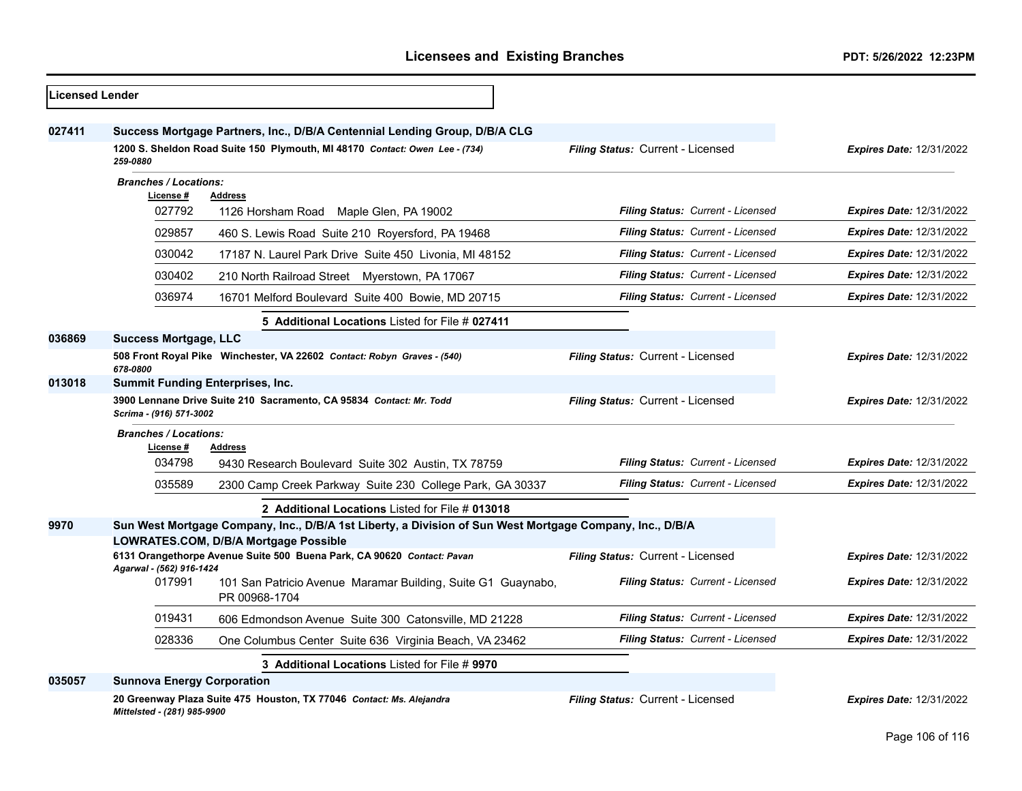| Licensed Lender |                                         |                                                                                                                                                           |                                          |                                 |
|-----------------|-----------------------------------------|-----------------------------------------------------------------------------------------------------------------------------------------------------------|------------------------------------------|---------------------------------|
| 027411          |                                         | Success Mortgage Partners, Inc., D/B/A Centennial Lending Group, D/B/A CLG<br>1200 S. Sheldon Road Suite 150 Plymouth, MI 48170 Contact: Owen Lee - (734) | Filing Status: Current - Licensed        | <b>Expires Date: 12/31/2022</b> |
|                 | 259-0880                                |                                                                                                                                                           |                                          |                                 |
|                 | <b>Branches / Locations:</b>            |                                                                                                                                                           |                                          |                                 |
|                 | License #<br>027792                     | <b>Address</b><br>1126 Horsham Road Maple Glen, PA 19002                                                                                                  | Filing Status: Current - Licensed        | <b>Expires Date: 12/31/2022</b> |
|                 | 029857                                  | 460 S. Lewis Road Suite 210 Royersford, PA 19468                                                                                                          | Filing Status: Current - Licensed        | <b>Expires Date: 12/31/2022</b> |
|                 | 030042                                  | 17187 N. Laurel Park Drive Suite 450 Livonia, MI 48152                                                                                                    | Filing Status: Current - Licensed        | Expires Date: 12/31/2022        |
|                 | 030402                                  | 210 North Railroad Street Myerstown, PA 17067                                                                                                             | Filing Status: Current - Licensed        | <b>Expires Date: 12/31/2022</b> |
|                 | 036974                                  | 16701 Melford Boulevard Suite 400 Bowie, MD 20715                                                                                                         | Filing Status: Current - Licensed        | <b>Expires Date: 12/31/2022</b> |
|                 |                                         | 5 Additional Locations Listed for File # 027411                                                                                                           |                                          |                                 |
| 036869          | <b>Success Mortgage, LLC</b>            |                                                                                                                                                           |                                          |                                 |
|                 | 678-0800                                | 508 Front Royal Pike Winchester, VA 22602 Contact: Robyn Graves - (540)                                                                                   | Filing Status: Current - Licensed        | <b>Expires Date: 12/31/2022</b> |
| 013018          | <b>Summit Funding Enterprises, Inc.</b> |                                                                                                                                                           |                                          |                                 |
|                 | Scrima - (916) 571-3002                 | 3900 Lennane Drive Suite 210 Sacramento, CA 95834 Contact: Mr. Todd                                                                                       | Filing Status: Current - Licensed        | <b>Expires Date: 12/31/2022</b> |
|                 | <b>Branches / Locations:</b>            |                                                                                                                                                           |                                          |                                 |
|                 | License #<br>034798                     | <b>Address</b>                                                                                                                                            | Filing Status: Current - Licensed        | <b>Expires Date: 12/31/2022</b> |
|                 | 035589                                  | 9430 Research Boulevard Suite 302 Austin, TX 78759<br>2300 Camp Creek Parkway Suite 230 College Park, GA 30337                                            | Filing Status: Current - Licensed        | <b>Expires Date: 12/31/2022</b> |
|                 |                                         |                                                                                                                                                           |                                          |                                 |
|                 |                                         | 2 Additional Locations Listed for File # 013018                                                                                                           |                                          |                                 |
| 9970            |                                         | Sun West Mortgage Company, Inc., D/B/A 1st Liberty, a Division of Sun West Mortgage Company, Inc., D/B/A<br>LOWRATES.COM, D/B/A Mortgage Possible         |                                          |                                 |
|                 |                                         | 6131 Orangethorpe Avenue Suite 500 Buena Park, CA 90620 Contact: Pavan                                                                                    | Filing Status: Current - Licensed        | <b>Expires Date: 12/31/2022</b> |
|                 | Agarwal - (562) 916-1424<br>017991      | 101 San Patricio Avenue Maramar Building, Suite G1 Guaynabo,<br>PR 00968-1704                                                                             | <b>Filing Status: Current - Licensed</b> | <b>Expires Date: 12/31/2022</b> |
|                 | 019431                                  | 606 Edmondson Avenue Suite 300 Catonsville, MD 21228                                                                                                      | Filing Status: Current - Licensed        | <b>Expires Date: 12/31/2022</b> |
|                 | 028336                                  | One Columbus Center Suite 636 Virginia Beach, VA 23462                                                                                                    | <b>Filing Status: Current - Licensed</b> | <b>Expires Date: 12/31/2022</b> |
|                 |                                         | 3 Additional Locations Listed for File # 9970                                                                                                             |                                          |                                 |
| 035057          | <b>Sunnova Energy Corporation</b>       |                                                                                                                                                           |                                          |                                 |
|                 | Mittelsted - (281) 985-9900             | 20 Greenway Plaza Suite 475 Houston, TX 77046 Contact: Ms. Alejandra                                                                                      | Filing Status: Current - Licensed        | <b>Expires Date: 12/31/2022</b> |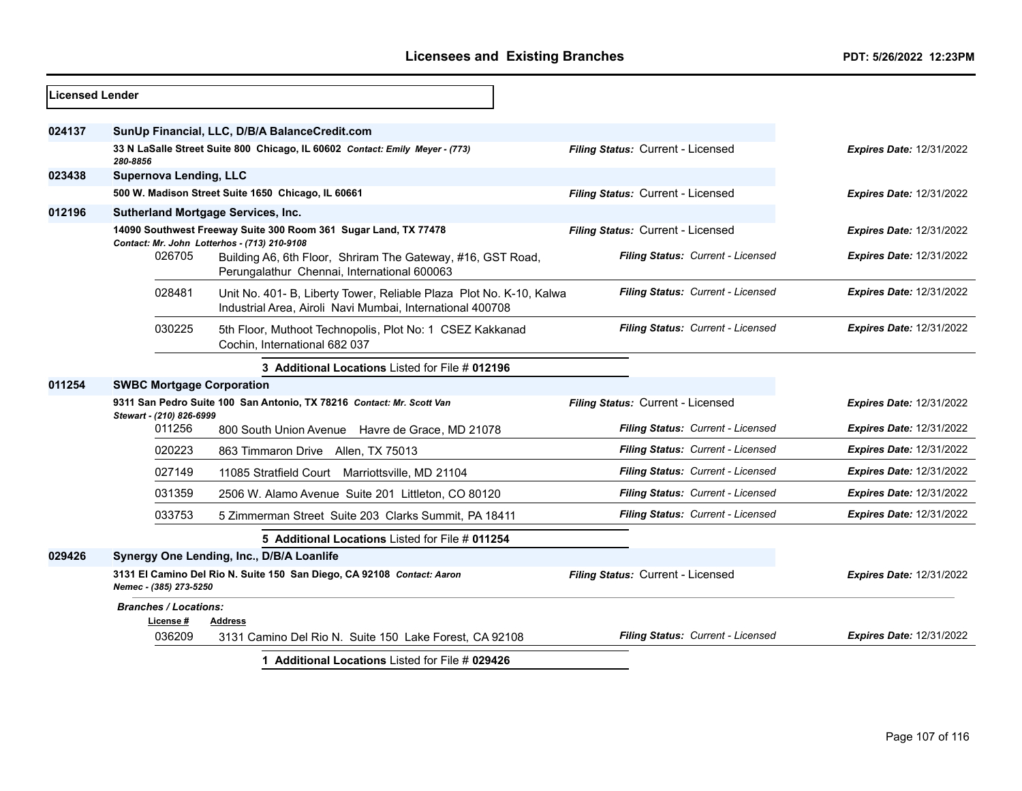| <b>Licensed Lender</b> |                                           |                                                                                                                                  |                                   |                                 |
|------------------------|-------------------------------------------|----------------------------------------------------------------------------------------------------------------------------------|-----------------------------------|---------------------------------|
| 024137                 |                                           | SunUp Financial, LLC, D/B/A BalanceCredit.com                                                                                    |                                   |                                 |
|                        | 280-8856                                  | 33 N LaSalle Street Suite 800 Chicago, IL 60602 Contact: Emily Meyer - (773)                                                     | Filing Status: Current - Licensed | <b>Expires Date: 12/31/2022</b> |
| 023438                 | <b>Supernova Lending, LLC</b>             |                                                                                                                                  |                                   |                                 |
|                        |                                           | 500 W. Madison Street Suite 1650 Chicago, IL 60661                                                                               | Filing Status: Current - Licensed | <b>Expires Date: 12/31/2022</b> |
| 012196                 |                                           | <b>Sutherland Mortgage Services, Inc.</b>                                                                                        |                                   |                                 |
|                        |                                           | 14090 Southwest Freeway Suite 300 Room 361 Sugar Land, TX 77478<br>Contact: Mr. John Lotterhos - (713) 210-9108                  | Filing Status: Current - Licensed | <b>Expires Date: 12/31/2022</b> |
|                        | 026705                                    | Building A6, 6th Floor, Shriram The Gateway, #16, GST Road,<br>Perungalathur Chennai, International 600063                       | Filing Status: Current - Licensed | <b>Expires Date: 12/31/2022</b> |
|                        | 028481                                    | Unit No. 401- B, Liberty Tower, Reliable Plaza Plot No. K-10, Kalwa<br>Industrial Area, Airoli Navi Mumbai, International 400708 | Filing Status: Current - Licensed | Expires Date: 12/31/2022        |
|                        | 030225                                    | 5th Floor, Muthoot Technopolis, Plot No: 1 CSEZ Kakkanad<br>Cochin, International 682 037                                        | Filing Status: Current - Licensed | Expires Date: 12/31/2022        |
|                        |                                           | 3 Additional Locations Listed for File # 012196                                                                                  |                                   |                                 |
| 011254                 | <b>SWBC Mortgage Corporation</b>          |                                                                                                                                  |                                   |                                 |
|                        | Stewart - (210) 826-6999                  | 9311 San Pedro Suite 100 San Antonio, TX 78216 Contact: Mr. Scott Van                                                            | Filing Status: Current - Licensed | <b>Expires Date: 12/31/2022</b> |
|                        | 011256                                    | 800 South Union Avenue Havre de Grace, MD 21078                                                                                  | Filing Status: Current - Licensed | <b>Expires Date: 12/31/2022</b> |
|                        | 020223                                    | 863 Timmaron Drive Allen, TX 75013                                                                                               | Filing Status: Current - Licensed | <b>Expires Date: 12/31/2022</b> |
|                        | 027149                                    | 11085 Stratfield Court Marriottsville, MD 21104                                                                                  | Filing Status: Current - Licensed | <b>Expires Date: 12/31/2022</b> |
|                        | 031359                                    | 2506 W. Alamo Avenue Suite 201 Littleton, CO 80120                                                                               | Filing Status: Current - Licensed | <b>Expires Date: 12/31/2022</b> |
|                        | 033753                                    | 5 Zimmerman Street Suite 203 Clarks Summit, PA 18411                                                                             | Filing Status: Current - Licensed | <b>Expires Date: 12/31/2022</b> |
|                        |                                           | 5 Additional Locations Listed for File # 011254                                                                                  |                                   |                                 |
| 029426                 |                                           | Synergy One Lending, Inc., D/B/A Loanlife                                                                                        |                                   |                                 |
|                        | Nemec - (385) 273-5250                    | 3131 El Camino Del Rio N. Suite 150 San Diego, CA 92108 Contact: Aaron                                                           | Filing Status: Current - Licensed | <b>Expires Date: 12/31/2022</b> |
|                        | <b>Branches / Locations:</b><br>License # | <b>Address</b>                                                                                                                   |                                   |                                 |
|                        | 036209                                    | 3131 Camino Del Rio N. Suite 150 Lake Forest, CA 92108                                                                           | Filing Status: Current - Licensed | <b>Expires Date: 12/31/2022</b> |
|                        |                                           | 1 Additional Locations Listed for File # 029426                                                                                  |                                   |                                 |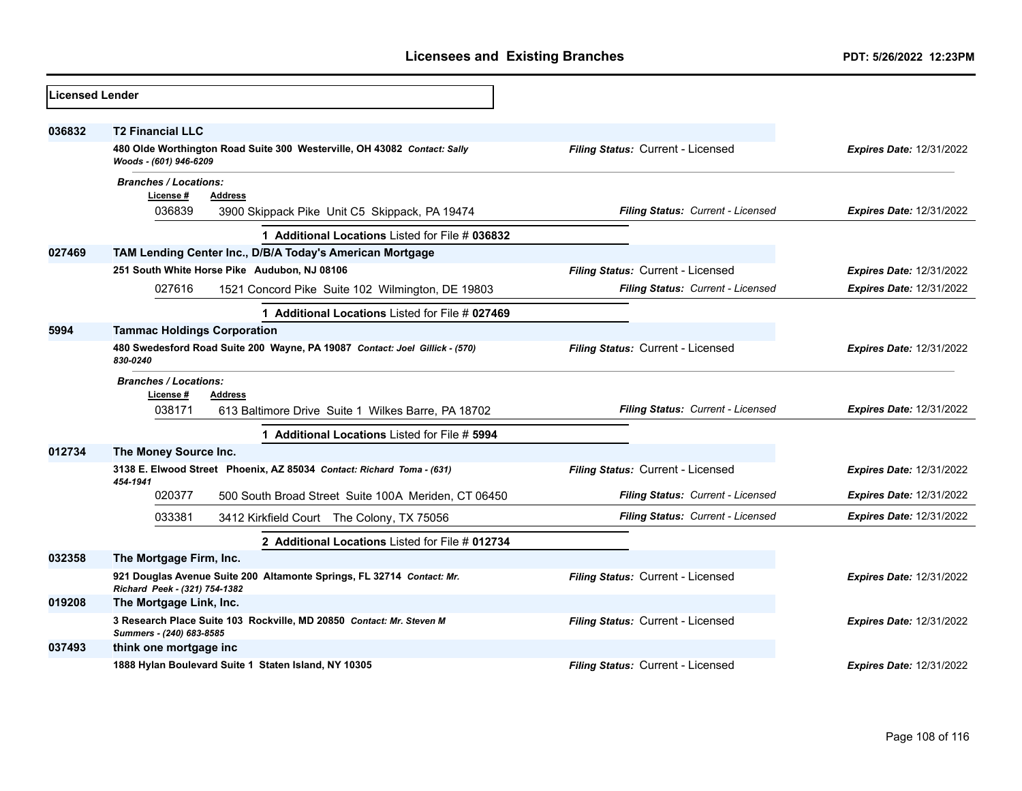| <b>Licensed Lender</b> |                                                                                                        |                                   |                                 |
|------------------------|--------------------------------------------------------------------------------------------------------|-----------------------------------|---------------------------------|
| 036832                 | <b>T2 Financial LLC</b>                                                                                |                                   |                                 |
|                        | 480 Olde Worthington Road Suite 300 Westerville, OH 43082 Contact: Sally<br>Woods - (601) 946-6209     | Filing Status: Current - Licensed | <b>Expires Date: 12/31/2022</b> |
|                        | <b>Branches / Locations:</b><br>License #                                                              |                                   |                                 |
|                        | <b>Address</b><br>036839<br>3900 Skippack Pike Unit C5 Skippack, PA 19474                              | Filing Status: Current - Licensed | <b>Expires Date: 12/31/2022</b> |
|                        | 1 Additional Locations Listed for File # 036832                                                        |                                   |                                 |
| 027469                 | TAM Lending Center Inc., D/B/A Today's American Mortgage                                               |                                   |                                 |
|                        | 251 South White Horse Pike Audubon, NJ 08106                                                           | Filing Status: Current - Licensed | <b>Expires Date: 12/31/2022</b> |
|                        | 027616<br>1521 Concord Pike Suite 102 Wilmington, DE 19803                                             | Filing Status: Current - Licensed | <b>Expires Date: 12/31/2022</b> |
|                        | 1 Additional Locations Listed for File # 027469                                                        |                                   |                                 |
| 5994                   | <b>Tammac Holdings Corporation</b>                                                                     |                                   |                                 |
|                        | 480 Swedesford Road Suite 200 Wayne, PA 19087 Contact: Joel Gillick - (570)<br>830-0240                | Filing Status: Current - Licensed | Expires Date: 12/31/2022        |
|                        | <b>Branches / Locations:</b>                                                                           |                                   |                                 |
|                        | License #<br><b>Address</b><br>038171<br>613 Baltimore Drive Suite 1 Wilkes Barre, PA 18702            | Filing Status: Current - Licensed | <b>Expires Date: 12/31/2022</b> |
|                        | Additional Locations Listed for File # 5994                                                            |                                   |                                 |
| 012734                 | The Money Source Inc.                                                                                  |                                   |                                 |
|                        | 3138 E. Elwood Street Phoenix, AZ 85034 Contact: Richard Toma - (631)<br>454-1941                      | Filing Status: Current - Licensed | <b>Expires Date: 12/31/2022</b> |
|                        | 020377<br>500 South Broad Street Suite 100A Meriden, CT 06450                                          | Filing Status: Current - Licensed | <b>Expires Date: 12/31/2022</b> |
|                        | 033381<br>3412 Kirkfield Court The Colony, TX 75056                                                    | Filing Status: Current - Licensed | <b>Expires Date: 12/31/2022</b> |
|                        | 2 Additional Locations Listed for File # 012734                                                        |                                   |                                 |
| 032358                 | The Mortgage Firm, Inc.                                                                                |                                   |                                 |
|                        | 921 Douglas Avenue Suite 200 Altamonte Springs, FL 32714 Contact: Mr.<br>Richard Peek - (321) 754-1382 | Filing Status: Current - Licensed | <b>Expires Date: 12/31/2022</b> |
| 019208                 | The Mortgage Link, Inc.                                                                                |                                   |                                 |
|                        | 3 Research Place Suite 103 Rockville, MD 20850 Contact: Mr. Steven M<br>Summers - (240) 683-8585       | Filing Status: Current - Licensed | <b>Expires Date: 12/31/2022</b> |
| 037493                 | think one mortgage inc                                                                                 |                                   |                                 |
|                        | 1888 Hylan Boulevard Suite 1 Staten Island, NY 10305                                                   | Filing Status: Current - Licensed | <b>Expires Date: 12/31/2022</b> |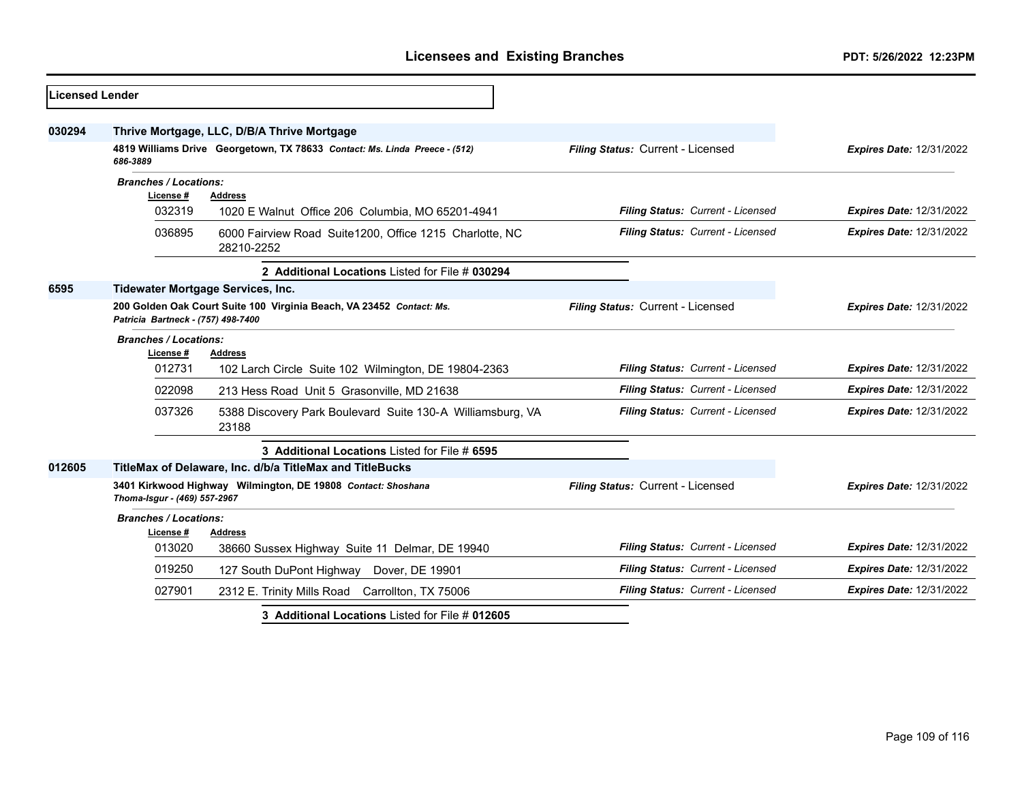| <b>Licensed Lender</b> |                                           |                                                                            |                                   |                                 |
|------------------------|-------------------------------------------|----------------------------------------------------------------------------|-----------------------------------|---------------------------------|
| 030294                 |                                           | Thrive Mortgage, LLC, D/B/A Thrive Mortgage                                |                                   |                                 |
|                        | 686-3889                                  | 4819 Williams Drive Georgetown, TX 78633 Contact: Ms. Linda Preece - (512) | Filing Status: Current - Licensed | <b>Expires Date: 12/31/2022</b> |
|                        | <b>Branches / Locations:</b><br>License # | Address                                                                    |                                   |                                 |
|                        | 032319                                    | 1020 E Walnut Office 206 Columbia, MO 65201-4941                           | Filing Status: Current - Licensed | <b>Expires Date: 12/31/2022</b> |
|                        | 036895                                    | 6000 Fairview Road Suite1200, Office 1215 Charlotte, NC<br>28210-2252      | Filing Status: Current - Licensed | <b>Expires Date: 12/31/2022</b> |
|                        |                                           | 2 Additional Locations Listed for File # 030294                            |                                   |                                 |
| 6595                   |                                           | <b>Tidewater Mortgage Services, Inc.</b>                                   |                                   |                                 |
|                        | Patricia Bartneck - (757) 498-7400        | 200 Golden Oak Court Suite 100 Virginia Beach, VA 23452 Contact: Ms.       | Filing Status: Current - Licensed | <b>Expires Date: 12/31/2022</b> |
|                        | <b>Branches / Locations:</b><br>License # | <b>Address</b>                                                             |                                   |                                 |
|                        | 012731                                    | 102 Larch Circle Suite 102 Wilmington, DE 19804-2363                       | Filing Status: Current - Licensed | <b>Expires Date: 12/31/2022</b> |
|                        | 022098                                    | 213 Hess Road Unit 5 Grasonville, MD 21638                                 | Filing Status: Current - Licensed | <b>Expires Date: 12/31/2022</b> |
|                        | 037326                                    | 5388 Discovery Park Boulevard Suite 130-A Williamsburg, VA<br>23188        | Filing Status: Current - Licensed | <b>Expires Date: 12/31/2022</b> |
|                        |                                           | 3 Additional Locations Listed for File # 6595                              |                                   |                                 |
| 012605                 |                                           | TitleMax of Delaware, Inc. d/b/a TitleMax and TitleBucks                   |                                   |                                 |
|                        | Thoma-Isgur - (469) 557-2967              | 3401 Kirkwood Highway Wilmington, DE 19808 Contact: Shoshana               | Filing Status: Current - Licensed | <b>Expires Date: 12/31/2022</b> |
|                        | <b>Branches / Locations:</b><br>License#  | <b>Address</b>                                                             |                                   |                                 |
|                        | 013020                                    | 38660 Sussex Highway Suite 11 Delmar, DE 19940                             | Filing Status: Current - Licensed | <b>Expires Date: 12/31/2022</b> |
|                        | 019250                                    | 127 South DuPont Highway Dover, DE 19901                                   | Filing Status: Current - Licensed | <b>Expires Date: 12/31/2022</b> |
|                        | 027901                                    | 2312 E. Trinity Mills Road Carrollton, TX 75006                            | Filing Status: Current - Licensed | <b>Expires Date: 12/31/2022</b> |
|                        |                                           | 3 Additional Locations Listed for File # 012605                            |                                   |                                 |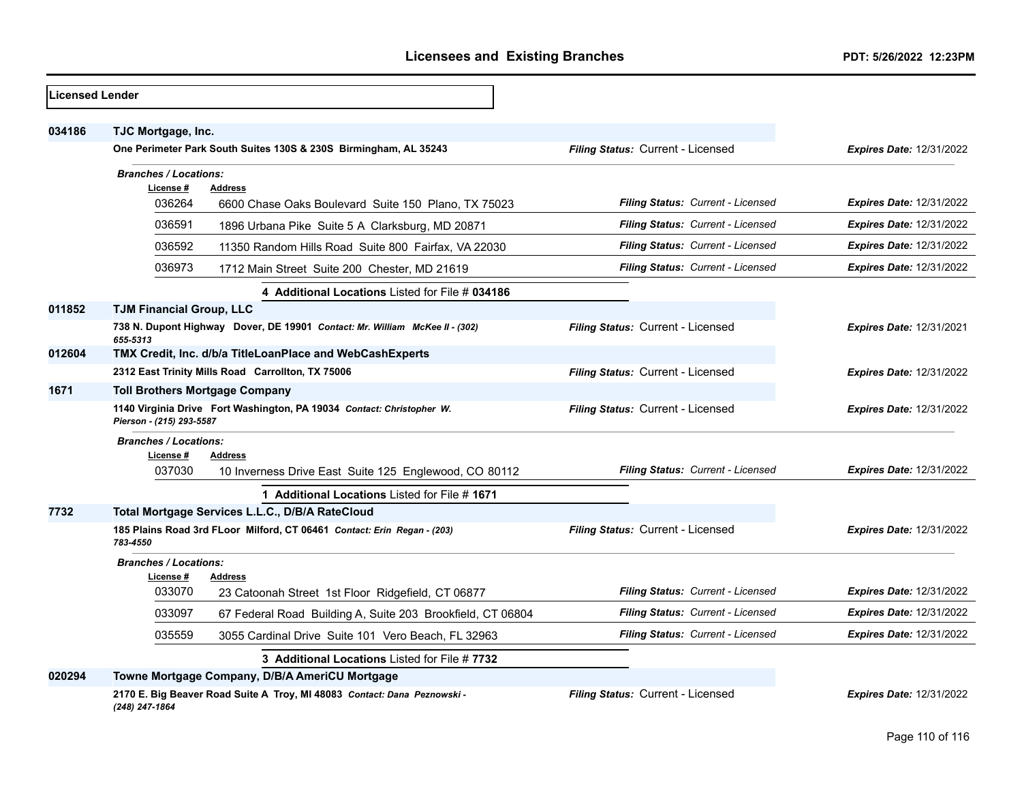| <b>Licensed Lender</b> |                                                                                                   |                                          |                                 |
|------------------------|---------------------------------------------------------------------------------------------------|------------------------------------------|---------------------------------|
| 034186                 | TJC Mortgage, Inc.                                                                                |                                          |                                 |
|                        | One Perimeter Park South Suites 130S & 230S Birmingham, AL 35243                                  | Filing Status: Current - Licensed        | Expires Date: 12/31/2022        |
|                        | <b>Branches / Locations:</b>                                                                      |                                          |                                 |
|                        | License #<br><b>Address</b><br>036264<br>6600 Chase Oaks Boulevard Suite 150 Plano, TX 75023      | Filing Status: Current - Licensed        | <b>Expires Date: 12/31/2022</b> |
|                        | 036591                                                                                            | Filing Status: Current - Licensed        | <b>Expires Date: 12/31/2022</b> |
|                        | 1896 Urbana Pike Suite 5 A Clarksburg, MD 20871                                                   |                                          |                                 |
|                        | 036592<br>11350 Random Hills Road Suite 800 Fairfax, VA 22030                                     | <b>Filing Status: Current - Licensed</b> | <b>Expires Date: 12/31/2022</b> |
|                        | 036973<br>1712 Main Street Suite 200 Chester, MD 21619                                            | <b>Filing Status: Current - Licensed</b> | <b>Expires Date: 12/31/2022</b> |
|                        | 4 Additional Locations Listed for File # 034186                                                   |                                          |                                 |
| 011852                 | <b>TJM Financial Group, LLC</b>                                                                   |                                          |                                 |
|                        | 738 N. Dupont Highway Dover, DE 19901 Contact: Mr. William McKee II - (302)<br>655-5313           | Filing Status: Current - Licensed        | <b>Expires Date: 12/31/2021</b> |
| 012604                 | TMX Credit, Inc. d/b/a TitleLoanPlace and WebCashExperts                                          |                                          |                                 |
|                        | 2312 East Trinity Mills Road Carrollton, TX 75006                                                 | Filing Status: Current - Licensed        | <b>Expires Date: 12/31/2022</b> |
| 1671                   | <b>Toll Brothers Mortgage Company</b>                                                             |                                          |                                 |
|                        | 1140 Virginia Drive Fort Washington, PA 19034 Contact: Christopher W.<br>Pierson - (215) 293-5587 | Filing Status: Current - Licensed        | <b>Expires Date: 12/31/2022</b> |
|                        | <b>Branches / Locations:</b>                                                                      |                                          |                                 |
|                        | License #<br>Address<br>037030                                                                    | Filing Status: Current - Licensed        | <b>Expires Date: 12/31/2022</b> |
|                        | 10 Inverness Drive East Suite 125 Englewood, CO 80112                                             |                                          |                                 |
|                        | 1 Additional Locations Listed for File # 1671                                                     |                                          |                                 |
| 7732                   | Total Mortgage Services L.L.C., D/B/A RateCloud                                                   |                                          |                                 |
|                        | 185 Plains Road 3rd FLoor Milford, CT 06461 Contact: Erin Regan - (203)<br>783-4550               | Filing Status: Current - Licensed        | <b>Expires Date: 12/31/2022</b> |
|                        | <b>Branches / Locations:</b>                                                                      |                                          |                                 |
|                        | License#<br><b>Address</b>                                                                        |                                          |                                 |
|                        | 033070<br>23 Catoonah Street 1st Floor Ridgefield, CT 06877                                       | Filing Status: Current - Licensed        | <b>Expires Date: 12/31/2022</b> |
|                        | 033097<br>67 Federal Road Building A, Suite 203 Brookfield, CT 06804                              | Filing Status: Current - Licensed        | <b>Expires Date: 12/31/2022</b> |
|                        | 035559<br>3055 Cardinal Drive Suite 101 Vero Beach, FL 32963                                      | <b>Filing Status: Current - Licensed</b> | <b>Expires Date: 12/31/2022</b> |
|                        | 3 Additional Locations Listed for File #7732                                                      |                                          |                                 |
| 020294                 | Towne Mortgage Company, D/B/A AmeriCU Mortgage                                                    |                                          |                                 |
|                        | 2170 E. Big Beaver Road Suite A Troy, MI 48083 Contact: Dana Peznowski -<br>(248) 247-1864        | Filing Status: Current - Licensed        | <b>Expires Date: 12/31/2022</b> |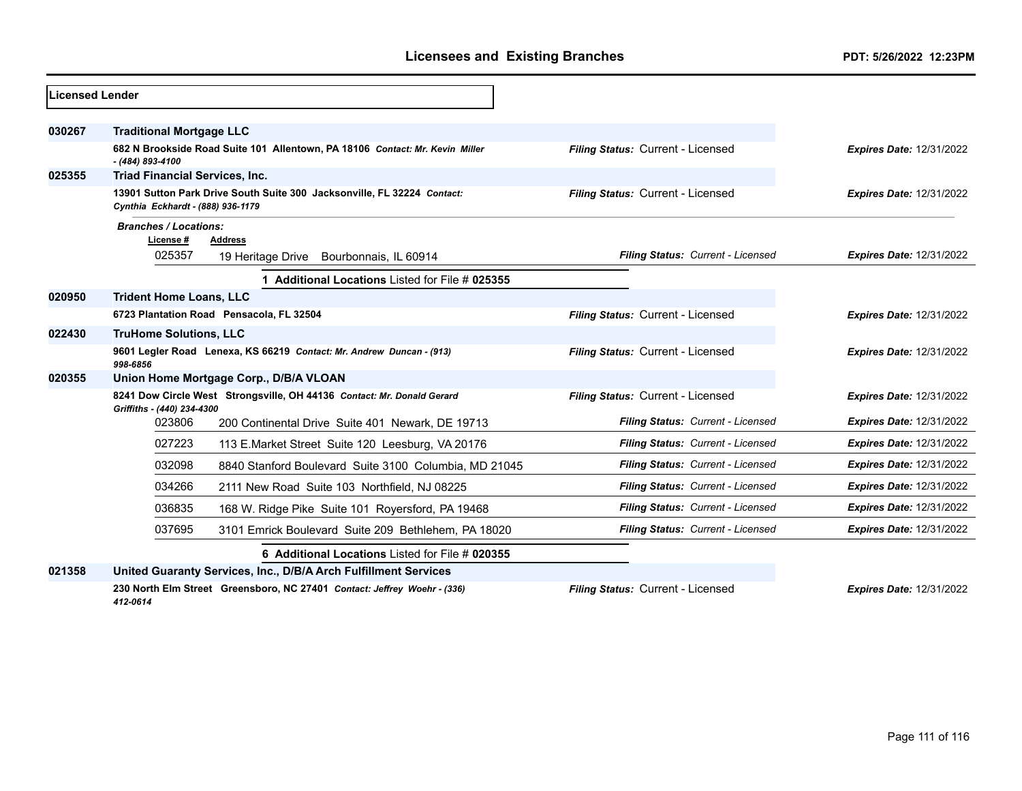| <b>Licensed Lender</b> |                                       |                                                                              |                                   |                                 |
|------------------------|---------------------------------------|------------------------------------------------------------------------------|-----------------------------------|---------------------------------|
|                        |                                       |                                                                              |                                   |                                 |
| 030267                 | <b>Traditional Mortgage LLC</b>       |                                                                              |                                   |                                 |
|                        | $- (484) 893 - 4100$                  | 682 N Brookside Road Suite 101 Allentown, PA 18106 Contact: Mr. Kevin Miller | Filing Status: Current - Licensed | <b>Expires Date: 12/31/2022</b> |
| 025355                 | <b>Triad Financial Services, Inc.</b> |                                                                              |                                   |                                 |
|                        | Cynthia Eckhardt - (888) 936-1179     | 13901 Sutton Park Drive South Suite 300 Jacksonville, FL 32224 Contact:      | Filing Status: Current - Licensed | <b>Expires Date: 12/31/2022</b> |
|                        | <b>Branches / Locations:</b>          |                                                                              |                                   |                                 |
|                        | License #                             | <b>Address</b>                                                               |                                   |                                 |
|                        | 025357                                | 19 Heritage Drive Bourbonnais, IL 60914                                      | Filing Status: Current - Licensed | <b>Expires Date: 12/31/2022</b> |
|                        |                                       | 1 Additional Locations Listed for File # 025355                              |                                   |                                 |
| 020950                 | <b>Trident Home Loans, LLC</b>        |                                                                              |                                   |                                 |
|                        |                                       | 6723 Plantation Road Pensacola, FL 32504                                     | Filing Status: Current - Licensed | <b>Expires Date: 12/31/2022</b> |
| 022430                 | <b>TruHome Solutions, LLC</b>         |                                                                              |                                   |                                 |
|                        | 998-6856                              | 9601 Legler Road Lenexa, KS 66219 Contact: Mr. Andrew Duncan - (913)         | Filing Status: Current - Licensed | <b>Expires Date: 12/31/2022</b> |
| 020355                 |                                       | Union Home Mortgage Corp., D/B/A VLOAN                                       |                                   |                                 |
|                        | Griffiths - (440) 234-4300            | 8241 Dow Circle West Strongsville, OH 44136 Contact: Mr. Donald Gerard       | Filing Status: Current - Licensed | <b>Expires Date: 12/31/2022</b> |
|                        | 023806                                | 200 Continental Drive Suite 401 Newark, DE 19713                             | Filing Status: Current - Licensed | <b>Expires Date: 12/31/2022</b> |
|                        | 027223                                | 113 E.Market Street Suite 120 Leesburg, VA 20176                             | Filing Status: Current - Licensed | <b>Expires Date: 12/31/2022</b> |
|                        | 032098                                | 8840 Stanford Boulevard Suite 3100 Columbia, MD 21045                        | Filing Status: Current - Licensed | <b>Expires Date: 12/31/2022</b> |
|                        | 034266                                | 2111 New Road Suite 103 Northfield, NJ 08225                                 | Filing Status: Current - Licensed | <b>Expires Date: 12/31/2022</b> |
|                        | 036835                                | 168 W. Ridge Pike Suite 101 Royersford, PA 19468                             | Filing Status: Current - Licensed | <b>Expires Date: 12/31/2022</b> |
|                        | 037695                                | 3101 Emrick Boulevard Suite 209 Bethlehem, PA 18020                          | Filing Status: Current - Licensed | <b>Expires Date: 12/31/2022</b> |
|                        |                                       | 6 Additional Locations Listed for File # 020355                              |                                   |                                 |
| 021358                 |                                       | United Guaranty Services, Inc., D/B/A Arch Fulfillment Services              |                                   |                                 |
|                        | 412-0614                              | 230 North Elm Street Greensboro, NC 27401 Contact: Jeffrey Woehr - (336)     | Filing Status: Current - Licensed | <b>Expires Date: 12/31/2022</b> |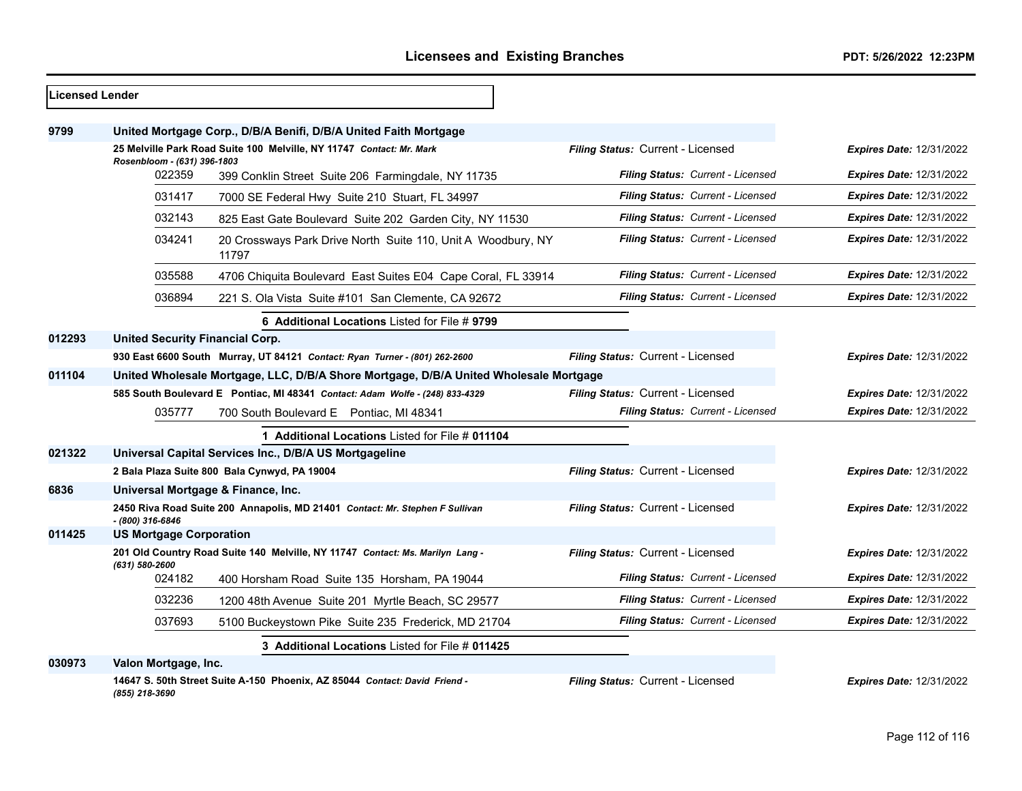| <b>Licensed Lender</b> |                                        |                                                                                       |                                   |                                 |
|------------------------|----------------------------------------|---------------------------------------------------------------------------------------|-----------------------------------|---------------------------------|
| 9799                   |                                        | United Mortgage Corp., D/B/A Benifi, D/B/A United Faith Mortgage                      |                                   |                                 |
|                        |                                        | 25 Melville Park Road Suite 100 Melville, NY 11747 Contact: Mr. Mark                  | Filing Status: Current - Licensed | <b>Expires Date: 12/31/2022</b> |
|                        | Rosenbloom - (631) 396-1803<br>022359  | 399 Conklin Street Suite 206 Farmingdale, NY 11735                                    | Filing Status: Current - Licensed | <b>Expires Date: 12/31/2022</b> |
|                        | 031417                                 | 7000 SE Federal Hwy Suite 210 Stuart, FL 34997                                        | Filing Status: Current - Licensed | Expires Date: 12/31/2022        |
|                        | 032143                                 | 825 East Gate Boulevard Suite 202 Garden City, NY 11530                               | Filing Status: Current - Licensed | <b>Expires Date: 12/31/2022</b> |
|                        | 034241                                 | 20 Crossways Park Drive North Suite 110, Unit A Woodbury, NY<br>11797                 | Filing Status: Current - Licensed | <b>Expires Date: 12/31/2022</b> |
|                        | 035588                                 | 4706 Chiquita Boulevard East Suites E04 Cape Coral, FL 33914                          | Filing Status: Current - Licensed | <b>Expires Date: 12/31/2022</b> |
|                        | 036894                                 | 221 S. Ola Vista Suite #101 San Clemente, CA 92672                                    | Filing Status: Current - Licensed | <b>Expires Date: 12/31/2022</b> |
|                        |                                        | 6 Additional Locations Listed for File # 9799                                         |                                   |                                 |
| 012293                 | <b>United Security Financial Corp.</b> |                                                                                       |                                   |                                 |
|                        |                                        | 930 East 6600 South Murray, UT 84121 Contact: Ryan Turner - (801) 262-2600            | Filing Status: Current - Licensed | <b>Expires Date: 12/31/2022</b> |
| 011104                 |                                        | United Wholesale Mortgage, LLC, D/B/A Shore Mortgage, D/B/A United Wholesale Mortgage |                                   |                                 |
|                        |                                        | 585 South Boulevard E Pontiac, MI 48341 Contact: Adam Wolfe - (248) 833-4329          | Filing Status: Current - Licensed | <b>Expires Date: 12/31/2022</b> |
|                        | 035777                                 | 700 South Boulevard E Pontiac, MI 48341                                               | Filing Status: Current - Licensed | <b>Expires Date: 12/31/2022</b> |
|                        |                                        | 1 Additional Locations Listed for File # 011104                                       |                                   |                                 |
| 021322                 |                                        | Universal Capital Services Inc., D/B/A US Mortgageline                                |                                   |                                 |
|                        |                                        | 2 Bala Plaza Suite 800 Bala Cynwyd, PA 19004                                          | Filing Status: Current - Licensed | <b>Expires Date: 12/31/2022</b> |
| 6836                   |                                        | Universal Mortgage & Finance, Inc.                                                    |                                   |                                 |
|                        | - (800) 316-6846                       | 2450 Riva Road Suite 200 Annapolis, MD 21401 Contact: Mr. Stephen F Sullivan          | Filing Status: Current - Licensed | <b>Expires Date: 12/31/2022</b> |
| 011425                 | <b>US Mortgage Corporation</b>         |                                                                                       |                                   |                                 |
|                        | (631) 580-2600                         | 201 Old Country Road Suite 140 Melville, NY 11747 Contact: Ms. Marilyn Lang -         | Filing Status: Current - Licensed | <b>Expires Date: 12/31/2022</b> |
|                        | 024182                                 | 400 Horsham Road Suite 135 Horsham, PA 19044                                          | Filing Status: Current - Licensed | <b>Expires Date: 12/31/2022</b> |
|                        | 032236                                 | 1200 48th Avenue Suite 201 Myrtle Beach, SC 29577                                     | Filing Status: Current - Licensed | <b>Expires Date: 12/31/2022</b> |
|                        | 037693                                 | 5100 Buckeystown Pike Suite 235 Frederick, MD 21704                                   | Filing Status: Current - Licensed | <b>Expires Date: 12/31/2022</b> |
|                        |                                        | 3 Additional Locations Listed for File # 011425                                       |                                   |                                 |
| 030973                 | Valon Mortgage, Inc.                   |                                                                                       |                                   |                                 |
|                        | (855) 218-3690                         | 14647 S. 50th Street Suite A-150 Phoenix, AZ 85044 Contact: David Friend -            | Filing Status: Current - Licensed | Expires Date: 12/31/2022        |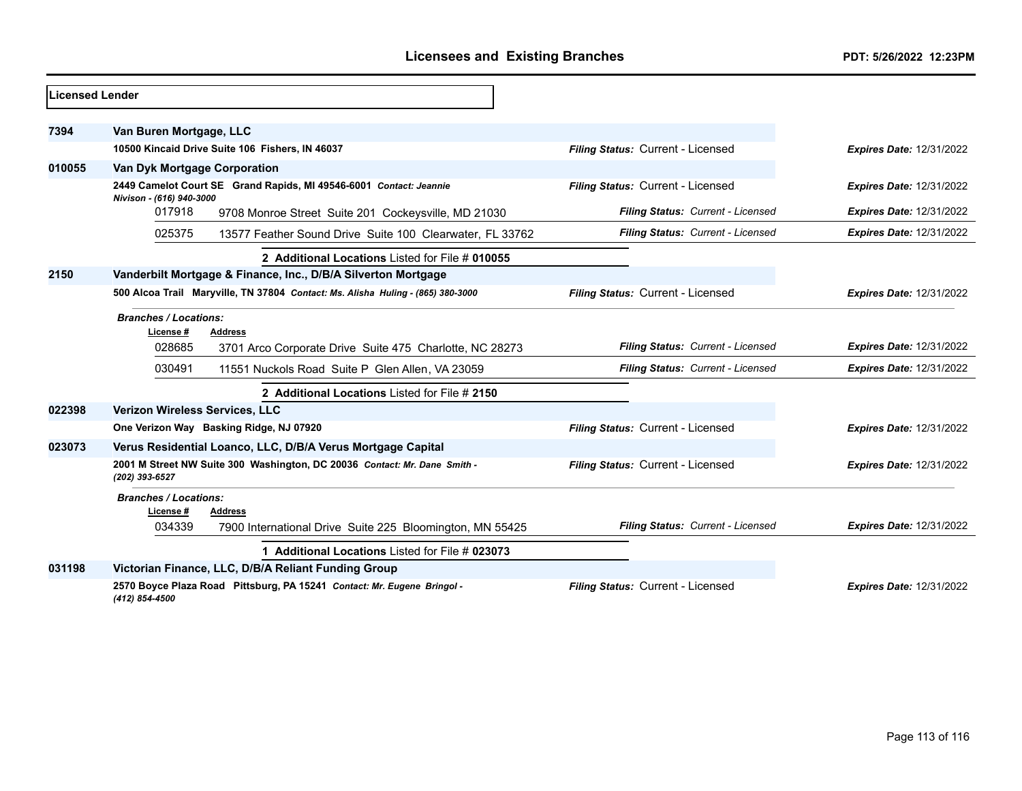| <b>ILicensed Lender</b> |                                          |                                                                                 |                                   |                                 |
|-------------------------|------------------------------------------|---------------------------------------------------------------------------------|-----------------------------------|---------------------------------|
| 7394                    | Van Buren Mortgage, LLC                  |                                                                                 |                                   |                                 |
|                         |                                          | 10500 Kincaid Drive Suite 106 Fishers, IN 46037                                 | Filing Status: Current - Licensed | <b>Expires Date: 12/31/2022</b> |
| 010055                  | Van Dyk Mortgage Corporation             |                                                                                 |                                   |                                 |
|                         | Nivison - (616) 940-3000                 | 2449 Camelot Court SE Grand Rapids, MI 49546-6001 Contact: Jeannie              | Filing Status: Current - Licensed | <b>Expires Date: 12/31/2022</b> |
|                         | 017918                                   | 9708 Monroe Street Suite 201 Cockeysville, MD 21030                             | Filing Status: Current - Licensed | <b>Expires Date: 12/31/2022</b> |
|                         | 025375                                   | 13577 Feather Sound Drive Suite 100 Clearwater, FL 33762                        | Filing Status: Current - Licensed | <b>Expires Date: 12/31/2022</b> |
|                         |                                          | 2 Additional Locations Listed for File # 010055                                 |                                   |                                 |
| 2150                    |                                          | Vanderbilt Mortgage & Finance, Inc., D/B/A Silverton Mortgage                   |                                   |                                 |
|                         |                                          | 500 Alcoa Trail Maryville, TN 37804 Contact: Ms. Alisha Huling - (865) 380-3000 | Filing Status: Current - Licensed | <b>Expires Date: 12/31/2022</b> |
|                         | <b>Branches / Locations:</b><br>License# | <b>Address</b>                                                                  |                                   |                                 |
|                         | 028685                                   | 3701 Arco Corporate Drive Suite 475 Charlotte, NC 28273                         | Filing Status: Current - Licensed | <b>Expires Date: 12/31/2022</b> |
|                         | 030491                                   | 11551 Nuckols Road Suite P Glen Allen, VA 23059                                 | Filing Status: Current - Licensed | <b>Expires Date: 12/31/2022</b> |
|                         |                                          | 2 Additional Locations Listed for File # 2150                                   |                                   |                                 |
| 022398                  | Verizon Wireless Services, LLC           |                                                                                 |                                   |                                 |
|                         |                                          | One Verizon Way Basking Ridge, NJ 07920                                         | Filing Status: Current - Licensed | <b>Expires Date: 12/31/2022</b> |
| 023073                  |                                          | Verus Residential Loanco, LLC, D/B/A Verus Mortgage Capital                     |                                   |                                 |
|                         | (202) 393-6527                           | 2001 M Street NW Suite 300 Washington, DC 20036 Contact: Mr. Dane Smith -       | Filing Status: Current - Licensed | <b>Expires Date: 12/31/2022</b> |
|                         | <b>Branches / Locations:</b><br>License# | Address                                                                         |                                   |                                 |
|                         | 034339                                   | 7900 International Drive Suite 225 Bloomington, MN 55425                        | Filing Status: Current - Licensed | <b>Expires Date: 12/31/2022</b> |
|                         |                                          | 1 Additional Locations Listed for File # 023073                                 |                                   |                                 |
| 031198                  |                                          | Victorian Finance, LLC, D/B/A Reliant Funding Group                             |                                   |                                 |
|                         | (412) 854-4500                           | 2570 Boyce Plaza Road Pittsburg, PA 15241 Contact: Mr. Eugene Bringol -         | Filing Status: Current - Licensed | <b>Expires Date: 12/31/2022</b> |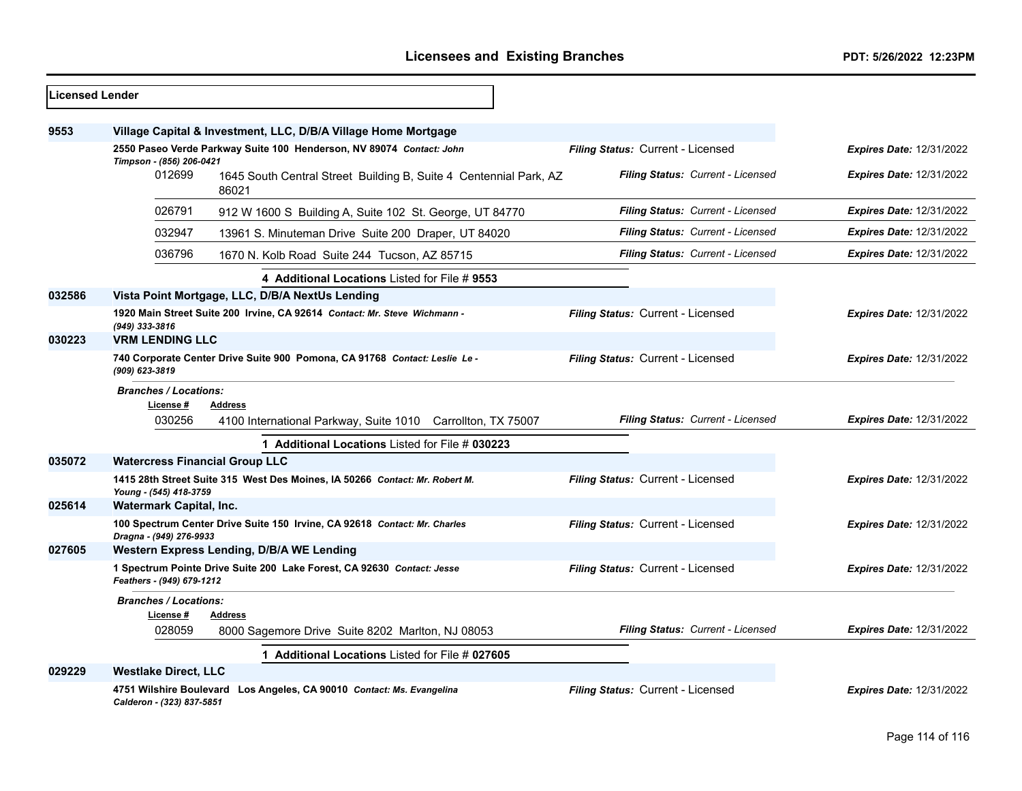| Licensed Lender |                                                     |                                                                                                                                  |                                   |                                 |
|-----------------|-----------------------------------------------------|----------------------------------------------------------------------------------------------------------------------------------|-----------------------------------|---------------------------------|
| 9553            |                                                     | Village Capital & Investment, LLC, D/B/A Village Home Mortgage                                                                   |                                   |                                 |
|                 | Timpson - (856) 206-0421                            | 2550 Paseo Verde Parkway Suite 100 Henderson, NV 89074 Contact: John                                                             | Filing Status: Current - Licensed | <b>Expires Date: 12/31/2022</b> |
|                 | 012699                                              | 1645 South Central Street Building B, Suite 4 Centennial Park, AZ<br>86021                                                       | Filing Status: Current - Licensed | <b>Expires Date: 12/31/2022</b> |
|                 | 026791                                              | 912 W 1600 S Building A, Suite 102 St. George, UT 84770                                                                          | Filing Status: Current - Licensed | <b>Expires Date: 12/31/2022</b> |
|                 | 032947                                              | 13961 S. Minuteman Drive Suite 200 Draper, UT 84020                                                                              | Filing Status: Current - Licensed | <b>Expires Date: 12/31/2022</b> |
|                 | 036796                                              | 1670 N. Kolb Road Suite 244 Tucson, AZ 85715                                                                                     | Filing Status: Current - Licensed | <b>Expires Date: 12/31/2022</b> |
|                 |                                                     | 4 Additional Locations Listed for File # 9553                                                                                    |                                   |                                 |
| 032586          |                                                     | Vista Point Mortgage, LLC, D/B/A NextUs Lending                                                                                  |                                   |                                 |
|                 | (949) 333-3816                                      | 1920 Main Street Suite 200 Irvine, CA 92614 Contact: Mr. Steve Wichmann -                                                        | Filing Status: Current - Licensed | Expires Date: 12/31/2022        |
| 030223          | <b>VRM LENDING LLC</b>                              |                                                                                                                                  |                                   |                                 |
|                 | (909) 623-3819                                      | 740 Corporate Center Drive Suite 900 Pomona, CA 91768 Contact: Leslie Le-                                                        | Filing Status: Current - Licensed | <b>Expires Date: 12/31/2022</b> |
|                 | <b>Branches / Locations:</b><br>License #<br>030256 | <b>Address</b><br>4100 International Parkway, Suite 1010 Carrollton, TX 75007<br>1 Additional Locations Listed for File # 030223 | Filing Status: Current - Licensed | <b>Expires Date: 12/31/2022</b> |
| 035072          | <b>Watercress Financial Group LLC</b>               |                                                                                                                                  |                                   |                                 |
| 025614          | Young - (545) 418-3759<br>Watermark Capital, Inc.   | 1415 28th Street Suite 315 West Des Moines, IA 50266 Contact: Mr. Robert M.                                                      | Filing Status: Current - Licensed | <b>Expires Date: 12/31/2022</b> |
|                 | Dragna - (949) 276-9933                             | 100 Spectrum Center Drive Suite 150 Irvine, CA 92618 Contact: Mr. Charles                                                        | Filing Status: Current - Licensed | <b>Expires Date: 12/31/2022</b> |
| 027605          |                                                     | Western Express Lending, D/B/A WE Lending                                                                                        |                                   |                                 |
|                 | Feathers - (949) 679-1212                           | 1 Spectrum Pointe Drive Suite 200 Lake Forest, CA 92630 Contact: Jesse                                                           | Filing Status: Current - Licensed | <b>Expires Date: 12/31/2022</b> |
|                 | <b>Branches / Locations:</b><br>License #<br>028059 | Address<br>8000 Sagemore Drive Suite 8202 Marlton, NJ 08053                                                                      | Filing Status: Current - Licensed | <b>Expires Date: 12/31/2022</b> |
|                 |                                                     | 1 Additional Locations Listed for File # 027605                                                                                  |                                   |                                 |
| 029229          | <b>Westlake Direct, LLC</b>                         |                                                                                                                                  |                                   |                                 |
|                 | Calderon - (323) 837-5851                           | 4751 Wilshire Boulevard Los Angeles, CA 90010 Contact: Ms. Evangelina                                                            | Filing Status: Current - Licensed | <b>Expires Date: 12/31/2022</b> |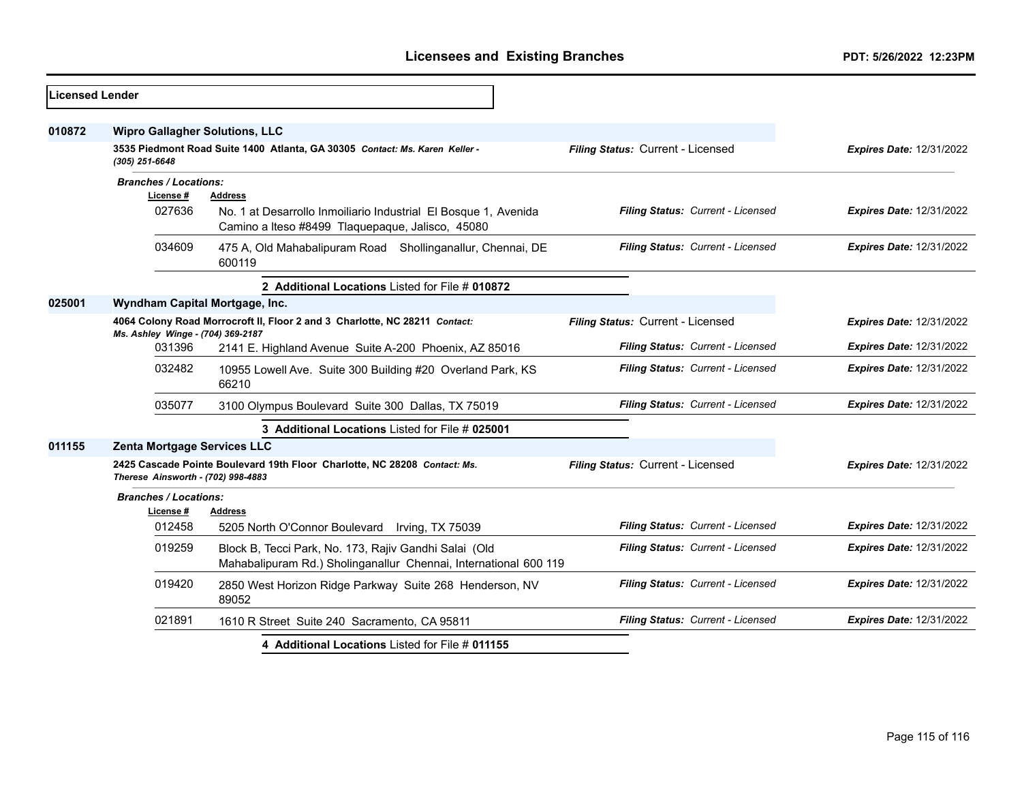| <b>Licensed Lender</b> |                                           |                                                                                                                           |                                   |                                 |
|------------------------|-------------------------------------------|---------------------------------------------------------------------------------------------------------------------------|-----------------------------------|---------------------------------|
| 010872                 | <b>Wipro Gallagher Solutions, LLC</b>     |                                                                                                                           |                                   |                                 |
|                        | $(305)$ 251-6648                          | 3535 Piedmont Road Suite 1400 Atlanta, GA 30305 Contact: Ms. Karen Keller -                                               | Filing Status: Current - Licensed | <b>Expires Date: 12/31/2022</b> |
|                        | <b>Branches / Locations:</b><br>License # | <b>Address</b>                                                                                                            |                                   |                                 |
|                        | 027636                                    | No. 1 at Desarrollo Inmoiliario Industrial El Bosque 1, Avenida<br>Camino a Iteso #8499 Tlaquepaque, Jalisco, 45080       | Filing Status: Current - Licensed | <b>Expires Date: 12/31/2022</b> |
|                        | 034609                                    | 475 A, Old Mahabalipuram Road Shollinganallur, Chennai, DE<br>600119                                                      | Filing Status: Current - Licensed | Expires Date: 12/31/2022        |
|                        |                                           | 2 Additional Locations Listed for File # 010872                                                                           |                                   |                                 |
| 025001                 | Wyndham Capital Mortgage, Inc.            |                                                                                                                           |                                   |                                 |
|                        | Ms. Ashley Winge - (704) 369-2187         | 4064 Colony Road Morrocroft II, Floor 2 and 3 Charlotte, NC 28211 Contact:                                                | Filing Status: Current - Licensed | Expires Date: 12/31/2022        |
|                        | 031396                                    | 2141 E. Highland Avenue Suite A-200 Phoenix, AZ 85016                                                                     | Filing Status: Current - Licensed | <b>Expires Date: 12/31/2022</b> |
|                        | 032482                                    | 10955 Lowell Ave. Suite 300 Building #20 Overland Park, KS<br>66210                                                       | Filing Status: Current - Licensed | <b>Expires Date: 12/31/2022</b> |
|                        | 035077                                    | 3100 Olympus Boulevard Suite 300 Dallas, TX 75019                                                                         | Filing Status: Current - Licensed | <b>Expires Date: 12/31/2022</b> |
|                        |                                           | 3 Additional Locations Listed for File # 025001                                                                           |                                   |                                 |
| 011155                 | Zenta Mortgage Services LLC               |                                                                                                                           |                                   |                                 |
|                        | Therese Ainsworth - (702) 998-4883        | 2425 Cascade Pointe Boulevard 19th Floor Charlotte, NC 28208 Contact: Ms.                                                 | Filing Status: Current - Licensed | <b>Expires Date: 12/31/2022</b> |
|                        | <b>Branches / Locations:</b>              |                                                                                                                           |                                   |                                 |
|                        | License #<br>012458                       | <b>Address</b><br>5205 North O'Connor Boulevard<br>Irving, TX 75039                                                       | Filing Status: Current - Licensed | <b>Expires Date: 12/31/2022</b> |
|                        | 019259                                    | Block B, Tecci Park, No. 173, Rajiv Gandhi Salai (Old<br>Mahabalipuram Rd.) Sholinganallur Chennai, International 600 119 | Filing Status: Current - Licensed | Expires Date: 12/31/2022        |
|                        | 019420                                    | 2850 West Horizon Ridge Parkway Suite 268 Henderson, NV<br>89052                                                          | Filing Status: Current - Licensed | Expires Date: 12/31/2022        |
|                        | 021891                                    | 1610 R Street Suite 240 Sacramento, CA 95811                                                                              | Filing Status: Current - Licensed | <b>Expires Date: 12/31/2022</b> |
|                        |                                           | 4 Additional Locations Listed for File # 011155                                                                           |                                   |                                 |